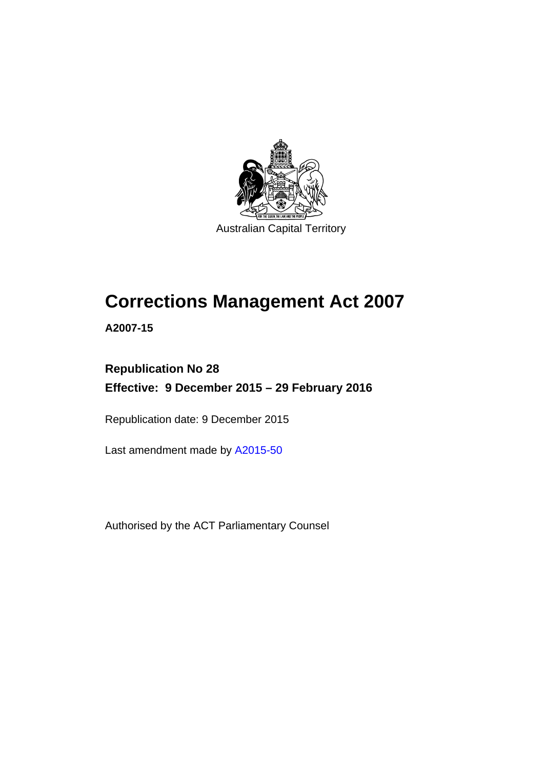

# **Corrections Management Act 2007**

**A2007-15** 

# **Republication No 28 Effective: 9 December 2015 – 29 February 2016**

Republication date: 9 December 2015

Last amendment made by [A2015-50](http://www.legislation.act.gov.au/a/2015-50)

Authorised by the ACT Parliamentary Counsel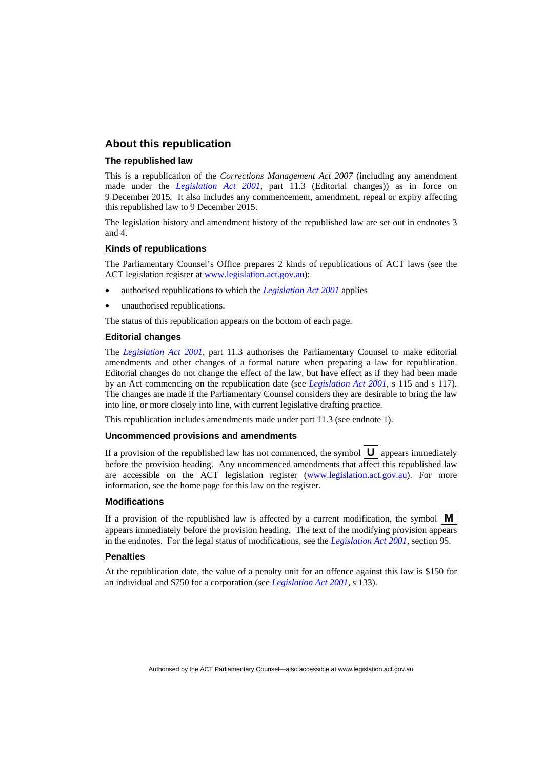### **About this republication**

#### **The republished law**

This is a republication of the *Corrections Management Act 2007* (including any amendment made under the *[Legislation Act 2001](http://www.legislation.act.gov.au/a/2001-14)*, part 11.3 (Editorial changes)) as in force on 9 December 2015*.* It also includes any commencement, amendment, repeal or expiry affecting this republished law to 9 December 2015.

The legislation history and amendment history of the republished law are set out in endnotes 3 and 4.

#### **Kinds of republications**

The Parliamentary Counsel's Office prepares 2 kinds of republications of ACT laws (see the ACT legislation register at [www.legislation.act.gov.au](http://www.legislation.act.gov.au/)):

- authorised republications to which the *[Legislation Act 2001](http://www.legislation.act.gov.au/a/2001-14)* applies
- unauthorised republications.

The status of this republication appears on the bottom of each page.

#### **Editorial changes**

The *[Legislation Act 2001](http://www.legislation.act.gov.au/a/2001-14)*, part 11.3 authorises the Parliamentary Counsel to make editorial amendments and other changes of a formal nature when preparing a law for republication. Editorial changes do not change the effect of the law, but have effect as if they had been made by an Act commencing on the republication date (see *[Legislation Act 2001](http://www.legislation.act.gov.au/a/2001-14)*, s 115 and s 117). The changes are made if the Parliamentary Counsel considers they are desirable to bring the law into line, or more closely into line, with current legislative drafting practice.

This republication includes amendments made under part 11.3 (see endnote 1).

#### **Uncommenced provisions and amendments**

If a provision of the republished law has not commenced, the symbol  $\mathbf{U}$  appears immediately before the provision heading. Any uncommenced amendments that affect this republished law are accessible on the ACT legislation register [\(www.legislation.act.gov.au\)](http://www.legislation.act.gov.au/). For more information, see the home page for this law on the register.

#### **Modifications**

If a provision of the republished law is affected by a current modification, the symbol  $\mathbf{M}$ appears immediately before the provision heading. The text of the modifying provision appears in the endnotes. For the legal status of modifications, see the *[Legislation Act 2001](http://www.legislation.act.gov.au/a/2001-14)*, section 95.

#### **Penalties**

At the republication date, the value of a penalty unit for an offence against this law is \$150 for an individual and \$750 for a corporation (see *[Legislation Act 2001](http://www.legislation.act.gov.au/a/2001-14)*, s 133).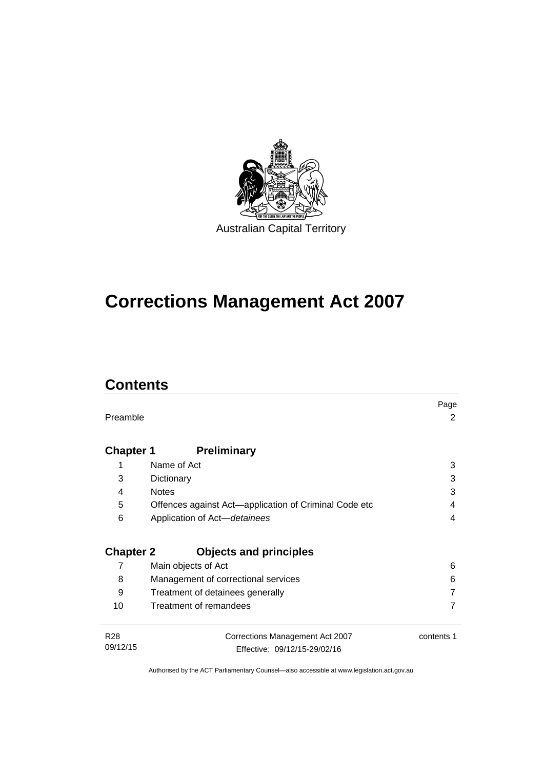

# **Corrections Management Act 2007**

# **Contents**

|                  |                                                       | Page       |  |  |  |
|------------------|-------------------------------------------------------|------------|--|--|--|
| Preamble         |                                                       | 2          |  |  |  |
|                  |                                                       |            |  |  |  |
| <b>Chapter 1</b> | <b>Preliminary</b>                                    |            |  |  |  |
| 1                | Name of Act                                           | 3          |  |  |  |
| 3                | Dictionary                                            | 3          |  |  |  |
| 4                | <b>Notes</b>                                          | 3          |  |  |  |
| 5                | Offences against Act-application of Criminal Code etc | 4          |  |  |  |
| 6                | Application of Act-detainees                          | 4          |  |  |  |
|                  |                                                       |            |  |  |  |
|                  | <b>Chapter 2</b><br><b>Objects and principles</b>     |            |  |  |  |
| 7                | Main objects of Act                                   | 6          |  |  |  |
| 8                | Management of correctional services                   | 6          |  |  |  |
| 9                | Treatment of detainees generally                      |            |  |  |  |
| 10               | Treatment of remandees                                |            |  |  |  |
|                  |                                                       |            |  |  |  |
| <b>R28</b>       | Corrections Management Act 2007                       | contents 1 |  |  |  |
| 09/12/15         | Effective: 09/12/15-29/02/16                          |            |  |  |  |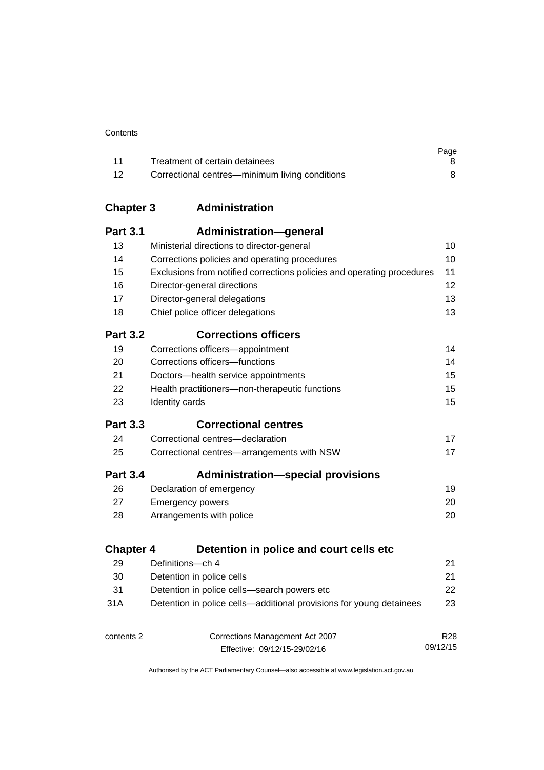|      |                                                | Page |
|------|------------------------------------------------|------|
|      | Treatment of certain detainees                 |      |
| - 12 | Correctional centres—minimum living conditions |      |

# **Chapter 3 [Administration](#page-23-0)**

| <b>Part 3.1</b>  | <b>Administration-general</b>                                          |                 |
|------------------|------------------------------------------------------------------------|-----------------|
| 13               | Ministerial directions to director-general                             | 10              |
| 14               | Corrections policies and operating procedures                          | 10              |
| 15               | Exclusions from notified corrections policies and operating procedures | 11              |
| 16               | Director-general directions                                            | 12              |
| 17               | Director-general delegations                                           | 13              |
| 18               | Chief police officer delegations                                       | 13              |
| <b>Part 3.2</b>  | <b>Corrections officers</b>                                            |                 |
| 19               | Corrections officers-appointment                                       | 14              |
| 20               | Corrections officers-functions                                         | 14              |
| 21               | Doctors-health service appointments                                    | 15              |
| 22               | Health practitioners-non-therapeutic functions                         | 15              |
| 23               | Identity cards                                                         | 15              |
| <b>Part 3.3</b>  | <b>Correctional centres</b>                                            |                 |
| 24               | Correctional centres-declaration                                       | 17              |
| 25               | Correctional centres-arrangements with NSW                             | 17              |
| <b>Part 3.4</b>  | <b>Administration-special provisions</b>                               |                 |
| 26               | Declaration of emergency                                               | 19              |
| 27               | <b>Emergency powers</b>                                                | 20              |
| 28               | Arrangements with police                                               | 20              |
| <b>Chapter 4</b> | Detention in police and court cells etc                                |                 |
| 29               | Definitions-ch 4                                                       | 21              |
| 30               | Detention in police cells                                              | 21              |
| 31               | Detention in police cells-search powers etc                            | 22              |
| 31A              | Detention in police cells—additional provisions for young detainees    | 23              |
| contents 2       | Corrections Management Act 2007                                        | R <sub>28</sub> |
|                  | Effective: 09/12/15-29/02/16                                           | 09/12/15        |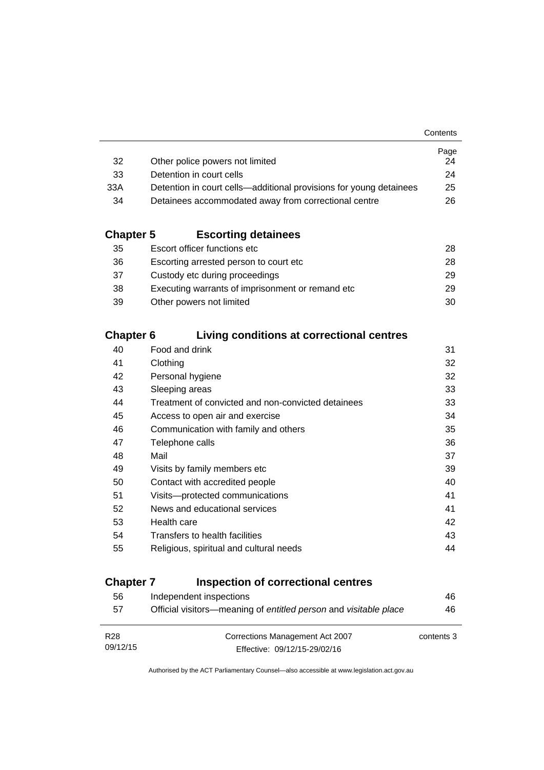|                                                                    | Page |
|--------------------------------------------------------------------|------|
| Other police powers not limited                                    | 24   |
| Detention in court cells                                           | 24   |
| Detention in court cells—additional provisions for young detainees | 25   |
| Detainees accommodated away from correctional centre               | 26.  |
|                                                                    |      |

# **Chapter 5 [Escorting detainees](#page-41-0)**

| 35 | Escort officer functions etc                      | 28. |
|----|---------------------------------------------------|-----|
| 36 | Escorting arrested person to court etc.           | 28. |
| 37 | Custody etc during proceedings                    | 29. |
| 38 | Executing warrants of imprisonment or remand etc. | 29  |
| 39 | Other powers not limited                          | 30  |

# **Chapter 6 [Living conditions at correctional centres](#page-44-0)**

| 40 | Food and drink                                     | 31 |
|----|----------------------------------------------------|----|
| 41 | Clothing                                           | 32 |
| 42 | Personal hygiene                                   | 32 |
| 43 | Sleeping areas                                     | 33 |
| 44 | Treatment of convicted and non-convicted detainees | 33 |
| 45 | Access to open air and exercise                    | 34 |
| 46 | Communication with family and others               | 35 |
| 47 | Telephone calls                                    | 36 |
| 48 | Mail                                               | 37 |
| 49 | Visits by family members etc                       | 39 |
| 50 | Contact with accredited people                     | 40 |
| 51 | Visits-protected communications                    | 41 |
| 52 | News and educational services                      | 41 |
| 53 | Health care                                        | 42 |
| 54 | Transfers to health facilities                     | 43 |
| 55 | Religious, spiritual and cultural needs            | 44 |
|    |                                                    |    |

# **Chapter 7 [Inspection of correctional centres](#page-59-0)**

| 56              | Independent inspections                                          | 46         |
|-----------------|------------------------------------------------------------------|------------|
| 57              | Official visitors—meaning of entitled person and visitable place | 46         |
|                 |                                                                  |            |
| R <sub>28</sub> | Corrections Management Act 2007                                  | contents 3 |
| 09/12/15        | Effective: 09/12/15-29/02/16                                     |            |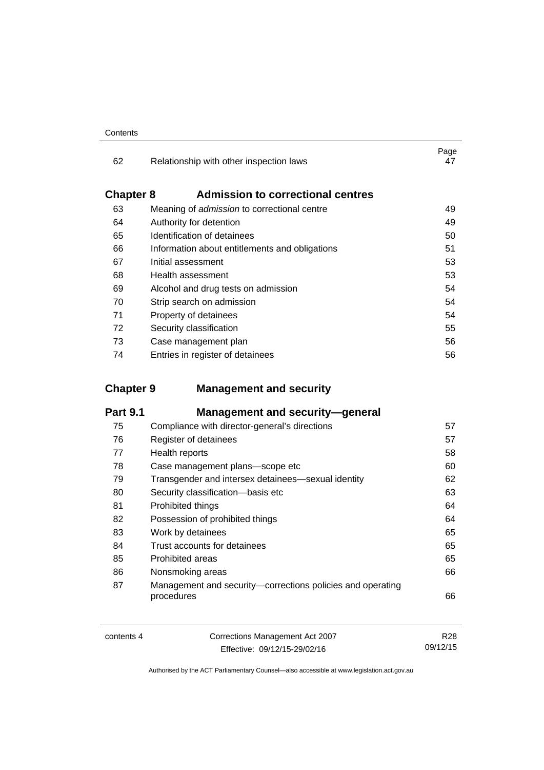| Contents |
|----------|
|----------|

| 62               | Relationship with other inspection laws            | Page<br>47 |
|------------------|----------------------------------------------------|------------|
| <b>Chapter 8</b> | <b>Admission to correctional centres</b>           |            |
| 63               | Meaning of <i>admission</i> to correctional centre | 49         |
| 64               | Authority for detention                            | 49         |
| 65               | Identification of detainees                        | 50         |
| 66               | Information about entitlements and obligations     | 51         |
| 67               | Initial assessment                                 | 53         |
| 68               | Health assessment                                  | 53         |
| 69               | Alcohol and drug tests on admission                | 54         |
| 70               | Strip search on admission                          | 54         |
| 71               | Property of detainees                              | 54         |
| 72               | Security classification                            | 55         |
| 73               | Case management plan                               | 56         |
| 74               | Entries in register of detainees                   | 56         |

# **Chapter 9 [Management and security](#page-70-0)**

| <b>Part 9.1</b> | <b>Management and security-general</b>                                   |    |
|-----------------|--------------------------------------------------------------------------|----|
| 75              | Compliance with director-general's directions                            | 57 |
| 76              | Register of detainees                                                    | 57 |
| 77              | Health reports                                                           | 58 |
| 78              | Case management plans-scope etc                                          | 60 |
| 79              | Transgender and intersex detainees—sexual identity                       | 62 |
| 80              | Security classification-basis etc                                        | 63 |
| 81              | Prohibited things                                                        | 64 |
| 82              | Possession of prohibited things                                          | 64 |
| 83              | Work by detainees                                                        | 65 |
| 84              | Trust accounts for detainees                                             | 65 |
| 85              | Prohibited areas                                                         | 65 |
| 86              | Nonsmoking areas                                                         | 66 |
| 87              | Management and security—corrections policies and operating<br>procedures | 66 |

| Corrections Management Act 2007<br>contents 4 |                              | R28      |
|-----------------------------------------------|------------------------------|----------|
|                                               | Effective: 09/12/15-29/02/16 | 09/12/15 |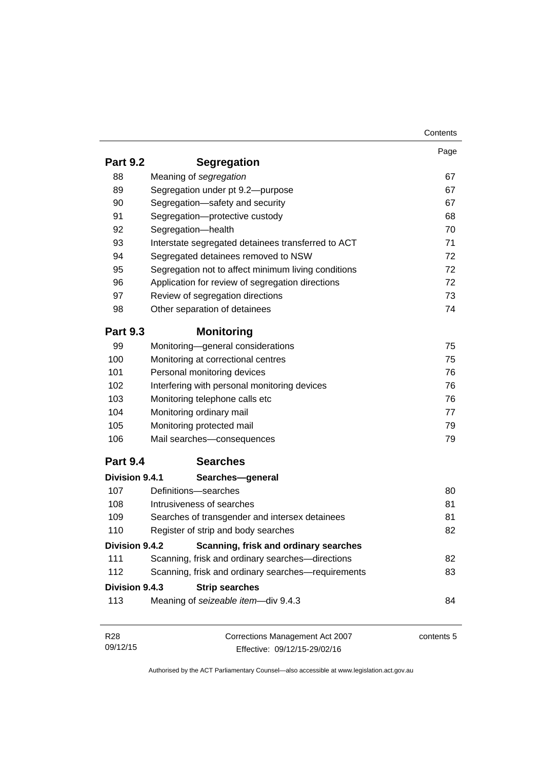|                 |                                                     | Contents   |
|-----------------|-----------------------------------------------------|------------|
|                 |                                                     | Page       |
| <b>Part 9.2</b> | <b>Segregation</b>                                  |            |
| 88              | Meaning of segregation                              | 67         |
| 89              | Segregation under pt 9.2-purpose                    | 67         |
| 90              | Segregation-safety and security                     | 67         |
| 91              | Segregation-protective custody                      | 68         |
| 92              | Segregation-health                                  | 70         |
| 93              | Interstate segregated detainees transferred to ACT  | 71         |
| 94              | Segregated detainees removed to NSW                 | 72         |
| 95              | Segregation not to affect minimum living conditions | 72         |
| 96              | Application for review of segregation directions    | 72         |
| 97              | Review of segregation directions                    | 73         |
| 98              | Other separation of detainees                       | 74         |
| <b>Part 9.3</b> | <b>Monitoring</b>                                   |            |
| 99              | Monitoring-general considerations                   | 75         |
| 100             | Monitoring at correctional centres                  | 75         |
| 101             | Personal monitoring devices                         | 76         |
| 102             | Interfering with personal monitoring devices        | 76         |
| 103             | Monitoring telephone calls etc                      | 76         |
| 104             | Monitoring ordinary mail                            | 77         |
| 105             | Monitoring protected mail                           | 79         |
| 106             | Mail searches-consequences                          | 79         |
| <b>Part 9.4</b> | <b>Searches</b>                                     |            |
| Division 9.4.1  | Searches-general                                    |            |
| 107             | Definitions-searches                                | 80         |
| 108             | Intrusiveness of searches                           | 81         |
| 109             | Searches of transgender and intersex detainees      | 81         |
| 110             | Register of strip and body searches                 | 82         |
| Division 9.4.2  | Scanning, frisk and ordinary searches               |            |
| 111             | Scanning, frisk and ordinary searches-directions    | 82         |
| 112             | Scanning, frisk and ordinary searches-requirements  | 83         |
| Division 9.4.3  | <b>Strip searches</b>                               |            |
| 113             | Meaning of seizeable item-div 9.4.3                 | 84         |
|                 |                                                     |            |
| R <sub>28</sub> | Corrections Management Act 2007                     | contents 5 |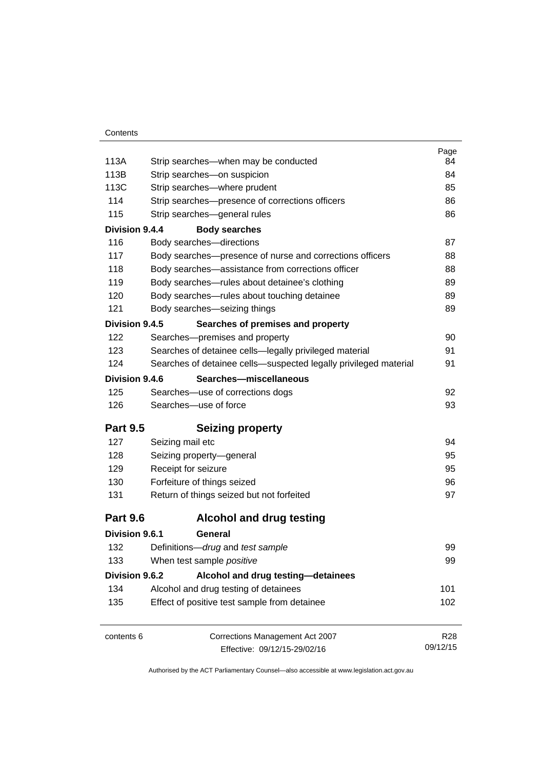|                 |                                                                  | Page       |
|-----------------|------------------------------------------------------------------|------------|
| 113A            | Strip searches—when may be conducted                             | 84         |
| 113B            | Strip searches-on suspicion                                      | 84         |
| 113C            | Strip searches-where prudent                                     | 85         |
| 114             | Strip searches-presence of corrections officers                  | 86         |
| 115             | Strip searches-general rules                                     | 86         |
| Division 9.4.4  | <b>Body searches</b>                                             |            |
| 116             | Body searches-directions                                         | 87         |
| 117             | Body searches-presence of nurse and corrections officers         | 88         |
| 118             | Body searches—assistance from corrections officer                | 88         |
| 119             | Body searches-rules about detainee's clothing                    | 89         |
| 120             | Body searches-rules about touching detainee                      | 89         |
| 121             | Body searches-seizing things                                     | 89         |
| Division 9.4.5  | Searches of premises and property                                |            |
| 122             | Searches-premises and property                                   | 90         |
| 123             | Searches of detainee cells-legally privileged material           | 91         |
| 124             | Searches of detainee cells-suspected legally privileged material | 91         |
| Division 9.4.6  | Searches-miscellaneous                                           |            |
| 125             | Searches-use of corrections dogs                                 | 92         |
| 126             | Searches-use of force                                            | 93         |
| <b>Part 9.5</b> | <b>Seizing property</b>                                          |            |
| 127             | Seizing mail etc                                                 | 94         |
| 128             | Seizing property-general                                         | 95         |
| 129             | Receipt for seizure                                              | 95         |
| 130             | Forfeiture of things seized                                      | 96         |
| 131             | Return of things seized but not forfeited                        | 97         |
| <b>Part 9.6</b> | <b>Alcohol and drug testing</b>                                  |            |
| Division 9.6.1  | General                                                          |            |
| 132             | Definitions-drug and test sample                                 | 99         |
| 133             | When test sample positive                                        | 99         |
| Division 9.6.2  | Alcohol and drug testing-detainees                               |            |
| 134             | Alcohol and drug testing of detainees                            | 101        |
| 135             | Effect of positive test sample from detainee                     | 102        |
| contents 6      | Corrections Management Act 2007                                  | <b>R28</b> |
|                 | Effective: 09/12/15-29/02/16                                     | 09/12/15   |
|                 |                                                                  |            |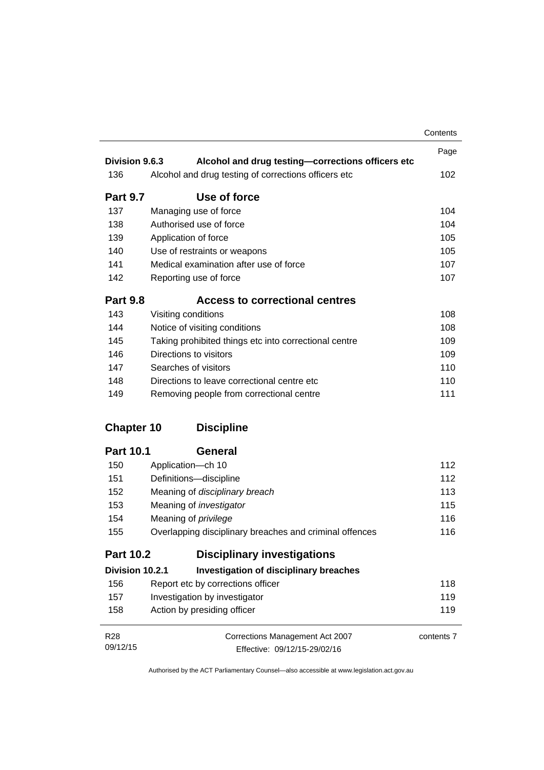|                   |                                                         | Contents   |
|-------------------|---------------------------------------------------------|------------|
|                   |                                                         | Page       |
| Division 9.6.3    | Alcohol and drug testing-corrections officers etc       |            |
| 136               | Alcohol and drug testing of corrections officers etc    | 102        |
| <b>Part 9.7</b>   | Use of force                                            |            |
| 137               | Managing use of force                                   | 104        |
| 138               | Authorised use of force                                 | 104        |
| 139               | Application of force                                    | 105        |
| 140               | Use of restraints or weapons                            | 105        |
| 141               | Medical examination after use of force                  | 107        |
| 142               | Reporting use of force                                  | 107        |
| <b>Part 9.8</b>   | <b>Access to correctional centres</b>                   |            |
| 143               | Visiting conditions                                     | 108        |
| 144               | Notice of visiting conditions                           | 108        |
| 145               | Taking prohibited things etc into correctional centre   | 109        |
| 146               | Directions to visitors                                  | 109        |
| 147               | Searches of visitors                                    | 110        |
| 148               | Directions to leave correctional centre etc             | 110        |
| 149               | Removing people from correctional centre                | 111        |
| <b>Chapter 10</b> | <b>Discipline</b>                                       |            |
| <b>Part 10.1</b>  | <b>General</b>                                          |            |
| 150               | Application-ch 10                                       | 112        |
| 151               | Definitions-discipline                                  | 112        |
| 152               | Meaning of disciplinary breach                          | 113        |
| 153               | Meaning of <i>investigator</i>                          | 115        |
| 154               | Meaning of privilege                                    | 116        |
| 155               | Overlapping disciplinary breaches and criminal offences | 116        |
| <b>Part 10.2</b>  | <b>Disciplinary investigations</b>                      |            |
| Division 10.2.1   | Investigation of disciplinary breaches                  |            |
| 156               | Report etc by corrections officer                       | 118        |
| 157               | Investigation by investigator                           | 119        |
| 158               | Action by presiding officer                             | 119        |
| R <sub>28</sub>   | Corrections Management Act 2007                         | contents 7 |
| 09/12/15          | Effective: 09/12/15-29/02/16                            |            |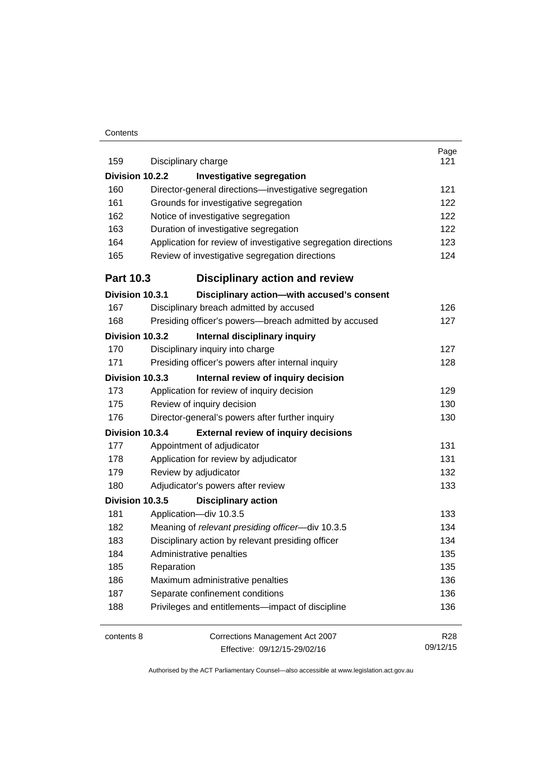#### **Contents**

| 159<br>Disciplinary charge                                            | 121        |
|-----------------------------------------------------------------------|------------|
|                                                                       |            |
| Division 10.2.2<br><b>Investigative segregation</b>                   |            |
| 160<br>Director-general directions-investigative segregation          | 121        |
| 161<br>Grounds for investigative segregation                          | 122        |
| 162<br>Notice of investigative segregation                            | 122        |
| 163<br>Duration of investigative segregation                          | 122        |
| 164<br>Application for review of investigative segregation directions | 123        |
| 165<br>Review of investigative segregation directions                 | 124        |
| <b>Part 10.3</b><br><b>Disciplinary action and review</b>             |            |
| Division 10.3.1<br>Disciplinary action-with accused's consent         |            |
| Disciplinary breach admitted by accused<br>167                        | 126        |
| 168<br>Presiding officer's powers--breach admitted by accused         | 127        |
| Division 10.3.2<br>Internal disciplinary inquiry                      |            |
| Disciplinary inquiry into charge<br>170                               | 127        |
| 171<br>Presiding officer's powers after internal inquiry              | 128        |
| Internal review of inquiry decision<br>Division 10.3.3                |            |
| 173<br>Application for review of inquiry decision                     | 129        |
| Review of inquiry decision<br>175                                     | 130        |
| 176<br>Director-general's powers after further inquiry                | 130        |
| <b>External review of inquiry decisions</b><br>Division 10.3.4        |            |
| Appointment of adjudicator<br>177                                     | 131        |
| Application for review by adjudicator<br>178                          | 131        |
| Review by adjudicator<br>179                                          | 132        |
| 180<br>Adjudicator's powers after review                              | 133        |
| Division 10.3.5<br><b>Disciplinary action</b>                         |            |
| 181<br>Application-div 10.3.5                                         | 133        |
| 182<br>Meaning of relevant presiding officer-div 10.3.5               | 134        |
| 183<br>Disciplinary action by relevant presiding officer              | 134        |
| 184<br>Administrative penalties                                       | 135        |
| 185<br>Reparation                                                     | 135        |
| 186<br>Maximum administrative penalties                               | 136        |
| 187<br>Separate confinement conditions                                | 136        |
| 188<br>Privileges and entitlements-impact of discipline               | 136        |
| <b>Corrections Management Act 2007</b><br>contents 8                  | <b>R28</b> |
| Effective: 09/12/15-29/02/16                                          | 09/12/15   |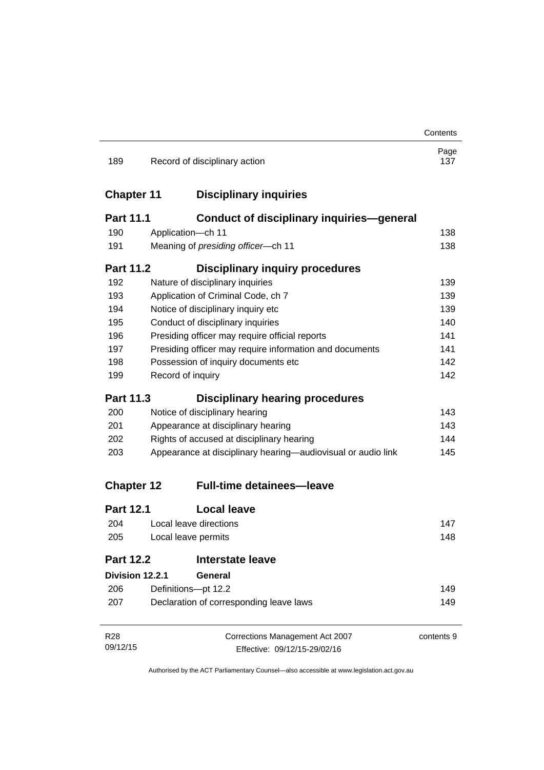|                   |                                                              |                                                         | Contents    |
|-------------------|--------------------------------------------------------------|---------------------------------------------------------|-------------|
| 189               |                                                              | Record of disciplinary action                           | Page<br>137 |
| <b>Chapter 11</b> |                                                              | <b>Disciplinary inquiries</b>                           |             |
| <b>Part 11.1</b>  |                                                              | <b>Conduct of disciplinary inquiries-general</b>        |             |
| 190               |                                                              | Application-ch 11                                       | 138         |
| 191               |                                                              | Meaning of presiding officer-ch 11                      | 138         |
| <b>Part 11.2</b>  |                                                              | <b>Disciplinary inquiry procedures</b>                  |             |
| 192               |                                                              | Nature of disciplinary inquiries                        | 139         |
| 193               |                                                              | Application of Criminal Code, ch 7                      | 139         |
| 194               |                                                              | Notice of disciplinary inquiry etc                      | 139         |
| 195               |                                                              | Conduct of disciplinary inquiries                       | 140         |
| 196               |                                                              | Presiding officer may require official reports          | 141         |
| 197               |                                                              | Presiding officer may require information and documents | 141         |
| 198               |                                                              | Possession of inquiry documents etc                     | 142         |
| 199               |                                                              | Record of inquiry                                       | 142         |
| <b>Part 11.3</b>  |                                                              | <b>Disciplinary hearing procedures</b>                  |             |
| 200               |                                                              | Notice of disciplinary hearing                          | 143         |
| 201               |                                                              | Appearance at disciplinary hearing                      | 143         |
| 202               | Rights of accused at disciplinary hearing                    |                                                         | 144         |
| 203               | Appearance at disciplinary hearing—audiovisual or audio link |                                                         | 145         |
| <b>Chapter 12</b> |                                                              | <b>Full-time detainees-leave</b>                        |             |
| <b>Part 12.1</b>  |                                                              | <b>Local leave</b>                                      |             |
| 204               |                                                              | Local leave directions                                  | 147         |
| 205               | Local leave permits                                          |                                                         | 148         |
| <b>Part 12.2</b>  |                                                              | <b>Interstate leave</b>                                 |             |
| Division 12.2.1   |                                                              | General                                                 |             |
| 206               |                                                              | Definitions-pt 12.2                                     | 149         |
| 207               | Declaration of corresponding leave laws                      |                                                         | 149         |
| R <sub>28</sub>   |                                                              | Corrections Management Act 2007                         | contents 9  |
| 09/12/15          |                                                              | Effective: 09/12/15-29/02/16                            |             |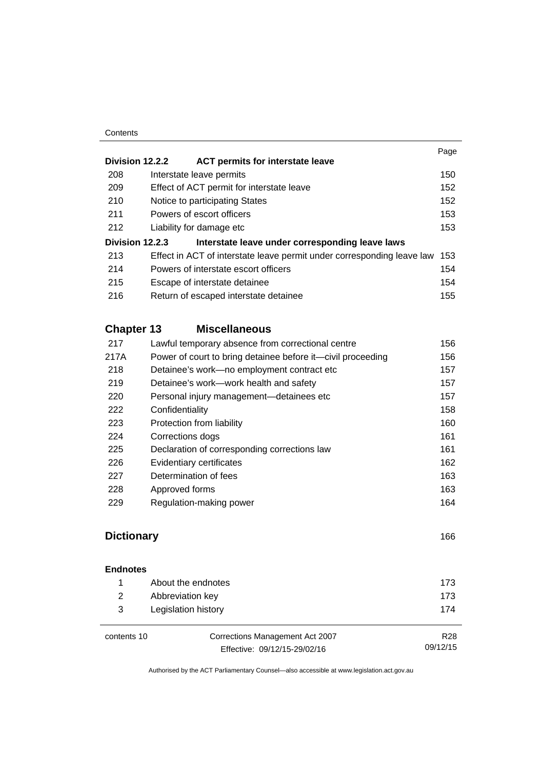#### **Contents**

|                 |                                                                        | Page |
|-----------------|------------------------------------------------------------------------|------|
| Division 12.2.2 | <b>ACT permits for interstate leave</b>                                |      |
| 208             | Interstate leave permits                                               | 150  |
| 209             | Effect of ACT permit for interstate leave                              | 152  |
| 210             | Notice to participating States                                         | 152  |
| 211             | Powers of escort officers                                              | 153  |
| 212             | Liability for damage etc.                                              | 153  |
| Division 12.2.3 | Interstate leave under corresponding leave laws                        |      |
| 213             | Effect in ACT of interstate leave permit under corresponding leave law | 153  |
| 214             | Powers of interstate escort officers                                   | 154  |
| 215             | Escape of interstate detainee                                          | 154  |
| 216             | Return of escaped interstate detainee                                  | 155  |
|                 |                                                                        |      |

# **Chapter 13 [Miscellaneous](#page-169-0)**

| 217  | Lawful temporary absence from correctional centre           | 156 |
|------|-------------------------------------------------------------|-----|
| 217A | Power of court to bring detainee before it-civil proceeding | 156 |
| 218  | Detainee's work-no employment contract etc                  | 157 |
| 219  | Detainee's work—work health and safety                      | 157 |
| 220  | Personal injury management—detainees etc                    | 157 |
| 222  | Confidentiality                                             | 158 |
| 223  | Protection from liability                                   | 160 |
| 224  | Corrections dogs                                            | 161 |
| 225  | Declaration of corresponding corrections law                | 161 |
| 226  | Evidentiary certificates                                    | 162 |
| 227  | Determination of fees                                       | 163 |
| 228  | Approved forms                                              | 163 |
| 229  | Regulation-making power                                     | 164 |
|      |                                                             |     |

# **[Dictionary](#page-179-0)** [166](#page-179-0)

# **[Endnotes](#page-186-0)** [About the endnotes 173](#page-186-1) [Abbreviation key 173](#page-186-2) [Legislation history 174](#page-187-0)

contents 10 Corrections Management Act 2007 Effective: 09/12/15-29/02/16

R28

09/12/15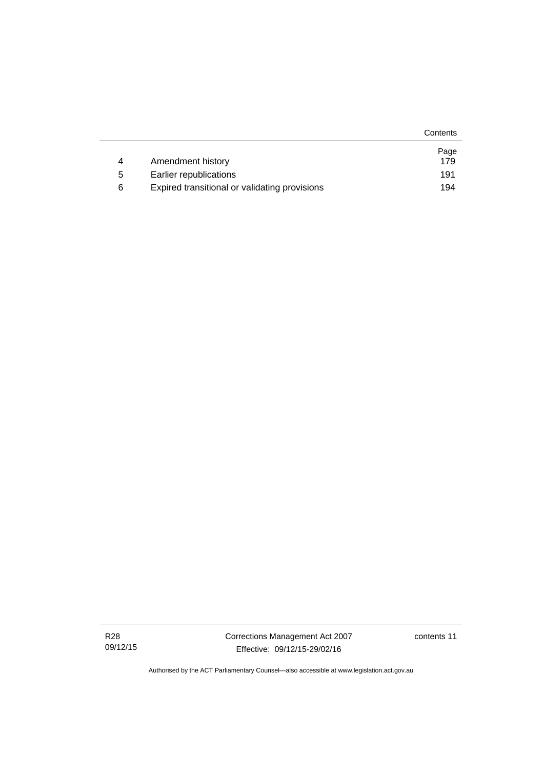|   |                                               | Contents |
|---|-----------------------------------------------|----------|
|   |                                               | Page     |
| 4 | Amendment history                             | 179      |
| 5 | Earlier republications                        | 191      |
| 6 | Expired transitional or validating provisions | 194      |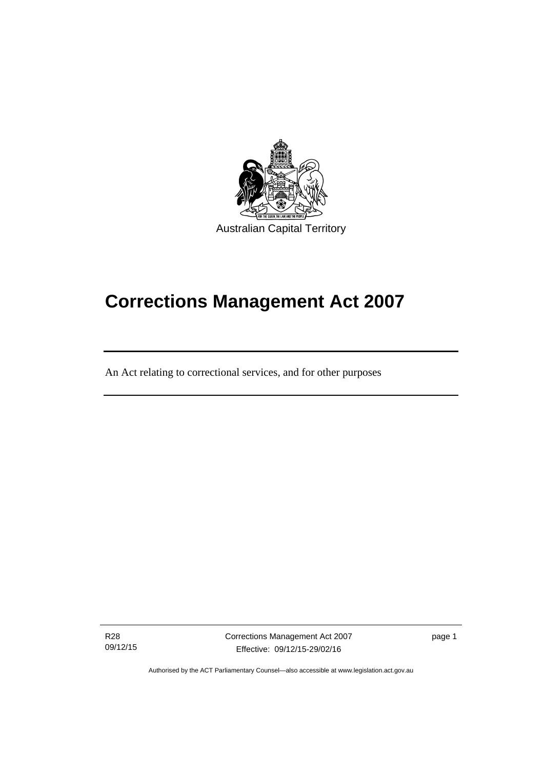

# **Corrections Management Act 2007**

An Act relating to correctional services, and for other purposes

R28 09/12/15

ׇֺ֚֝֬

Corrections Management Act 2007 Effective: 09/12/15-29/02/16

page 1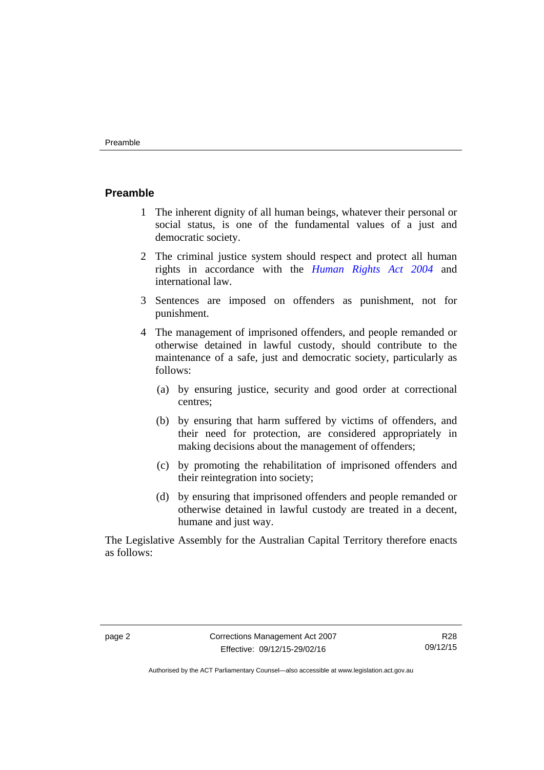#### <span id="page-15-0"></span>**Preamble**

- 1 The inherent dignity of all human beings, whatever their personal or social status, is one of the fundamental values of a just and democratic society.
- 2 The criminal justice system should respect and protect all human rights in accordance with the *[Human Rights Act 2004](http://www.legislation.act.gov.au/a/2004-5)* and international law.
- 3 Sentences are imposed on offenders as punishment, not for punishment.
- 4 The management of imprisoned offenders, and people remanded or otherwise detained in lawful custody, should contribute to the maintenance of a safe, just and democratic society, particularly as follows:
	- (a) by ensuring justice, security and good order at correctional centres;
	- (b) by ensuring that harm suffered by victims of offenders, and their need for protection, are considered appropriately in making decisions about the management of offenders;
	- (c) by promoting the rehabilitation of imprisoned offenders and their reintegration into society;
	- (d) by ensuring that imprisoned offenders and people remanded or otherwise detained in lawful custody are treated in a decent, humane and just way.

The Legislative Assembly for the Australian Capital Territory therefore enacts as follows: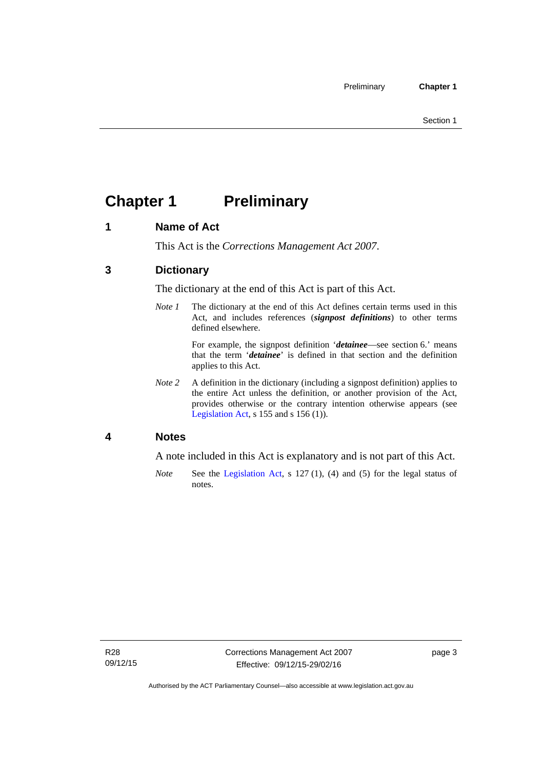# <span id="page-16-0"></span>**Chapter 1 Preliminary**

# <span id="page-16-1"></span>**1 Name of Act**

This Act is the *Corrections Management Act 2007*.

# <span id="page-16-2"></span>**3 Dictionary**

The dictionary at the end of this Act is part of this Act.

*Note 1* The dictionary at the end of this Act defines certain terms used in this Act, and includes references (*signpost definitions*) to other terms defined elsewhere.

> For example, the signpost definition '*detainee*—see section 6.' means that the term '*detainee*' is defined in that section and the definition applies to this Act.

*Note 2* A definition in the dictionary (including a signpost definition) applies to the entire Act unless the definition, or another provision of the Act, provides otherwise or the contrary intention otherwise appears (see [Legislation Act,](http://www.legislation.act.gov.au/a/2001-14) s 155 and s 156 (1)).

# <span id="page-16-3"></span>**4 Notes**

A note included in this Act is explanatory and is not part of this Act.

*Note* See the [Legislation Act,](http://www.legislation.act.gov.au/a/2001-14) s 127 (1), (4) and (5) for the legal status of notes.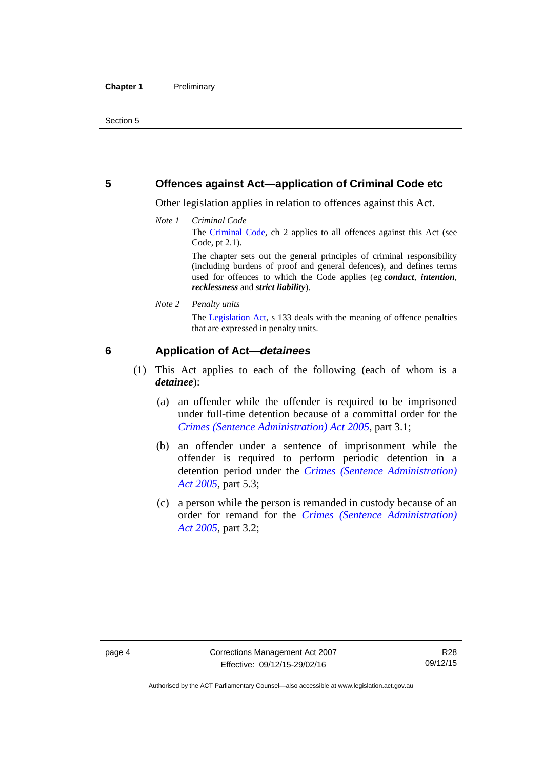### <span id="page-17-0"></span>**5 Offences against Act—application of Criminal Code etc**

Other legislation applies in relation to offences against this Act.

*Note 1 Criminal Code* The [Criminal Code](http://www.legislation.act.gov.au/a/2002-51), ch 2 applies to all offences against this Act (see Code, pt 2.1).

> The chapter sets out the general principles of criminal responsibility (including burdens of proof and general defences), and defines terms used for offences to which the Code applies (eg *conduct*, *intention*, *recklessness* and *strict liability*).

*Note 2 Penalty units* 

The [Legislation Act,](http://www.legislation.act.gov.au/a/2001-14) s 133 deals with the meaning of offence penalties that are expressed in penalty units.

# <span id="page-17-1"></span>**6 Application of Act—***detainees*

- (1) This Act applies to each of the following (each of whom is a *detainee*):
	- (a) an offender while the offender is required to be imprisoned under full-time detention because of a committal order for the *[Crimes \(Sentence Administration\) Act 2005](http://www.legislation.act.gov.au/a/2005-59)*, part 3.1;
	- (b) an offender under a sentence of imprisonment while the offender is required to perform periodic detention in a detention period under the *[Crimes \(Sentence Administration\)](http://www.legislation.act.gov.au/a/2005-59)  [Act 2005](http://www.legislation.act.gov.au/a/2005-59),* part 5.3;
	- (c) a person while the person is remanded in custody because of an order for remand for the *[Crimes \(Sentence Administration\)](http://www.legislation.act.gov.au/a/2005-59)  [Act 2005](http://www.legislation.act.gov.au/a/2005-59)*, part 3.2;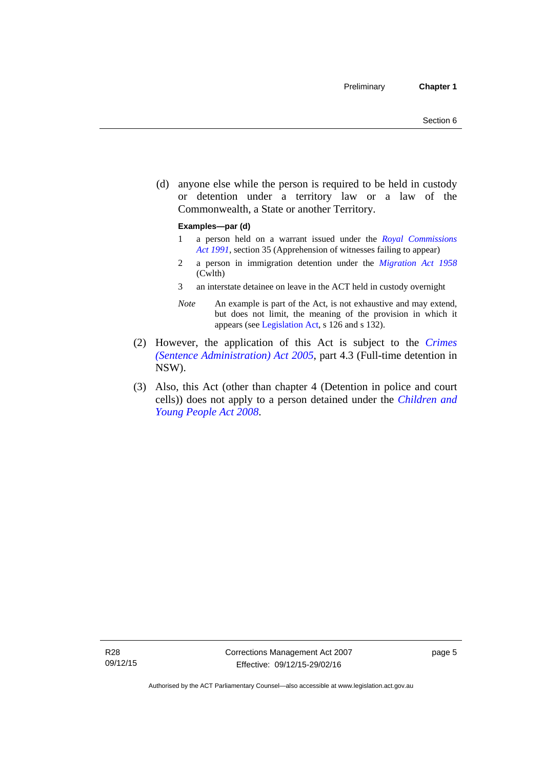(d) anyone else while the person is required to be held in custody or detention under a territory law or a law of the Commonwealth, a State or another Territory.

#### **Examples—par (d)**

- 1 a person held on a warrant issued under the *[Royal Commissions](http://www.legislation.act.gov.au/a/1991-1)  [Act 1991](http://www.legislation.act.gov.au/a/1991-1)*, section 35 (Apprehension of witnesses failing to appear)
- 2 a person in immigration detention under the *[Migration Act 1958](http://www.comlaw.gov.au/Series/C2004A07412)* (Cwlth)
- 3 an interstate detainee on leave in the ACT held in custody overnight
- *Note* An example is part of the Act, is not exhaustive and may extend, but does not limit, the meaning of the provision in which it appears (see [Legislation Act,](http://www.legislation.act.gov.au/a/2001-14) s 126 and s 132).
- (2) However, the application of this Act is subject to the *[Crimes](http://www.legislation.act.gov.au/a/2005-59)  [\(Sentence Administration\) Act 2005](http://www.legislation.act.gov.au/a/2005-59)*, part 4.3 (Full-time detention in NSW).
- (3) Also, this Act (other than chapter 4 (Detention in police and court cells)) does not apply to a person detained under the *[Children and](http://www.legislation.act.gov.au/a/2008-19)  [Young People Act 2008](http://www.legislation.act.gov.au/a/2008-19)*.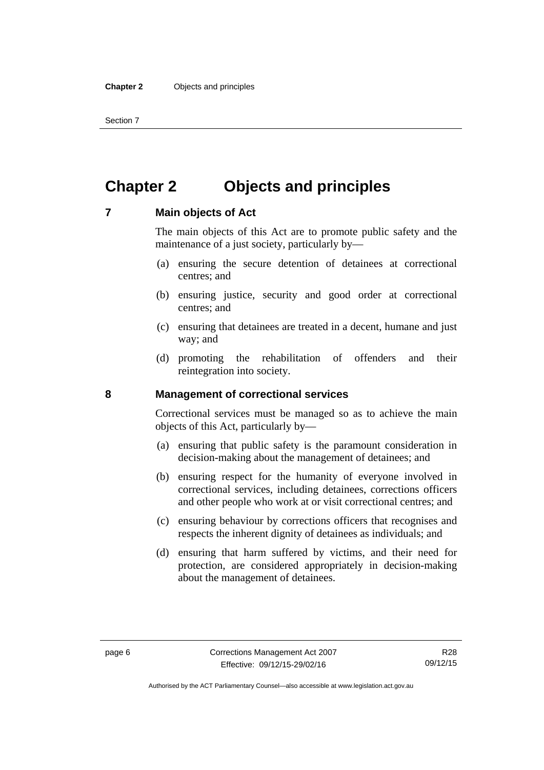Section 7

# <span id="page-19-0"></span>**Chapter 2 Objects and principles**

### <span id="page-19-1"></span>**7 Main objects of Act**

The main objects of this Act are to promote public safety and the maintenance of a just society, particularly by—

- (a) ensuring the secure detention of detainees at correctional centres; and
- (b) ensuring justice, security and good order at correctional centres; and
- (c) ensuring that detainees are treated in a decent, humane and just way; and
- (d) promoting the rehabilitation of offenders and their reintegration into society.

### <span id="page-19-2"></span>**8 Management of correctional services**

Correctional services must be managed so as to achieve the main objects of this Act, particularly by—

- (a) ensuring that public safety is the paramount consideration in decision-making about the management of detainees; and
- (b) ensuring respect for the humanity of everyone involved in correctional services, including detainees, corrections officers and other people who work at or visit correctional centres; and
- (c) ensuring behaviour by corrections officers that recognises and respects the inherent dignity of detainees as individuals; and
- (d) ensuring that harm suffered by victims, and their need for protection, are considered appropriately in decision-making about the management of detainees.

Authorised by the ACT Parliamentary Counsel—also accessible at www.legislation.act.gov.au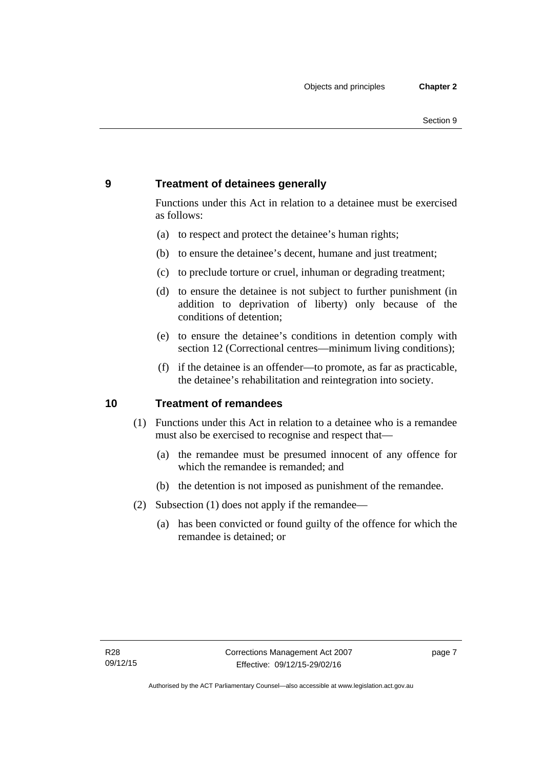# <span id="page-20-0"></span>**9 Treatment of detainees generally**

Functions under this Act in relation to a detainee must be exercised as follows:

- (a) to respect and protect the detainee's human rights;
- (b) to ensure the detainee's decent, humane and just treatment;
- (c) to preclude torture or cruel, inhuman or degrading treatment;
- (d) to ensure the detainee is not subject to further punishment (in addition to deprivation of liberty) only because of the conditions of detention;
- (e) to ensure the detainee's conditions in detention comply with section 12 (Correctional centres—minimum living conditions);
- (f) if the detainee is an offender—to promote, as far as practicable, the detainee's rehabilitation and reintegration into society.

# <span id="page-20-1"></span>**10 Treatment of remandees**

- (1) Functions under this Act in relation to a detainee who is a remandee must also be exercised to recognise and respect that—
	- (a) the remandee must be presumed innocent of any offence for which the remandee is remanded; and
	- (b) the detention is not imposed as punishment of the remandee.
- (2) Subsection (1) does not apply if the remandee—
	- (a) has been convicted or found guilty of the offence for which the remandee is detained; or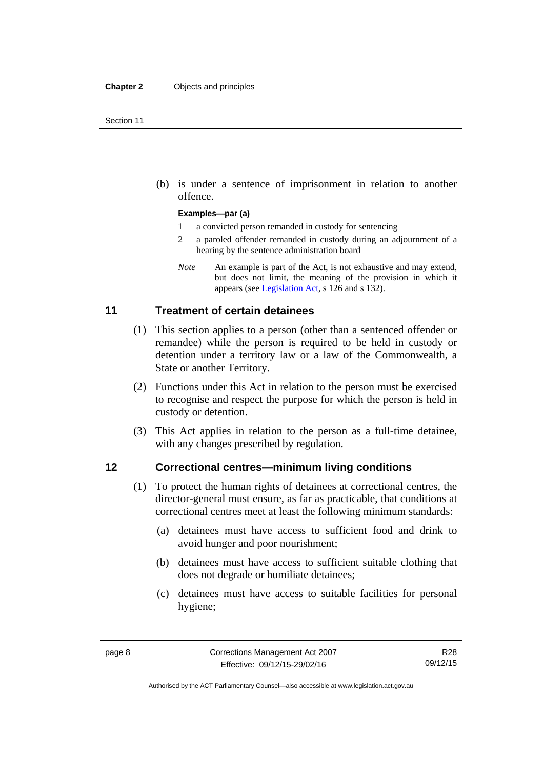(b) is under a sentence of imprisonment in relation to another offence.

#### **Examples—par (a)**

- 1 a convicted person remanded in custody for sentencing
- 2 a paroled offender remanded in custody during an adjournment of a hearing by the sentence administration board
- *Note* An example is part of the Act, is not exhaustive and may extend, but does not limit, the meaning of the provision in which it appears (see [Legislation Act,](http://www.legislation.act.gov.au/a/2001-14) s 126 and s 132).

# <span id="page-21-0"></span>**11 Treatment of certain detainees**

- (1) This section applies to a person (other than a sentenced offender or remandee) while the person is required to be held in custody or detention under a territory law or a law of the Commonwealth, a State or another Territory.
- (2) Functions under this Act in relation to the person must be exercised to recognise and respect the purpose for which the person is held in custody or detention.
- (3) This Act applies in relation to the person as a full-time detainee, with any changes prescribed by regulation.

### <span id="page-21-1"></span>**12 Correctional centres—minimum living conditions**

- (1) To protect the human rights of detainees at correctional centres, the director-general must ensure, as far as practicable, that conditions at correctional centres meet at least the following minimum standards:
	- (a) detainees must have access to sufficient food and drink to avoid hunger and poor nourishment;
	- (b) detainees must have access to sufficient suitable clothing that does not degrade or humiliate detainees;
	- (c) detainees must have access to suitable facilities for personal hygiene;

Authorised by the ACT Parliamentary Counsel—also accessible at www.legislation.act.gov.au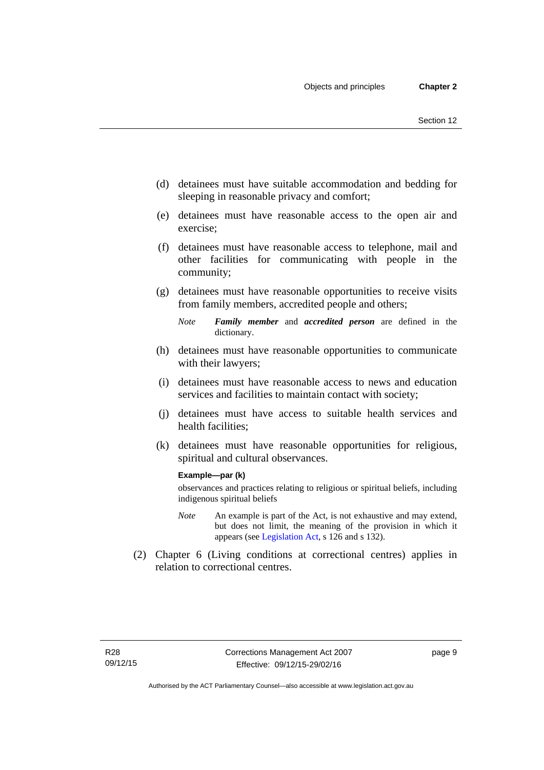- (d) detainees must have suitable accommodation and bedding for sleeping in reasonable privacy and comfort;
- (e) detainees must have reasonable access to the open air and exercise;
- (f) detainees must have reasonable access to telephone, mail and other facilities for communicating with people in the community;
- (g) detainees must have reasonable opportunities to receive visits from family members, accredited people and others;
	- *Note Family member* and *accredited person* are defined in the dictionary.
- (h) detainees must have reasonable opportunities to communicate with their lawyers;
- (i) detainees must have reasonable access to news and education services and facilities to maintain contact with society;
- (j) detainees must have access to suitable health services and health facilities;
- (k) detainees must have reasonable opportunities for religious, spiritual and cultural observances.

#### **Example—par (k)**

observances and practices relating to religious or spiritual beliefs, including indigenous spiritual beliefs

- *Note* An example is part of the Act, is not exhaustive and may extend, but does not limit, the meaning of the provision in which it appears (see [Legislation Act,](http://www.legislation.act.gov.au/a/2001-14) s 126 and s 132).
- (2) Chapter 6 (Living conditions at correctional centres) applies in relation to correctional centres.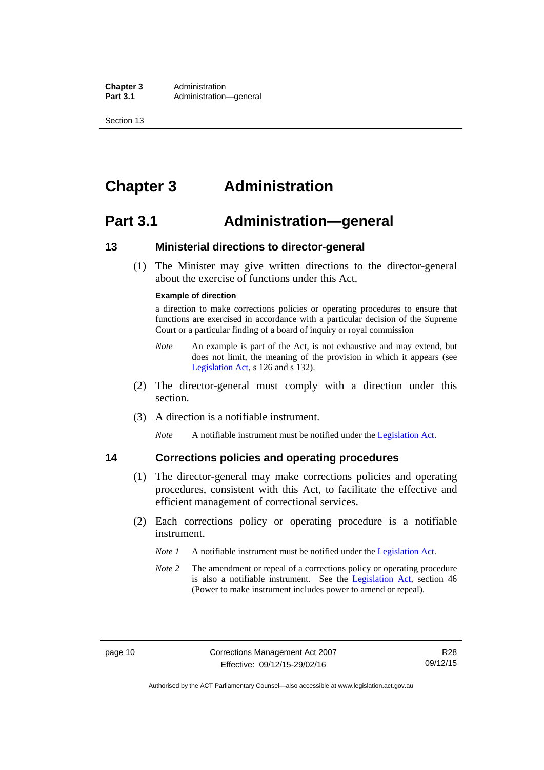**Chapter 3** Administration<br> **Part 3.1** Administration Administration—general

Section 13

# <span id="page-23-0"></span>**Chapter 3 Administration**

# <span id="page-23-1"></span>**Part 3.1 Administration—general**

# <span id="page-23-2"></span>**13 Ministerial directions to director-general**

 (1) The Minister may give written directions to the director-general about the exercise of functions under this Act.

#### **Example of direction**

a direction to make corrections policies or operating procedures to ensure that functions are exercised in accordance with a particular decision of the Supreme Court or a particular finding of a board of inquiry or royal commission

- *Note* An example is part of the Act, is not exhaustive and may extend, but does not limit, the meaning of the provision in which it appears (see [Legislation Act,](http://www.legislation.act.gov.au/a/2001-14) s 126 and s 132).
- (2) The director-general must comply with a direction under this section.
- (3) A direction is a notifiable instrument.

*Note* A notifiable instrument must be notified under the [Legislation Act](http://www.legislation.act.gov.au/a/2001-14).

# <span id="page-23-3"></span>**14 Corrections policies and operating procedures**

- (1) The director-general may make corrections policies and operating procedures, consistent with this Act, to facilitate the effective and efficient management of correctional services.
- (2) Each corrections policy or operating procedure is a notifiable instrument.
	- *Note 1* A notifiable instrument must be notified under the [Legislation Act](http://www.legislation.act.gov.au/a/2001-14).
	- *Note* 2 The amendment or repeal of a corrections policy or operating procedure is also a notifiable instrument. See the [Legislation Act,](http://www.legislation.act.gov.au/a/2001-14) section 46 (Power to make instrument includes power to amend or repeal).

Authorised by the ACT Parliamentary Counsel—also accessible at www.legislation.act.gov.au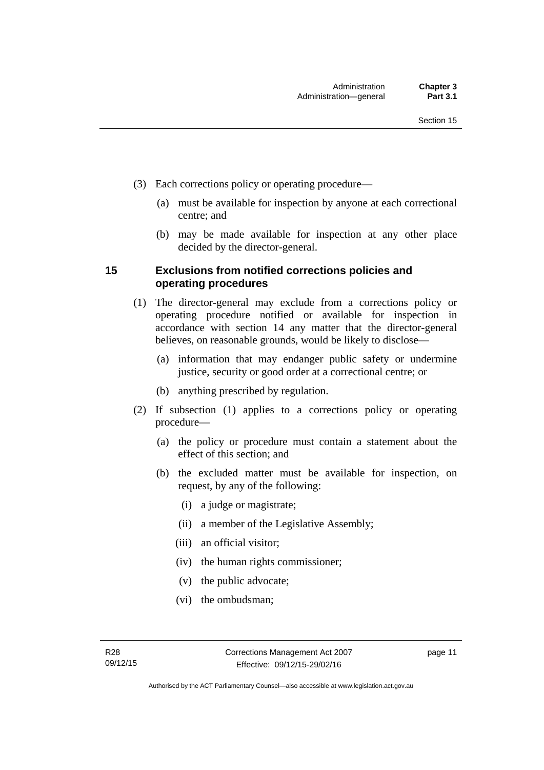- (3) Each corrections policy or operating procedure—
	- (a) must be available for inspection by anyone at each correctional centre; and
	- (b) may be made available for inspection at any other place decided by the director-general.

# <span id="page-24-0"></span>**15 Exclusions from notified corrections policies and operating procedures**

- (1) The director-general may exclude from a corrections policy or operating procedure notified or available for inspection in accordance with section 14 any matter that the director-general believes, on reasonable grounds, would be likely to disclose—
	- (a) information that may endanger public safety or undermine justice, security or good order at a correctional centre; or
	- (b) anything prescribed by regulation.
- (2) If subsection (1) applies to a corrections policy or operating procedure—
	- (a) the policy or procedure must contain a statement about the effect of this section; and
	- (b) the excluded matter must be available for inspection, on request, by any of the following:
		- (i) a judge or magistrate;
		- (ii) a member of the Legislative Assembly;
		- (iii) an official visitor;
		- (iv) the human rights commissioner;
		- (v) the public advocate;
		- (vi) the ombudsman;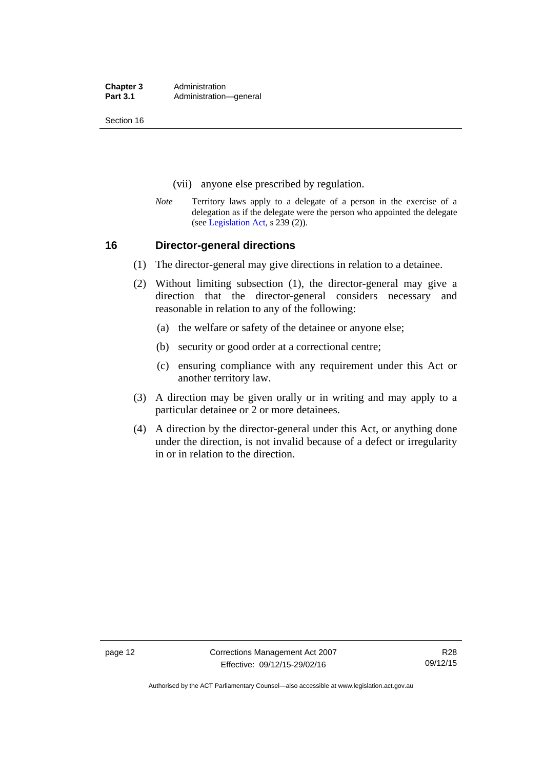**Chapter 3** Administration<br> **Part 3.1** Administration Administration—general

Section 16

- (vii) anyone else prescribed by regulation.
- *Note* Territory laws apply to a delegate of a person in the exercise of a delegation as if the delegate were the person who appointed the delegate (see [Legislation Act,](http://www.legislation.act.gov.au/a/2001-14) s 239 (2)).

### <span id="page-25-0"></span>**16 Director-general directions**

- (1) The director-general may give directions in relation to a detainee.
- (2) Without limiting subsection (1), the director-general may give a direction that the director-general considers necessary and reasonable in relation to any of the following:
	- (a) the welfare or safety of the detainee or anyone else;
	- (b) security or good order at a correctional centre;
	- (c) ensuring compliance with any requirement under this Act or another territory law.
- (3) A direction may be given orally or in writing and may apply to a particular detainee or 2 or more detainees.
- (4) A direction by the director-general under this Act, or anything done under the direction, is not invalid because of a defect or irregularity in or in relation to the direction.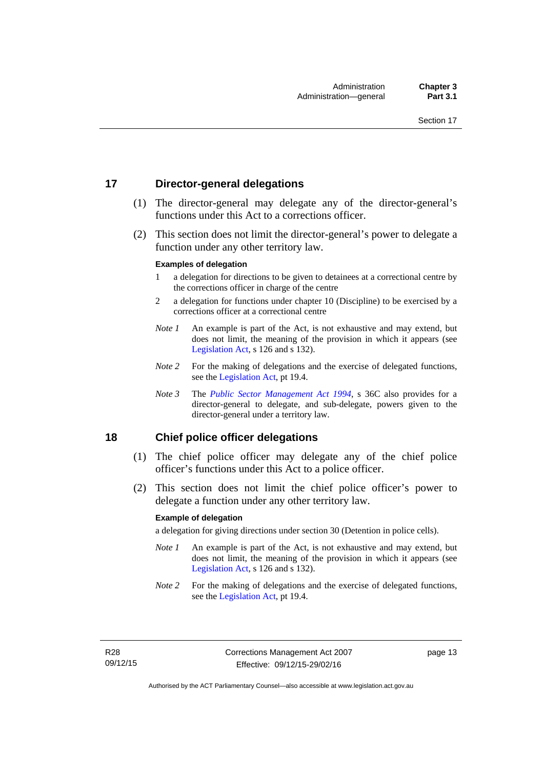# <span id="page-26-0"></span>**17 Director-general delegations**

- (1) The director-general may delegate any of the director-general's functions under this Act to a corrections officer.
- (2) This section does not limit the director-general's power to delegate a function under any other territory law.

#### **Examples of delegation**

- 1 a delegation for directions to be given to detainees at a correctional centre by the corrections officer in charge of the centre
- 2 a delegation for functions under chapter 10 (Discipline) to be exercised by a corrections officer at a correctional centre
- *Note 1* An example is part of the Act, is not exhaustive and may extend, but does not limit, the meaning of the provision in which it appears (see [Legislation Act,](http://www.legislation.act.gov.au/a/2001-14) s 126 and s 132).
- *Note* 2 For the making of delegations and the exercise of delegated functions, see the [Legislation Act,](http://www.legislation.act.gov.au/a/2001-14) pt 19.4.
- *Note 3* The *[Public Sector Management Act 1994](http://www.legislation.act.gov.au/a/1994-37)*, s 36C also provides for a director-general to delegate, and sub-delegate, powers given to the director-general under a territory law.

# <span id="page-26-1"></span>**18 Chief police officer delegations**

- (1) The chief police officer may delegate any of the chief police officer's functions under this Act to a police officer.
- (2) This section does not limit the chief police officer's power to delegate a function under any other territory law.

#### **Example of delegation**

a delegation for giving directions under section 30 (Detention in police cells).

- *Note 1* An example is part of the Act, is not exhaustive and may extend, but does not limit, the meaning of the provision in which it appears (see [Legislation Act,](http://www.legislation.act.gov.au/a/2001-14) s 126 and s 132).
- *Note* 2 For the making of delegations and the exercise of delegated functions, see the [Legislation Act,](http://www.legislation.act.gov.au/a/2001-14) pt 19.4.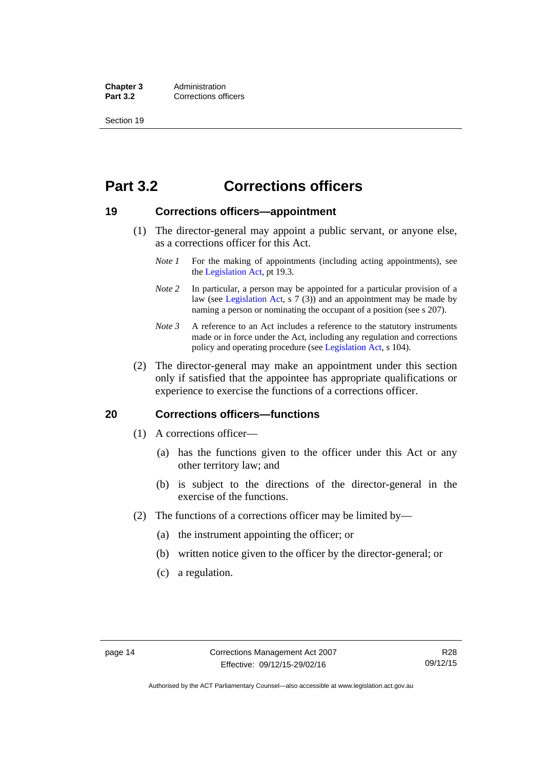**Chapter 3** Administration<br>**Part 3.2** Corrections of **Corrections officers** 

Section 19

# <span id="page-27-0"></span>**Part 3.2 Corrections officers**

### <span id="page-27-1"></span>**19 Corrections officers—appointment**

- (1) The director-general may appoint a public servant, or anyone else, as a corrections officer for this Act.
	- *Note 1* For the making of appointments (including acting appointments), see the [Legislation Act,](http://www.legislation.act.gov.au/a/2001-14) pt 19.3.
	- *Note* 2 In particular, a person may be appointed for a particular provision of a law (see [Legislation Act,](http://www.legislation.act.gov.au/a/2001-14) s 7 (3)) and an appointment may be made by naming a person or nominating the occupant of a position (see s 207).
	- *Note 3* A reference to an Act includes a reference to the statutory instruments made or in force under the Act, including any regulation and corrections policy and operating procedure (see [Legislation Act,](http://www.legislation.act.gov.au/a/2001-14) s 104).
- (2) The director-general may make an appointment under this section only if satisfied that the appointee has appropriate qualifications or experience to exercise the functions of a corrections officer.

### <span id="page-27-2"></span>**20 Corrections officers—functions**

- (1) A corrections officer—
	- (a) has the functions given to the officer under this Act or any other territory law; and
	- (b) is subject to the directions of the director-general in the exercise of the functions.
- (2) The functions of a corrections officer may be limited by—
	- (a) the instrument appointing the officer; or
	- (b) written notice given to the officer by the director-general; or
	- (c) a regulation.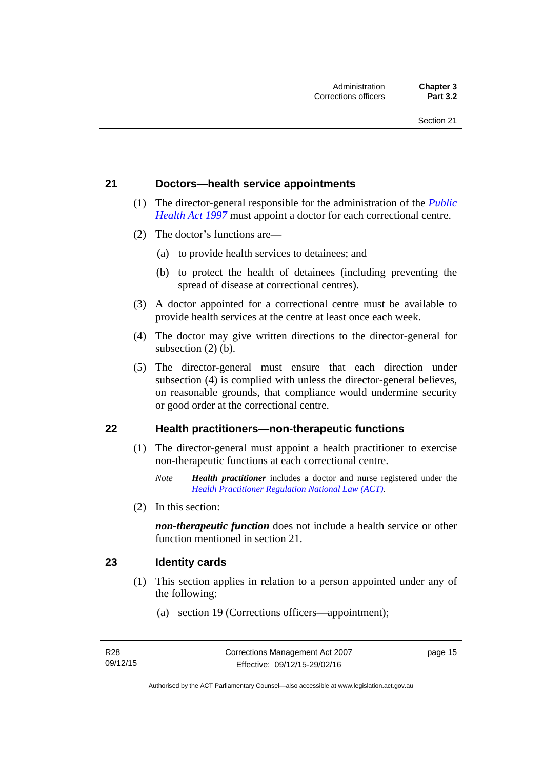### <span id="page-28-0"></span>**21 Doctors—health service appointments**

- (1) The director-general responsible for the administration of the *[Public](http://www.legislation.act.gov.au/a/1997-69)  [Health Act 1997](http://www.legislation.act.gov.au/a/1997-69)* must appoint a doctor for each correctional centre.
- (2) The doctor's functions are—
	- (a) to provide health services to detainees; and
	- (b) to protect the health of detainees (including preventing the spread of disease at correctional centres).
- (3) A doctor appointed for a correctional centre must be available to provide health services at the centre at least once each week.
- (4) The doctor may give written directions to the director-general for subsection (2) (b).
- (5) The director-general must ensure that each direction under subsection (4) is complied with unless the director-general believes, on reasonable grounds, that compliance would undermine security or good order at the correctional centre.

### <span id="page-28-1"></span>**22 Health practitioners—non-therapeutic functions**

- (1) The director-general must appoint a health practitioner to exercise non-therapeutic functions at each correctional centre.
	- *Note Health practitioner* includes a doctor and nurse registered under the *[Health Practitioner Regulation National Law \(ACT\)](http://www.legislation.act.gov.au/a/db_39269/default.asp)*.
- (2) In this section:

*non-therapeutic function* does not include a health service or other function mentioned in section 21.

### <span id="page-28-2"></span>**23 Identity cards**

- (1) This section applies in relation to a person appointed under any of the following:
	- (a) section 19 (Corrections officers—appointment);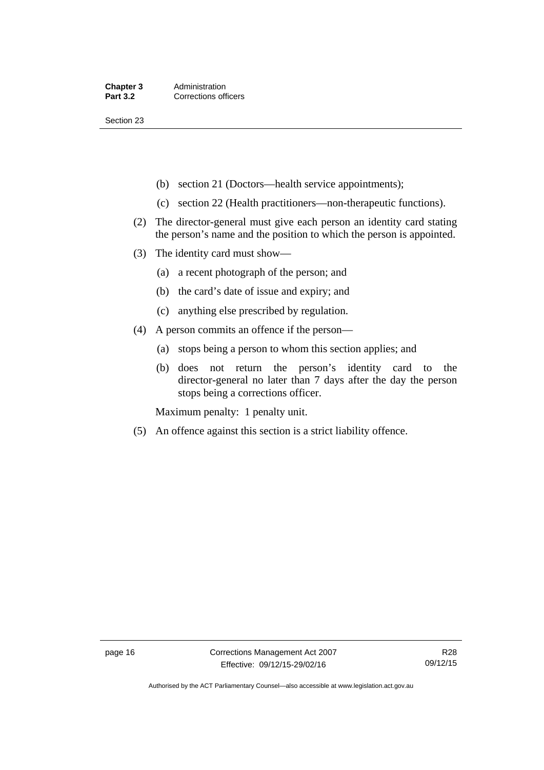Section 23

- (b) section 21 (Doctors—health service appointments);
- (c) section 22 (Health practitioners—non-therapeutic functions).
- (2) The director-general must give each person an identity card stating the person's name and the position to which the person is appointed.
- (3) The identity card must show—
	- (a) a recent photograph of the person; and
	- (b) the card's date of issue and expiry; and
	- (c) anything else prescribed by regulation.
- (4) A person commits an offence if the person—
	- (a) stops being a person to whom this section applies; and
	- (b) does not return the person's identity card to the director-general no later than 7 days after the day the person stops being a corrections officer.

Maximum penalty: 1 penalty unit.

(5) An offence against this section is a strict liability offence.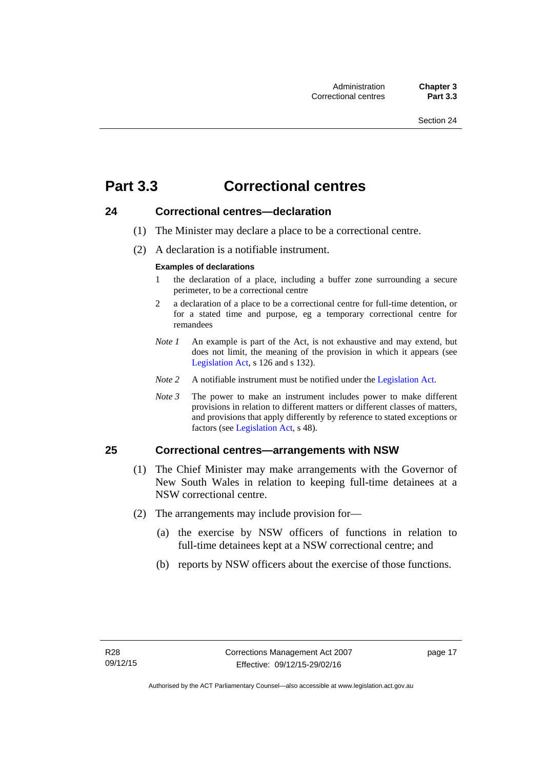# <span id="page-30-0"></span>**Part 3.3 Correctional centres**

# <span id="page-30-1"></span>**24 Correctional centres—declaration**

- (1) The Minister may declare a place to be a correctional centre.
- (2) A declaration is a notifiable instrument.

#### **Examples of declarations**

- 1 the declaration of a place, including a buffer zone surrounding a secure perimeter, to be a correctional centre
- 2 a declaration of a place to be a correctional centre for full-time detention, or for a stated time and purpose, eg a temporary correctional centre for remandees
- *Note 1* An example is part of the Act, is not exhaustive and may extend, but does not limit, the meaning of the provision in which it appears (see [Legislation Act,](http://www.legislation.act.gov.au/a/2001-14) s 126 and s 132).
- *Note 2* A notifiable instrument must be notified under the [Legislation Act](http://www.legislation.act.gov.au/a/2001-14).
- *Note 3* The power to make an instrument includes power to make different provisions in relation to different matters or different classes of matters, and provisions that apply differently by reference to stated exceptions or factors (see [Legislation Act](http://www.legislation.act.gov.au/a/2001-14), s 48).

# <span id="page-30-2"></span>**25 Correctional centres—arrangements with NSW**

- (1) The Chief Minister may make arrangements with the Governor of New South Wales in relation to keeping full-time detainees at a NSW correctional centre.
- (2) The arrangements may include provision for—
	- (a) the exercise by NSW officers of functions in relation to full-time detainees kept at a NSW correctional centre; and
	- (b) reports by NSW officers about the exercise of those functions.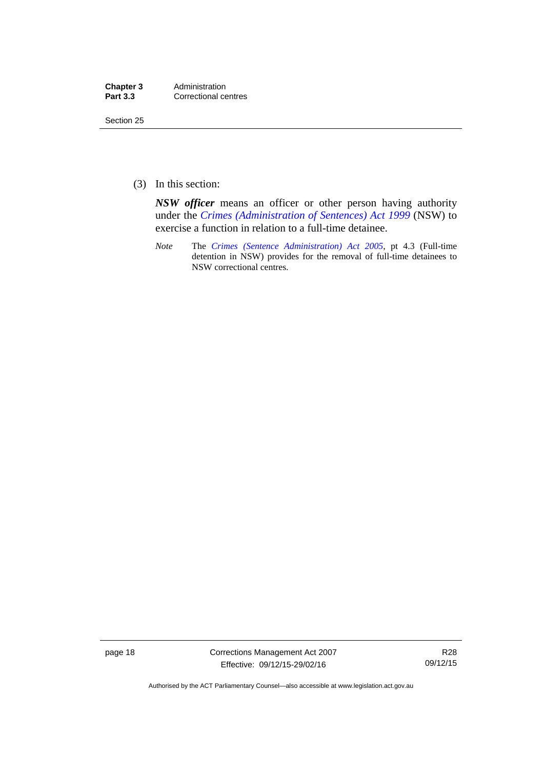| Chapter 3       | Administration       |
|-----------------|----------------------|
| <b>Part 3.3</b> | Correctional centres |

Section 25

(3) In this section:

*NSW officer* means an officer or other person having authority under the *[Crimes \(Administration of Sentences\) Act 1999](http://www.legislation.nsw.gov.au/maintop/view/inforce/act+93+1999+cd+0+N)* (NSW) to exercise a function in relation to a full-time detainee.

*Note* The *[Crimes \(Sentence Administration\) Act 2005](http://www.legislation.act.gov.au/a/2005-59)*, pt 4.3 (Full-time detention in NSW) provides for the removal of full-time detainees to NSW correctional centres.

page 18 Corrections Management Act 2007 Effective: 09/12/15-29/02/16

R28 09/12/15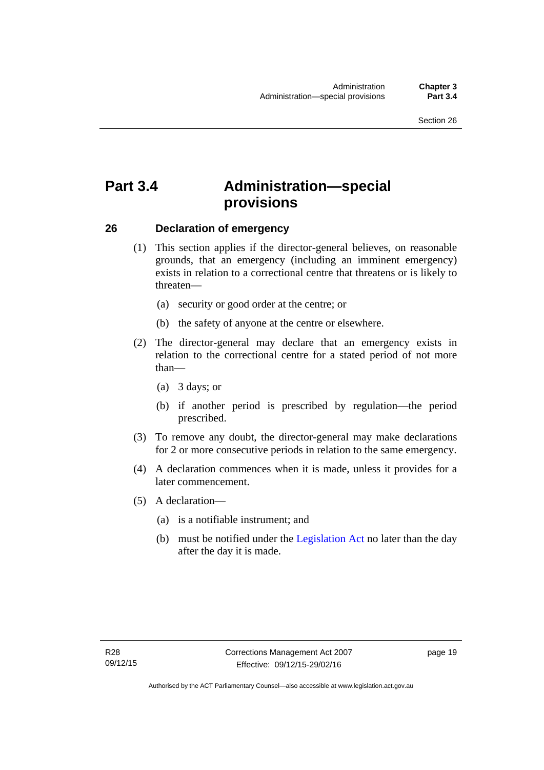# <span id="page-32-0"></span>**Part 3.4 Administration—special provisions**

### <span id="page-32-1"></span>**26 Declaration of emergency**

- (1) This section applies if the director-general believes, on reasonable grounds, that an emergency (including an imminent emergency) exists in relation to a correctional centre that threatens or is likely to threaten—
	- (a) security or good order at the centre; or
	- (b) the safety of anyone at the centre or elsewhere.
- (2) The director-general may declare that an emergency exists in relation to the correctional centre for a stated period of not more than—
	- (a) 3 days; or
	- (b) if another period is prescribed by regulation—the period prescribed.
- (3) To remove any doubt, the director-general may make declarations for 2 or more consecutive periods in relation to the same emergency.
- (4) A declaration commences when it is made, unless it provides for a later commencement.
- (5) A declaration—
	- (a) is a notifiable instrument; and
	- (b) must be notified under the [Legislation Act](http://www.legislation.act.gov.au/a/2001-14) no later than the day after the day it is made.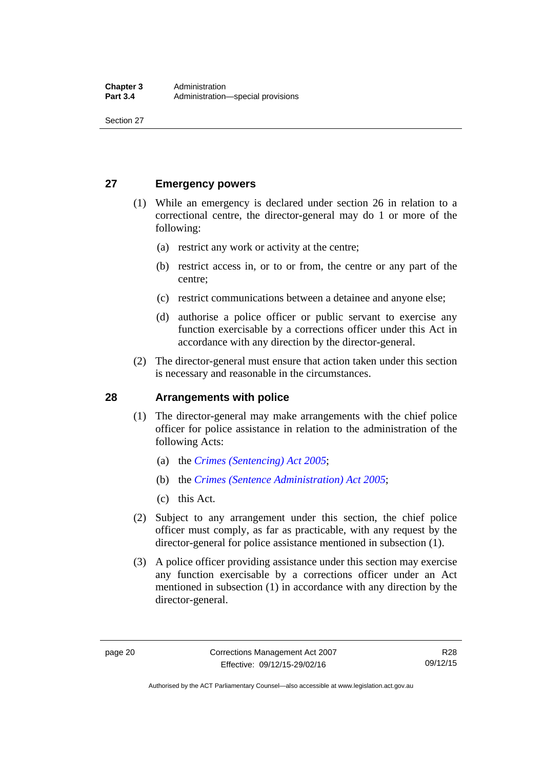Section 27

# <span id="page-33-0"></span>**27 Emergency powers**

- (1) While an emergency is declared under section 26 in relation to a correctional centre, the director-general may do 1 or more of the following:
	- (a) restrict any work or activity at the centre;
	- (b) restrict access in, or to or from, the centre or any part of the centre;
	- (c) restrict communications between a detainee and anyone else;
	- (d) authorise a police officer or public servant to exercise any function exercisable by a corrections officer under this Act in accordance with any direction by the director-general.
- (2) The director-general must ensure that action taken under this section is necessary and reasonable in the circumstances.

# <span id="page-33-1"></span>**28 Arrangements with police**

- (1) The director-general may make arrangements with the chief police officer for police assistance in relation to the administration of the following Acts:
	- (a) the *[Crimes \(Sentencing\) Act 2005](http://www.legislation.act.gov.au/a/2005-58)*;
	- (b) the *[Crimes \(Sentence Administration\) Act 2005](http://www.legislation.act.gov.au/a/2005-59)*;
	- (c) this Act.
- (2) Subject to any arrangement under this section, the chief police officer must comply, as far as practicable, with any request by the director-general for police assistance mentioned in subsection (1).
- (3) A police officer providing assistance under this section may exercise any function exercisable by a corrections officer under an Act mentioned in subsection (1) in accordance with any direction by the director-general.

Authorised by the ACT Parliamentary Counsel—also accessible at www.legislation.act.gov.au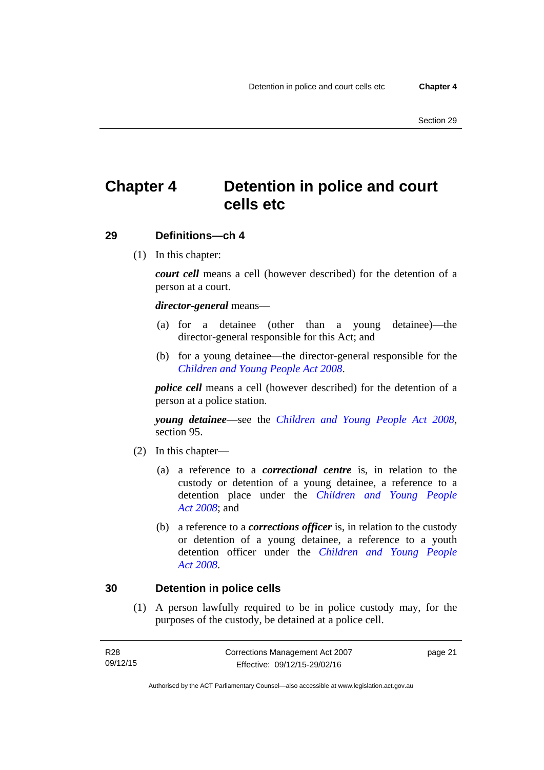# <span id="page-34-0"></span>**Chapter 4 Detention in police and court cells etc**

# <span id="page-34-1"></span>**29 Definitions—ch 4**

(1) In this chapter:

*court cell* means a cell (however described) for the detention of a person at a court.

### *director-general* means—

- (a) for a detainee (other than a young detainee)—the director-general responsible for this Act; and
- (b) for a young detainee—the director-general responsible for the *[Children and Young People Act 2008](http://www.legislation.act.gov.au/a/2008-19)*.

*police cell* means a cell (however described) for the detention of a person at a police station.

*young detainee*—see the *[Children and Young People Act 2008](http://www.legislation.act.gov.au/a/2008-19)*, section 95.

- (2) In this chapter—
	- (a) a reference to a *correctional centre* is, in relation to the custody or detention of a young detainee, a reference to a detention place under the *[Children and Young People](http://www.legislation.act.gov.au/a/2008-19)  [Act 2008](http://www.legislation.act.gov.au/a/2008-19)*; and
	- (b) a reference to a *corrections officer* is, in relation to the custody or detention of a young detainee, a reference to a youth detention officer under the *[Children and Young People](http://www.legislation.act.gov.au/a/2008-19)  [Act 2008](http://www.legislation.act.gov.au/a/2008-19)*.

### <span id="page-34-2"></span>**30 Detention in police cells**

(1) A person lawfully required to be in police custody may, for the purposes of the custody, be detained at a police cell.

| R28      | Corrections Management Act 2007 | page 21 |
|----------|---------------------------------|---------|
| 09/12/15 | Effective: 09/12/15-29/02/16    |         |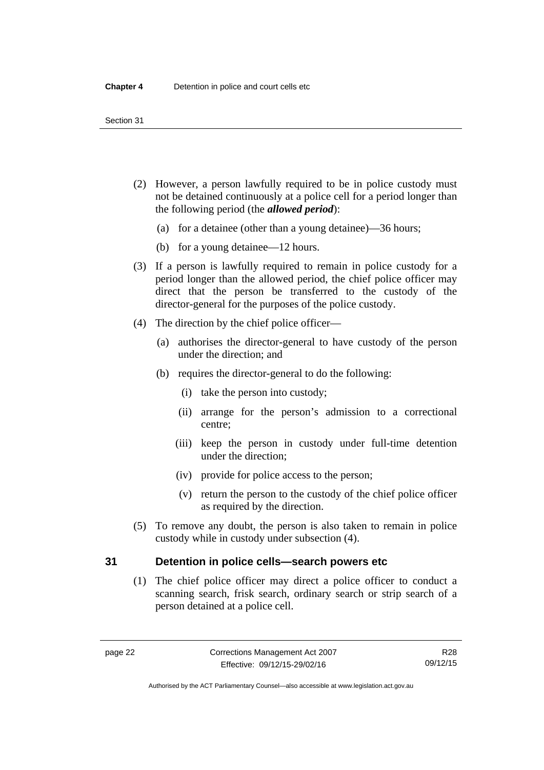- (2) However, a person lawfully required to be in police custody must not be detained continuously at a police cell for a period longer than the following period (the *allowed period*):
	- (a) for a detainee (other than a young detainee)—36 hours;
	- (b) for a young detainee—12 hours.
- (3) If a person is lawfully required to remain in police custody for a period longer than the allowed period, the chief police officer may direct that the person be transferred to the custody of the director-general for the purposes of the police custody.
- (4) The direction by the chief police officer—
	- (a) authorises the director-general to have custody of the person under the direction; and
	- (b) requires the director-general to do the following:
		- (i) take the person into custody;
		- (ii) arrange for the person's admission to a correctional centre;
		- (iii) keep the person in custody under full-time detention under the direction;
		- (iv) provide for police access to the person;
		- (v) return the person to the custody of the chief police officer as required by the direction.
- (5) To remove any doubt, the person is also taken to remain in police custody while in custody under subsection (4).

# <span id="page-35-0"></span>**31 Detention in police cells—search powers etc**

(1) The chief police officer may direct a police officer to conduct a scanning search, frisk search, ordinary search or strip search of a person detained at a police cell.

Authorised by the ACT Parliamentary Counsel—also accessible at www.legislation.act.gov.au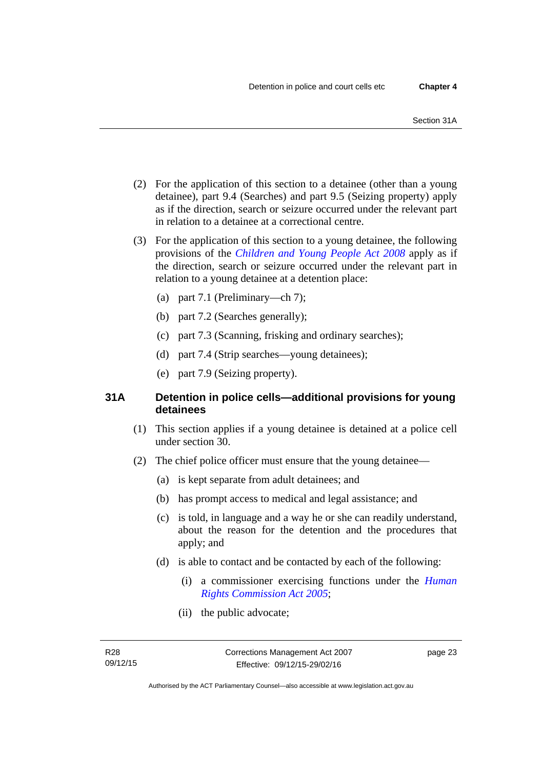- (2) For the application of this section to a detainee (other than a young detainee), part 9.4 (Searches) and part 9.5 (Seizing property) apply as if the direction, search or seizure occurred under the relevant part in relation to a detainee at a correctional centre.
- (3) For the application of this section to a young detainee, the following provisions of the *[Children and Young People Act 2008](http://www.legislation.act.gov.au/a/2008-19)* apply as if the direction, search or seizure occurred under the relevant part in relation to a young detainee at a detention place:
	- (a) part 7.1 (Preliminary—ch 7);
	- (b) part 7.2 (Searches generally);
	- (c) part 7.3 (Scanning, frisking and ordinary searches);
	- (d) part 7.4 (Strip searches—young detainees);
	- (e) part 7.9 (Seizing property).

## **31A Detention in police cells—additional provisions for young detainees**

- (1) This section applies if a young detainee is detained at a police cell under section 30.
- (2) The chief police officer must ensure that the young detainee—
	- (a) is kept separate from adult detainees; and
	- (b) has prompt access to medical and legal assistance; and
	- (c) is told, in language and a way he or she can readily understand, about the reason for the detention and the procedures that apply; and
	- (d) is able to contact and be contacted by each of the following:
		- (i) a commissioner exercising functions under the *[Human](http://www.legislation.act.gov.au/a/2005-40)  [Rights Commission Act 2005](http://www.legislation.act.gov.au/a/2005-40)*;
		- (ii) the public advocate;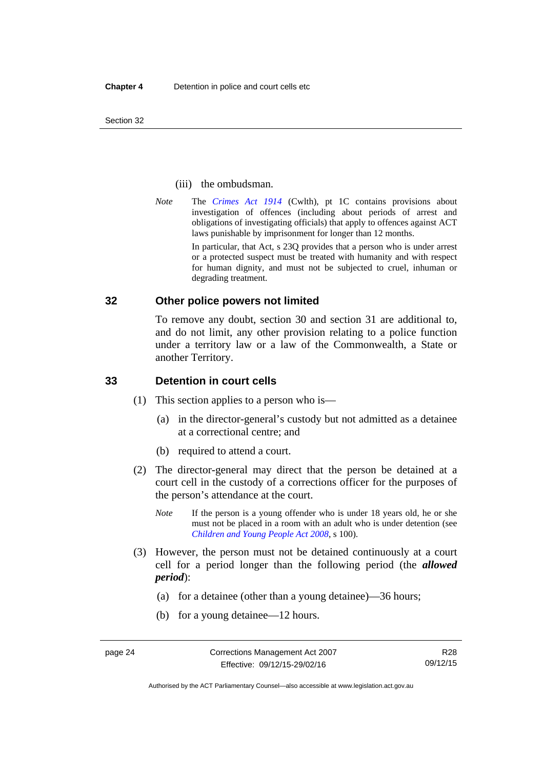Section 32

#### (iii) the ombudsman.

*Note* The *[Crimes Act 1914](http://www.comlaw.gov.au/Series/C2004A07391)* (Cwlth), pt 1C contains provisions about investigation of offences (including about periods of arrest and obligations of investigating officials) that apply to offences against ACT laws punishable by imprisonment for longer than 12 months.

In particular, that Act, s 23Q provides that a person who is under arrest or a protected suspect must be treated with humanity and with respect for human dignity, and must not be subjected to cruel, inhuman or degrading treatment.

## **32 Other police powers not limited**

To remove any doubt, section 30 and section 31 are additional to, and do not limit, any other provision relating to a police function under a territory law or a law of the Commonwealth, a State or another Territory.

## **33 Detention in court cells**

- (1) This section applies to a person who is—
	- (a) in the director-general's custody but not admitted as a detainee at a correctional centre; and
	- (b) required to attend a court.
- (2) The director-general may direct that the person be detained at a court cell in the custody of a corrections officer for the purposes of the person's attendance at the court.
	- *Note* If the person is a young offender who is under 18 years old, he or she must not be placed in a room with an adult who is under detention (see *[Children and Young People Act 2008](http://www.legislation.act.gov.au/a/2008-19)*, s 100).
- (3) However, the person must not be detained continuously at a court cell for a period longer than the following period (the *allowed period*):
	- (a) for a detainee (other than a young detainee)—36 hours;
	- (b) for a young detainee—12 hours.

Authorised by the ACT Parliamentary Counsel—also accessible at www.legislation.act.gov.au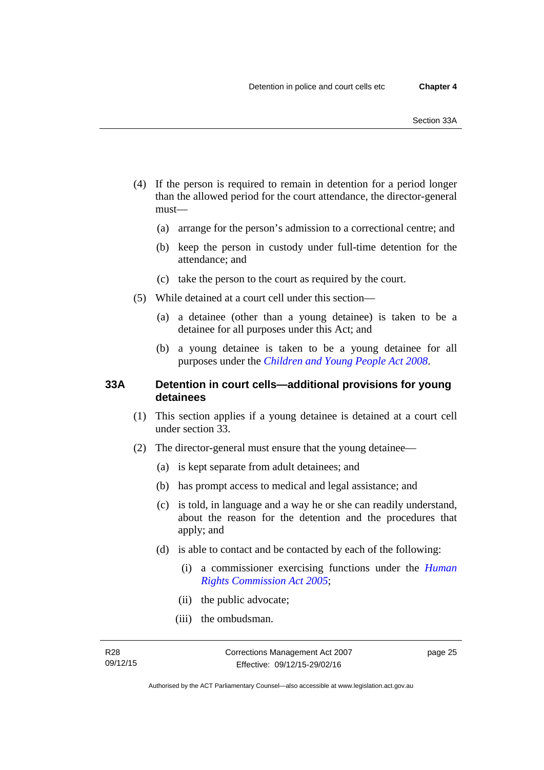- (4) If the person is required to remain in detention for a period longer than the allowed period for the court attendance, the director-general must—
	- (a) arrange for the person's admission to a correctional centre; and
	- (b) keep the person in custody under full-time detention for the attendance; and
	- (c) take the person to the court as required by the court.
- (5) While detained at a court cell under this section—
	- (a) a detainee (other than a young detainee) is taken to be a detainee for all purposes under this Act; and
	- (b) a young detainee is taken to be a young detainee for all purposes under the *[Children and Young People Act 2008](http://www.legislation.act.gov.au/a/2008-19)*.

## **33A Detention in court cells—additional provisions for young detainees**

- (1) This section applies if a young detainee is detained at a court cell under section 33.
- (2) The director-general must ensure that the young detainee—
	- (a) is kept separate from adult detainees; and
	- (b) has prompt access to medical and legal assistance; and
	- (c) is told, in language and a way he or she can readily understand, about the reason for the detention and the procedures that apply; and
	- (d) is able to contact and be contacted by each of the following:
		- (i) a commissioner exercising functions under the *[Human](http://www.legislation.act.gov.au/a/2005-40)  [Rights Commission Act 2005](http://www.legislation.act.gov.au/a/2005-40)*;
		- (ii) the public advocate;
		- (iii) the ombudsman.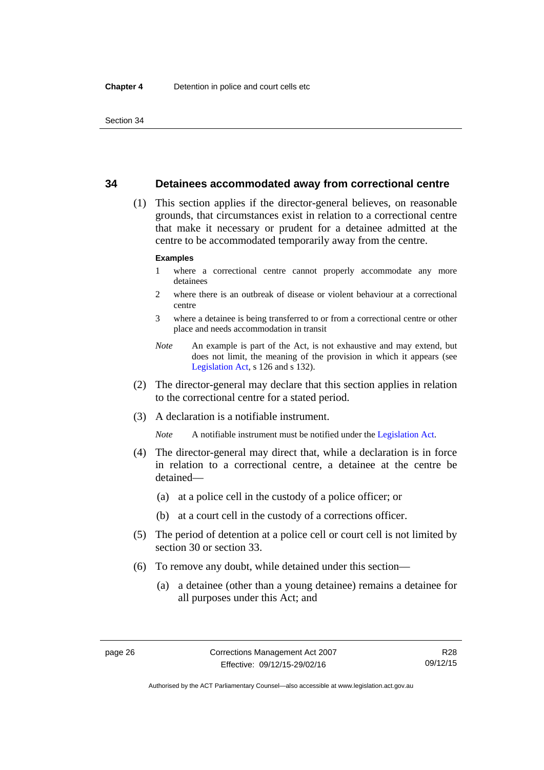## **34 Detainees accommodated away from correctional centre**

 (1) This section applies if the director-general believes, on reasonable grounds, that circumstances exist in relation to a correctional centre that make it necessary or prudent for a detainee admitted at the centre to be accommodated temporarily away from the centre.

#### **Examples**

- 1 where a correctional centre cannot properly accommodate any more detainees
- 2 where there is an outbreak of disease or violent behaviour at a correctional centre
- 3 where a detainee is being transferred to or from a correctional centre or other place and needs accommodation in transit
- *Note* An example is part of the Act, is not exhaustive and may extend, but does not limit, the meaning of the provision in which it appears (see [Legislation Act,](http://www.legislation.act.gov.au/a/2001-14) s 126 and s 132).
- (2) The director-general may declare that this section applies in relation to the correctional centre for a stated period.
- (3) A declaration is a notifiable instrument.

*Note* A notifiable instrument must be notified under the [Legislation Act](http://www.legislation.act.gov.au/a/2001-14).

- (4) The director-general may direct that, while a declaration is in force in relation to a correctional centre, a detainee at the centre be detained—
	- (a) at a police cell in the custody of a police officer; or
	- (b) at a court cell in the custody of a corrections officer.
- (5) The period of detention at a police cell or court cell is not limited by section 30 or section 33.
- (6) To remove any doubt, while detained under this section—
	- (a) a detainee (other than a young detainee) remains a detainee for all purposes under this Act; and

Authorised by the ACT Parliamentary Counsel—also accessible at www.legislation.act.gov.au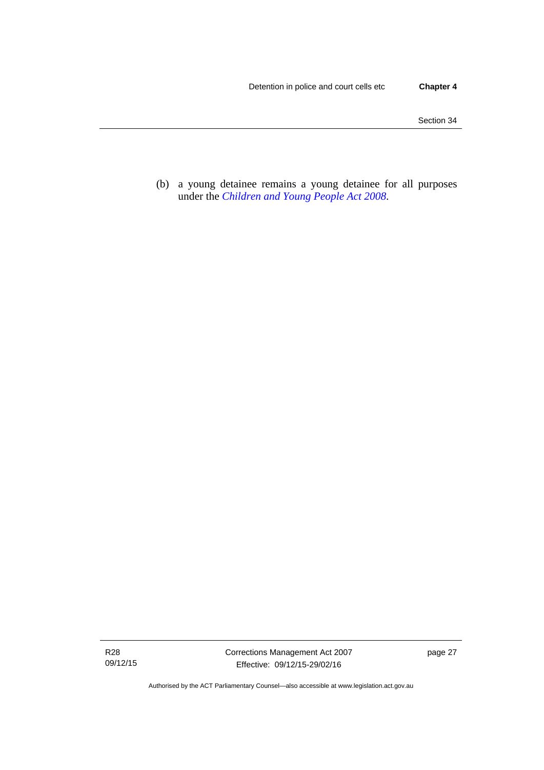(b) a young detainee remains a young detainee for all purposes under the *[Children and Young People Act 2008](http://www.legislation.act.gov.au/a/2008-19)*.

R28 09/12/15

Authorised by the ACT Parliamentary Counsel—also accessible at www.legislation.act.gov.au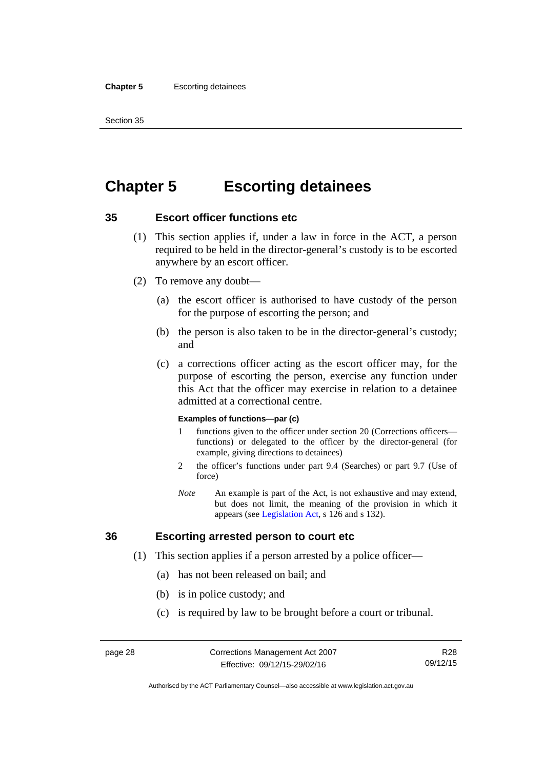#### **Chapter 5** Escorting detainees

Section 35

# **Chapter 5 Escorting detainees**

## **35 Escort officer functions etc**

- (1) This section applies if, under a law in force in the ACT, a person required to be held in the director-general's custody is to be escorted anywhere by an escort officer.
- (2) To remove any doubt—
	- (a) the escort officer is authorised to have custody of the person for the purpose of escorting the person; and
	- (b) the person is also taken to be in the director-general's custody; and
	- (c) a corrections officer acting as the escort officer may, for the purpose of escorting the person, exercise any function under this Act that the officer may exercise in relation to a detainee admitted at a correctional centre.

#### **Examples of functions—par (c)**

- 1 functions given to the officer under section 20 (Corrections officers functions) or delegated to the officer by the director-general (for example, giving directions to detainees)
- 2 the officer's functions under part 9.4 (Searches) or part 9.7 (Use of force)
- *Note* An example is part of the Act, is not exhaustive and may extend, but does not limit, the meaning of the provision in which it appears (see [Legislation Act,](http://www.legislation.act.gov.au/a/2001-14) s 126 and s 132).

## **36 Escorting arrested person to court etc**

- (1) This section applies if a person arrested by a police officer—
	- (a) has not been released on bail; and
	- (b) is in police custody; and
	- (c) is required by law to be brought before a court or tribunal.

R28 09/12/15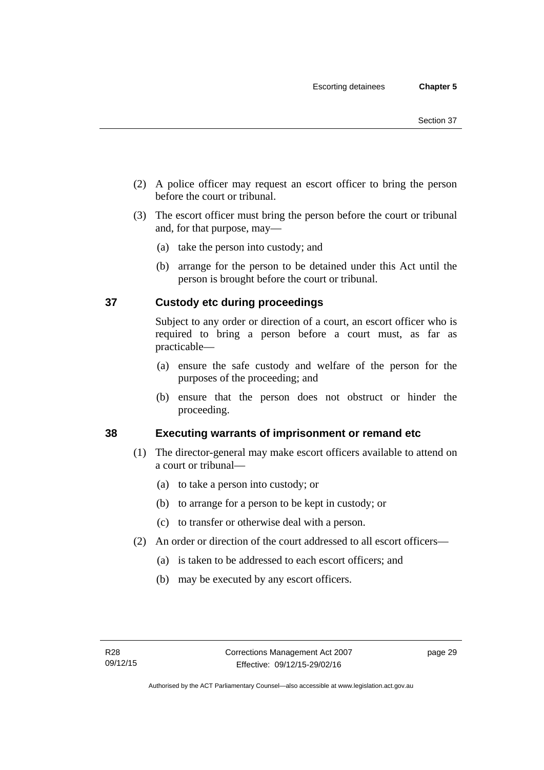- (2) A police officer may request an escort officer to bring the person before the court or tribunal.
- (3) The escort officer must bring the person before the court or tribunal and, for that purpose, may—
	- (a) take the person into custody; and
	- (b) arrange for the person to be detained under this Act until the person is brought before the court or tribunal.

## **37 Custody etc during proceedings**

Subject to any order or direction of a court, an escort officer who is required to bring a person before a court must, as far as practicable—

- (a) ensure the safe custody and welfare of the person for the purposes of the proceeding; and
- (b) ensure that the person does not obstruct or hinder the proceeding.

## **38 Executing warrants of imprisonment or remand etc**

- (1) The director-general may make escort officers available to attend on a court or tribunal—
	- (a) to take a person into custody; or
	- (b) to arrange for a person to be kept in custody; or
	- (c) to transfer or otherwise deal with a person.
- (2) An order or direction of the court addressed to all escort officers—
	- (a) is taken to be addressed to each escort officers; and
	- (b) may be executed by any escort officers.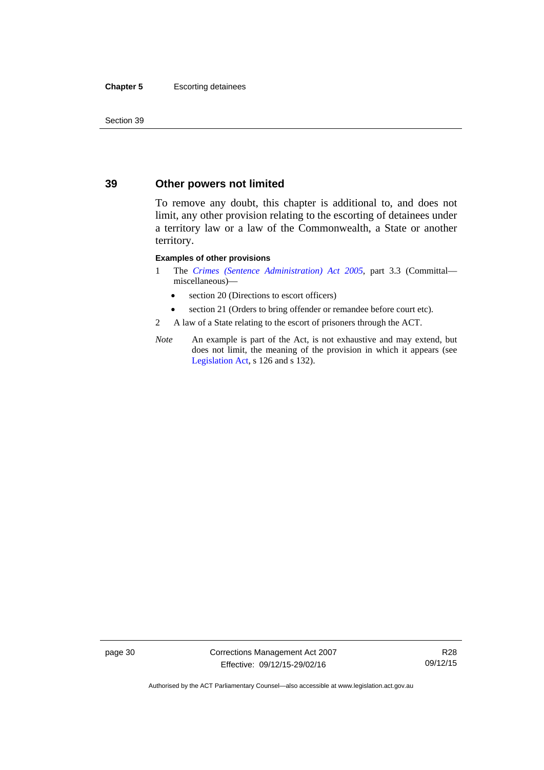#### **Chapter 5** Escorting detainees

Section 39

## **39 Other powers not limited**

To remove any doubt, this chapter is additional to, and does not limit, any other provision relating to the escorting of detainees under a territory law or a law of the Commonwealth, a State or another territory.

#### **Examples of other provisions**

- 1 The *[Crimes \(Sentence Administration\) Act 2005](http://www.legislation.act.gov.au/a/2005-59)*, part 3.3 (Committal miscellaneous)—
	- section 20 (Directions to escort officers)
	- section 21 (Orders to bring offender or remandee before court etc).
- 2 A law of a State relating to the escort of prisoners through the ACT.
- *Note* An example is part of the Act, is not exhaustive and may extend, but does not limit, the meaning of the provision in which it appears (see [Legislation Act,](http://www.legislation.act.gov.au/a/2001-14) s 126 and s 132).

page 30 Corrections Management Act 2007 Effective: 09/12/15-29/02/16

R28 09/12/15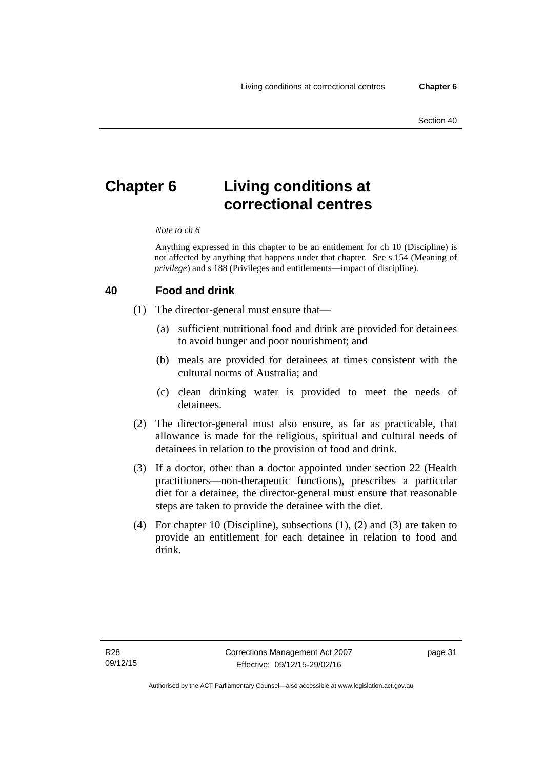# **Chapter 6 Living conditions at correctional centres**

#### *Note to ch 6*

Anything expressed in this chapter to be an entitlement for ch 10 (Discipline) is not affected by anything that happens under that chapter. See s 154 (Meaning of *privilege*) and s 188 (Privileges and entitlements—impact of discipline).

#### **40 Food and drink**

- (1) The director-general must ensure that—
	- (a) sufficient nutritional food and drink are provided for detainees to avoid hunger and poor nourishment; and
	- (b) meals are provided for detainees at times consistent with the cultural norms of Australia; and
	- (c) clean drinking water is provided to meet the needs of detainees.
- (2) The director-general must also ensure, as far as practicable, that allowance is made for the religious, spiritual and cultural needs of detainees in relation to the provision of food and drink.
- (3) If a doctor, other than a doctor appointed under section 22 (Health practitioners—non-therapeutic functions), prescribes a particular diet for a detainee, the director-general must ensure that reasonable steps are taken to provide the detainee with the diet.
- (4) For chapter 10 (Discipline), subsections (1), (2) and (3) are taken to provide an entitlement for each detainee in relation to food and drink.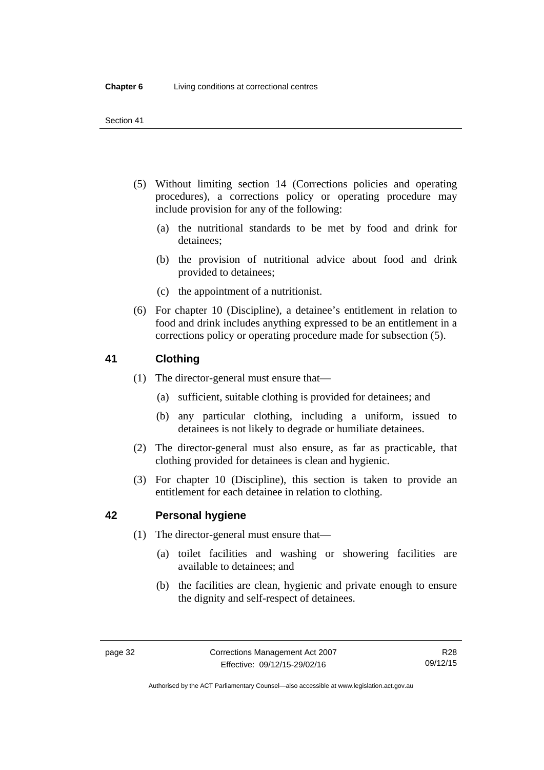- (5) Without limiting section 14 (Corrections policies and operating procedures), a corrections policy or operating procedure may include provision for any of the following:
	- (a) the nutritional standards to be met by food and drink for detainees;
	- (b) the provision of nutritional advice about food and drink provided to detainees;
	- (c) the appointment of a nutritionist.
- (6) For chapter 10 (Discipline), a detainee's entitlement in relation to food and drink includes anything expressed to be an entitlement in a corrections policy or operating procedure made for subsection (5).

## <span id="page-45-0"></span>**41 Clothing**

- (1) The director-general must ensure that—
	- (a) sufficient, suitable clothing is provided for detainees; and
	- (b) any particular clothing, including a uniform, issued to detainees is not likely to degrade or humiliate detainees.
- (2) The director-general must also ensure, as far as practicable, that clothing provided for detainees is clean and hygienic.
- (3) For chapter 10 (Discipline), this section is taken to provide an entitlement for each detainee in relation to clothing.

## **42 Personal hygiene**

- (1) The director-general must ensure that—
	- (a) toilet facilities and washing or showering facilities are available to detainees; and
	- (b) the facilities are clean, hygienic and private enough to ensure the dignity and self-respect of detainees.

Authorised by the ACT Parliamentary Counsel—also accessible at www.legislation.act.gov.au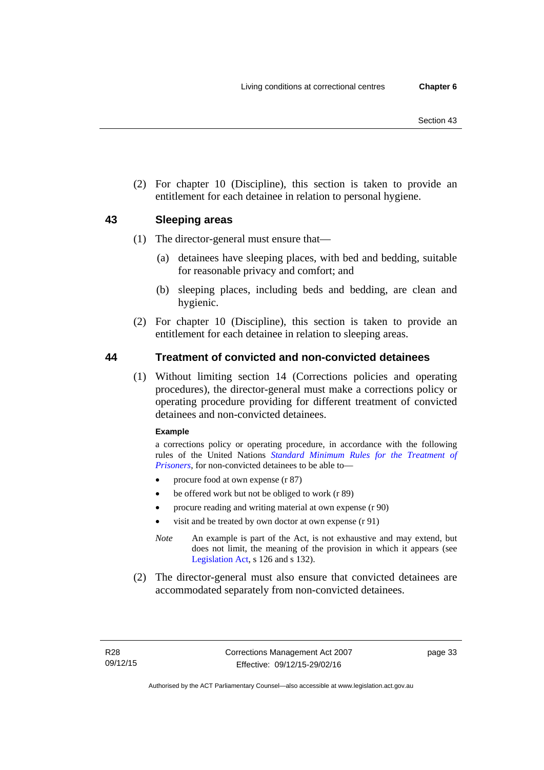(2) For chapter 10 (Discipline), this section is taken to provide an entitlement for each detainee in relation to personal hygiene.

## <span id="page-46-0"></span>**43 Sleeping areas**

- (1) The director-general must ensure that—
	- (a) detainees have sleeping places, with bed and bedding, suitable for reasonable privacy and comfort; and
	- (b) sleeping places, including beds and bedding, are clean and hygienic.
- (2) For chapter 10 (Discipline), this section is taken to provide an entitlement for each detainee in relation to sleeping areas.

## **44 Treatment of convicted and non-convicted detainees**

(1) Without limiting section 14 (Corrections policies and operating procedures), the director-general must make a corrections policy or operating procedure providing for different treatment of convicted detainees and non-convicted detainees.

#### **Example**

a corrections policy or operating procedure, in accordance with the following rules of the United Nations *[Standard Minimum Rules for the Treatment of](http://www2.ohchr.org/english/law/treatmentprisoners.htm)  [Prisoners](http://www2.ohchr.org/english/law/treatmentprisoners.htm)*, for non-convicted detainees to be able to—

- procure food at own expense (r 87)
- be offered work but not be obliged to work (r 89)
- procure reading and writing material at own expense (r 90)
- visit and be treated by own doctor at own expense (r 91)
- *Note* An example is part of the Act, is not exhaustive and may extend, but does not limit, the meaning of the provision in which it appears (see [Legislation Act,](http://www.legislation.act.gov.au/a/2001-14) s 126 and s 132).
- (2) The director-general must also ensure that convicted detainees are accommodated separately from non-convicted detainees.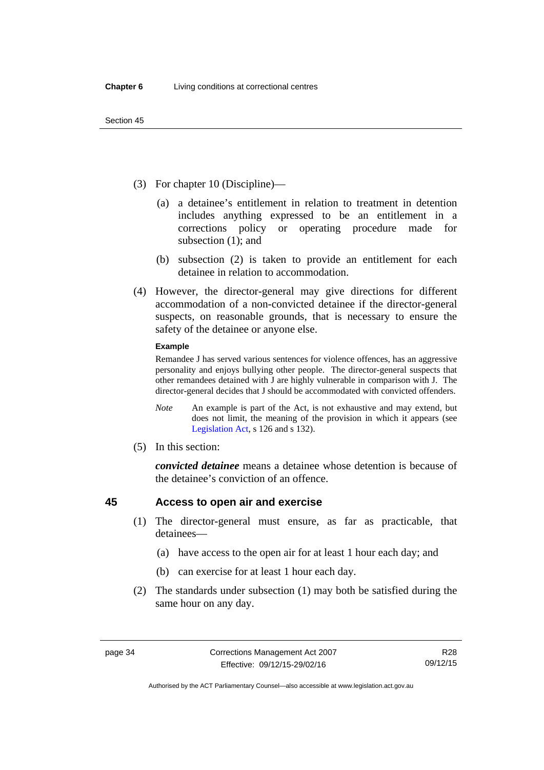- (3) For chapter 10 (Discipline)—
	- (a) a detainee's entitlement in relation to treatment in detention includes anything expressed to be an entitlement in a corrections policy or operating procedure made for subsection (1); and
	- (b) subsection (2) is taken to provide an entitlement for each detainee in relation to accommodation.
- (4) However, the director-general may give directions for different accommodation of a non-convicted detainee if the director-general suspects, on reasonable grounds, that is necessary to ensure the safety of the detainee or anyone else.

#### **Example**

Remandee J has served various sentences for violence offences, has an aggressive personality and enjoys bullying other people. The director-general suspects that other remandees detained with J are highly vulnerable in comparison with J. The director-general decides that J should be accommodated with convicted offenders.

- *Note* An example is part of the Act, is not exhaustive and may extend, but does not limit, the meaning of the provision in which it appears (see [Legislation Act,](http://www.legislation.act.gov.au/a/2001-14) s 126 and s 132).
- (5) In this section:

*convicted detainee* means a detainee whose detention is because of the detainee's conviction of an offence.

## **45 Access to open air and exercise**

- (1) The director-general must ensure, as far as practicable, that detainees—
	- (a) have access to the open air for at least 1 hour each day; and
	- (b) can exercise for at least 1 hour each day.
- (2) The standards under subsection (1) may both be satisfied during the same hour on any day.

Authorised by the ACT Parliamentary Counsel—also accessible at www.legislation.act.gov.au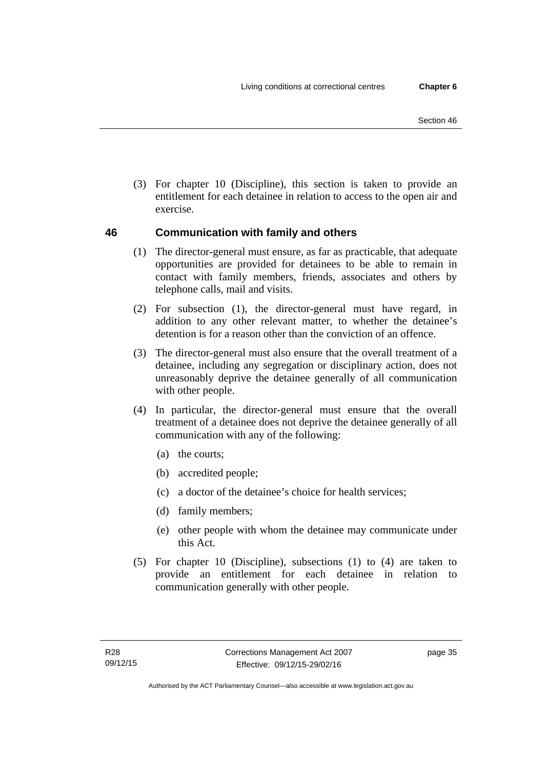(3) For chapter 10 (Discipline), this section is taken to provide an entitlement for each detainee in relation to access to the open air and exercise.

## **46 Communication with family and others**

- (1) The director-general must ensure, as far as practicable, that adequate opportunities are provided for detainees to be able to remain in contact with family members, friends, associates and others by telephone calls, mail and visits.
- (2) For subsection (1), the director-general must have regard, in addition to any other relevant matter, to whether the detainee's detention is for a reason other than the conviction of an offence.
- (3) The director-general must also ensure that the overall treatment of a detainee, including any segregation or disciplinary action, does not unreasonably deprive the detainee generally of all communication with other people.
- (4) In particular, the director-general must ensure that the overall treatment of a detainee does not deprive the detainee generally of all communication with any of the following:
	- (a) the courts;
	- (b) accredited people;
	- (c) a doctor of the detainee's choice for health services;
	- (d) family members;
	- (e) other people with whom the detainee may communicate under this Act.
- (5) For chapter 10 (Discipline), subsections (1) to (4) are taken to provide an entitlement for each detainee in relation to communication generally with other people.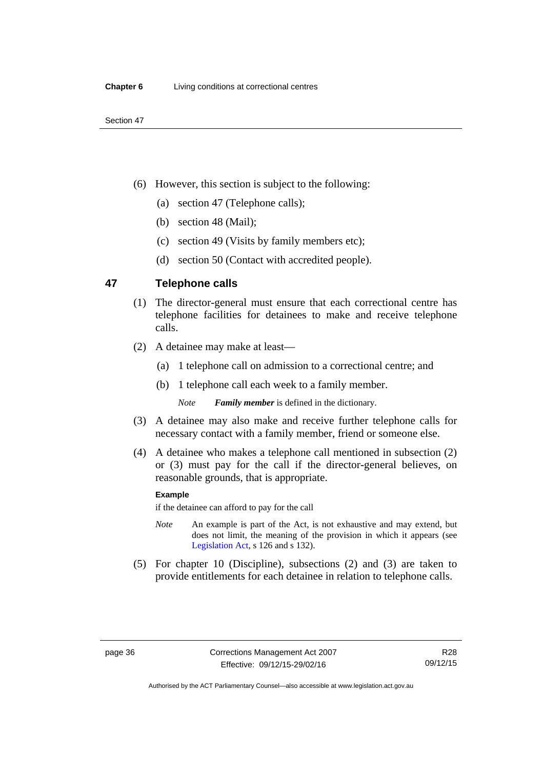- (6) However, this section is subject to the following:
	- (a) section 47 (Telephone calls);
	- (b) section 48 (Mail);
	- (c) section 49 (Visits by family members etc);
	- (d) section 50 (Contact with accredited people).

## **47 Telephone calls**

- (1) The director-general must ensure that each correctional centre has telephone facilities for detainees to make and receive telephone calls.
- (2) A detainee may make at least—
	- (a) 1 telephone call on admission to a correctional centre; and
	- (b) 1 telephone call each week to a family member.

*Note Family member* is defined in the dictionary.

- (3) A detainee may also make and receive further telephone calls for necessary contact with a family member, friend or someone else.
- (4) A detainee who makes a telephone call mentioned in subsection (2) or (3) must pay for the call if the director-general believes, on reasonable grounds, that is appropriate.

#### **Example**

if the detainee can afford to pay for the call

- *Note* An example is part of the Act, is not exhaustive and may extend, but does not limit, the meaning of the provision in which it appears (see [Legislation Act,](http://www.legislation.act.gov.au/a/2001-14) s 126 and s 132).
- (5) For chapter 10 (Discipline), subsections (2) and (3) are taken to provide entitlements for each detainee in relation to telephone calls.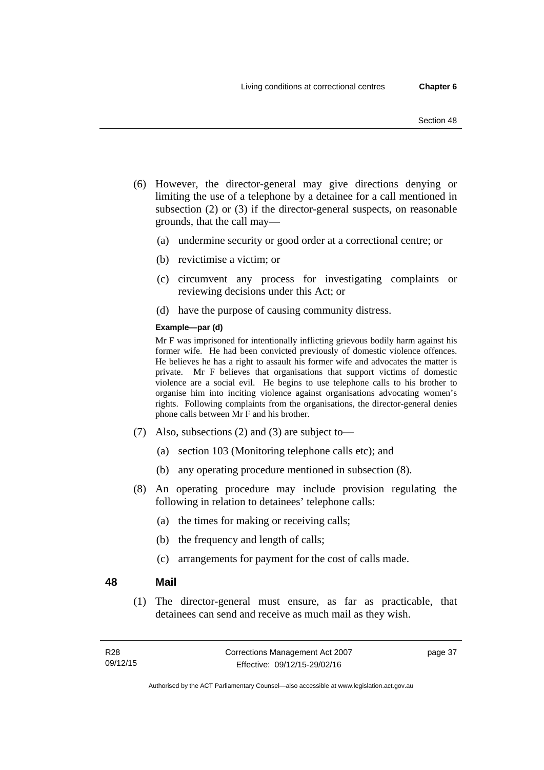- (6) However, the director-general may give directions denying or limiting the use of a telephone by a detainee for a call mentioned in subsection (2) or (3) if the director-general suspects, on reasonable grounds, that the call may—
	- (a) undermine security or good order at a correctional centre; or
	- (b) revictimise a victim; or
	- (c) circumvent any process for investigating complaints or reviewing decisions under this Act; or
	- (d) have the purpose of causing community distress.

#### **Example—par (d)**

Mr F was imprisoned for intentionally inflicting grievous bodily harm against his former wife. He had been convicted previously of domestic violence offences. He believes he has a right to assault his former wife and advocates the matter is private. Mr F believes that organisations that support victims of domestic violence are a social evil. He begins to use telephone calls to his brother to organise him into inciting violence against organisations advocating women's rights. Following complaints from the organisations, the director-general denies phone calls between Mr F and his brother.

- (7) Also, subsections (2) and (3) are subject to—
	- (a) section 103 (Monitoring telephone calls etc); and
	- (b) any operating procedure mentioned in subsection (8).
- (8) An operating procedure may include provision regulating the following in relation to detainees' telephone calls:
	- (a) the times for making or receiving calls;
	- (b) the frequency and length of calls;
	- (c) arrangements for payment for the cost of calls made.

#### **48 Mail**

(1) The director-general must ensure, as far as practicable, that detainees can send and receive as much mail as they wish.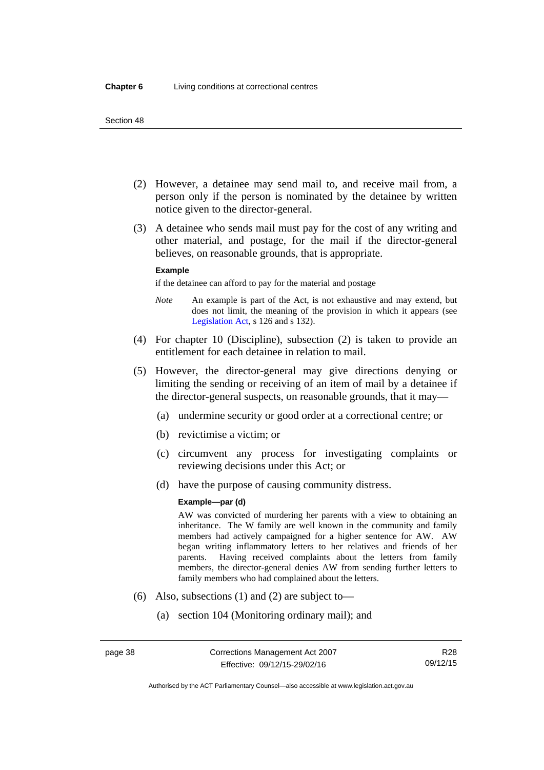- (2) However, a detainee may send mail to, and receive mail from, a person only if the person is nominated by the detainee by written notice given to the director-general.
- (3) A detainee who sends mail must pay for the cost of any writing and other material, and postage, for the mail if the director-general believes, on reasonable grounds, that is appropriate.

#### **Example**

if the detainee can afford to pay for the material and postage

- *Note* An example is part of the Act, is not exhaustive and may extend, but does not limit, the meaning of the provision in which it appears (see [Legislation Act,](http://www.legislation.act.gov.au/a/2001-14) s 126 and s 132).
- (4) For chapter 10 (Discipline), subsection (2) is taken to provide an entitlement for each detainee in relation to mail.
- (5) However, the director-general may give directions denying or limiting the sending or receiving of an item of mail by a detainee if the director-general suspects, on reasonable grounds, that it may—
	- (a) undermine security or good order at a correctional centre; or
	- (b) revictimise a victim; or
	- (c) circumvent any process for investigating complaints or reviewing decisions under this Act; or
	- (d) have the purpose of causing community distress.

#### **Example—par (d)**

AW was convicted of murdering her parents with a view to obtaining an inheritance. The W family are well known in the community and family members had actively campaigned for a higher sentence for AW. AW began writing inflammatory letters to her relatives and friends of her parents. Having received complaints about the letters from family members, the director-general denies AW from sending further letters to family members who had complained about the letters.

- (6) Also, subsections (1) and (2) are subject to—
	- (a) section 104 (Monitoring ordinary mail); and

Authorised by the ACT Parliamentary Counsel—also accessible at www.legislation.act.gov.au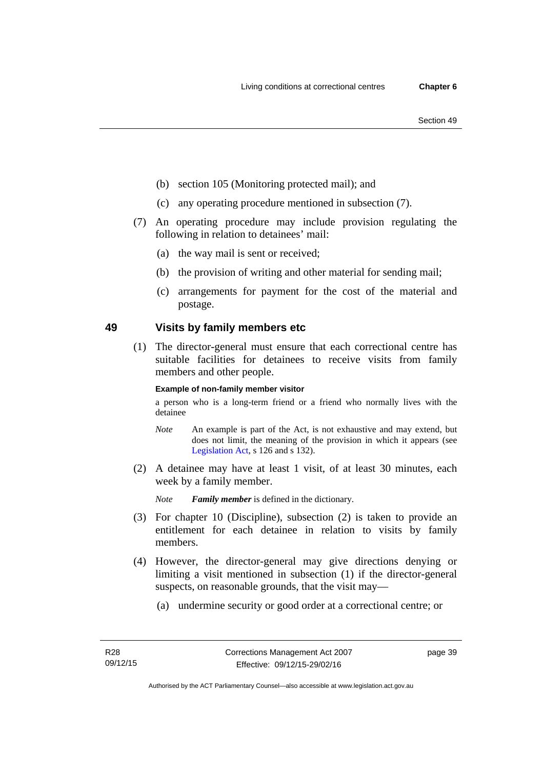- (b) section 105 (Monitoring protected mail); and
- (c) any operating procedure mentioned in subsection (7).
- (7) An operating procedure may include provision regulating the following in relation to detainees' mail:
	- (a) the way mail is sent or received;
	- (b) the provision of writing and other material for sending mail;
	- (c) arrangements for payment for the cost of the material and postage.

## **49 Visits by family members etc**

(1) The director-general must ensure that each correctional centre has suitable facilities for detainees to receive visits from family members and other people.

#### **Example of non-family member visitor**

a person who is a long-term friend or a friend who normally lives with the detainee

- *Note* An example is part of the Act, is not exhaustive and may extend, but does not limit, the meaning of the provision in which it appears (see [Legislation Act,](http://www.legislation.act.gov.au/a/2001-14) s 126 and s 132).
- (2) A detainee may have at least 1 visit, of at least 30 minutes, each week by a family member.

*Note Family member* is defined in the dictionary.

- (3) For chapter 10 (Discipline), subsection (2) is taken to provide an entitlement for each detainee in relation to visits by family members.
- (4) However, the director-general may give directions denying or limiting a visit mentioned in subsection (1) if the director-general suspects, on reasonable grounds, that the visit may—
	- (a) undermine security or good order at a correctional centre; or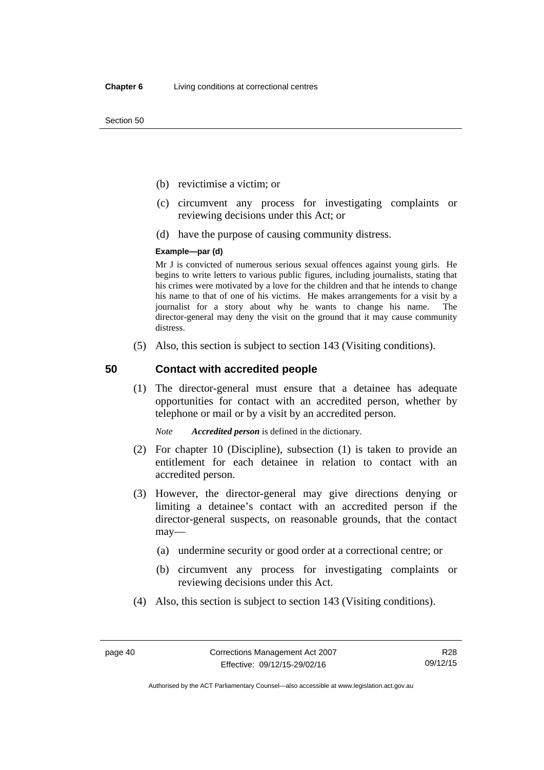- (b) revictimise a victim; or
- (c) circumvent any process for investigating complaints or reviewing decisions under this Act; or
- (d) have the purpose of causing community distress.

#### **Example—par (d)**

Mr J is convicted of numerous serious sexual offences against young girls. He begins to write letters to various public figures, including journalists, stating that his crimes were motivated by a love for the children and that he intends to change his name to that of one of his victims. He makes arrangements for a visit by a journalist for a story about why he wants to change his name. The director-general may deny the visit on the ground that it may cause community distress.

(5) Also, this section is subject to section 143 (Visiting conditions).

## **50 Contact with accredited people**

(1) The director-general must ensure that a detainee has adequate opportunities for contact with an accredited person, whether by telephone or mail or by a visit by an accredited person.

*Note Accredited person* is defined in the dictionary.

- (2) For chapter 10 (Discipline), subsection (1) is taken to provide an entitlement for each detainee in relation to contact with an accredited person.
- (3) However, the director-general may give directions denying or limiting a detainee's contact with an accredited person if the director-general suspects, on reasonable grounds, that the contact may—
	- (a) undermine security or good order at a correctional centre; or
	- (b) circumvent any process for investigating complaints or reviewing decisions under this Act.
- (4) Also, this section is subject to section 143 (Visiting conditions).

R28 09/12/15

Authorised by the ACT Parliamentary Counsel—also accessible at www.legislation.act.gov.au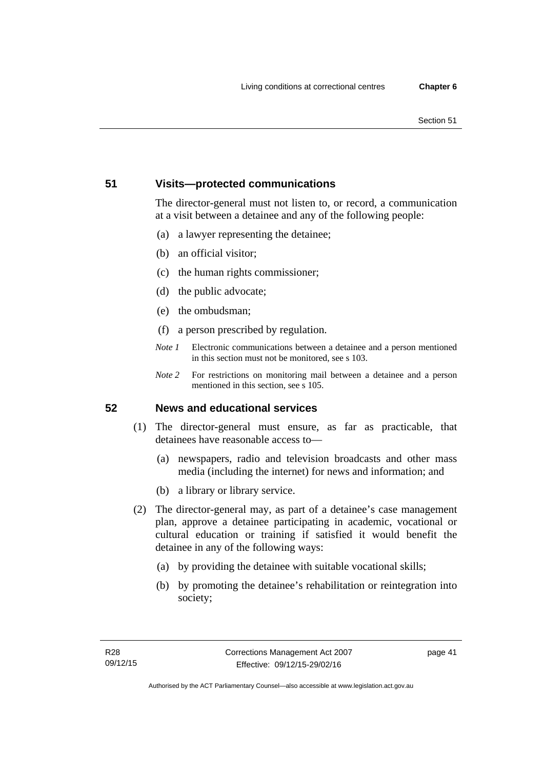#### Section 51

## **51 Visits—protected communications**

The director-general must not listen to, or record, a communication at a visit between a detainee and any of the following people:

- (a) a lawyer representing the detainee;
- (b) an official visitor;
- (c) the human rights commissioner;
- (d) the public advocate;
- (e) the ombudsman;
- (f) a person prescribed by regulation.
- *Note 1* Electronic communications between a detainee and a person mentioned in this section must not be monitored, see s 103.
- *Note 2* For restrictions on monitoring mail between a detainee and a person mentioned in this section, see s 105.

## **52 News and educational services**

- (1) The director-general must ensure, as far as practicable, that detainees have reasonable access to—
	- (a) newspapers, radio and television broadcasts and other mass media (including the internet) for news and information; and
	- (b) a library or library service.
- (2) The director-general may, as part of a detainee's case management plan, approve a detainee participating in academic, vocational or cultural education or training if satisfied it would benefit the detainee in any of the following ways:
	- (a) by providing the detainee with suitable vocational skills;
	- (b) by promoting the detainee's rehabilitation or reintegration into society;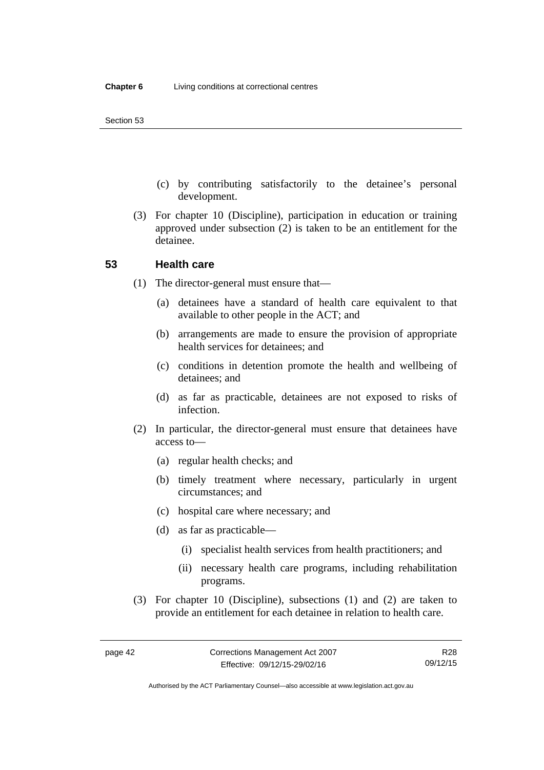- (c) by contributing satisfactorily to the detainee's personal development.
- (3) For chapter 10 (Discipline), participation in education or training approved under subsection (2) is taken to be an entitlement for the detainee.

## **53 Health care**

- (1) The director-general must ensure that—
	- (a) detainees have a standard of health care equivalent to that available to other people in the ACT; and
	- (b) arrangements are made to ensure the provision of appropriate health services for detainees; and
	- (c) conditions in detention promote the health and wellbeing of detainees; and
	- (d) as far as practicable, detainees are not exposed to risks of infection.
- (2) In particular, the director-general must ensure that detainees have access to—
	- (a) regular health checks; and
	- (b) timely treatment where necessary, particularly in urgent circumstances; and
	- (c) hospital care where necessary; and
	- (d) as far as practicable—
		- (i) specialist health services from health practitioners; and
		- (ii) necessary health care programs, including rehabilitation programs.
- (3) For chapter 10 (Discipline), subsections (1) and (2) are taken to provide an entitlement for each detainee in relation to health care.

Authorised by the ACT Parliamentary Counsel—also accessible at www.legislation.act.gov.au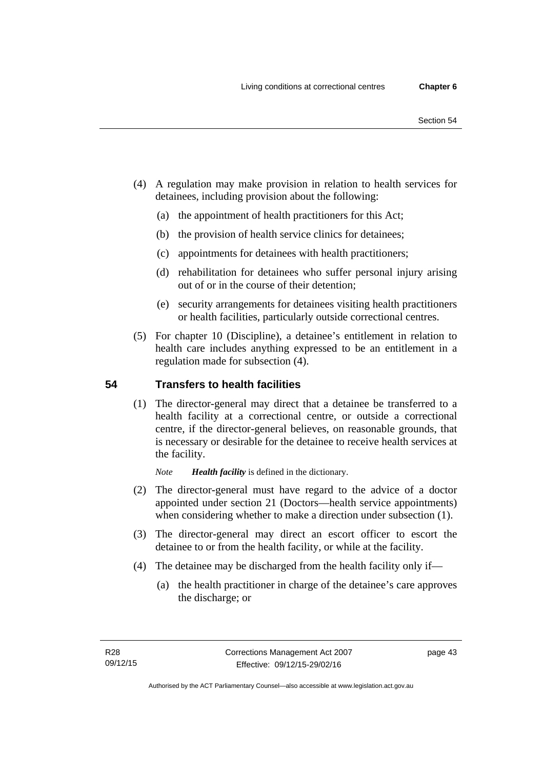- (4) A regulation may make provision in relation to health services for detainees, including provision about the following:
	- (a) the appointment of health practitioners for this Act;
	- (b) the provision of health service clinics for detainees;
	- (c) appointments for detainees with health practitioners;
	- (d) rehabilitation for detainees who suffer personal injury arising out of or in the course of their detention;
	- (e) security arrangements for detainees visiting health practitioners or health facilities, particularly outside correctional centres.
- (5) For chapter 10 (Discipline), a detainee's entitlement in relation to health care includes anything expressed to be an entitlement in a regulation made for subsection (4).

## **54 Transfers to health facilities**

(1) The director-general may direct that a detainee be transferred to a health facility at a correctional centre, or outside a correctional centre, if the director-general believes, on reasonable grounds, that is necessary or desirable for the detainee to receive health services at the facility.

*Note Health facility* is defined in the dictionary.

- (2) The director-general must have regard to the advice of a doctor appointed under section 21 (Doctors—health service appointments) when considering whether to make a direction under subsection  $(1)$ .
- (3) The director-general may direct an escort officer to escort the detainee to or from the health facility, or while at the facility.
- (4) The detainee may be discharged from the health facility only if—
	- (a) the health practitioner in charge of the detainee's care approves the discharge; or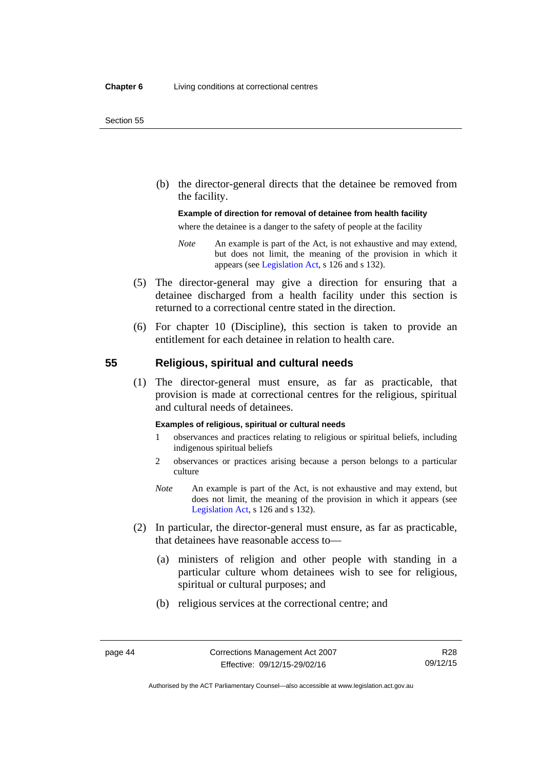(b) the director-general directs that the detainee be removed from the facility.

#### **Example of direction for removal of detainee from health facility**

where the detainee is a danger to the safety of people at the facility

- *Note* An example is part of the Act, is not exhaustive and may extend, but does not limit, the meaning of the provision in which it appears (see [Legislation Act,](http://www.legislation.act.gov.au/a/2001-14) s 126 and s 132).
- (5) The director-general may give a direction for ensuring that a detainee discharged from a health facility under this section is returned to a correctional centre stated in the direction.
- (6) For chapter 10 (Discipline), this section is taken to provide an entitlement for each detainee in relation to health care.

#### **55 Religious, spiritual and cultural needs**

(1) The director-general must ensure, as far as practicable, that provision is made at correctional centres for the religious, spiritual and cultural needs of detainees.

#### **Examples of religious, spiritual or cultural needs**

- 1 observances and practices relating to religious or spiritual beliefs, including indigenous spiritual beliefs
- 2 observances or practices arising because a person belongs to a particular culture
- *Note* An example is part of the Act, is not exhaustive and may extend, but does not limit, the meaning of the provision in which it appears (see [Legislation Act,](http://www.legislation.act.gov.au/a/2001-14) s 126 and s 132).
- (2) In particular, the director-general must ensure, as far as practicable, that detainees have reasonable access to—
	- (a) ministers of religion and other people with standing in a particular culture whom detainees wish to see for religious, spiritual or cultural purposes; and
	- (b) religious services at the correctional centre; and

R28 09/12/15

Authorised by the ACT Parliamentary Counsel—also accessible at www.legislation.act.gov.au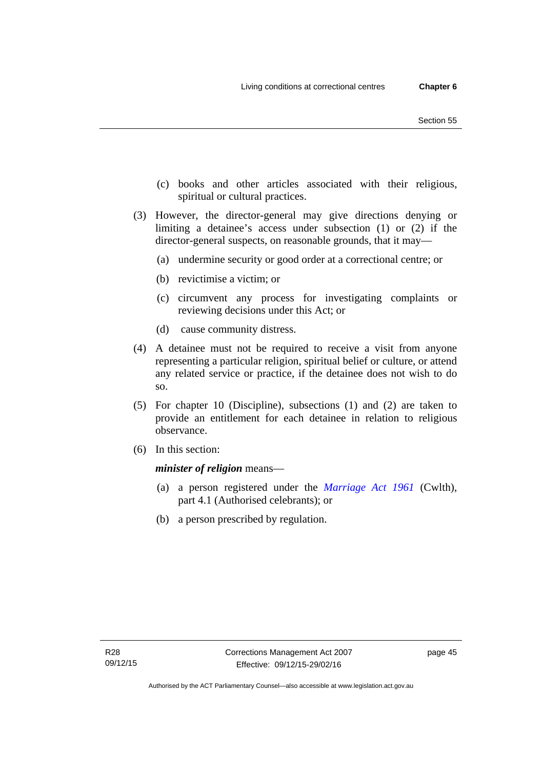- (c) books and other articles associated with their religious, spiritual or cultural practices.
- (3) However, the director-general may give directions denying or limiting a detainee's access under subsection (1) or (2) if the director-general suspects, on reasonable grounds, that it may—
	- (a) undermine security or good order at a correctional centre; or
	- (b) revictimise a victim; or
	- (c) circumvent any process for investigating complaints or reviewing decisions under this Act; or
	- (d) cause community distress.
- (4) A detainee must not be required to receive a visit from anyone representing a particular religion, spiritual belief or culture, or attend any related service or practice, if the detainee does not wish to do so.
- (5) For chapter 10 (Discipline), subsections (1) and (2) are taken to provide an entitlement for each detainee in relation to religious observance.
- (6) In this section:

*minister of religion* means—

- (a) a person registered under the *[Marriage Act 1961](http://www.comlaw.gov.au/Series/C2004A07402)* (Cwlth), part 4.1 (Authorised celebrants); or
- (b) a person prescribed by regulation.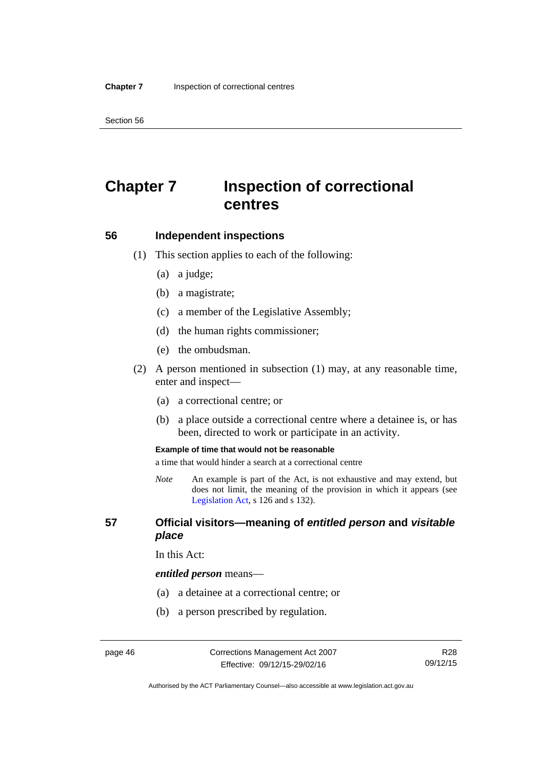Section 56

# **Chapter 7 Inspection of correctional centres**

#### **56 Independent inspections**

- (1) This section applies to each of the following:
	- (a) a judge;
	- (b) a magistrate;
	- (c) a member of the Legislative Assembly;
	- (d) the human rights commissioner;
	- (e) the ombudsman.
- (2) A person mentioned in subsection (1) may, at any reasonable time, enter and inspect—
	- (a) a correctional centre; or
	- (b) a place outside a correctional centre where a detainee is, or has been, directed to work or participate in an activity.

#### **Example of time that would not be reasonable**

a time that would hinder a search at a correctional centre

*Note* An example is part of the Act, is not exhaustive and may extend, but does not limit, the meaning of the provision in which it appears (see [Legislation Act,](http://www.legislation.act.gov.au/a/2001-14) s 126 and s 132).

## **57 Official visitors—meaning of** *entitled person* **and** *visitable place*

In this Act:

#### *entitled person* means—

- (a) a detainee at a correctional centre; or
- (b) a person prescribed by regulation.

Authorised by the ACT Parliamentary Counsel—also accessible at www.legislation.act.gov.au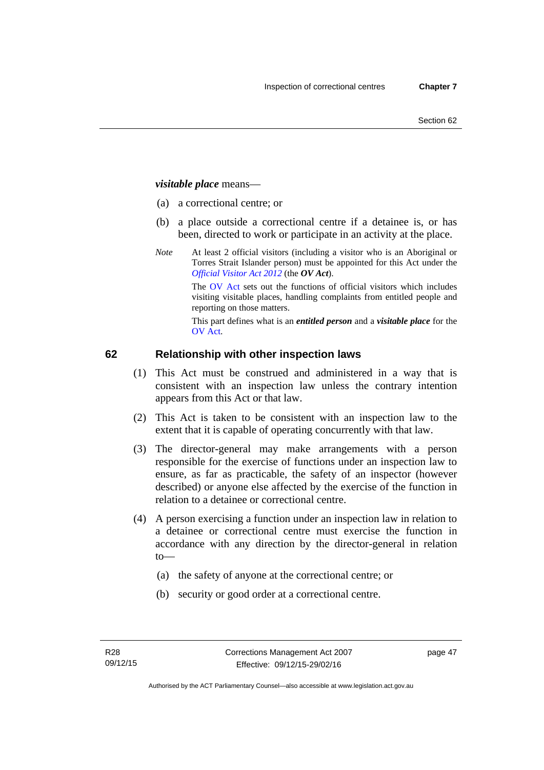## *visitable place* means—

- (a) a correctional centre; or
- (b) a place outside a correctional centre if a detainee is, or has been, directed to work or participate in an activity at the place.
- *Note* At least 2 official visitors (including a visitor who is an Aboriginal or Torres Strait Islander person) must be appointed for this Act under the *[Official Visitor Act 2012](http://www.legislation.act.gov.au/a/2012-33/default.asp)* (the *OV Act*).

The [OV Act sets out](#page-45-0) the functions of official visitors which includes visiting visitable places, handling complaints from entitled people and reporting on those matters.

This part defines what is an *entitled person* and a *visitable place* for the OV Act.

## **[62 Relatio](#page-46-0)nship with other inspection laws**

- (1) This Act must be construed and administered in a way that is consistent with an inspection law unless the contrary intention appears from this Act or that law.
- (2) This Act is taken to be consistent with an inspection law to the extent that it is capable of operating concurrently with that law.
- (3) The director-general may make arrangements with a person responsible for the exercise of functions under an inspection law to ensure, as far as practicable, the safety of an inspector (however described) or anyone else affected by the exercise of the function in relation to a detainee or correctional centre.
- (4) A person exercising a function under an inspection law in relation to a detainee or correctional centre must exercise the function in accordance with any direction by the director-general in relation to—
	- (a) the safety of anyone at the correctional centre; or
	- (b) security or good order at a correctional centre.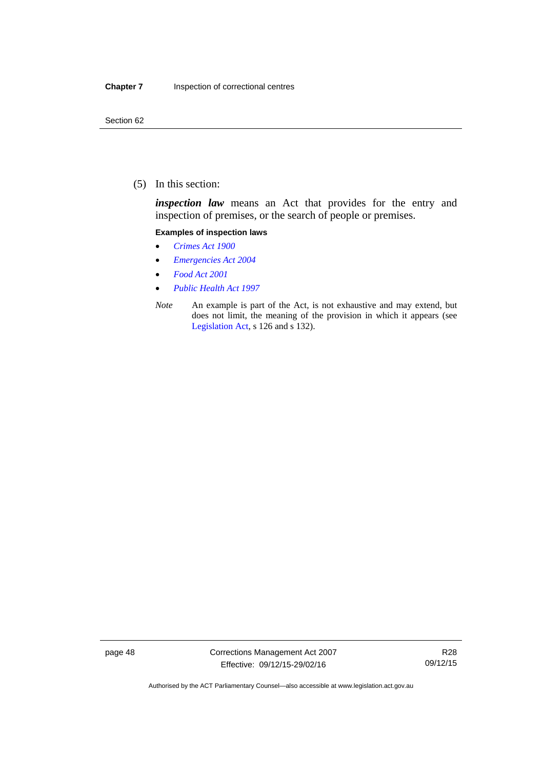(5) In this section:

*inspection law* means an Act that provides for the entry and inspection of premises, or the search of people or premises.

#### **Examples of inspection laws**

- *[Crimes Act 1900](http://www.legislation.act.gov.au/a/1900-40)*
- *[Emergencies Act 2004](http://www.legislation.act.gov.au/a/2004-28)*
- *[Food Act 2001](http://www.legislation.act.gov.au/a/2001-66)*
- *[Public Health Act 1997](http://www.legislation.act.gov.au/a/1997-69)*
- *Note* An example is part of the Act, is not exhaustive and may extend, but does not limit, the meaning of the provision in which it appears (see [Legislation Act,](http://www.legislation.act.gov.au/a/2001-14) s 126 and s 132).

page 48 Corrections Management Act 2007 Effective: 09/12/15-29/02/16

R28 09/12/15

Authorised by the ACT Parliamentary Counsel—also accessible at www.legislation.act.gov.au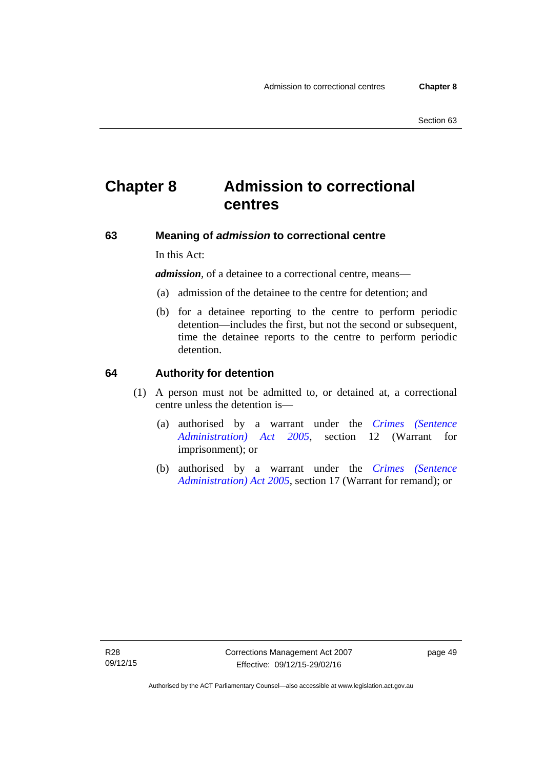# **Chapter 8 Admission to correctional centres**

## **63 Meaning of** *admission* **to correctional centre**

In this Act:

*admission,* of a detainee to a correctional centre, means—

- (a) admission of the detainee to the centre for detention; and
- (b) for a detainee reporting to the centre to perform periodic detention—includes the first, but not the second or subsequent, time the detainee reports to the centre to perform periodic detention.

#### **64 Authority for detention**

- (1) A person must not be admitted to, or detained at, a correctional centre unless the detention is—
	- (a) authorised by a warrant under the *[Crimes \(Sentence](http://www.legislation.act.gov.au/a/2005-59)  [Administration\) Act 2005](http://www.legislation.act.gov.au/a/2005-59)*, section 12 (Warrant for imprisonment); or
	- (b) authorised by a warrant under the *[Crimes \(Sentence](http://www.legislation.act.gov.au/a/2005-59)  [Administration\) Act 2005](http://www.legislation.act.gov.au/a/2005-59)*, section 17 (Warrant for remand); or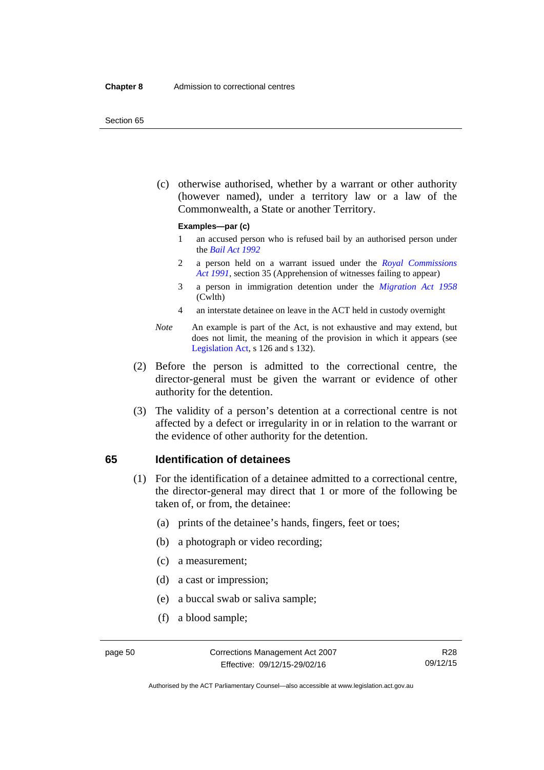#### Section 65

 (c) otherwise authorised, whether by a warrant or other authority (however named), under a territory law or a law of the Commonwealth, a State or another Territory.

#### **Examples—par (c)**

- 1 an accused person who is refused bail by an authorised person under the *[Bail Act 1992](http://www.legislation.act.gov.au/a/1992-8)*
- 2 a person held on a warrant issued under the *[Royal Commissions](http://www.legislation.act.gov.au/a/1991-1)  [Act 1991](http://www.legislation.act.gov.au/a/1991-1)*, section 35 (Apprehension of witnesses failing to appear)
- 3 a person in immigration detention under the *[Migration Act 1958](http://www.comlaw.gov.au/Series/C2004A07412)* (Cwlth)
- 4 an interstate detainee on leave in the ACT held in custody overnight
- *Note* An example is part of the Act, is not exhaustive and may extend, but does not limit, the meaning of the provision in which it appears (see [Legislation Act,](http://www.legislation.act.gov.au/a/2001-14) s 126 and s 132).
- (2) Before the person is admitted to the correctional centre, the director-general must be given the warrant or evidence of other authority for the detention.
- (3) The validity of a person's detention at a correctional centre is not affected by a defect or irregularity in or in relation to the warrant or the evidence of other authority for the detention.

#### **65 Identification of detainees**

- (1) For the identification of a detainee admitted to a correctional centre, the director-general may direct that 1 or more of the following be taken of, or from, the detainee:
	- (a) prints of the detainee's hands, fingers, feet or toes;
	- (b) a photograph or video recording;
	- (c) a measurement;
	- (d) a cast or impression;
	- (e) a buccal swab or saliva sample;
	- (f) a blood sample;

Authorised by the ACT Parliamentary Counsel—also accessible at www.legislation.act.gov.au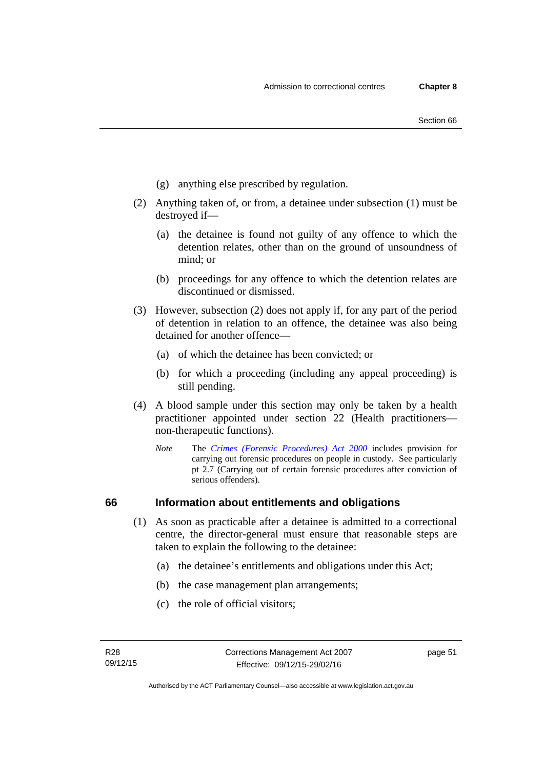- (g) anything else prescribed by regulation.
- (2) Anything taken of, or from, a detainee under subsection (1) must be destroyed if—
	- (a) the detainee is found not guilty of any offence to which the detention relates, other than on the ground of unsoundness of mind; or
	- (b) proceedings for any offence to which the detention relates are discontinued or dismissed.
- (3) However, subsection (2) does not apply if, for any part of the period of detention in relation to an offence, the detainee was also being detained for another offence—
	- (a) of which the detainee has been convicted; or
	- (b) for which a proceeding (including any appeal proceeding) is still pending.
- (4) A blood sample under this section may only be taken by a health practitioner appointed under section 22 (Health practitioners non-therapeutic functions).
	- *Note* The *[Crimes \(Forensic Procedures\) Act 2000](http://www.legislation.act.gov.au/a/2000-61)* includes provision for carrying out forensic procedures on people in custody. See particularly pt 2.7 (Carrying out of certain forensic procedures after conviction of serious offenders).

## **66 Information about entitlements and obligations**

- (1) As soon as practicable after a detainee is admitted to a correctional centre, the director-general must ensure that reasonable steps are taken to explain the following to the detainee:
	- (a) the detainee's entitlements and obligations under this Act;
	- (b) the case management plan arrangements;
	- (c) the role of official visitors;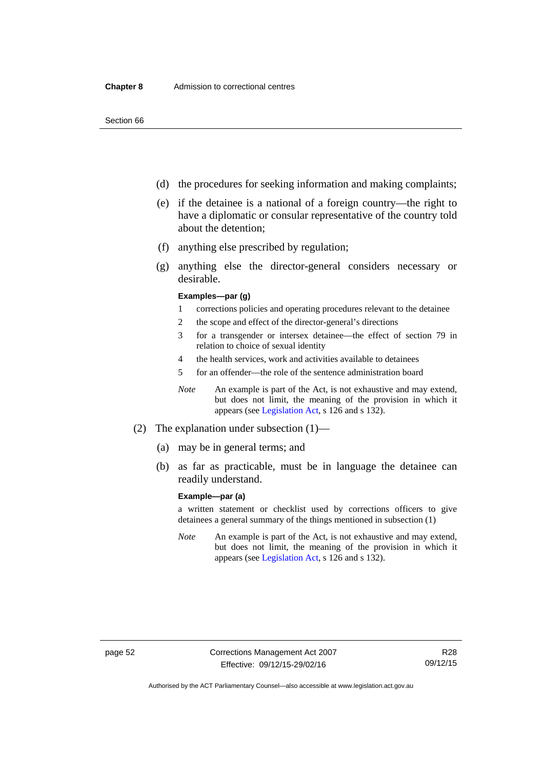- (d) the procedures for seeking information and making complaints;
- (e) if the detainee is a national of a foreign country—the right to have a diplomatic or consular representative of the country told about the detention;
- (f) anything else prescribed by regulation;
- (g) anything else the director-general considers necessary or desirable.

#### **Examples—par (g)**

- 1 corrections policies and operating procedures relevant to the detainee
- 2 the scope and effect of the director-general's directions
- 3 for a transgender or intersex detainee—the effect of section 79 in relation to choice of sexual identity
- 4 the health services, work and activities available to detainees
- 5 for an offender—the role of the sentence administration board
- *Note* An example is part of the Act, is not exhaustive and may extend, but does not limit, the meaning of the provision in which it appears (see [Legislation Act,](http://www.legislation.act.gov.au/a/2001-14) s 126 and s 132).
- (2) The explanation under subsection (1)—
	- (a) may be in general terms; and
	- (b) as far as practicable, must be in language the detainee can readily understand.

#### **Example—par (a)**

a written statement or checklist used by corrections officers to give detainees a general summary of the things mentioned in subsection (1)

*Note* An example is part of the Act, is not exhaustive and may extend, but does not limit, the meaning of the provision in which it appears (see [Legislation Act,](http://www.legislation.act.gov.au/a/2001-14) s 126 and s 132).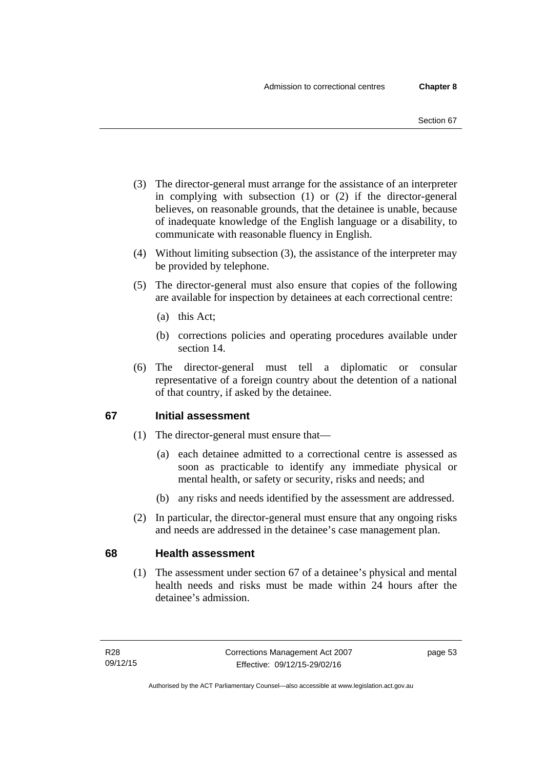- (3) The director-general must arrange for the assistance of an interpreter in complying with subsection (1) or (2) if the director-general believes, on reasonable grounds, that the detainee is unable, because of inadequate knowledge of the English language or a disability, to communicate with reasonable fluency in English.
- (4) Without limiting subsection (3), the assistance of the interpreter may be provided by telephone.
- (5) The director-general must also ensure that copies of the following are available for inspection by detainees at each correctional centre:
	- (a) this Act;
	- (b) corrections policies and operating procedures available under section 14.
- (6) The director-general must tell a diplomatic or consular representative of a foreign country about the detention of a national of that country, if asked by the detainee.

## **67 Initial assessment**

- (1) The director-general must ensure that—
	- (a) each detainee admitted to a correctional centre is assessed as soon as practicable to identify any immediate physical or mental health, or safety or security, risks and needs; and
	- (b) any risks and needs identified by the assessment are addressed.
- (2) In particular, the director-general must ensure that any ongoing risks and needs are addressed in the detainee's case management plan.

## **68 Health assessment**

(1) The assessment under section 67 of a detainee's physical and mental health needs and risks must be made within 24 hours after the detainee's admission.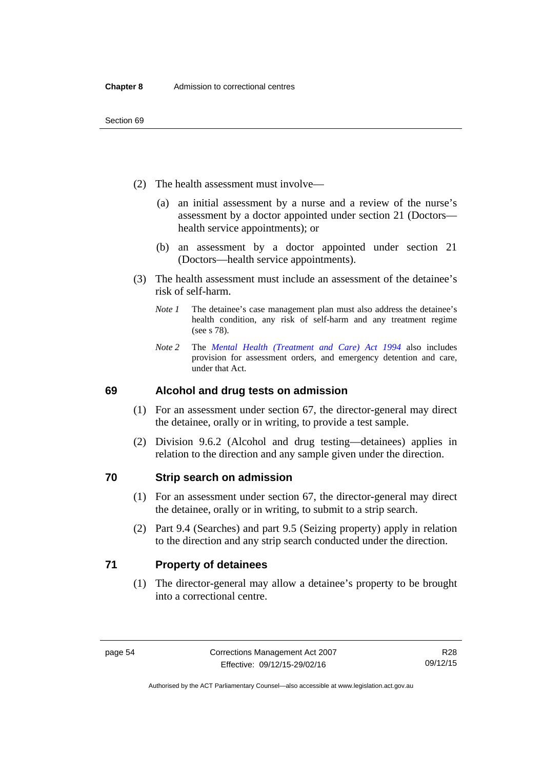- (2) The health assessment must involve—
	- (a) an initial assessment by a nurse and a review of the nurse's assessment by a doctor appointed under section 21 (Doctors health service appointments); or
	- (b) an assessment by a doctor appointed under section 21 (Doctors—health service appointments).
- (3) The health assessment must include an assessment of the detainee's risk of self-harm.
	- *Note 1* The detainee's case management plan must also address the detainee's health condition, any risk of self-harm and any treatment regime (see s 78).
	- *Note 2* The *[Mental Health \(Treatment and Care\) Act 1994](http://www.legislation.act.gov.au/a/1994-44)* also includes provision for assessment orders, and emergency detention and care, under that Act.

## **69 Alcohol and drug tests on admission**

- (1) For an assessment under section 67, the director-general may direct the detainee, orally or in writing, to provide a test sample.
- (2) Division 9.6.2 (Alcohol and drug testing—detainees) applies in relation to the direction and any sample given under the direction.

#### **70 Strip search on admission**

- (1) For an assessment under section 67, the director-general may direct the detainee, orally or in writing, to submit to a strip search.
- (2) Part 9.4 (Searches) and part 9.5 (Seizing property) apply in relation to the direction and any strip search conducted under the direction.

## **71 Property of detainees**

(1) The director-general may allow a detainee's property to be brought into a correctional centre.

Authorised by the ACT Parliamentary Counsel—also accessible at www.legislation.act.gov.au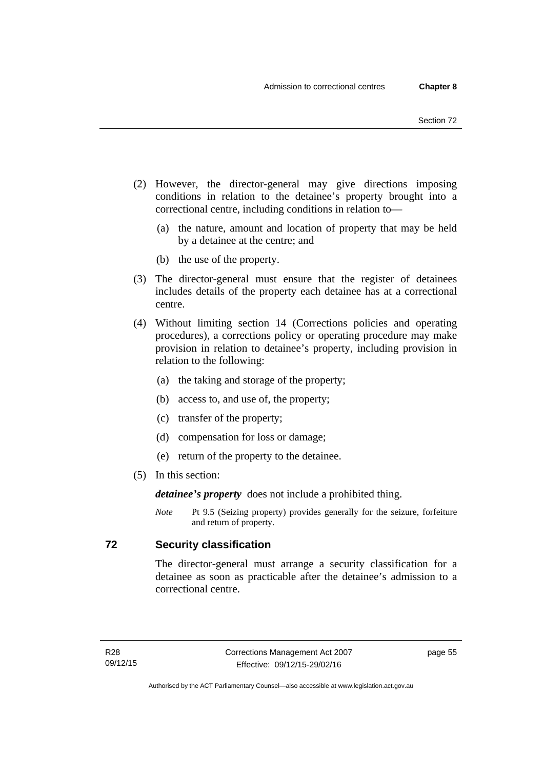- (2) However, the director-general may give directions imposing conditions in relation to the detainee's property brought into a correctional centre, including conditions in relation to—
	- (a) the nature, amount and location of property that may be held by a detainee at the centre; and
	- (b) the use of the property.
- (3) The director-general must ensure that the register of detainees includes details of the property each detainee has at a correctional centre.
- (4) Without limiting section 14 (Corrections policies and operating procedures), a corrections policy or operating procedure may make provision in relation to detainee's property, including provision in relation to the following:
	- (a) the taking and storage of the property;
	- (b) access to, and use of, the property;
	- (c) transfer of the property;
	- (d) compensation for loss or damage;
	- (e) return of the property to the detainee.
- (5) In this section:

*detainee's property* does not include a prohibited thing.

*Note* Pt 9.5 (Seizing property) provides generally for the seizure, forfeiture and return of property.

## **72 Security classification**

The director-general must arrange a security classification for a detainee as soon as practicable after the detainee's admission to a correctional centre.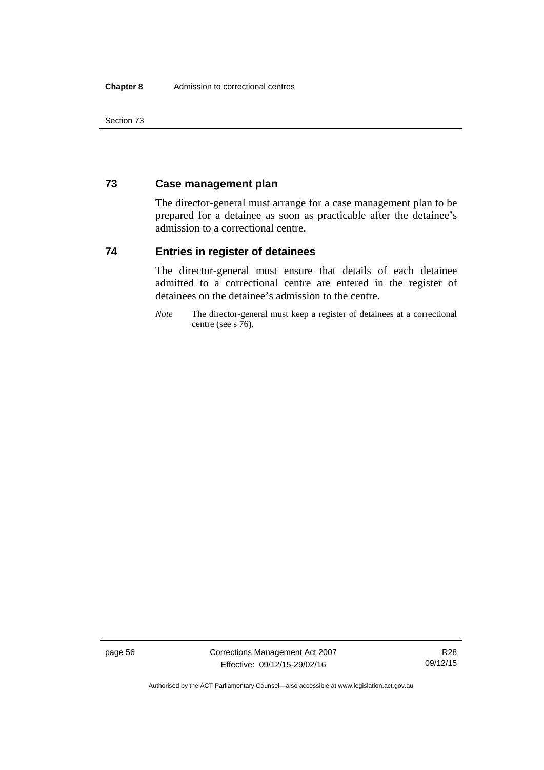Section 73

## **73 Case management plan**

The director-general must arrange for a case management plan to be prepared for a detainee as soon as practicable after the detainee's admission to a correctional centre.

## **74 Entries in register of detainees**

The director-general must ensure that details of each detainee admitted to a correctional centre are entered in the register of detainees on the detainee's admission to the centre.

*Note* The director-general must keep a register of detainees at a correctional centre (see s 76).

page 56 Corrections Management Act 2007 Effective: 09/12/15-29/02/16

R28 09/12/15

Authorised by the ACT Parliamentary Counsel—also accessible at www.legislation.act.gov.au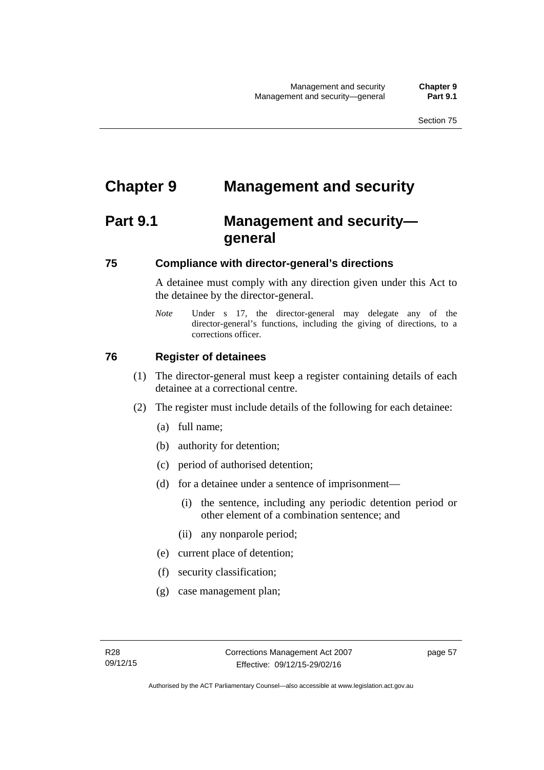# **Chapter 9 Management and security**

# **Part 9.1 Management and security general**

## **75 Compliance with director-general's directions**

A detainee must comply with any direction given under this Act to the detainee by the director-general.

*Note* Under s 17, the director-general may delegate any of the director-general's functions, including the giving of directions, to a corrections officer.

## **76 Register of detainees**

- (1) The director-general must keep a register containing details of each detainee at a correctional centre.
- (2) The register must include details of the following for each detainee:
	- (a) full name;
	- (b) authority for detention;
	- (c) period of authorised detention;
	- (d) for a detainee under a sentence of imprisonment—
		- (i) the sentence, including any periodic detention period or other element of a combination sentence; and
		- (ii) any nonparole period;
	- (e) current place of detention;
	- (f) security classification;
	- (g) case management plan;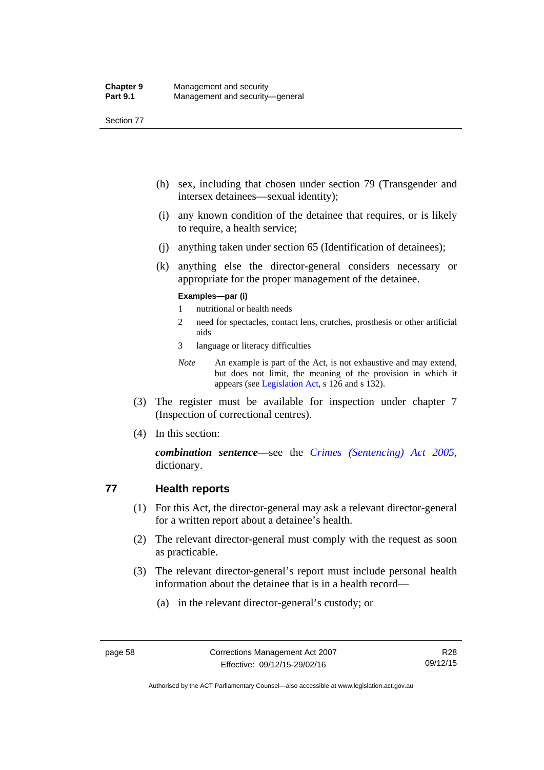Section 77

- (h) sex, including that chosen under section 79 (Transgender and intersex detainees—sexual identity);
- (i) any known condition of the detainee that requires, or is likely to require, a health service;
- (j) anything taken under section 65 (Identification of detainees);
- (k) anything else the director-general considers necessary or appropriate for the proper management of the detainee.

#### **Examples—par (i)**

- 1 nutritional or health needs
- 2 need for spectacles, contact lens, crutches, prosthesis or other artificial aids
- 3 language or literacy difficulties
- *Note* An example is part of the Act, is not exhaustive and may extend, but does not limit, the meaning of the provision in which it appears (see [Legislation Act,](http://www.legislation.act.gov.au/a/2001-14) s 126 and s 132).
- (3) The register must be available for inspection under chapter 7 (Inspection of correctional centres).
- (4) In this section:

*combination sentence*—see the *[Crimes \(Sentencing\) Act 2005](http://www.legislation.act.gov.au/a/2005-58)*, dictionary.

## **77 Health reports**

- (1) For this Act, the director-general may ask a relevant director-general for a written report about a detainee's health.
- (2) The relevant director-general must comply with the request as soon as practicable.
- (3) The relevant director-general's report must include personal health information about the detainee that is in a health record—
	- (a) in the relevant director-general's custody; or

Authorised by the ACT Parliamentary Counsel—also accessible at www.legislation.act.gov.au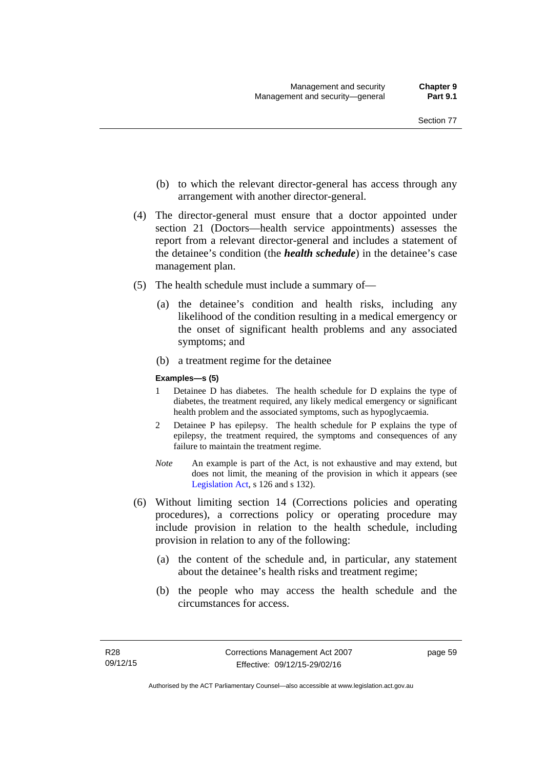- (b) to which the relevant director-general has access through any arrangement with another director-general.
- (4) The director-general must ensure that a doctor appointed under section 21 (Doctors—health service appointments) assesses the report from a relevant director-general and includes a statement of the detainee's condition (the *health schedule*) in the detainee's case management plan.
- (5) The health schedule must include a summary of—
	- (a) the detainee's condition and health risks, including any likelihood of the condition resulting in a medical emergency or the onset of significant health problems and any associated symptoms; and
	- (b) a treatment regime for the detainee

#### **Examples—s (5)**

- 1 Detainee D has diabetes. The health schedule for D explains the type of diabetes, the treatment required, any likely medical emergency or significant health problem and the associated symptoms, such as hypoglycaemia.
- 2 Detainee P has epilepsy. The health schedule for P explains the type of epilepsy, the treatment required, the symptoms and consequences of any failure to maintain the treatment regime.
- *Note* An example is part of the Act, is not exhaustive and may extend, but does not limit, the meaning of the provision in which it appears (see [Legislation Act,](http://www.legislation.act.gov.au/a/2001-14) s 126 and s 132).
- (6) Without limiting section 14 (Corrections policies and operating procedures), a corrections policy or operating procedure may include provision in relation to the health schedule, including provision in relation to any of the following:
	- (a) the content of the schedule and, in particular, any statement about the detainee's health risks and treatment regime;
	- (b) the people who may access the health schedule and the circumstances for access.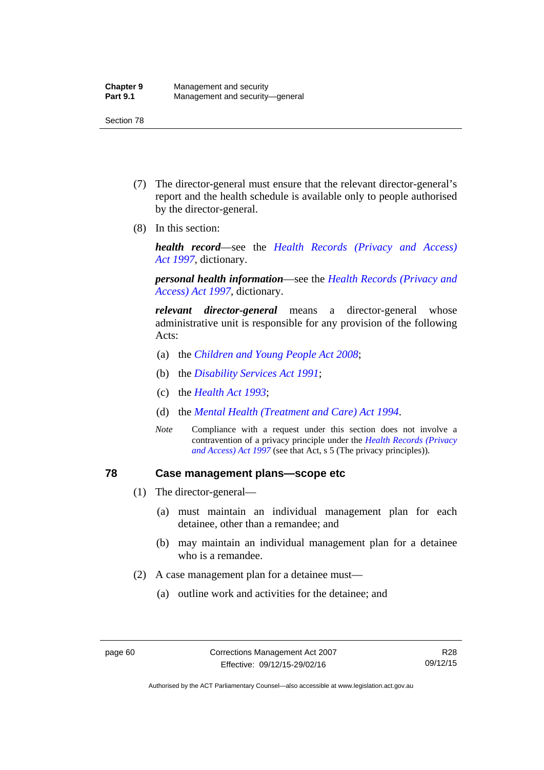- (7) The director-general must ensure that the relevant director-general's report and the health schedule is available only to people authorised by the director-general.
- (8) In this section:

*health record*—see the *[Health Records \(Privacy and Access\)](http://www.legislation.act.gov.au/a/1997-125)  [Act 1997](http://www.legislation.act.gov.au/a/1997-125)*, dictionary.

*personal health information*—see the *[Health Records \(Privacy and](http://www.legislation.act.gov.au/a/1997-125)  [Access\) Act 1997](http://www.legislation.act.gov.au/a/1997-125)*, dictionary.

*relevant director-general* means a director-general whose administrative unit is responsible for any provision of the following Acts:

- (a) the *[Children and Young People Act 2008](http://www.legislation.act.gov.au/a/2008-19)*;
- (b) the *[Disability Services Act 1991](http://www.legislation.act.gov.au/a/1991-98)*;
- (c) the *[Health Act 1993](http://www.legislation.act.gov.au/a/1993-13)*;
- (d) the *[Mental Health \(Treatment and Care\) Act 1994](http://www.legislation.act.gov.au/a/1994-44)*.
- *Note* Compliance with a request under this section does not involve a contravention of a privacy principle under the *[Health Records \(Privacy](http://www.legislation.act.gov.au/a/1997-125)  [and Access\) Act 1997](http://www.legislation.act.gov.au/a/1997-125)* (see that Act, s 5 (The privacy principles))*.*

### **78 Case management plans—scope etc**

- (1) The director-general—
	- (a) must maintain an individual management plan for each detainee, other than a remandee; and
	- (b) may maintain an individual management plan for a detainee who is a remandee.
- (2) A case management plan for a detainee must—
	- (a) outline work and activities for the detainee; and

Authorised by the ACT Parliamentary Counsel—also accessible at www.legislation.act.gov.au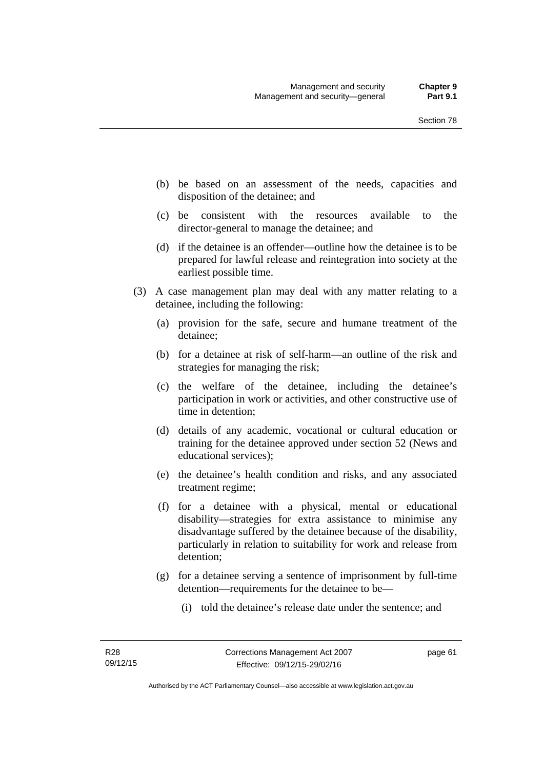- (b) be based on an assessment of the needs, capacities and disposition of the detainee; and
- (c) be consistent with the resources available to the director-general to manage the detainee; and
- (d) if the detainee is an offender—outline how the detainee is to be prepared for lawful release and reintegration into society at the earliest possible time.
- (3) A case management plan may deal with any matter relating to a detainee, including the following:
	- (a) provision for the safe, secure and humane treatment of the detainee;
	- (b) for a detainee at risk of self-harm—an outline of the risk and strategies for managing the risk;
	- (c) the welfare of the detainee, including the detainee's participation in work or activities, and other constructive use of time in detention;
	- (d) details of any academic, vocational or cultural education or training for the detainee approved under section 52 (News and educational services);
	- (e) the detainee's health condition and risks, and any associated treatment regime;
	- (f) for a detainee with a physical, mental or educational disability—strategies for extra assistance to minimise any disadvantage suffered by the detainee because of the disability, particularly in relation to suitability for work and release from detention;
	- (g) for a detainee serving a sentence of imprisonment by full-time detention—requirements for the detainee to be—
		- (i) told the detainee's release date under the sentence; and

page 61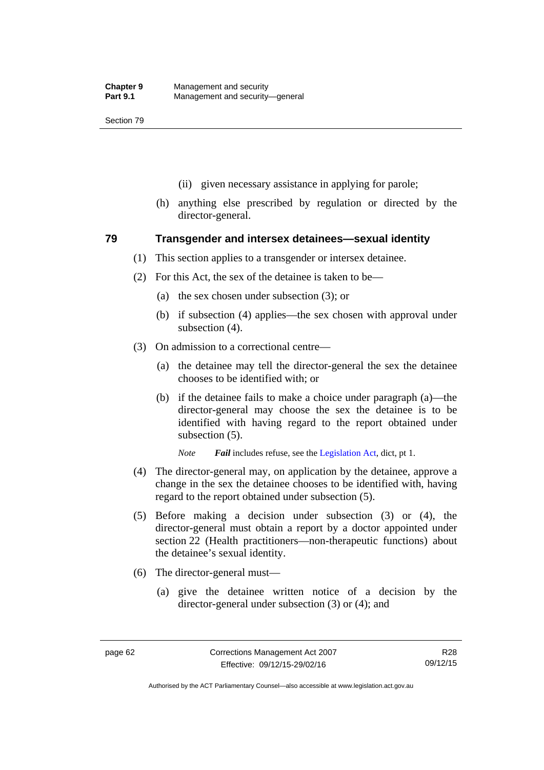- (ii) given necessary assistance in applying for parole;
- (h) anything else prescribed by regulation or directed by the director-general.

### **79 Transgender and intersex detainees—sexual identity**

- (1) This section applies to a transgender or intersex detainee.
- (2) For this Act, the sex of the detainee is taken to be—
	- (a) the sex chosen under subsection (3); or
	- (b) if subsection (4) applies—the sex chosen with approval under subsection (4).
- (3) On admission to a correctional centre—
	- (a) the detainee may tell the director-general the sex the detainee chooses to be identified with; or
	- (b) if the detainee fails to make a choice under paragraph (a)—the director-general may choose the sex the detainee is to be identified with having regard to the report obtained under subsection (5).

*Note Fail* includes refuse, see the [Legislation Act,](http://www.legislation.act.gov.au/a/2001-14) dict, pt 1.

- (4) The director-general may, on application by the detainee, approve a change in the sex the detainee chooses to be identified with, having regard to the report obtained under subsection (5).
- (5) Before making a decision under subsection (3) or (4), the director-general must obtain a report by a doctor appointed under section 22 (Health practitioners—non-therapeutic functions) about the detainee's sexual identity.
- (6) The director-general must—
	- (a) give the detainee written notice of a decision by the director-general under subsection (3) or (4); and

Authorised by the ACT Parliamentary Counsel—also accessible at www.legislation.act.gov.au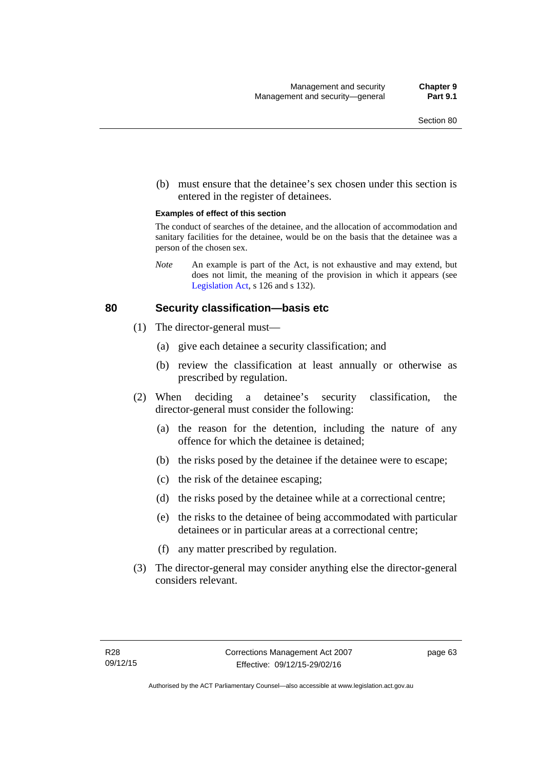(b) must ensure that the detainee's sex chosen under this section is entered in the register of detainees.

#### **Examples of effect of this section**

The conduct of searches of the detainee, and the allocation of accommodation and sanitary facilities for the detainee, would be on the basis that the detainee was a person of the chosen sex.

*Note* An example is part of the Act, is not exhaustive and may extend, but does not limit, the meaning of the provision in which it appears (see [Legislation Act,](http://www.legislation.act.gov.au/a/2001-14) s 126 and s 132).

### **80 Security classification—basis etc**

- (1) The director-general must—
	- (a) give each detainee a security classification; and
	- (b) review the classification at least annually or otherwise as prescribed by regulation.
- (2) When deciding a detainee's security classification, the director-general must consider the following:
	- (a) the reason for the detention, including the nature of any offence for which the detainee is detained;
	- (b) the risks posed by the detainee if the detainee were to escape;
	- (c) the risk of the detainee escaping;
	- (d) the risks posed by the detainee while at a correctional centre;
	- (e) the risks to the detainee of being accommodated with particular detainees or in particular areas at a correctional centre;
	- (f) any matter prescribed by regulation.
- (3) The director-general may consider anything else the director-general considers relevant.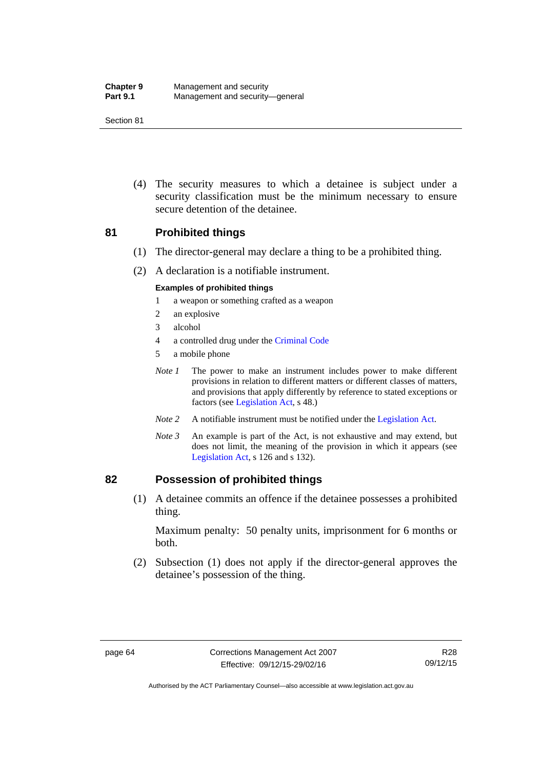| <b>Chapter 9</b> | Management and security         |
|------------------|---------------------------------|
| <b>Part 9.1</b>  | Management and security-general |

 (4) The security measures to which a detainee is subject under a security classification must be the minimum necessary to ensure secure detention of the detainee.

### **81 Prohibited things**

- (1) The director-general may declare a thing to be a prohibited thing.
- (2) A declaration is a notifiable instrument.

#### **Examples of prohibited things**

- 1 a weapon or something crafted as a weapon
- 2 an explosive
- 3 alcohol
- 4 a controlled drug under the [Criminal Code](http://www.legislation.act.gov.au/a/2002-51)
- 5 a mobile phone
- *Note 1* The power to make an instrument includes power to make different provisions in relation to different matters or different classes of matters, and provisions that apply differently by reference to stated exceptions or factors (see [Legislation Act](http://www.legislation.act.gov.au/a/2001-14), s 48.)
- *Note 2* A notifiable instrument must be notified under the [Legislation Act](http://www.legislation.act.gov.au/a/2001-14).
- *Note 3* An example is part of the Act, is not exhaustive and may extend, but does not limit, the meaning of the provision in which it appears (see [Legislation Act,](http://www.legislation.act.gov.au/a/2001-14) s 126 and s 132).

#### **82 Possession of prohibited things**

 (1) A detainee commits an offence if the detainee possesses a prohibited thing.

Maximum penalty: 50 penalty units, imprisonment for 6 months or both.

 (2) Subsection (1) does not apply if the director-general approves the detainee's possession of the thing.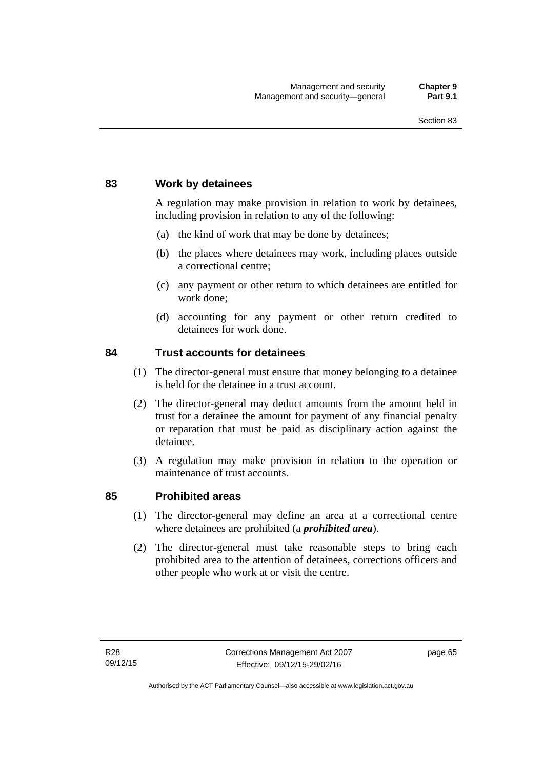### **83 Work by detainees**

A regulation may make provision in relation to work by detainees, including provision in relation to any of the following:

- (a) the kind of work that may be done by detainees;
- (b) the places where detainees may work, including places outside a correctional centre;
- (c) any payment or other return to which detainees are entitled for work done;
- (d) accounting for any payment or other return credited to detainees for work done.

### **84 Trust accounts for detainees**

- (1) The director-general must ensure that money belonging to a detainee is held for the detainee in a trust account.
- (2) The director-general may deduct amounts from the amount held in trust for a detainee the amount for payment of any financial penalty or reparation that must be paid as disciplinary action against the detainee.
- (3) A regulation may make provision in relation to the operation or maintenance of trust accounts.

### **85 Prohibited areas**

- (1) The director-general may define an area at a correctional centre where detainees are prohibited (a *prohibited area*).
- (2) The director-general must take reasonable steps to bring each prohibited area to the attention of detainees, corrections officers and other people who work at or visit the centre.

page 65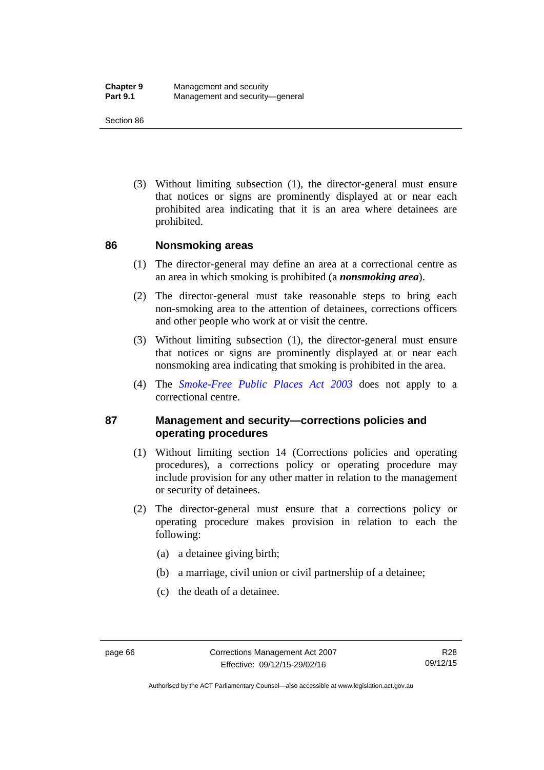(3) Without limiting subsection (1), the director-general must ensure that notices or signs are prominently displayed at or near each prohibited area indicating that it is an area where detainees are prohibited.

### **86 Nonsmoking areas**

- (1) The director-general may define an area at a correctional centre as an area in which smoking is prohibited (a *nonsmoking area*).
- (2) The director-general must take reasonable steps to bring each non-smoking area to the attention of detainees, corrections officers and other people who work at or visit the centre.
- (3) Without limiting subsection (1), the director-general must ensure that notices or signs are prominently displayed at or near each nonsmoking area indicating that smoking is prohibited in the area.
- (4) The *[Smoke-Free Public Places Act 2003](http://www.legislation.act.gov.au/a/2003-51)* does not apply to a correctional centre.

### **87 Management and security—corrections policies and operating procedures**

- (1) Without limiting section 14 (Corrections policies and operating procedures), a corrections policy or operating procedure may include provision for any other matter in relation to the management or security of detainees.
- (2) The director-general must ensure that a corrections policy or operating procedure makes provision in relation to each the following:
	- (a) a detainee giving birth;
	- (b) a marriage, civil union or civil partnership of a detainee;
	- (c) the death of a detainee.

Authorised by the ACT Parliamentary Counsel—also accessible at www.legislation.act.gov.au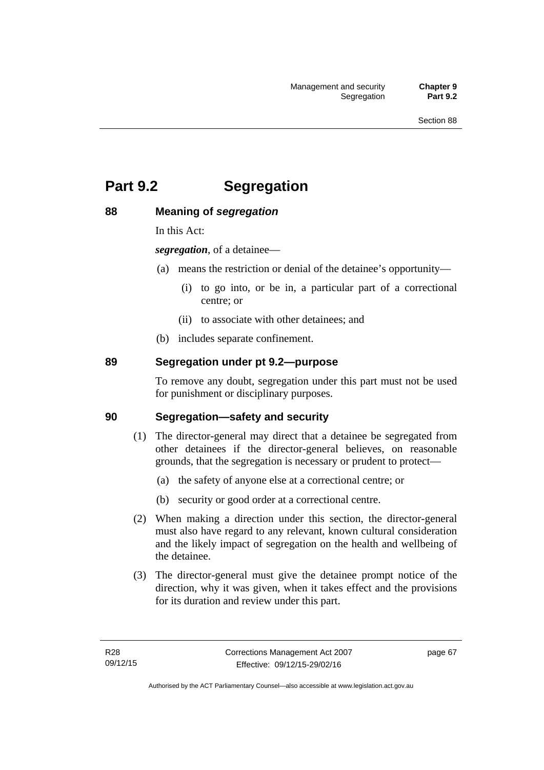# **Part 9.2 Segregation**

### **88 Meaning of** *segregation*

In this Act:

*segregation*, of a detainee—

- (a) means the restriction or denial of the detainee's opportunity—
	- (i) to go into, or be in, a particular part of a correctional centre; or
	- (ii) to associate with other detainees; and
- (b) includes separate confinement.

### **89 Segregation under pt 9.2—purpose**

To remove any doubt, segregation under this part must not be used for punishment or disciplinary purposes.

### **90 Segregation—safety and security**

- (1) The director-general may direct that a detainee be segregated from other detainees if the director-general believes, on reasonable grounds, that the segregation is necessary or prudent to protect—
	- (a) the safety of anyone else at a correctional centre; or
	- (b) security or good order at a correctional centre.
- (2) When making a direction under this section, the director-general must also have regard to any relevant, known cultural consideration and the likely impact of segregation on the health and wellbeing of the detainee.
- (3) The director-general must give the detainee prompt notice of the direction, why it was given, when it takes effect and the provisions for its duration and review under this part.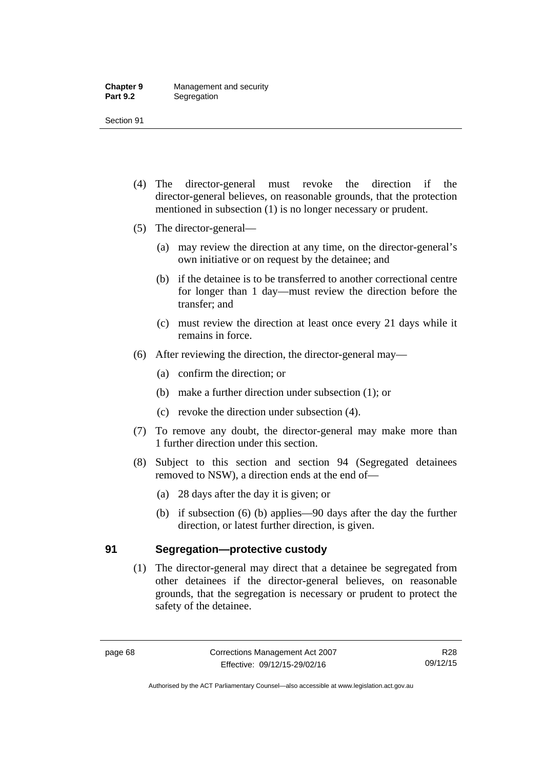- (4) The director-general must revoke the direction if the director-general believes, on reasonable grounds, that the protection mentioned in subsection (1) is no longer necessary or prudent.
- (5) The director-general—
	- (a) may review the direction at any time, on the director-general's own initiative or on request by the detainee; and
	- (b) if the detainee is to be transferred to another correctional centre for longer than 1 day—must review the direction before the transfer; and
	- (c) must review the direction at least once every 21 days while it remains in force.
- (6) After reviewing the direction, the director-general may—
	- (a) confirm the direction; or
	- (b) make a further direction under subsection (1); or
	- (c) revoke the direction under subsection (4).
- (7) To remove any doubt, the director-general may make more than 1 further direction under this section.
- (8) Subject to this section and section 94 (Segregated detainees removed to NSW), a direction ends at the end of—
	- (a) 28 days after the day it is given; or
	- (b) if subsection (6) (b) applies—90 days after the day the further direction, or latest further direction, is given.

### **91 Segregation—protective custody**

(1) The director-general may direct that a detainee be segregated from other detainees if the director-general believes, on reasonable grounds, that the segregation is necessary or prudent to protect the safety of the detainee.

R28 09/12/15

Authorised by the ACT Parliamentary Counsel—also accessible at www.legislation.act.gov.au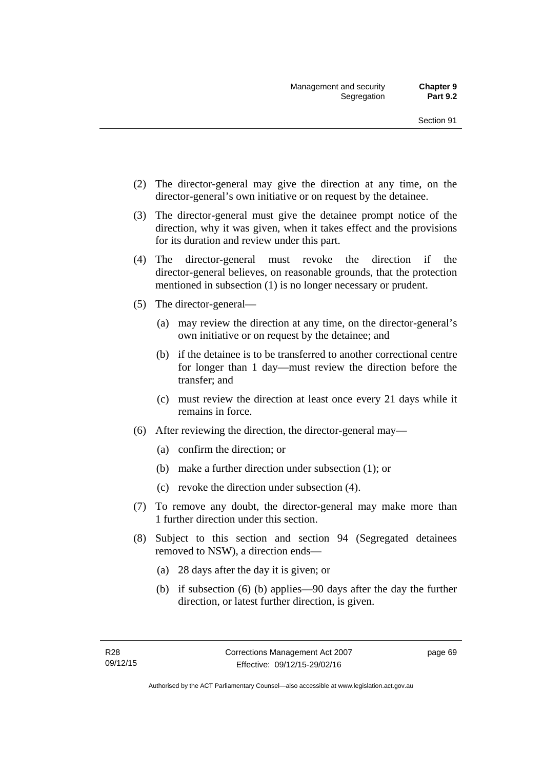- (2) The director-general may give the direction at any time, on the director-general's own initiative or on request by the detainee.
- (3) The director-general must give the detainee prompt notice of the direction, why it was given, when it takes effect and the provisions for its duration and review under this part.
- (4) The director-general must revoke the direction if the director-general believes, on reasonable grounds, that the protection mentioned in subsection (1) is no longer necessary or prudent.
- (5) The director-general—
	- (a) may review the direction at any time, on the director-general's own initiative or on request by the detainee; and
	- (b) if the detainee is to be transferred to another correctional centre for longer than 1 day—must review the direction before the transfer; and
	- (c) must review the direction at least once every 21 days while it remains in force.
- (6) After reviewing the direction, the director-general may—
	- (a) confirm the direction; or
	- (b) make a further direction under subsection (1); or
	- (c) revoke the direction under subsection (4).
- (7) To remove any doubt, the director-general may make more than 1 further direction under this section.
- (8) Subject to this section and section 94 (Segregated detainees removed to NSW), a direction ends—
	- (a) 28 days after the day it is given; or
	- (b) if subsection (6) (b) applies—90 days after the day the further direction, or latest further direction, is given.

page 69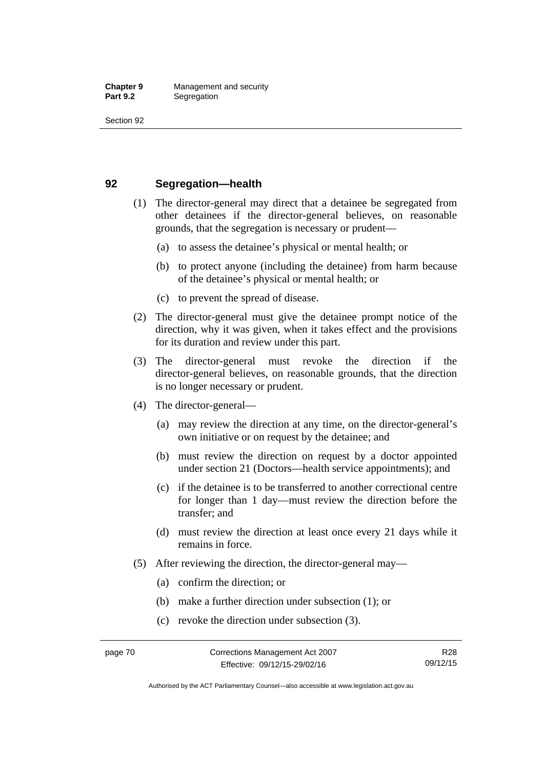### **92 Segregation—health**

- (1) The director-general may direct that a detainee be segregated from other detainees if the director-general believes, on reasonable grounds, that the segregation is necessary or prudent—
	- (a) to assess the detainee's physical or mental health; or
	- (b) to protect anyone (including the detainee) from harm because of the detainee's physical or mental health; or
	- (c) to prevent the spread of disease.
- (2) The director-general must give the detainee prompt notice of the direction, why it was given, when it takes effect and the provisions for its duration and review under this part.
- (3) The director-general must revoke the direction if the director-general believes, on reasonable grounds, that the direction is no longer necessary or prudent.
- (4) The director-general—
	- (a) may review the direction at any time, on the director-general's own initiative or on request by the detainee; and
	- (b) must review the direction on request by a doctor appointed under section 21 (Doctors—health service appointments); and
	- (c) if the detainee is to be transferred to another correctional centre for longer than 1 day—must review the direction before the transfer; and
	- (d) must review the direction at least once every 21 days while it remains in force.
- (5) After reviewing the direction, the director-general may—
	- (a) confirm the direction; or
	- (b) make a further direction under subsection (1); or
	- (c) revoke the direction under subsection (3).

Authorised by the ACT Parliamentary Counsel—also accessible at www.legislation.act.gov.au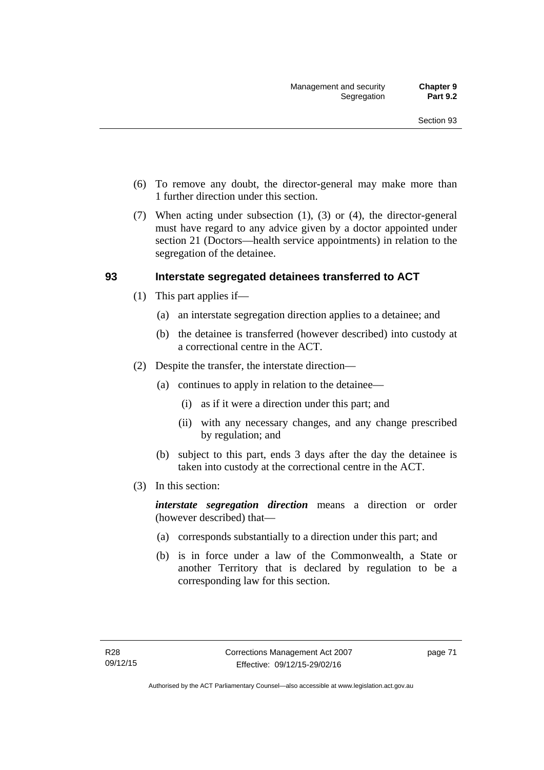- (6) To remove any doubt, the director-general may make more than 1 further direction under this section.
- (7) When acting under subsection (1), (3) or (4), the director-general must have regard to any advice given by a doctor appointed under section 21 (Doctors—health service appointments) in relation to the segregation of the detainee.

### **93 Interstate segregated detainees transferred to ACT**

- (1) This part applies if—
	- (a) an interstate segregation direction applies to a detainee; and
	- (b) the detainee is transferred (however described) into custody at a correctional centre in the ACT.
- (2) Despite the transfer, the interstate direction—
	- (a) continues to apply in relation to the detainee—
		- (i) as if it were a direction under this part; and
		- (ii) with any necessary changes, and any change prescribed by regulation; and
	- (b) subject to this part, ends 3 days after the day the detainee is taken into custody at the correctional centre in the ACT.
- (3) In this section:

*interstate segregation direction* means a direction or order (however described) that—

- (a) corresponds substantially to a direction under this part; and
- (b) is in force under a law of the Commonwealth, a State or another Territory that is declared by regulation to be a corresponding law for this section.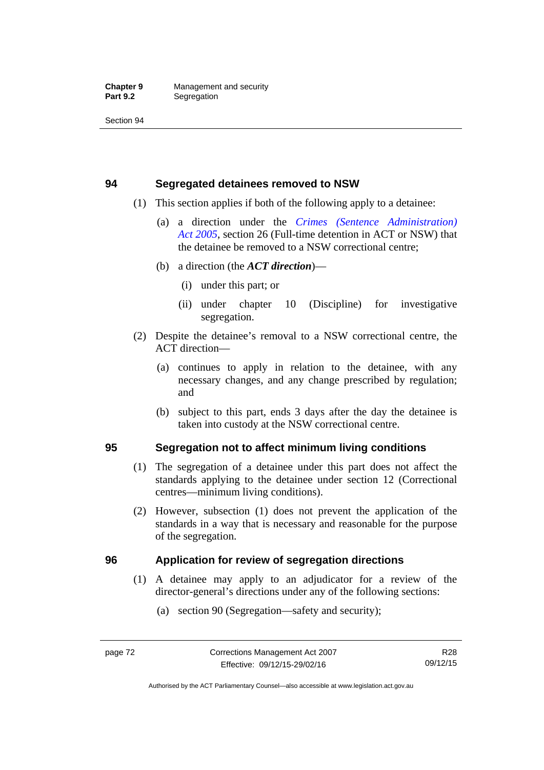### **94 Segregated detainees removed to NSW**

- (1) This section applies if both of the following apply to a detainee:
	- (a) a direction under the *[Crimes \(Sentence Administration\)](http://www.legislation.act.gov.au/a/2005-59)  [Act 2005](http://www.legislation.act.gov.au/a/2005-59)*, section 26 (Full-time detention in ACT or NSW) that the detainee be removed to a NSW correctional centre;
	- (b) a direction (the *ACT direction*)—
		- (i) under this part; or
		- (ii) under chapter 10 (Discipline) for investigative segregation.
- (2) Despite the detainee's removal to a NSW correctional centre, the ACT direction—
	- (a) continues to apply in relation to the detainee, with any necessary changes, and any change prescribed by regulation; and
	- (b) subject to this part, ends 3 days after the day the detainee is taken into custody at the NSW correctional centre.

### **95 Segregation not to affect minimum living conditions**

- (1) The segregation of a detainee under this part does not affect the standards applying to the detainee under section 12 (Correctional centres—minimum living conditions).
- (2) However, subsection (1) does not prevent the application of the standards in a way that is necessary and reasonable for the purpose of the segregation.

### **96 Application for review of segregation directions**

- (1) A detainee may apply to an adjudicator for a review of the director-general's directions under any of the following sections:
	- (a) section 90 (Segregation—safety and security);

Authorised by the ACT Parliamentary Counsel—also accessible at www.legislation.act.gov.au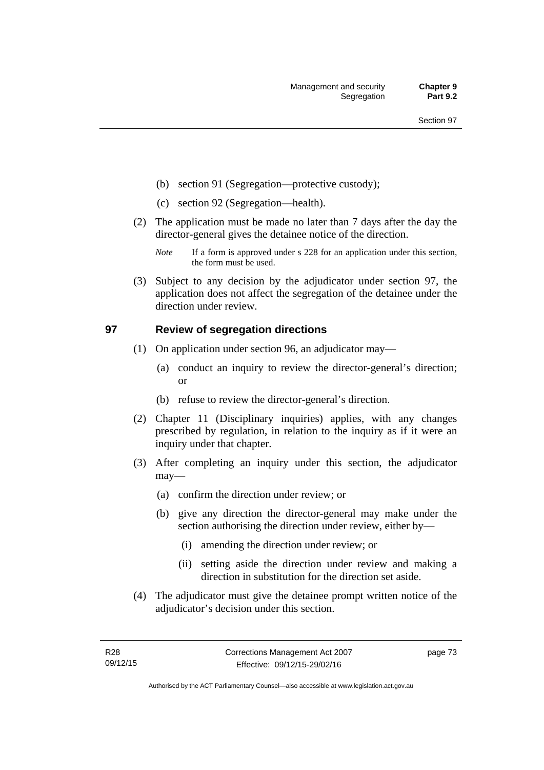- (b) section 91 (Segregation—protective custody);
- (c) section 92 (Segregation—health).
- (2) The application must be made no later than 7 days after the day the director-general gives the detainee notice of the direction.
	- *Note* If a form is approved under s 228 for an application under this section, the form must be used.
- (3) Subject to any decision by the adjudicator under section 97, the application does not affect the segregation of the detainee under the direction under review.

### **97 Review of segregation directions**

- (1) On application under section 96, an adjudicator may—
	- (a) conduct an inquiry to review the director-general's direction; or
	- (b) refuse to review the director-general's direction.
- (2) Chapter 11 (Disciplinary inquiries) applies, with any changes prescribed by regulation, in relation to the inquiry as if it were an inquiry under that chapter.
- (3) After completing an inquiry under this section, the adjudicator may—
	- (a) confirm the direction under review; or
	- (b) give any direction the director-general may make under the section authorising the direction under review, either by—
		- (i) amending the direction under review; or
		- (ii) setting aside the direction under review and making a direction in substitution for the direction set aside.
- (4) The adjudicator must give the detainee prompt written notice of the adjudicator's decision under this section.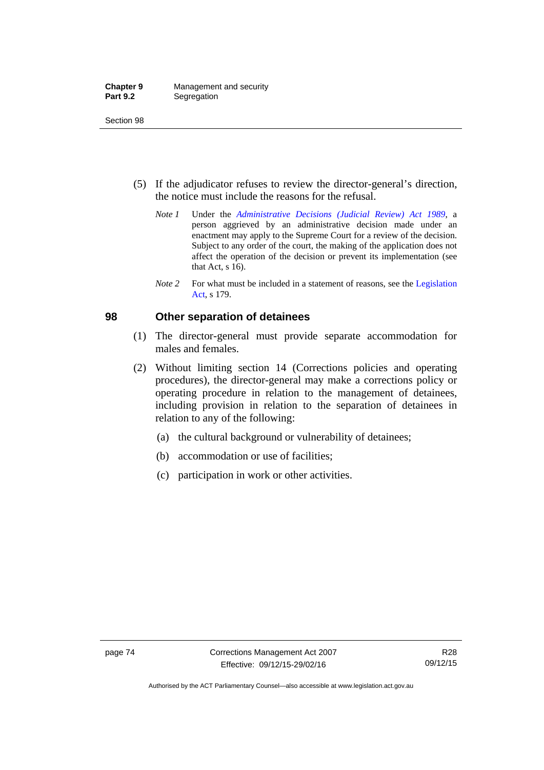- (5) If the adjudicator refuses to review the director-general's direction, the notice must include the reasons for the refusal.
	- *Note 1* Under the *[Administrative Decisions \(Judicial Review\) Act 1989](http://www.legislation.act.gov.au/a/alt_a1989-33co)*, a person aggrieved by an administrative decision made under an enactment may apply to the Supreme Court for a review of the decision. Subject to any order of the court, the making of the application does not affect the operation of the decision or prevent its implementation (see that Act, s 16).
	- *Note* 2 For what must be included in a statement of reasons, see the Legislation [Act,](http://www.legislation.act.gov.au/a/2001-14) s 179.

### **98 Other separation of detainees**

- (1) The director-general must provide separate accommodation for males and females.
- (2) Without limiting section 14 (Corrections policies and operating procedures), the director-general may make a corrections policy or operating procedure in relation to the management of detainees, including provision in relation to the separation of detainees in relation to any of the following:
	- (a) the cultural background or vulnerability of detainees;
	- (b) accommodation or use of facilities;
	- (c) participation in work or other activities.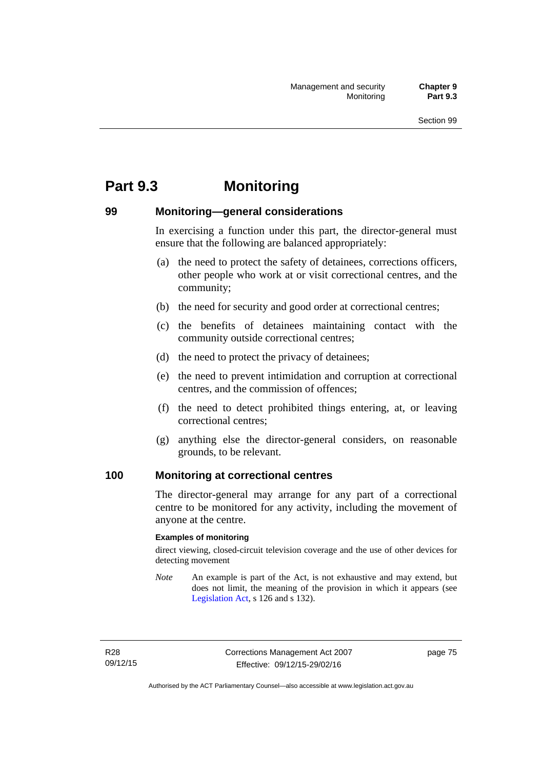# **Part 9.3 Monitoring**

### **99 Monitoring—general considerations**

In exercising a function under this part, the director-general must ensure that the following are balanced appropriately:

- (a) the need to protect the safety of detainees, corrections officers, other people who work at or visit correctional centres, and the community;
- (b) the need for security and good order at correctional centres;
- (c) the benefits of detainees maintaining contact with the community outside correctional centres;
- (d) the need to protect the privacy of detainees;
- (e) the need to prevent intimidation and corruption at correctional centres, and the commission of offences;
- (f) the need to detect prohibited things entering, at, or leaving correctional centres;
- (g) anything else the director-general considers, on reasonable grounds, to be relevant.

### **100 Monitoring at correctional centres**

The director-general may arrange for any part of a correctional centre to be monitored for any activity, including the movement of anyone at the centre.

#### **Examples of monitoring**

direct viewing, closed-circuit television coverage and the use of other devices for detecting movement

*Note* An example is part of the Act, is not exhaustive and may extend, but does not limit, the meaning of the provision in which it appears (see [Legislation Act,](http://www.legislation.act.gov.au/a/2001-14) s 126 and s 132).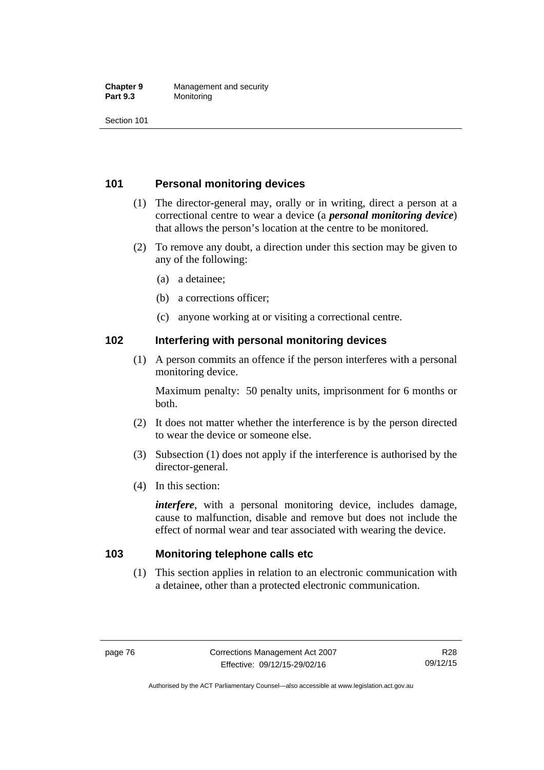#### **Chapter 9** Management and security<br>**Part 9.3** Monitoring **Monitoring**

Section 101

### **101 Personal monitoring devices**

- (1) The director-general may, orally or in writing, direct a person at a correctional centre to wear a device (a *personal monitoring device*) that allows the person's location at the centre to be monitored.
- (2) To remove any doubt, a direction under this section may be given to any of the following:
	- (a) a detainee;
	- (b) a corrections officer;
	- (c) anyone working at or visiting a correctional centre.

### **102 Interfering with personal monitoring devices**

 (1) A person commits an offence if the person interferes with a personal monitoring device.

Maximum penalty: 50 penalty units, imprisonment for 6 months or both.

- (2) It does not matter whether the interference is by the person directed to wear the device or someone else.
- (3) Subsection (1) does not apply if the interference is authorised by the director-general.
- (4) In this section:

*interfere*, with a personal monitoring device, includes damage, cause to malfunction, disable and remove but does not include the effect of normal wear and tear associated with wearing the device.

### **103 Monitoring telephone calls etc**

(1) This section applies in relation to an electronic communication with a detainee, other than a protected electronic communication.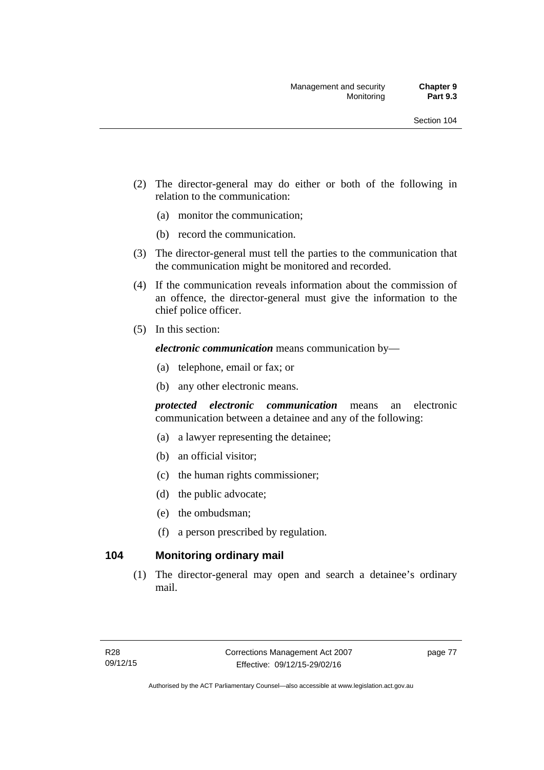- (2) The director-general may do either or both of the following in relation to the communication:
	- (a) monitor the communication;
	- (b) record the communication.
- (3) The director-general must tell the parties to the communication that the communication might be monitored and recorded.
- (4) If the communication reveals information about the commission of an offence, the director-general must give the information to the chief police officer.
- (5) In this section:

*electronic communication* means communication by—

- (a) telephone, email or fax; or
- (b) any other electronic means.

*protected electronic communication* means an electronic communication between a detainee and any of the following:

- (a) a lawyer representing the detainee;
- (b) an official visitor;
- (c) the human rights commissioner;
- (d) the public advocate;
- (e) the ombudsman;
- (f) a person prescribed by regulation.

### **104 Monitoring ordinary mail**

(1) The director-general may open and search a detainee's ordinary mail.

page 77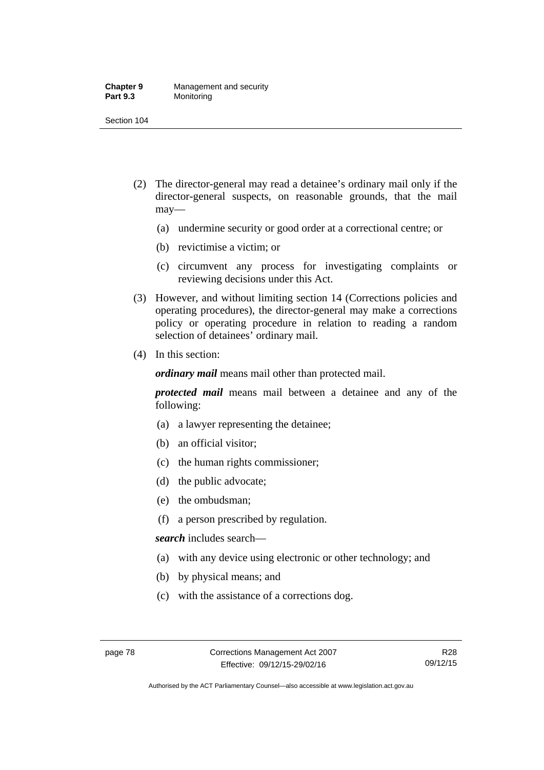#### **Chapter 9** Management and security<br>**Part 9.3** Monitoring **Monitoring**

Section 104

- (2) The director-general may read a detainee's ordinary mail only if the director-general suspects, on reasonable grounds, that the mail may—
	- (a) undermine security or good order at a correctional centre; or
	- (b) revictimise a victim; or
	- (c) circumvent any process for investigating complaints or reviewing decisions under this Act.
- (3) However, and without limiting section 14 (Corrections policies and operating procedures), the director-general may make a corrections policy or operating procedure in relation to reading a random selection of detainees' ordinary mail.
- (4) In this section:

*ordinary mail* means mail other than protected mail.

*protected mail* means mail between a detainee and any of the following:

- (a) a lawyer representing the detainee;
- (b) an official visitor;
- (c) the human rights commissioner;
- (d) the public advocate;
- (e) the ombudsman;
- (f) a person prescribed by regulation.

*search* includes search—

- (a) with any device using electronic or other technology; and
- (b) by physical means; and
- (c) with the assistance of a corrections dog.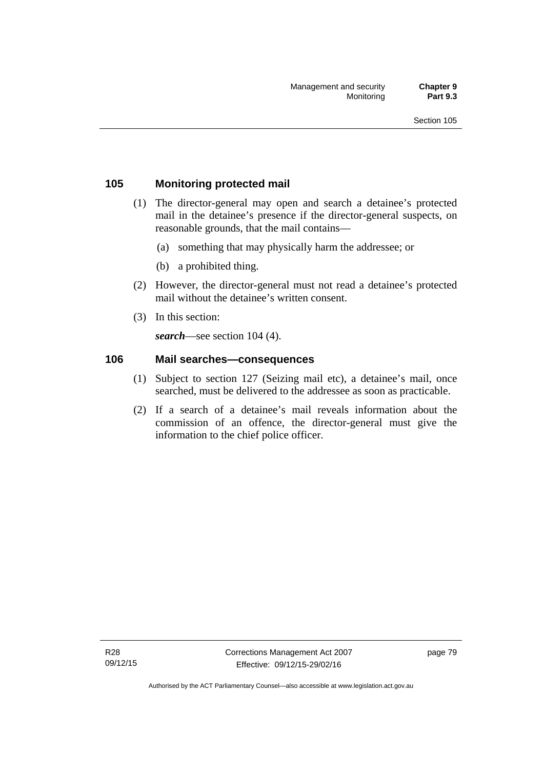### **105 Monitoring protected mail**

- (1) The director-general may open and search a detainee's protected mail in the detainee's presence if the director-general suspects, on reasonable grounds, that the mail contains—
	- (a) something that may physically harm the addressee; or
	- (b) a prohibited thing.
- (2) However, the director-general must not read a detainee's protected mail without the detainee's written consent.
- (3) In this section:

*search*—see section 104 (4).

### **106 Mail searches—consequences**

- (1) Subject to section 127 (Seizing mail etc), a detainee's mail, once searched, must be delivered to the addressee as soon as practicable.
- (2) If a search of a detainee's mail reveals information about the commission of an offence, the director-general must give the information to the chief police officer.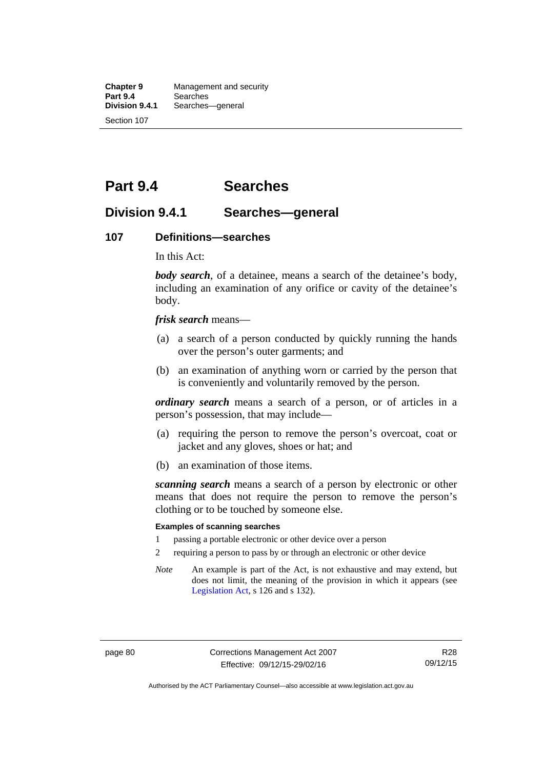**Chapter 9** Management and security<br>**Part 9.4** Searches **Part 9.4 Searches**<br>**Division 9.4.1** Searches Searches—general Section 107

# **Part 9.4 Searches**

### **Division 9.4.1 Searches—general**

#### **107 Definitions—searches**

In this Act:

*body search*, of a detainee, means a search of the detainee's body, including an examination of any orifice or cavity of the detainee's body.

*frisk search* means—

- (a) a search of a person conducted by quickly running the hands over the person's outer garments; and
- (b) an examination of anything worn or carried by the person that is conveniently and voluntarily removed by the person.

*ordinary search* means a search of a person, or of articles in a person's possession, that may include—

- (a) requiring the person to remove the person's overcoat, coat or jacket and any gloves, shoes or hat; and
- (b) an examination of those items.

*scanning search* means a search of a person by electronic or other means that does not require the person to remove the person's clothing or to be touched by someone else.

#### **Examples of scanning searches**

- 1 passing a portable electronic or other device over a person
- 2 requiring a person to pass by or through an electronic or other device
- *Note* An example is part of the Act, is not exhaustive and may extend, but does not limit, the meaning of the provision in which it appears (see [Legislation Act,](http://www.legislation.act.gov.au/a/2001-14) s 126 and s 132).

Authorised by the ACT Parliamentary Counsel—also accessible at www.legislation.act.gov.au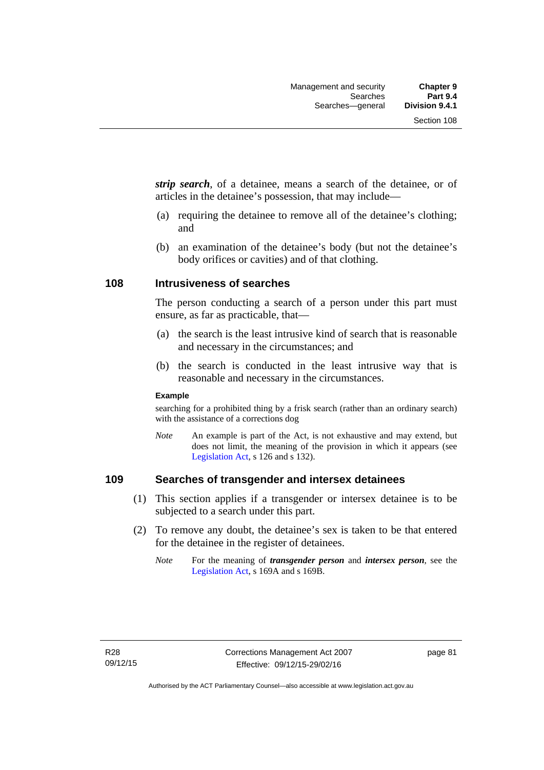*strip search*, of a detainee, means a search of the detainee, or of articles in the detainee's possession, that may include—

- (a) requiring the detainee to remove all of the detainee's clothing; and
- (b) an examination of the detainee's body (but not the detainee's body orifices or cavities) and of that clothing.

### **108 Intrusiveness of searches**

The person conducting a search of a person under this part must ensure, as far as practicable, that—

- (a) the search is the least intrusive kind of search that is reasonable and necessary in the circumstances; and
- (b) the search is conducted in the least intrusive way that is reasonable and necessary in the circumstances.

#### **Example**

searching for a prohibited thing by a frisk search (rather than an ordinary search) with the assistance of a corrections dog

*Note* An example is part of the Act, is not exhaustive and may extend, but does not limit, the meaning of the provision in which it appears (see [Legislation Act,](http://www.legislation.act.gov.au/a/2001-14) s 126 and s 132).

### **109 Searches of transgender and intersex detainees**

- (1) This section applies if a transgender or intersex detainee is to be subjected to a search under this part.
- (2) To remove any doubt, the detainee's sex is taken to be that entered for the detainee in the register of detainees.
	- *Note* For the meaning of *transgender person* and *intersex person*, see the [Legislation Act,](http://www.legislation.act.gov.au/a/2001-14) s 169A and s 169B.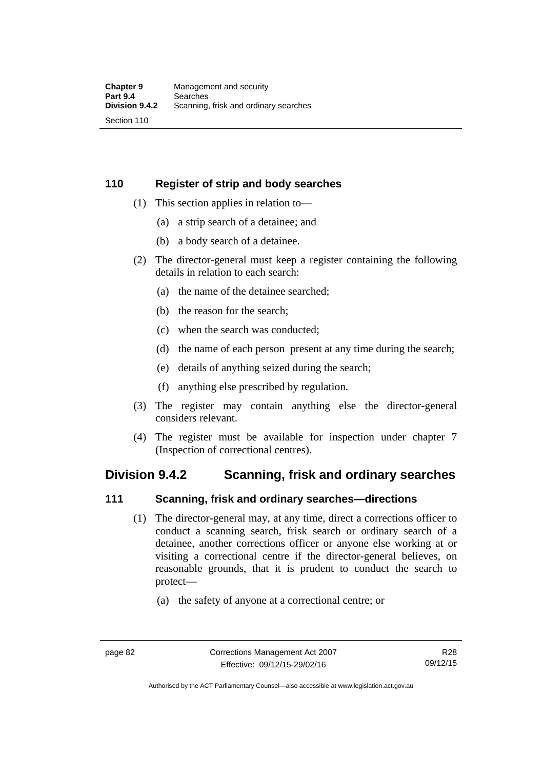### **110 Register of strip and body searches**

- (1) This section applies in relation to—
	- (a) a strip search of a detainee; and
	- (b) a body search of a detainee.
- (2) The director-general must keep a register containing the following details in relation to each search:
	- (a) the name of the detainee searched;
	- (b) the reason for the search;
	- (c) when the search was conducted;
	- (d) the name of each person present at any time during the search;
	- (e) details of anything seized during the search;
	- (f) anything else prescribed by regulation.
- (3) The register may contain anything else the director-general considers relevant.
- (4) The register must be available for inspection under chapter 7 (Inspection of correctional centres).

### **Division 9.4.2 Scanning, frisk and ordinary searches**

### **111 Scanning, frisk and ordinary searches—directions**

- (1) The director-general may, at any time, direct a corrections officer to conduct a scanning search, frisk search or ordinary search of a detainee, another corrections officer or anyone else working at or visiting a correctional centre if the director-general believes, on reasonable grounds, that it is prudent to conduct the search to protect—
	- (a) the safety of anyone at a correctional centre; or

Authorised by the ACT Parliamentary Counsel—also accessible at www.legislation.act.gov.au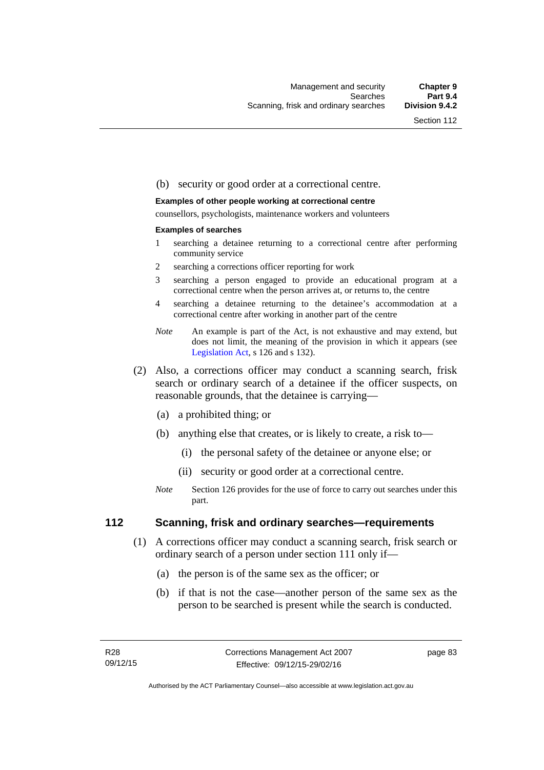#### (b) security or good order at a correctional centre.

#### **Examples of other people working at correctional centre**

counsellors, psychologists, maintenance workers and volunteers

#### **Examples of searches**

- 1 searching a detainee returning to a correctional centre after performing community service
- 2 searching a corrections officer reporting for work
- 3 searching a person engaged to provide an educational program at a correctional centre when the person arrives at, or returns to, the centre
- 4 searching a detainee returning to the detainee's accommodation at a correctional centre after working in another part of the centre
- *Note* An example is part of the Act, is not exhaustive and may extend, but does not limit, the meaning of the provision in which it appears (see [Legislation Act,](http://www.legislation.act.gov.au/a/2001-14) s 126 and s 132).
- (2) Also, a corrections officer may conduct a scanning search, frisk search or ordinary search of a detainee if the officer suspects, on reasonable grounds, that the detainee is carrying—
	- (a) a prohibited thing; or
	- (b) anything else that creates, or is likely to create, a risk to—
		- (i) the personal safety of the detainee or anyone else; or
		- (ii) security or good order at a correctional centre.
	- *Note* Section 126 provides for the use of force to carry out searches under this part.

### **112 Scanning, frisk and ordinary searches—requirements**

- (1) A corrections officer may conduct a scanning search, frisk search or ordinary search of a person under section 111 only if—
	- (a) the person is of the same sex as the officer; or
	- (b) if that is not the case—another person of the same sex as the person to be searched is present while the search is conducted.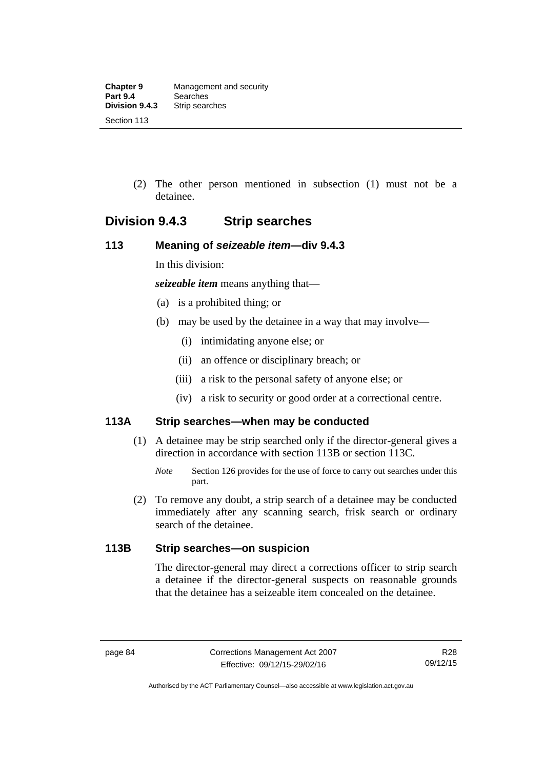(2) The other person mentioned in subsection (1) must not be a detainee.

## **Division 9.4.3 Strip searches**

### **113 Meaning of** *seizeable item***—div 9.4.3**

In this division:

*seizeable item* means anything that—

- (a) is a prohibited thing; or
- (b) may be used by the detainee in a way that may involve—
	- (i) intimidating anyone else; or
	- (ii) an offence or disciplinary breach; or
	- (iii) a risk to the personal safety of anyone else; or
	- (iv) a risk to security or good order at a correctional centre.

### **113A Strip searches—when may be conducted**

- (1) A detainee may be strip searched only if the director-general gives a direction in accordance with section 113B or section 113C.
	- *Note* Section 126 provides for the use of force to carry out searches under this part.
- (2) To remove any doubt, a strip search of a detainee may be conducted immediately after any scanning search, frisk search or ordinary search of the detainee.

### **113B Strip searches—on suspicion**

The director-general may direct a corrections officer to strip search a detainee if the director-general suspects on reasonable grounds that the detainee has a seizeable item concealed on the detainee.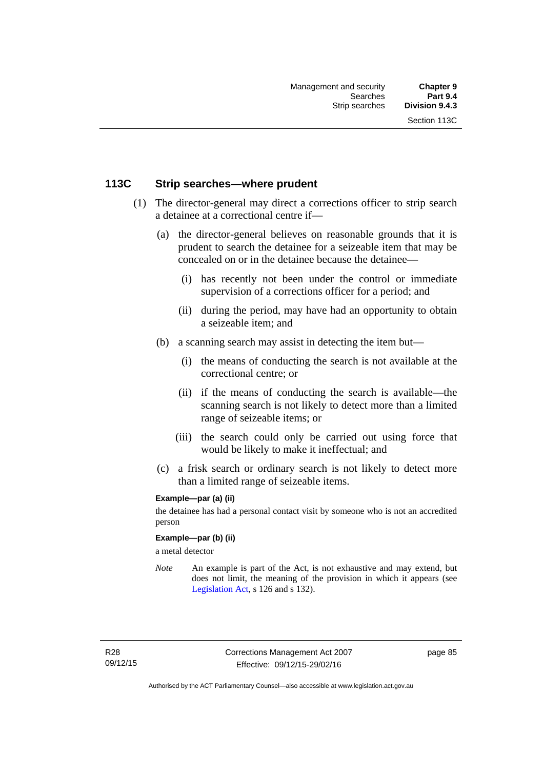### **113C Strip searches—where prudent**

- (1) The director-general may direct a corrections officer to strip search a detainee at a correctional centre if—
	- (a) the director-general believes on reasonable grounds that it is prudent to search the detainee for a seizeable item that may be concealed on or in the detainee because the detainee—
		- (i) has recently not been under the control or immediate supervision of a corrections officer for a period; and
		- (ii) during the period, may have had an opportunity to obtain a seizeable item; and
	- (b) a scanning search may assist in detecting the item but—
		- (i) the means of conducting the search is not available at the correctional centre; or
		- (ii) if the means of conducting the search is available—the scanning search is not likely to detect more than a limited range of seizeable items; or
		- (iii) the search could only be carried out using force that would be likely to make it ineffectual; and
	- (c) a frisk search or ordinary search is not likely to detect more than a limited range of seizeable items.

#### **Example—par (a) (ii)**

the detainee has had a personal contact visit by someone who is not an accredited person

#### **Example—par (b) (ii)**

a metal detector

*Note* An example is part of the Act, is not exhaustive and may extend, but does not limit, the meaning of the provision in which it appears (see [Legislation Act,](http://www.legislation.act.gov.au/a/2001-14) s 126 and s 132).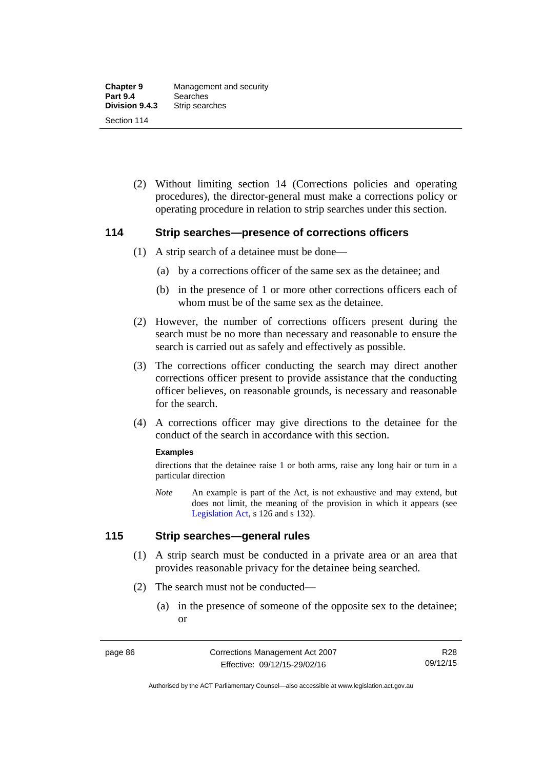(2) Without limiting section 14 (Corrections policies and operating procedures), the director-general must make a corrections policy or operating procedure in relation to strip searches under this section.

### **114 Strip searches—presence of corrections officers**

- (1) A strip search of a detainee must be done—
	- (a) by a corrections officer of the same sex as the detainee; and
	- (b) in the presence of 1 or more other corrections officers each of whom must be of the same sex as the detainee.
- (2) However, the number of corrections officers present during the search must be no more than necessary and reasonable to ensure the search is carried out as safely and effectively as possible.
- (3) The corrections officer conducting the search may direct another corrections officer present to provide assistance that the conducting officer believes, on reasonable grounds, is necessary and reasonable for the search.
- (4) A corrections officer may give directions to the detainee for the conduct of the search in accordance with this section.

#### **Examples**

directions that the detainee raise 1 or both arms, raise any long hair or turn in a particular direction

*Note* An example is part of the Act, is not exhaustive and may extend, but does not limit, the meaning of the provision in which it appears (see [Legislation Act,](http://www.legislation.act.gov.au/a/2001-14) s 126 and s 132).

### **115 Strip searches—general rules**

- (1) A strip search must be conducted in a private area or an area that provides reasonable privacy for the detainee being searched.
- (2) The search must not be conducted—
	- (a) in the presence of someone of the opposite sex to the detainee; or

Authorised by the ACT Parliamentary Counsel—also accessible at www.legislation.act.gov.au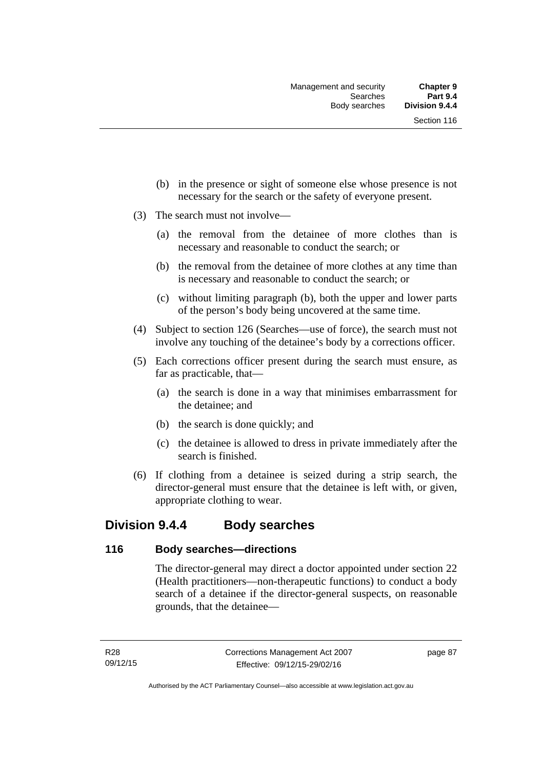- (b) in the presence or sight of someone else whose presence is not necessary for the search or the safety of everyone present.
- (3) The search must not involve—
	- (a) the removal from the detainee of more clothes than is necessary and reasonable to conduct the search; or
	- (b) the removal from the detainee of more clothes at any time than is necessary and reasonable to conduct the search; or
	- (c) without limiting paragraph (b), both the upper and lower parts of the person's body being uncovered at the same time.
- (4) Subject to section 126 (Searches—use of force), the search must not involve any touching of the detainee's body by a corrections officer.
- (5) Each corrections officer present during the search must ensure, as far as practicable, that—
	- (a) the search is done in a way that minimises embarrassment for the detainee; and
	- (b) the search is done quickly; and
	- (c) the detainee is allowed to dress in private immediately after the search is finished.
- (6) If clothing from a detainee is seized during a strip search, the director-general must ensure that the detainee is left with, or given, appropriate clothing to wear.

### **Division 9.4.4 Body searches**

### **116 Body searches—directions**

The director-general may direct a doctor appointed under section 22 (Health practitioners—non-therapeutic functions) to conduct a body search of a detainee if the director-general suspects, on reasonable grounds, that the detainee—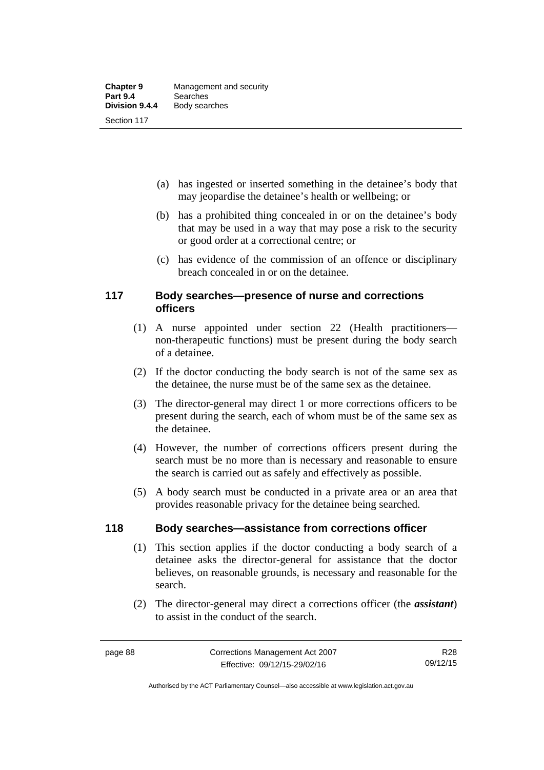- (a) has ingested or inserted something in the detainee's body that may jeopardise the detainee's health or wellbeing; or
- (b) has a prohibited thing concealed in or on the detainee's body that may be used in a way that may pose a risk to the security or good order at a correctional centre; or
- (c) has evidence of the commission of an offence or disciplinary breach concealed in or on the detainee.

### **117 Body searches—presence of nurse and corrections officers**

- (1) A nurse appointed under section 22 (Health practitioners non-therapeutic functions) must be present during the body search of a detainee.
- (2) If the doctor conducting the body search is not of the same sex as the detainee, the nurse must be of the same sex as the detainee.
- (3) The director-general may direct 1 or more corrections officers to be present during the search, each of whom must be of the same sex as the detainee.
- (4) However, the number of corrections officers present during the search must be no more than is necessary and reasonable to ensure the search is carried out as safely and effectively as possible.
- (5) A body search must be conducted in a private area or an area that provides reasonable privacy for the detainee being searched.

### **118 Body searches—assistance from corrections officer**

- (1) This section applies if the doctor conducting a body search of a detainee asks the director-general for assistance that the doctor believes, on reasonable grounds, is necessary and reasonable for the search.
- (2) The director-general may direct a corrections officer (the *assistant*) to assist in the conduct of the search.

Authorised by the ACT Parliamentary Counsel—also accessible at www.legislation.act.gov.au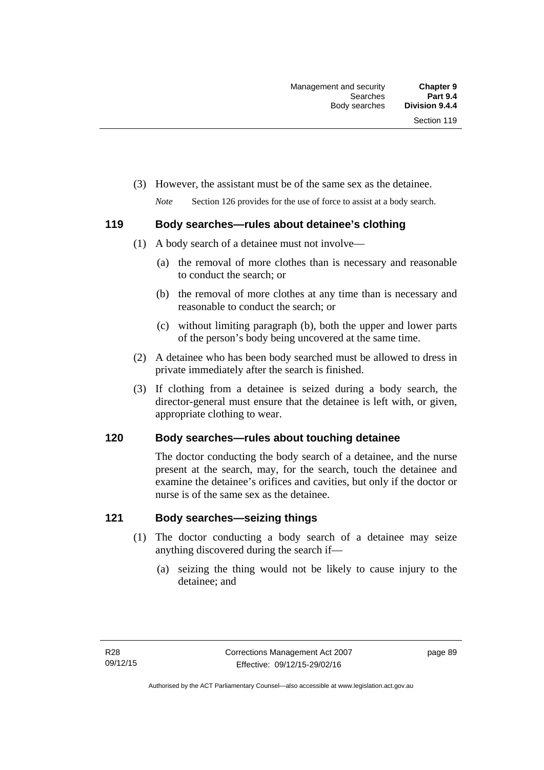(3) However, the assistant must be of the same sex as the detainee.

*Note* Section 126 provides for the use of force to assist at a body search.

### **119 Body searches—rules about detainee's clothing**

- (1) A body search of a detainee must not involve—
	- (a) the removal of more clothes than is necessary and reasonable to conduct the search; or
	- (b) the removal of more clothes at any time than is necessary and reasonable to conduct the search; or
	- (c) without limiting paragraph (b), both the upper and lower parts of the person's body being uncovered at the same time.
- (2) A detainee who has been body searched must be allowed to dress in private immediately after the search is finished.
- (3) If clothing from a detainee is seized during a body search, the director-general must ensure that the detainee is left with, or given, appropriate clothing to wear.

### **120 Body searches—rules about touching detainee**

The doctor conducting the body search of a detainee, and the nurse present at the search, may, for the search, touch the detainee and examine the detainee's orifices and cavities, but only if the doctor or nurse is of the same sex as the detainee.

### **121 Body searches—seizing things**

- (1) The doctor conducting a body search of a detainee may seize anything discovered during the search if—
	- (a) seizing the thing would not be likely to cause injury to the detainee; and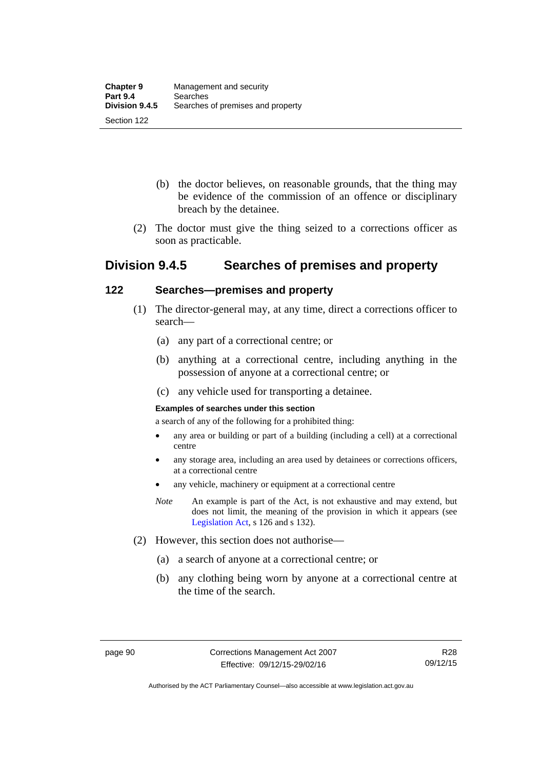- (b) the doctor believes, on reasonable grounds, that the thing may be evidence of the commission of an offence or disciplinary breach by the detainee.
- (2) The doctor must give the thing seized to a corrections officer as soon as practicable.

## **Division 9.4.5 Searches of premises and property**

### **122 Searches—premises and property**

- (1) The director-general may, at any time, direct a corrections officer to search—
	- (a) any part of a correctional centre; or
	- (b) anything at a correctional centre, including anything in the possession of anyone at a correctional centre; or
	- (c) any vehicle used for transporting a detainee.

#### **Examples of searches under this section**

a search of any of the following for a prohibited thing:

- any area or building or part of a building (including a cell) at a correctional centre
- any storage area, including an area used by detainees or corrections officers, at a correctional centre
- any vehicle, machinery or equipment at a correctional centre
- *Note* An example is part of the Act, is not exhaustive and may extend, but does not limit, the meaning of the provision in which it appears (see [Legislation Act,](http://www.legislation.act.gov.au/a/2001-14) s 126 and s 132).
- (2) However, this section does not authorise—
	- (a) a search of anyone at a correctional centre; or
	- (b) any clothing being worn by anyone at a correctional centre at the time of the search.

Authorised by the ACT Parliamentary Counsel—also accessible at www.legislation.act.gov.au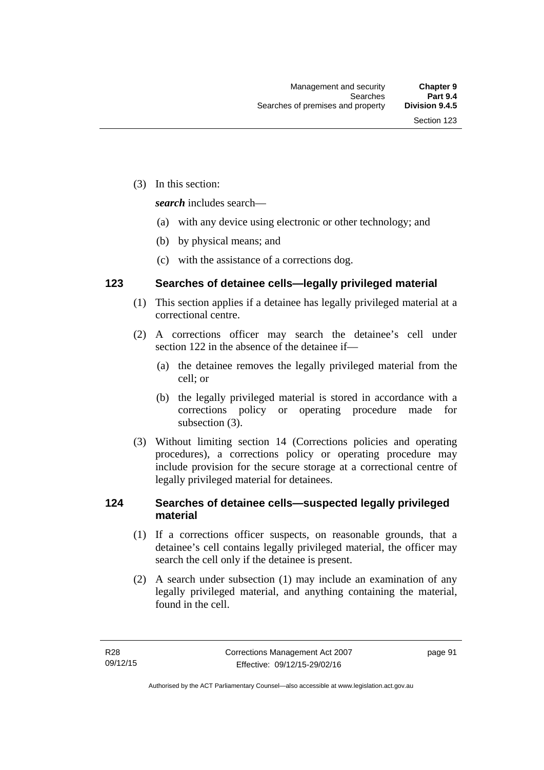(3) In this section:

*search* includes search—

- (a) with any device using electronic or other technology; and
- (b) by physical means; and
- (c) with the assistance of a corrections dog.

### **123 Searches of detainee cells—legally privileged material**

- (1) This section applies if a detainee has legally privileged material at a correctional centre.
- (2) A corrections officer may search the detainee's cell under section 122 in the absence of the detainee if—
	- (a) the detainee removes the legally privileged material from the cell; or
	- (b) the legally privileged material is stored in accordance with a corrections policy or operating procedure made for subsection (3).
- (3) Without limiting section 14 (Corrections policies and operating procedures), a corrections policy or operating procedure may include provision for the secure storage at a correctional centre of legally privileged material for detainees.

### **124 Searches of detainee cells—suspected legally privileged material**

- (1) If a corrections officer suspects, on reasonable grounds, that a detainee's cell contains legally privileged material, the officer may search the cell only if the detainee is present.
- (2) A search under subsection (1) may include an examination of any legally privileged material, and anything containing the material, found in the cell.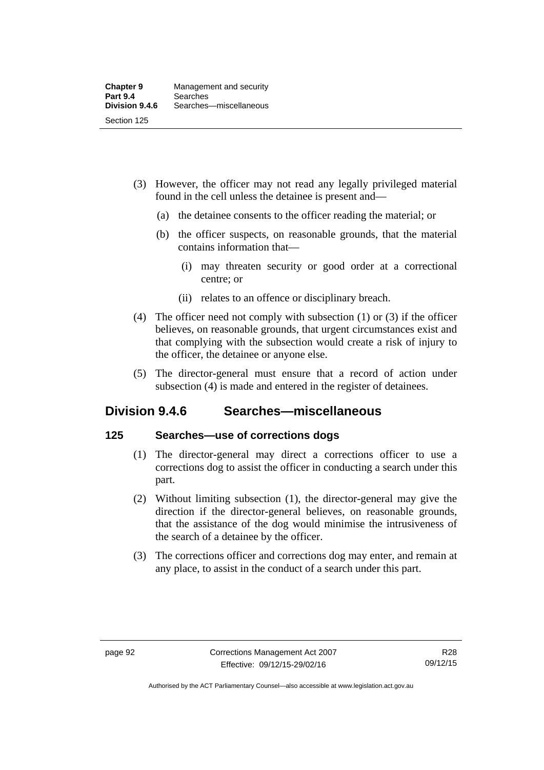- (3) However, the officer may not read any legally privileged material found in the cell unless the detainee is present and—
	- (a) the detainee consents to the officer reading the material; or
	- (b) the officer suspects, on reasonable grounds, that the material contains information that—
		- (i) may threaten security or good order at a correctional centre; or
		- (ii) relates to an offence or disciplinary breach.
- (4) The officer need not comply with subsection (1) or (3) if the officer believes, on reasonable grounds, that urgent circumstances exist and that complying with the subsection would create a risk of injury to the officer, the detainee or anyone else.
- (5) The director-general must ensure that a record of action under subsection (4) is made and entered in the register of detainees.

## **Division 9.4.6 Searches—miscellaneous**

### **125 Searches—use of corrections dogs**

- (1) The director-general may direct a corrections officer to use a corrections dog to assist the officer in conducting a search under this part.
- (2) Without limiting subsection (1), the director-general may give the direction if the director-general believes, on reasonable grounds, that the assistance of the dog would minimise the intrusiveness of the search of a detainee by the officer.
- (3) The corrections officer and corrections dog may enter, and remain at any place, to assist in the conduct of a search under this part.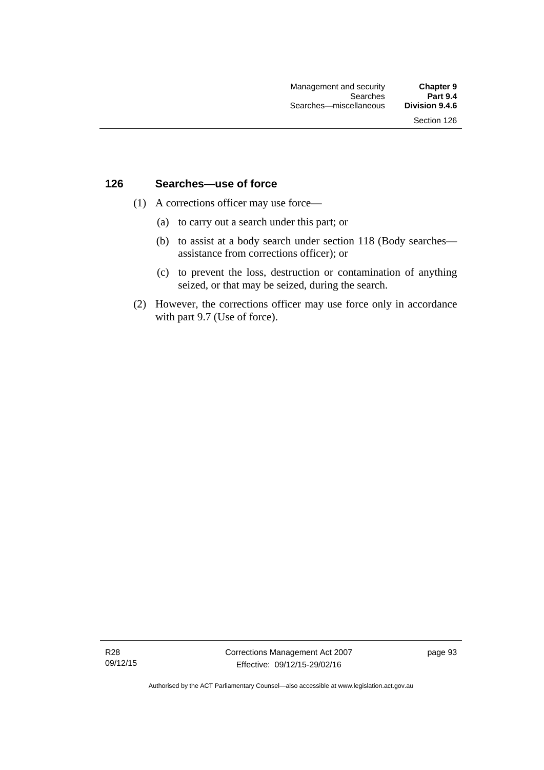### **126 Searches—use of force**

- (1) A corrections officer may use force—
	- (a) to carry out a search under this part; or
	- (b) to assist at a body search under section 118 (Body searches assistance from corrections officer); or
	- (c) to prevent the loss, destruction or contamination of anything seized, or that may be seized, during the search.
- (2) However, the corrections officer may use force only in accordance with part 9.7 (Use of force).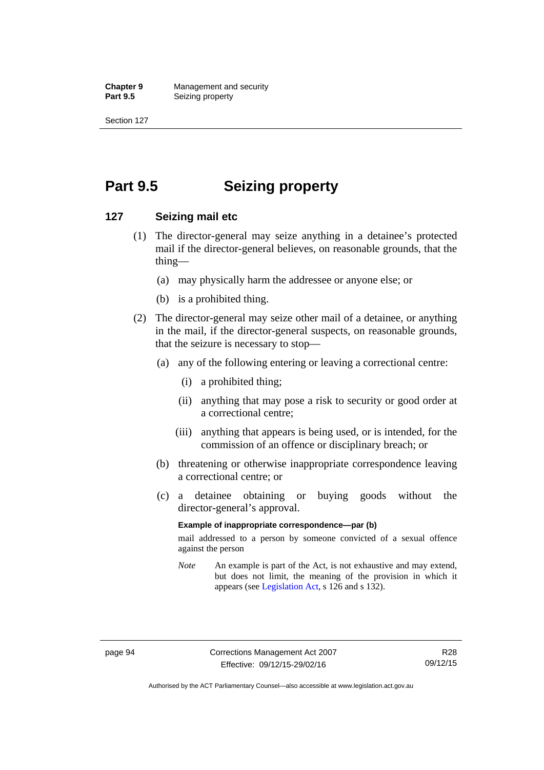**Chapter 9** Management and security<br>**Part 9.5** Seizing property **Seizing property** 

Section 127

# **Part 9.5 Seizing property**

### **127 Seizing mail etc**

- (1) The director-general may seize anything in a detainee's protected mail if the director-general believes, on reasonable grounds, that the thing—
	- (a) may physically harm the addressee or anyone else; or
	- (b) is a prohibited thing.
- (2) The director-general may seize other mail of a detainee, or anything in the mail, if the director-general suspects, on reasonable grounds, that the seizure is necessary to stop—
	- (a) any of the following entering or leaving a correctional centre:
		- (i) a prohibited thing;
		- (ii) anything that may pose a risk to security or good order at a correctional centre;
		- (iii) anything that appears is being used, or is intended, for the commission of an offence or disciplinary breach; or
	- (b) threatening or otherwise inappropriate correspondence leaving a correctional centre; or
	- (c) a detainee obtaining or buying goods without the director-general's approval.

#### **Example of inappropriate correspondence—par (b)**

mail addressed to a person by someone convicted of a sexual offence against the person

*Note* An example is part of the Act, is not exhaustive and may extend, but does not limit, the meaning of the provision in which it appears (see [Legislation Act,](http://www.legislation.act.gov.au/a/2001-14) s 126 and s 132).

Authorised by the ACT Parliamentary Counsel—also accessible at www.legislation.act.gov.au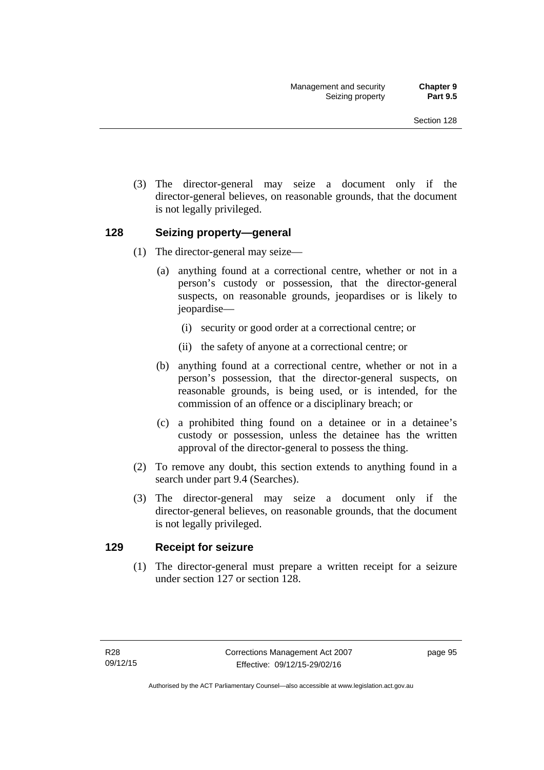(3) The director-general may seize a document only if the director-general believes, on reasonable grounds, that the document is not legally privileged.

### **128 Seizing property—general**

- (1) The director-general may seize—
	- (a) anything found at a correctional centre, whether or not in a person's custody or possession, that the director-general suspects, on reasonable grounds, jeopardises or is likely to jeopardise—
		- (i) security or good order at a correctional centre; or
		- (ii) the safety of anyone at a correctional centre; or
	- (b) anything found at a correctional centre, whether or not in a person's possession, that the director-general suspects, on reasonable grounds, is being used, or is intended, for the commission of an offence or a disciplinary breach; or
	- (c) a prohibited thing found on a detainee or in a detainee's custody or possession, unless the detainee has the written approval of the director-general to possess the thing.
- (2) To remove any doubt, this section extends to anything found in a search under part 9.4 (Searches).
- (3) The director-general may seize a document only if the director-general believes, on reasonable grounds, that the document is not legally privileged.

### **129 Receipt for seizure**

(1) The director-general must prepare a written receipt for a seizure under section 127 or section 128.

page 95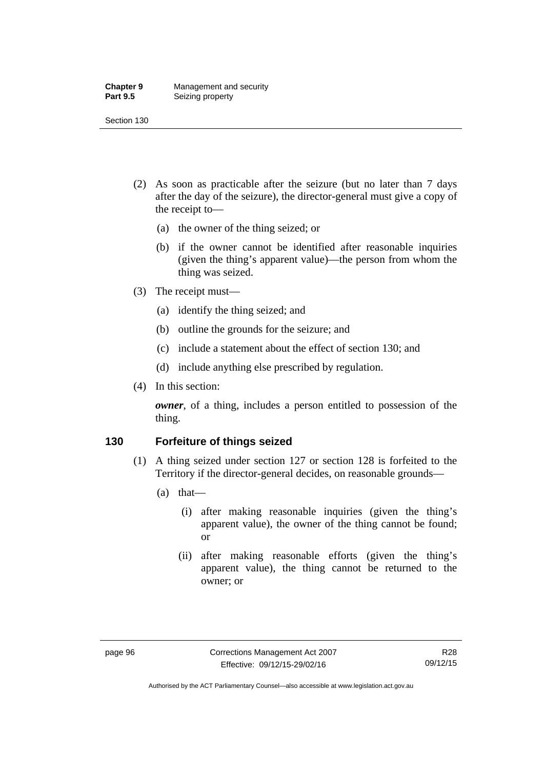#### **Chapter 9** Management and security<br>**Part 9.5** Seizing property **Seizing property**

Section 130

- (2) As soon as practicable after the seizure (but no later than 7 days after the day of the seizure), the director-general must give a copy of the receipt to—
	- (a) the owner of the thing seized; or
	- (b) if the owner cannot be identified after reasonable inquiries (given the thing's apparent value)—the person from whom the thing was seized.
- (3) The receipt must—
	- (a) identify the thing seized; and
	- (b) outline the grounds for the seizure; and
	- (c) include a statement about the effect of section 130; and
	- (d) include anything else prescribed by regulation.
- (4) In this section:

*owner*, of a thing, includes a person entitled to possession of the thing.

#### **130 Forfeiture of things seized**

- (1) A thing seized under section 127 or section 128 is forfeited to the Territory if the director-general decides, on reasonable grounds—
	- (a) that—
		- (i) after making reasonable inquiries (given the thing's apparent value), the owner of the thing cannot be found; or
		- (ii) after making reasonable efforts (given the thing's apparent value), the thing cannot be returned to the owner; or

Authorised by the ACT Parliamentary Counsel—also accessible at www.legislation.act.gov.au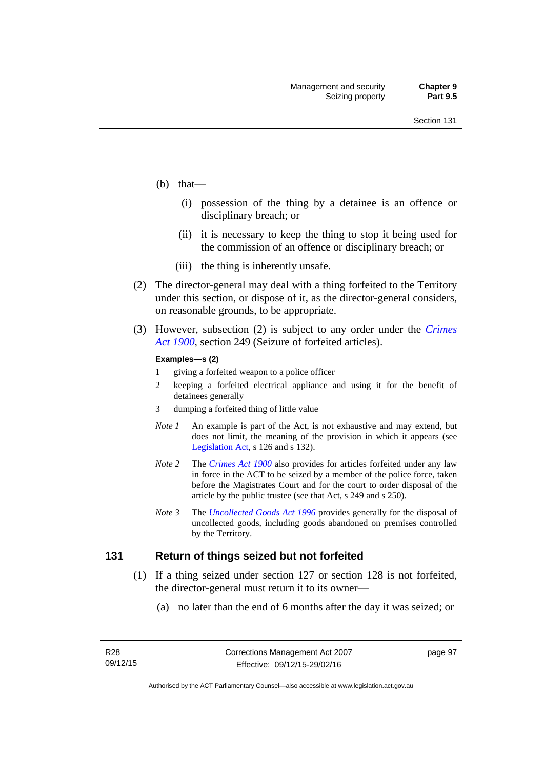- (b) that—
	- (i) possession of the thing by a detainee is an offence or disciplinary breach; or
	- (ii) it is necessary to keep the thing to stop it being used for the commission of an offence or disciplinary breach; or
	- (iii) the thing is inherently unsafe.
- (2) The director-general may deal with a thing forfeited to the Territory under this section, or dispose of it, as the director-general considers, on reasonable grounds, to be appropriate.
- (3) However, subsection (2) is subject to any order under the *[Crimes](http://www.legislation.act.gov.au/a/1900-40)  [Act 1900](http://www.legislation.act.gov.au/a/1900-40),* section 249 (Seizure of forfeited articles).

#### **Examples—s (2)**

- 1 giving a forfeited weapon to a police officer
- 2 keeping a forfeited electrical appliance and using it for the benefit of detainees generally
- 3 dumping a forfeited thing of little value
- *Note 1* An example is part of the Act, is not exhaustive and may extend, but does not limit, the meaning of the provision in which it appears (see [Legislation Act,](http://www.legislation.act.gov.au/a/2001-14) s 126 and s 132).
- *Note 2* The *[Crimes Act 1900](http://www.legislation.act.gov.au/a/1900-40)* also provides for articles forfeited under any law in force in the ACT to be seized by a member of the police force, taken before the Magistrates Court and for the court to order disposal of the article by the public trustee (see that Act, s 249 and s 250).
- *Note 3* The *[Uncollected Goods Act 1996](http://www.legislation.act.gov.au/a/1996-86)* provides generally for the disposal of uncollected goods, including goods abandoned on premises controlled by the Territory.

#### **131 Return of things seized but not forfeited**

- (1) If a thing seized under section 127 or section 128 is not forfeited, the director-general must return it to its owner—
	- (a) no later than the end of 6 months after the day it was seized; or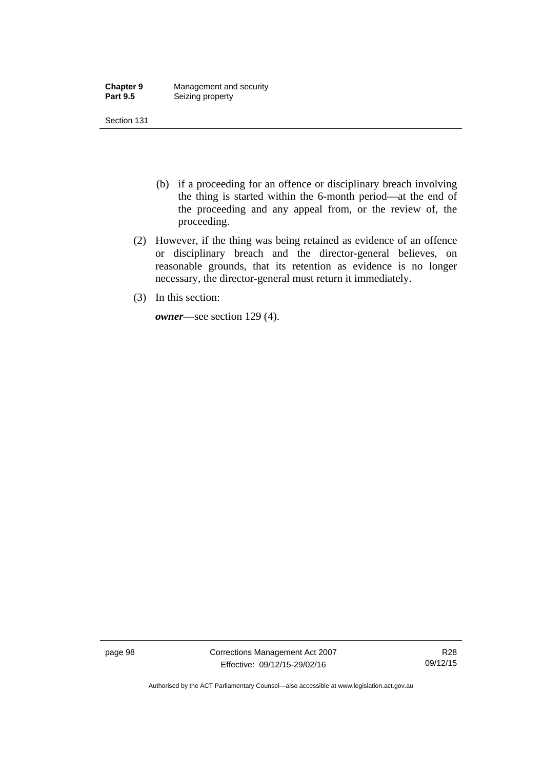| <b>Chapter 9</b> | Management and security |
|------------------|-------------------------|
| <b>Part 9.5</b>  | Seizing property        |

- (b) if a proceeding for an offence or disciplinary breach involving the thing is started within the 6-month period—at the end of the proceeding and any appeal from, or the review of, the proceeding.
- (2) However, if the thing was being retained as evidence of an offence or disciplinary breach and the director-general believes, on reasonable grounds, that its retention as evidence is no longer necessary, the director-general must return it immediately.
- (3) In this section:

*owner*—see section 129 (4).

page 98 Corrections Management Act 2007 Effective: 09/12/15-29/02/16

R28 09/12/15

Authorised by the ACT Parliamentary Counsel—also accessible at www.legislation.act.gov.au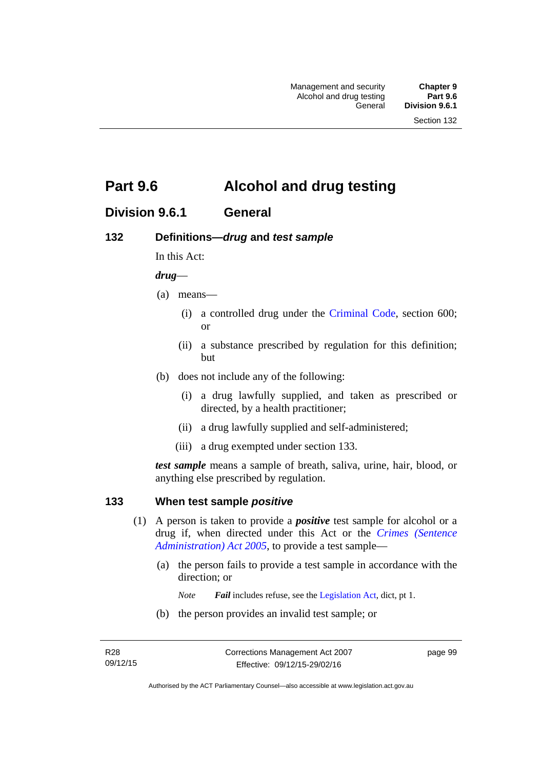# **Part 9.6 Alcohol and drug testing**

## **Division 9.6.1 General**

## **132 Definitions—***drug* **and** *test sample*

In this Act:

#### *drug*—

- (a) means—
	- (i) a controlled drug under the [Criminal Code](http://www.legislation.act.gov.au/a/2002-51), section 600; or
	- (ii) a substance prescribed by regulation for this definition; but
- (b) does not include any of the following:
	- (i) a drug lawfully supplied, and taken as prescribed or directed, by a health practitioner;
	- (ii) a drug lawfully supplied and self-administered;
	- (iii) a drug exempted under section 133.

*test sample* means a sample of breath, saliva, urine, hair, blood, or anything else prescribed by regulation.

### **133 When test sample** *positive*

- (1) A person is taken to provide a *positive* test sample for alcohol or a drug if, when directed under this Act or the *[Crimes \(Sentence](http://www.legislation.act.gov.au/a/2005-59)  [Administration\) Act 2005](http://www.legislation.act.gov.au/a/2005-59)*, to provide a test sample—
	- (a) the person fails to provide a test sample in accordance with the direction; or
		- *Note Fail* includes refuse, see the [Legislation Act,](http://www.legislation.act.gov.au/a/2001-14) dict, pt 1.
	- (b) the person provides an invalid test sample; or

page 99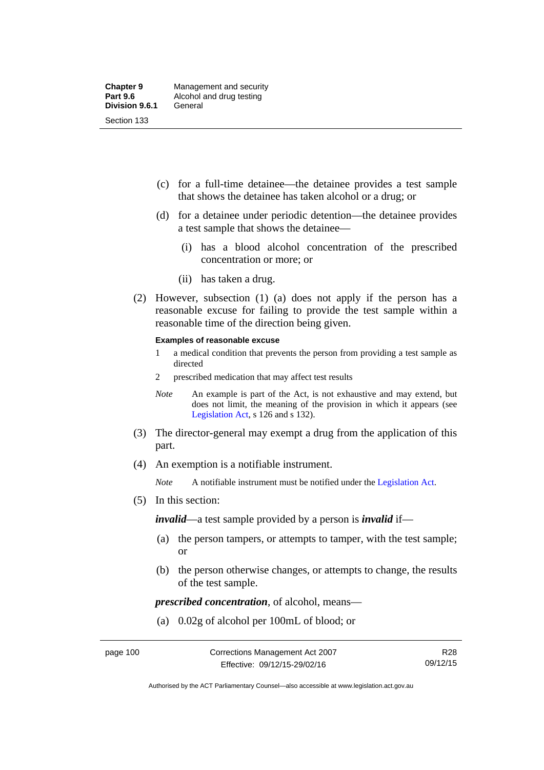- (c) for a full-time detainee—the detainee provides a test sample that shows the detainee has taken alcohol or a drug; or
- (d) for a detainee under periodic detention—the detainee provides a test sample that shows the detainee—
	- (i) has a blood alcohol concentration of the prescribed concentration or more; or
	- (ii) has taken a drug.
- (2) However, subsection (1) (a) does not apply if the person has a reasonable excuse for failing to provide the test sample within a reasonable time of the direction being given.

#### **Examples of reasonable excuse**

- 1 a medical condition that prevents the person from providing a test sample as directed
- 2 prescribed medication that may affect test results
- *Note* An example is part of the Act, is not exhaustive and may extend, but does not limit, the meaning of the provision in which it appears (see [Legislation Act,](http://www.legislation.act.gov.au/a/2001-14) s 126 and s 132).
- (3) The director-general may exempt a drug from the application of this part.
- (4) An exemption is a notifiable instrument.

*Note* A notifiable instrument must be notified under the [Legislation Act](http://www.legislation.act.gov.au/a/2001-14).

(5) In this section:

*invalid*—a test sample provided by a person is *invalid* if—

- (a) the person tampers, or attempts to tamper, with the test sample; or
- (b) the person otherwise changes, or attempts to change, the results of the test sample.

*prescribed concentration*, of alcohol, means—

(a) 0.02g of alcohol per 100mL of blood; or

Authorised by the ACT Parliamentary Counsel—also accessible at www.legislation.act.gov.au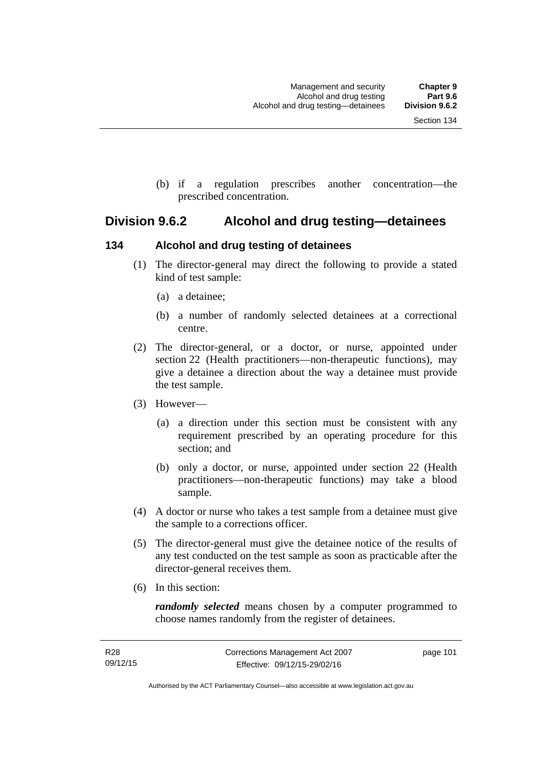(b) if a regulation prescribes another concentration—the prescribed concentration.

## **Division 9.6.2 Alcohol and drug testing—detainees**

## **134 Alcohol and drug testing of detainees**

- (1) The director-general may direct the following to provide a stated kind of test sample:
	- (a) a detainee;
	- (b) a number of randomly selected detainees at a correctional centre.
- (2) The director-general, or a doctor, or nurse, appointed under section 22 (Health practitioners—non-therapeutic functions), may give a detainee a direction about the way a detainee must provide the test sample.
- (3) However—
	- (a) a direction under this section must be consistent with any requirement prescribed by an operating procedure for this section; and
	- (b) only a doctor, or nurse, appointed under section 22 (Health practitioners—non-therapeutic functions) may take a blood sample.
- (4) A doctor or nurse who takes a test sample from a detainee must give the sample to a corrections officer.
- (5) The director-general must give the detainee notice of the results of any test conducted on the test sample as soon as practicable after the director-general receives them.
- (6) In this section:

*randomly selected* means chosen by a computer programmed to choose names randomly from the register of detainees.

page 101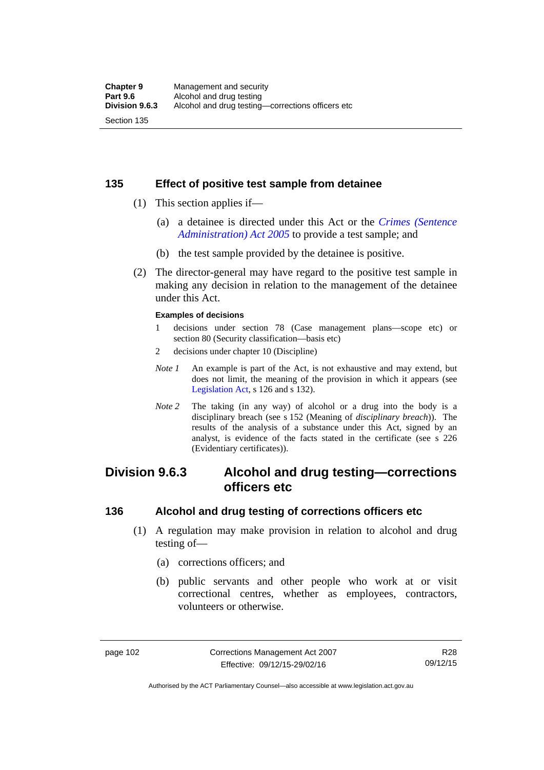## **135 Effect of positive test sample from detainee**

- (1) This section applies if—
	- (a) a detainee is directed under this Act or the *[Crimes \(Sentence](http://www.legislation.act.gov.au/a/2005-59)  [Administration\) Act 2005](http://www.legislation.act.gov.au/a/2005-59)* to provide a test sample; and
	- (b) the test sample provided by the detainee is positive.
- (2) The director-general may have regard to the positive test sample in making any decision in relation to the management of the detainee under this Act.

#### **Examples of decisions**

- 1 decisions under section 78 (Case management plans—scope etc) or section 80 (Security classification—basis etc)
- 2 decisions under chapter 10 (Discipline)
- *Note 1* An example is part of the Act, is not exhaustive and may extend, but does not limit, the meaning of the provision in which it appears (see [Legislation Act,](http://www.legislation.act.gov.au/a/2001-14) s 126 and s 132).
- *Note 2* The taking (in any way) of alcohol or a drug into the body is a disciplinary breach (see s 152 (Meaning of *disciplinary breach*)). The results of the analysis of a substance under this Act, signed by an analyst, is evidence of the facts stated in the certificate (see s 226 (Evidentiary certificates)).

# **Division 9.6.3 Alcohol and drug testing—corrections officers etc**

### **136 Alcohol and drug testing of corrections officers etc**

- (1) A regulation may make provision in relation to alcohol and drug testing of—
	- (a) corrections officers; and
	- (b) public servants and other people who work at or visit correctional centres, whether as employees, contractors, volunteers or otherwise.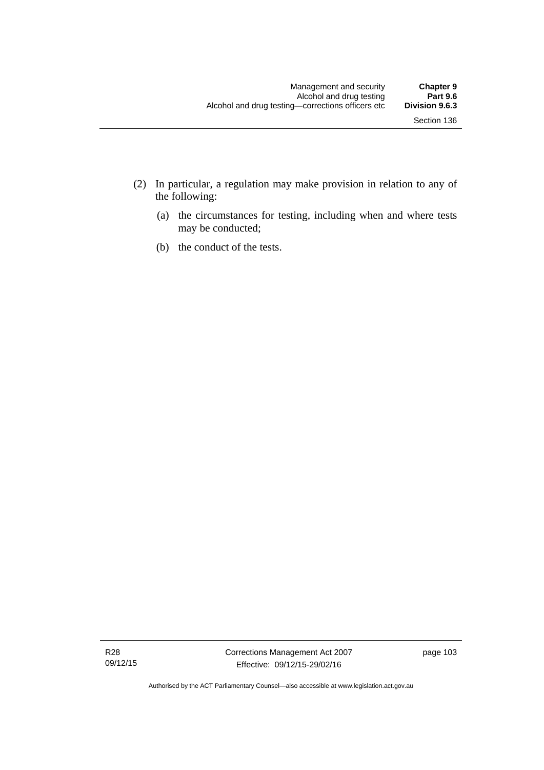- (2) In particular, a regulation may make provision in relation to any of the following:
	- (a) the circumstances for testing, including when and where tests may be conducted;
	- (b) the conduct of the tests.

R28 09/12/15 page 103

Authorised by the ACT Parliamentary Counsel—also accessible at www.legislation.act.gov.au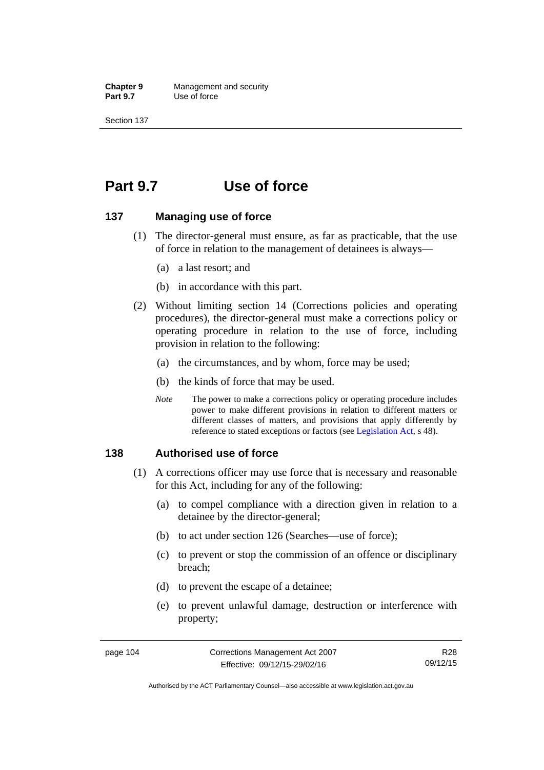**Chapter 9** Management and security<br>**Part 9.7** Use of force **Use of force** 

Section 137

# **Part 9.7 Use of force**

#### **137 Managing use of force**

- (1) The director-general must ensure, as far as practicable, that the use of force in relation to the management of detainees is always—
	- (a) a last resort; and
	- (b) in accordance with this part.
- (2) Without limiting section 14 (Corrections policies and operating procedures), the director-general must make a corrections policy or operating procedure in relation to the use of force, including provision in relation to the following:
	- (a) the circumstances, and by whom, force may be used;
	- (b) the kinds of force that may be used.
	- *Note* The power to make a corrections policy or operating procedure includes power to make different provisions in relation to different matters or different classes of matters, and provisions that apply differently by reference to stated exceptions or factors (see [Legislation Act](http://www.legislation.act.gov.au/a/2001-14), s 48).

#### **138 Authorised use of force**

- (1) A corrections officer may use force that is necessary and reasonable for this Act, including for any of the following:
	- (a) to compel compliance with a direction given in relation to a detainee by the director-general;
	- (b) to act under section 126 (Searches—use of force);
	- (c) to prevent or stop the commission of an offence or disciplinary breach;
	- (d) to prevent the escape of a detainee;
	- (e) to prevent unlawful damage, destruction or interference with property;

R28 09/12/15

Authorised by the ACT Parliamentary Counsel—also accessible at www.legislation.act.gov.au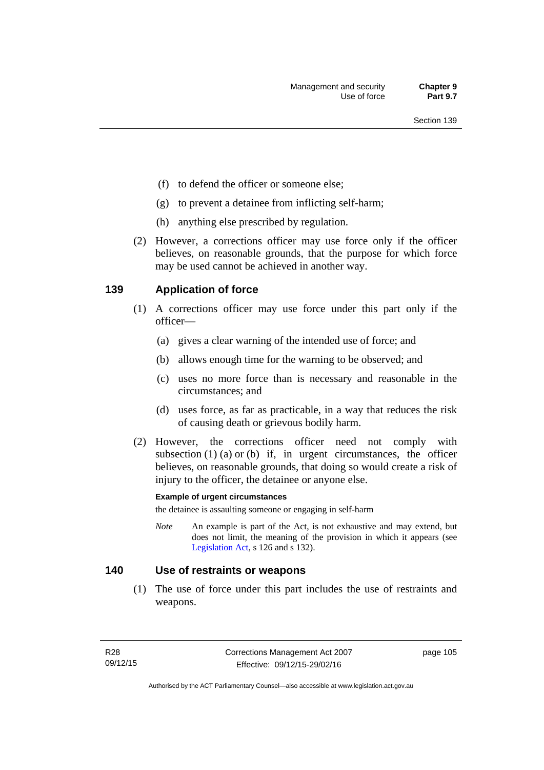- (f) to defend the officer or someone else;
- (g) to prevent a detainee from inflicting self-harm;
- (h) anything else prescribed by regulation.
- (2) However, a corrections officer may use force only if the officer believes, on reasonable grounds, that the purpose for which force may be used cannot be achieved in another way.

### **139 Application of force**

- (1) A corrections officer may use force under this part only if the officer—
	- (a) gives a clear warning of the intended use of force; and
	- (b) allows enough time for the warning to be observed; and
	- (c) uses no more force than is necessary and reasonable in the circumstances; and
	- (d) uses force, as far as practicable, in a way that reduces the risk of causing death or grievous bodily harm.
- (2) However, the corrections officer need not comply with subsection  $(1)$   $(a)$  or  $(b)$  if, in urgent circumstances, the officer believes, on reasonable grounds, that doing so would create a risk of injury to the officer, the detainee or anyone else.

#### **Example of urgent circumstances**

the detainee is assaulting someone or engaging in self-harm

*Note* An example is part of the Act, is not exhaustive and may extend, but does not limit, the meaning of the provision in which it appears (see [Legislation Act,](http://www.legislation.act.gov.au/a/2001-14) s 126 and s 132).

#### **140 Use of restraints or weapons**

 (1) The use of force under this part includes the use of restraints and weapons.

page 105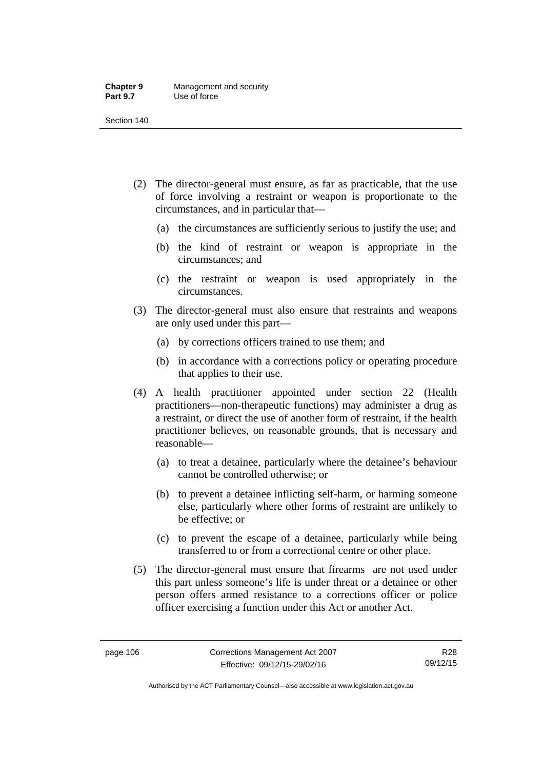#### **Chapter 9** Management and security<br>**Part 9.7** Use of force **Use of force**

Section 140

- (2) The director-general must ensure, as far as practicable, that the use of force involving a restraint or weapon is proportionate to the circumstances, and in particular that—
	- (a) the circumstances are sufficiently serious to justify the use; and
	- (b) the kind of restraint or weapon is appropriate in the circumstances; and
	- (c) the restraint or weapon is used appropriately in the circumstances.
- (3) The director-general must also ensure that restraints and weapons are only used under this part—
	- (a) by corrections officers trained to use them; and
	- (b) in accordance with a corrections policy or operating procedure that applies to their use.
- (4) A health practitioner appointed under section 22 (Health practitioners—non-therapeutic functions) may administer a drug as a restraint, or direct the use of another form of restraint, if the health practitioner believes, on reasonable grounds, that is necessary and reasonable—
	- (a) to treat a detainee, particularly where the detainee's behaviour cannot be controlled otherwise; or
	- (b) to prevent a detainee inflicting self-harm, or harming someone else, particularly where other forms of restraint are unlikely to be effective; or
	- (c) to prevent the escape of a detainee, particularly while being transferred to or from a correctional centre or other place.
- (5) The director-general must ensure that firearms are not used under this part unless someone's life is under threat or a detainee or other person offers armed resistance to a corrections officer or police officer exercising a function under this Act or another Act.

Authorised by the ACT Parliamentary Counsel—also accessible at www.legislation.act.gov.au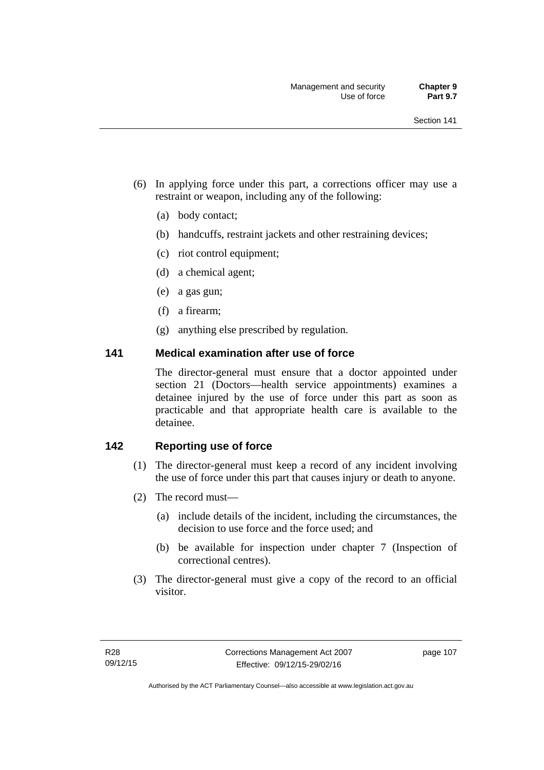- (6) In applying force under this part, a corrections officer may use a restraint or weapon, including any of the following:
	- (a) body contact;
	- (b) handcuffs, restraint jackets and other restraining devices;
	- (c) riot control equipment;
	- (d) a chemical agent;
	- (e) a gas gun;
	- (f) a firearm;
	- (g) anything else prescribed by regulation.

#### **141 Medical examination after use of force**

The director-general must ensure that a doctor appointed under section 21 (Doctors—health service appointments) examines a detainee injured by the use of force under this part as soon as practicable and that appropriate health care is available to the detainee.

## **142 Reporting use of force**

- (1) The director-general must keep a record of any incident involving the use of force under this part that causes injury or death to anyone.
- (2) The record must—
	- (a) include details of the incident, including the circumstances, the decision to use force and the force used; and
	- (b) be available for inspection under chapter 7 (Inspection of correctional centres).
- (3) The director-general must give a copy of the record to an official visitor.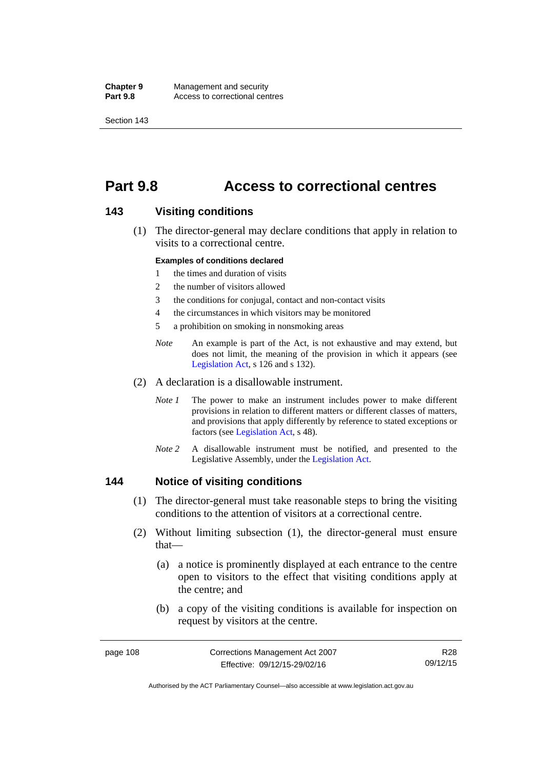**Chapter 9** Management and security<br>**Part 9.8** Access to correctional cen Access to correctional centres

Section 143

# **Part 9.8 Access to correctional centres**

#### **143 Visiting conditions**

 (1) The director-general may declare conditions that apply in relation to visits to a correctional centre.

#### **Examples of conditions declared**

- 1 the times and duration of visits
- 2 the number of visitors allowed
- 3 the conditions for conjugal, contact and non-contact visits
- 4 the circumstances in which visitors may be monitored
- 5 a prohibition on smoking in nonsmoking areas
- *Note* An example is part of the Act, is not exhaustive and may extend, but does not limit, the meaning of the provision in which it appears (see [Legislation Act,](http://www.legislation.act.gov.au/a/2001-14) s 126 and s 132).
- (2) A declaration is a disallowable instrument.
	- *Note I* The power to make an instrument includes power to make different provisions in relation to different matters or different classes of matters, and provisions that apply differently by reference to stated exceptions or factors (see [Legislation Act](http://www.legislation.act.gov.au/a/2001-14), s 48).
	- *Note 2* A disallowable instrument must be notified, and presented to the Legislative Assembly, under the [Legislation Act.](http://www.legislation.act.gov.au/a/2001-14)

#### **144 Notice of visiting conditions**

- (1) The director-general must take reasonable steps to bring the visiting conditions to the attention of visitors at a correctional centre.
- (2) Without limiting subsection (1), the director-general must ensure that—
	- (a) a notice is prominently displayed at each entrance to the centre open to visitors to the effect that visiting conditions apply at the centre; and
	- (b) a copy of the visiting conditions is available for inspection on request by visitors at the centre.

page 108 Corrections Management Act 2007 Effective: 09/12/15-29/02/16 R28 09/12/15

Authorised by the ACT Parliamentary Counsel—also accessible at www.legislation.act.gov.au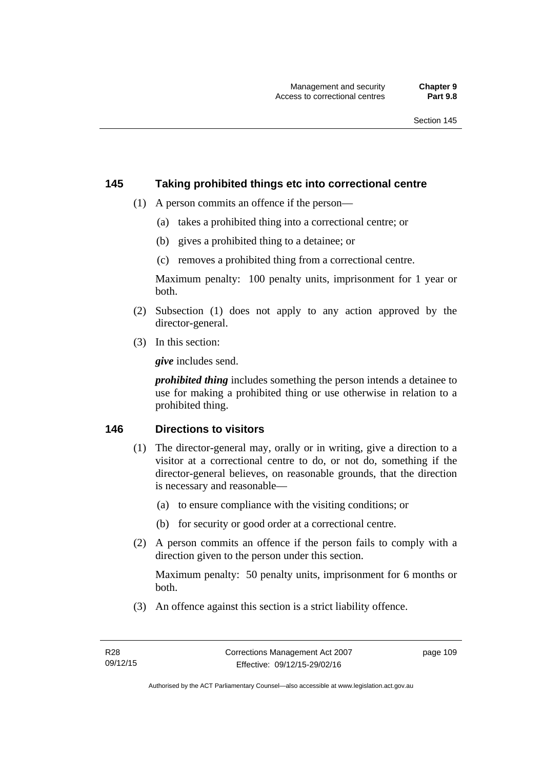#### **145 Taking prohibited things etc into correctional centre**

- (1) A person commits an offence if the person—
	- (a) takes a prohibited thing into a correctional centre; or
	- (b) gives a prohibited thing to a detainee; or
	- (c) removes a prohibited thing from a correctional centre.

Maximum penalty: 100 penalty units, imprisonment for 1 year or both.

- (2) Subsection (1) does not apply to any action approved by the director-general.
- (3) In this section:

*give* includes send.

*prohibited thing* includes something the person intends a detainee to use for making a prohibited thing or use otherwise in relation to a prohibited thing.

### **146 Directions to visitors**

- (1) The director-general may, orally or in writing, give a direction to a visitor at a correctional centre to do, or not do, something if the director-general believes, on reasonable grounds, that the direction is necessary and reasonable—
	- (a) to ensure compliance with the visiting conditions; or
	- (b) for security or good order at a correctional centre.
- (2) A person commits an offence if the person fails to comply with a direction given to the person under this section.

Maximum penalty: 50 penalty units, imprisonment for 6 months or both.

(3) An offence against this section is a strict liability offence.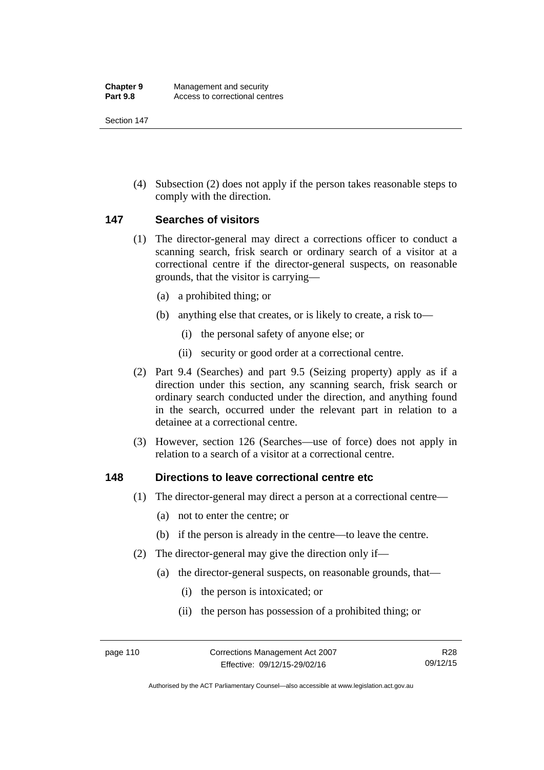(4) Subsection (2) does not apply if the person takes reasonable steps to comply with the direction.

### **147 Searches of visitors**

- (1) The director-general may direct a corrections officer to conduct a scanning search, frisk search or ordinary search of a visitor at a correctional centre if the director-general suspects, on reasonable grounds, that the visitor is carrying—
	- (a) a prohibited thing; or
	- (b) anything else that creates, or is likely to create, a risk to—
		- (i) the personal safety of anyone else; or
		- (ii) security or good order at a correctional centre.
- (2) Part 9.4 (Searches) and part 9.5 (Seizing property) apply as if a direction under this section, any scanning search, frisk search or ordinary search conducted under the direction, and anything found in the search, occurred under the relevant part in relation to a detainee at a correctional centre.
- (3) However, section 126 (Searches—use of force) does not apply in relation to a search of a visitor at a correctional centre.

#### **148 Directions to leave correctional centre etc**

- (1) The director-general may direct a person at a correctional centre—
	- (a) not to enter the centre; or
	- (b) if the person is already in the centre—to leave the centre.
- (2) The director-general may give the direction only if—
	- (a) the director-general suspects, on reasonable grounds, that—
		- (i) the person is intoxicated; or
		- (ii) the person has possession of a prohibited thing; or

Authorised by the ACT Parliamentary Counsel—also accessible at www.legislation.act.gov.au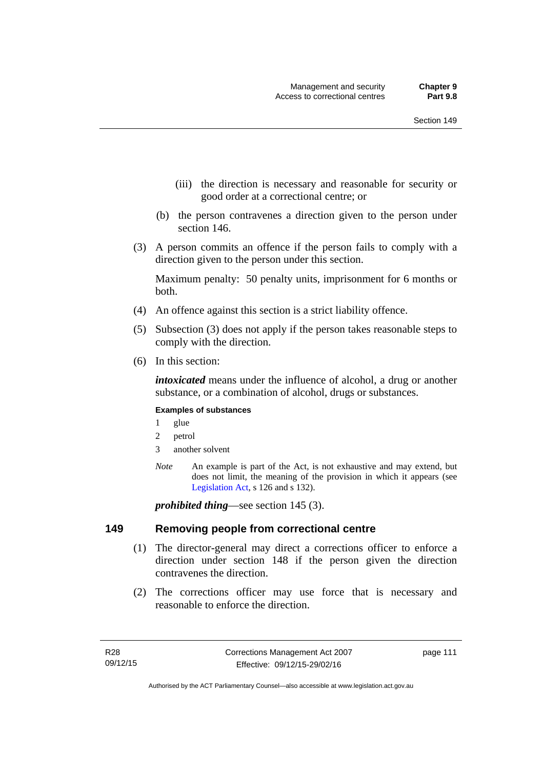- (iii) the direction is necessary and reasonable for security or good order at a correctional centre; or
- (b) the person contravenes a direction given to the person under section 146.
- (3) A person commits an offence if the person fails to comply with a direction given to the person under this section.

Maximum penalty: 50 penalty units, imprisonment for 6 months or both.

- (4) An offence against this section is a strict liability offence.
- (5) Subsection (3) does not apply if the person takes reasonable steps to comply with the direction.
- (6) In this section:

*intoxicated* means under the influence of alcohol, a drug or another substance, or a combination of alcohol, drugs or substances.

#### **Examples of substances**

- 1 glue
- 2 petrol
- 3 another solvent
- *Note* An example is part of the Act, is not exhaustive and may extend, but does not limit, the meaning of the provision in which it appears (see [Legislation Act,](http://www.legislation.act.gov.au/a/2001-14) s 126 and s 132).

*prohibited thing*—see section 145 (3).

#### **149 Removing people from correctional centre**

- (1) The director-general may direct a corrections officer to enforce a direction under section 148 if the person given the direction contravenes the direction.
- (2) The corrections officer may use force that is necessary and reasonable to enforce the direction.

page 111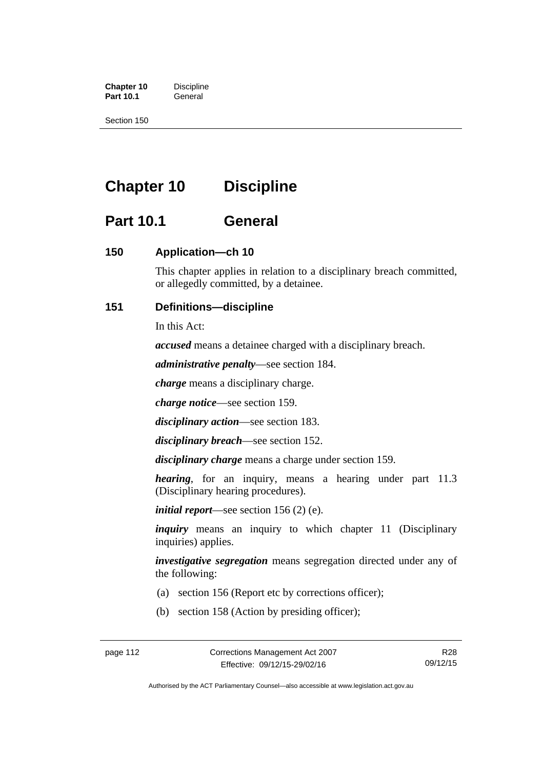**Chapter 10** Discipline<br>**Part 10.1** General **Part 10.1** 

Section 150

# **Chapter 10 Discipline**

# **Part 10.1 General**

## **150 Application—ch 10**

This chapter applies in relation to a disciplinary breach committed, or allegedly committed, by a detainee.

## **151 Definitions—discipline**

In this Act:

*accused* means a detainee charged with a disciplinary breach.

*administrative penalty*—see section 184.

*charge* means a disciplinary charge.

*charge notice*—see section 159.

*disciplinary action*—see section 183.

*disciplinary breach*—see section 152.

*disciplinary charge* means a charge under section 159.

*hearing*, for an inquiry, means a hearing under part 11.3 (Disciplinary hearing procedures).

*initial report*—see section 156 (2) (e).

*inquiry* means an inquiry to which chapter 11 (Disciplinary inquiries) applies.

*investigative segregation* means segregation directed under any of the following:

- (a) section 156 (Report etc by corrections officer);
- (b) section 158 (Action by presiding officer);

Authorised by the ACT Parliamentary Counsel—also accessible at www.legislation.act.gov.au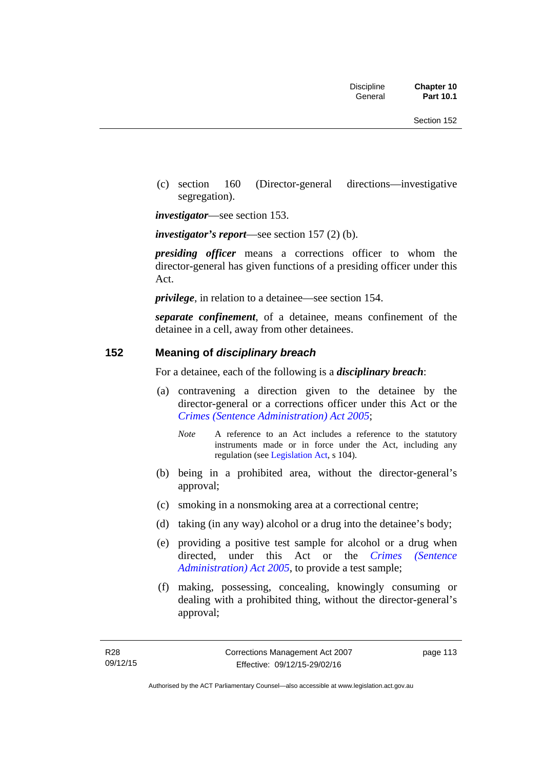(c) section 160 (Director-general directions—investigative segregation).

*investigator*—see section 153.

*investigator's report*—see section 157 (2) (b).

*presiding officer* means a corrections officer to whom the director-general has given functions of a presiding officer under this Act.

*privilege*, in relation to a detainee—see section 154.

*separate confinement*, of a detainee, means confinement of the detainee in a cell, away from other detainees.

#### **152 Meaning of** *disciplinary breach*

For a detainee, each of the following is a *disciplinary breach*:

- (a) contravening a direction given to the detainee by the director-general or a corrections officer under this Act or the *[Crimes \(Sentence Administration\) Act 2005](http://www.legislation.act.gov.au/a/2005-59)*;
	- *Note* A reference to an Act includes a reference to the statutory instruments made or in force under the Act, including any regulation (see [Legislation Act,](http://www.legislation.act.gov.au/a/2001-14) s 104).
- (b) being in a prohibited area, without the director-general's approval;
- (c) smoking in a nonsmoking area at a correctional centre;
- (d) taking (in any way) alcohol or a drug into the detainee's body;
- (e) providing a positive test sample for alcohol or a drug when directed, under this Act or the *[Crimes \(Sentence](http://www.legislation.act.gov.au/a/2005-59)  [Administration\) Act 2005](http://www.legislation.act.gov.au/a/2005-59)*, to provide a test sample;
- (f) making, possessing, concealing, knowingly consuming or dealing with a prohibited thing, without the director-general's approval;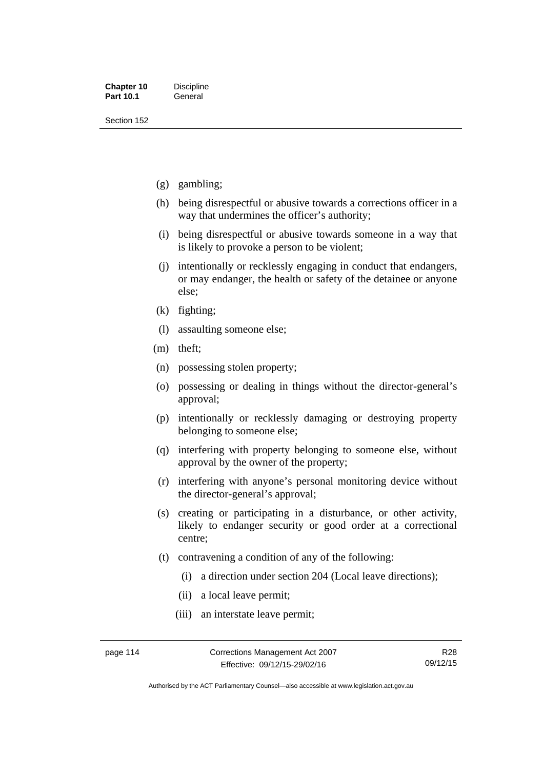- (g) gambling;
- (h) being disrespectful or abusive towards a corrections officer in a way that undermines the officer's authority;
- (i) being disrespectful or abusive towards someone in a way that is likely to provoke a person to be violent;
- (j) intentionally or recklessly engaging in conduct that endangers, or may endanger, the health or safety of the detainee or anyone else;
- (k) fighting;
- (l) assaulting someone else;
- (m) theft;
- (n) possessing stolen property;
- (o) possessing or dealing in things without the director-general's approval;
- (p) intentionally or recklessly damaging or destroying property belonging to someone else;
- (q) interfering with property belonging to someone else, without approval by the owner of the property;
- (r) interfering with anyone's personal monitoring device without the director-general's approval;
- (s) creating or participating in a disturbance, or other activity, likely to endanger security or good order at a correctional centre;
- (t) contravening a condition of any of the following:
	- (i) a direction under section 204 (Local leave directions);
	- (ii) a local leave permit;
	- (iii) an interstate leave permit;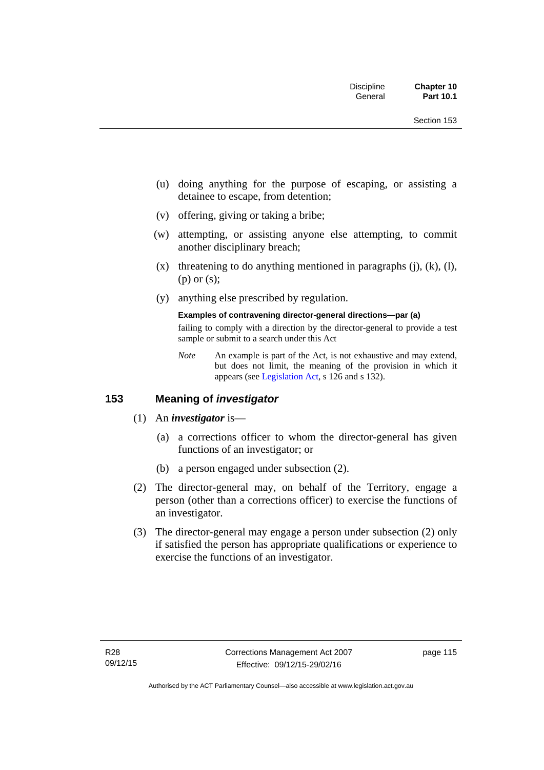- (u) doing anything for the purpose of escaping, or assisting a detainee to escape, from detention;
- (v) offering, giving or taking a bribe;
- (w) attempting, or assisting anyone else attempting, to commit another disciplinary breach;
- $(x)$  threatening to do anything mentioned in paragraphs (j), (k), (l), (p) or (s);
- (y) anything else prescribed by regulation.

#### **Examples of contravening director-general directions—par (a)**

failing to comply with a direction by the director-general to provide a test sample or submit to a search under this Act

*Note* An example is part of the Act, is not exhaustive and may extend, but does not limit, the meaning of the provision in which it appears (see [Legislation Act,](http://www.legislation.act.gov.au/a/2001-14) s 126 and s 132).

## **153 Meaning of** *investigator*

- (1) An *investigator* is—
	- (a) a corrections officer to whom the director-general has given functions of an investigator; or
	- (b) a person engaged under subsection (2).
- (2) The director-general may, on behalf of the Territory, engage a person (other than a corrections officer) to exercise the functions of an investigator.
- (3) The director-general may engage a person under subsection (2) only if satisfied the person has appropriate qualifications or experience to exercise the functions of an investigator.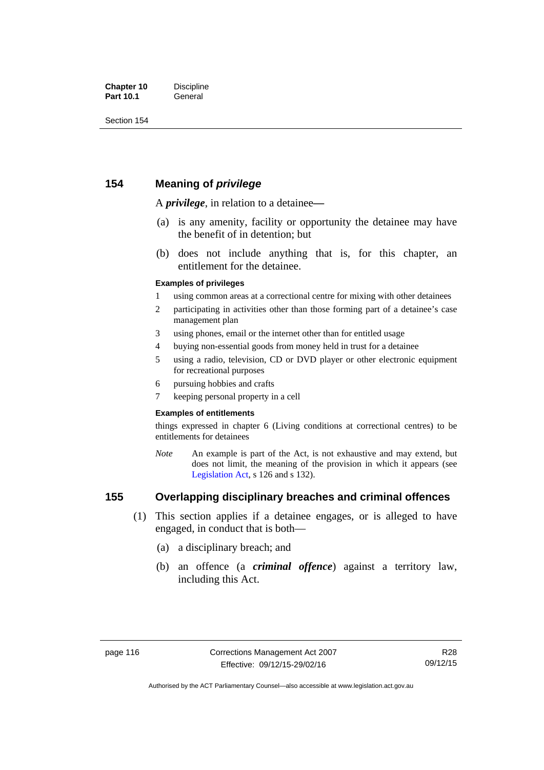## **154 Meaning of** *privilege*

A *privilege*, in relation to a detainee*—*

- (a) is any amenity, facility or opportunity the detainee may have the benefit of in detention; but
- (b) does not include anything that is, for this chapter, an entitlement for the detainee.

#### **Examples of privileges**

- 1 using common areas at a correctional centre for mixing with other detainees
- 2 participating in activities other than those forming part of a detainee's case management plan
- 3 using phones, email or the internet other than for entitled usage
- 4 buying non-essential goods from money held in trust for a detainee
- 5 using a radio, television, CD or DVD player or other electronic equipment for recreational purposes
- 6 pursuing hobbies and crafts
- 7 keeping personal property in a cell

#### **Examples of entitlements**

things expressed in chapter 6 (Living conditions at correctional centres) to be entitlements for detainees

*Note* An example is part of the Act, is not exhaustive and may extend, but does not limit, the meaning of the provision in which it appears (see [Legislation Act,](http://www.legislation.act.gov.au/a/2001-14) s 126 and s 132).

## **155 Overlapping disciplinary breaches and criminal offences**

- (1) This section applies if a detainee engages, or is alleged to have engaged, in conduct that is both—
	- (a) a disciplinary breach; and
	- (b) an offence (a *criminal offence*) against a territory law, including this Act.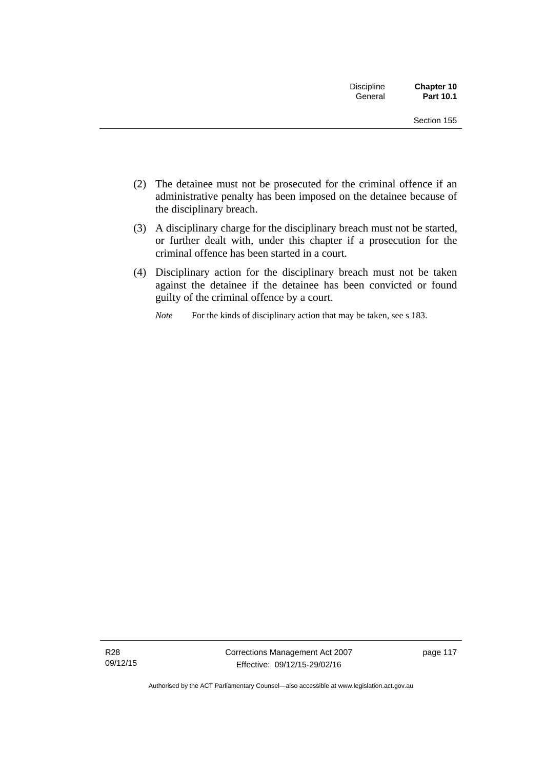| <b>Discipline</b><br>General | Chapter 10<br>Part 10.1 |
|------------------------------|-------------------------|
|                              | Section 155             |

- (2) The detainee must not be prosecuted for the criminal offence if an administrative penalty has been imposed on the detainee because of the disciplinary breach.
- (3) A disciplinary charge for the disciplinary breach must not be started, or further dealt with, under this chapter if a prosecution for the criminal offence has been started in a court.
- (4) Disciplinary action for the disciplinary breach must not be taken against the detainee if the detainee has been convicted or found guilty of the criminal offence by a court.

*Note* For the kinds of disciplinary action that may be taken, see s 183.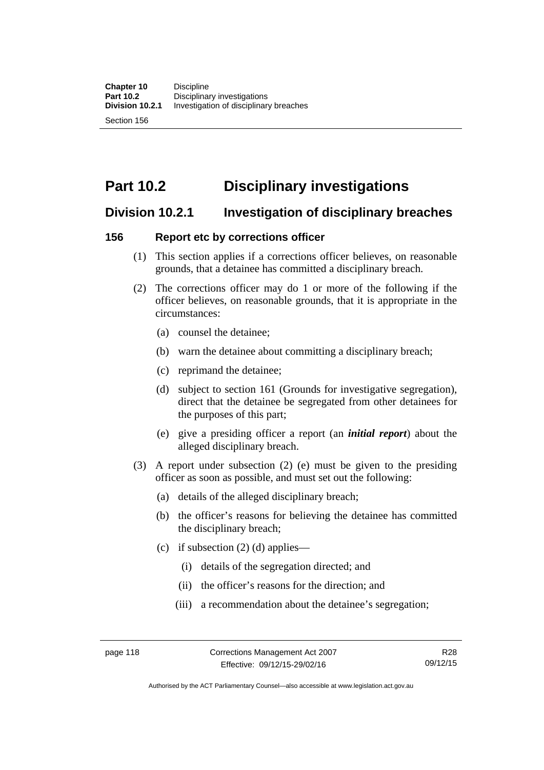# **Part 10.2 Disciplinary investigations**

# **Division 10.2.1 Investigation of disciplinary breaches**

## **156 Report etc by corrections officer**

- (1) This section applies if a corrections officer believes, on reasonable grounds, that a detainee has committed a disciplinary breach.
- (2) The corrections officer may do 1 or more of the following if the officer believes, on reasonable grounds, that it is appropriate in the circumstances:
	- (a) counsel the detainee;
	- (b) warn the detainee about committing a disciplinary breach;
	- (c) reprimand the detainee;
	- (d) subject to section 161 (Grounds for investigative segregation), direct that the detainee be segregated from other detainees for the purposes of this part;
	- (e) give a presiding officer a report (an *initial report*) about the alleged disciplinary breach.
- (3) A report under subsection (2) (e) must be given to the presiding officer as soon as possible, and must set out the following:
	- (a) details of the alleged disciplinary breach;
	- (b) the officer's reasons for believing the detainee has committed the disciplinary breach;
	- (c) if subsection  $(2)$  (d) applies—
		- (i) details of the segregation directed; and
		- (ii) the officer's reasons for the direction; and
		- (iii) a recommendation about the detainee's segregation;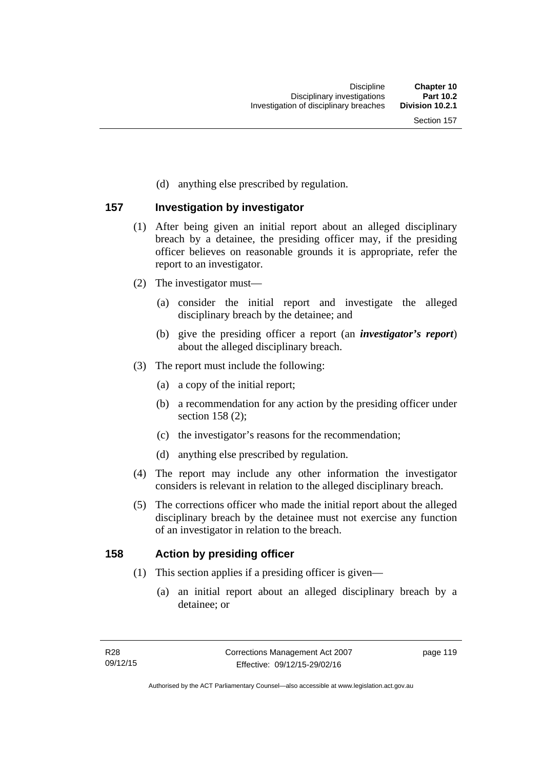(d) anything else prescribed by regulation.

### **157 Investigation by investigator**

- (1) After being given an initial report about an alleged disciplinary breach by a detainee, the presiding officer may, if the presiding officer believes on reasonable grounds it is appropriate, refer the report to an investigator.
- (2) The investigator must—
	- (a) consider the initial report and investigate the alleged disciplinary breach by the detainee; and
	- (b) give the presiding officer a report (an *investigator's report*) about the alleged disciplinary breach.
- (3) The report must include the following:
	- (a) a copy of the initial report;
	- (b) a recommendation for any action by the presiding officer under section 158 (2):
	- (c) the investigator's reasons for the recommendation;
	- (d) anything else prescribed by regulation.
- (4) The report may include any other information the investigator considers is relevant in relation to the alleged disciplinary breach.
- (5) The corrections officer who made the initial report about the alleged disciplinary breach by the detainee must not exercise any function of an investigator in relation to the breach.

### **158 Action by presiding officer**

- (1) This section applies if a presiding officer is given—
	- (a) an initial report about an alleged disciplinary breach by a detainee; or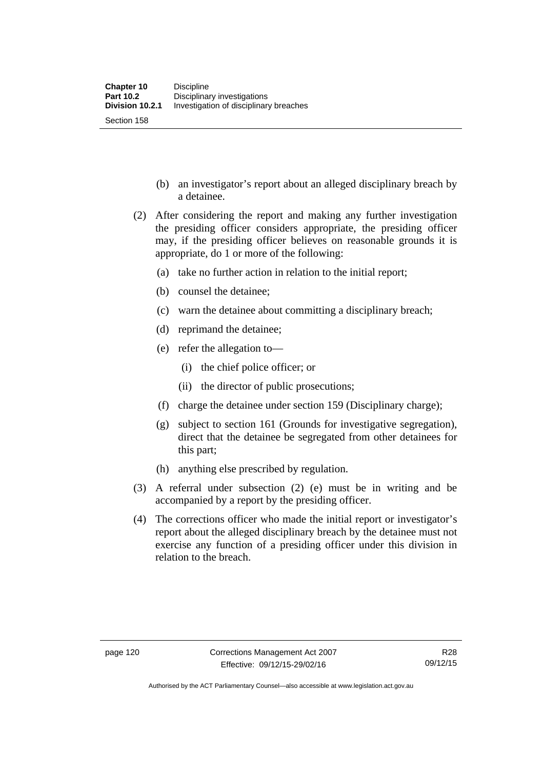- (b) an investigator's report about an alleged disciplinary breach by a detainee.
- (2) After considering the report and making any further investigation the presiding officer considers appropriate, the presiding officer may, if the presiding officer believes on reasonable grounds it is appropriate, do 1 or more of the following:
	- (a) take no further action in relation to the initial report;
	- (b) counsel the detainee;
	- (c) warn the detainee about committing a disciplinary breach;
	- (d) reprimand the detainee;
	- (e) refer the allegation to—
		- (i) the chief police officer; or
		- (ii) the director of public prosecutions;
	- (f) charge the detainee under section 159 (Disciplinary charge);
	- (g) subject to section 161 (Grounds for investigative segregation), direct that the detainee be segregated from other detainees for this part;
	- (h) anything else prescribed by regulation.
- (3) A referral under subsection (2) (e) must be in writing and be accompanied by a report by the presiding officer.
- (4) The corrections officer who made the initial report or investigator's report about the alleged disciplinary breach by the detainee must not exercise any function of a presiding officer under this division in relation to the breach.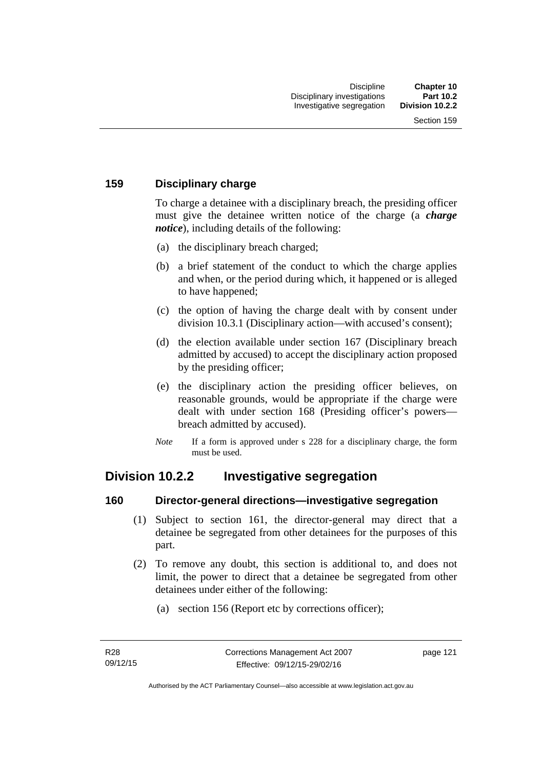## **159 Disciplinary charge**

To charge a detainee with a disciplinary breach, the presiding officer must give the detainee written notice of the charge (a *charge notice*), including details of the following:

- (a) the disciplinary breach charged;
- (b) a brief statement of the conduct to which the charge applies and when, or the period during which, it happened or is alleged to have happened;
- (c) the option of having the charge dealt with by consent under division 10.3.1 (Disciplinary action—with accused's consent);
- (d) the election available under section 167 (Disciplinary breach admitted by accused) to accept the disciplinary action proposed by the presiding officer;
- (e) the disciplinary action the presiding officer believes, on reasonable grounds, would be appropriate if the charge were dealt with under section 168 (Presiding officer's powers breach admitted by accused).
- *Note* If a form is approved under s 228 for a disciplinary charge, the form must be used.

# **Division 10.2.2 Investigative segregation**

### **160 Director-general directions—investigative segregation**

- (1) Subject to section 161, the director-general may direct that a detainee be segregated from other detainees for the purposes of this part.
- (2) To remove any doubt, this section is additional to, and does not limit, the power to direct that a detainee be segregated from other detainees under either of the following:
	- (a) section 156 (Report etc by corrections officer);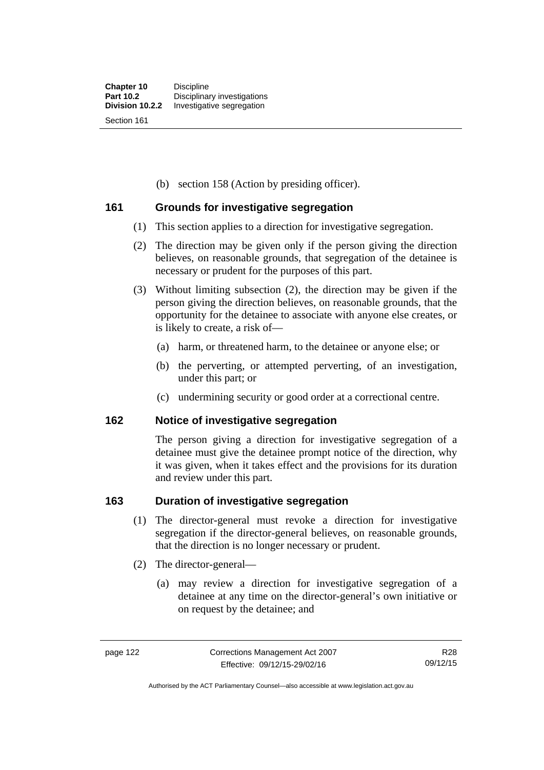(b) section 158 (Action by presiding officer).

### **161 Grounds for investigative segregation**

- (1) This section applies to a direction for investigative segregation.
- (2) The direction may be given only if the person giving the direction believes, on reasonable grounds, that segregation of the detainee is necessary or prudent for the purposes of this part.
- (3) Without limiting subsection (2), the direction may be given if the person giving the direction believes, on reasonable grounds, that the opportunity for the detainee to associate with anyone else creates, or is likely to create, a risk of—
	- (a) harm, or threatened harm, to the detainee or anyone else; or
	- (b) the perverting, or attempted perverting, of an investigation, under this part; or
	- (c) undermining security or good order at a correctional centre.

### **162 Notice of investigative segregation**

The person giving a direction for investigative segregation of a detainee must give the detainee prompt notice of the direction, why it was given, when it takes effect and the provisions for its duration and review under this part.

### **163 Duration of investigative segregation**

- (1) The director-general must revoke a direction for investigative segregation if the director-general believes, on reasonable grounds, that the direction is no longer necessary or prudent.
- (2) The director-general—
	- (a) may review a direction for investigative segregation of a detainee at any time on the director-general's own initiative or on request by the detainee; and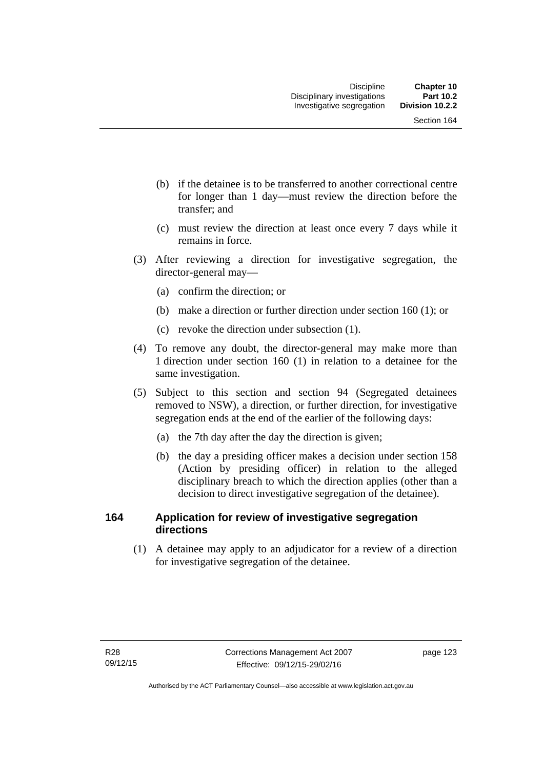- (b) if the detainee is to be transferred to another correctional centre for longer than 1 day—must review the direction before the transfer; and
- (c) must review the direction at least once every 7 days while it remains in force.
- (3) After reviewing a direction for investigative segregation, the director-general may—
	- (a) confirm the direction; or
	- (b) make a direction or further direction under section 160 (1); or
	- (c) revoke the direction under subsection (1).
- (4) To remove any doubt, the director-general may make more than 1 direction under section 160 (1) in relation to a detainee for the same investigation.
- (5) Subject to this section and section 94 (Segregated detainees removed to NSW), a direction, or further direction, for investigative segregation ends at the end of the earlier of the following days:
	- (a) the 7th day after the day the direction is given;
	- (b) the day a presiding officer makes a decision under section 158 (Action by presiding officer) in relation to the alleged disciplinary breach to which the direction applies (other than a decision to direct investigative segregation of the detainee).

## **164 Application for review of investigative segregation directions**

(1) A detainee may apply to an adjudicator for a review of a direction for investigative segregation of the detainee.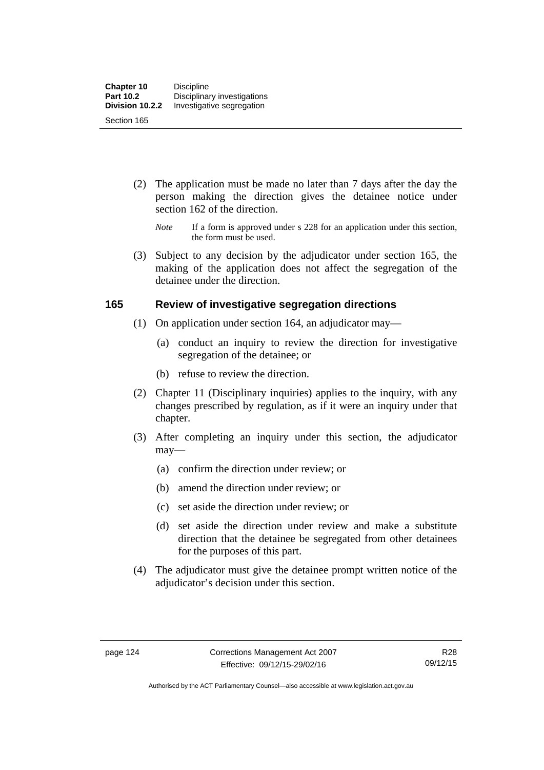- (2) The application must be made no later than 7 days after the day the person making the direction gives the detainee notice under section 162 of the direction.
	- *Note* If a form is approved under s 228 for an application under this section, the form must be used.
- (3) Subject to any decision by the adjudicator under section 165, the making of the application does not affect the segregation of the detainee under the direction.

### **165 Review of investigative segregation directions**

- (1) On application under section 164, an adjudicator may—
	- (a) conduct an inquiry to review the direction for investigative segregation of the detainee; or
	- (b) refuse to review the direction.
- (2) Chapter 11 (Disciplinary inquiries) applies to the inquiry, with any changes prescribed by regulation, as if it were an inquiry under that chapter.
- (3) After completing an inquiry under this section, the adjudicator may—
	- (a) confirm the direction under review; or
	- (b) amend the direction under review; or
	- (c) set aside the direction under review; or
	- (d) set aside the direction under review and make a substitute direction that the detainee be segregated from other detainees for the purposes of this part.
- (4) The adjudicator must give the detainee prompt written notice of the adjudicator's decision under this section.

Authorised by the ACT Parliamentary Counsel—also accessible at www.legislation.act.gov.au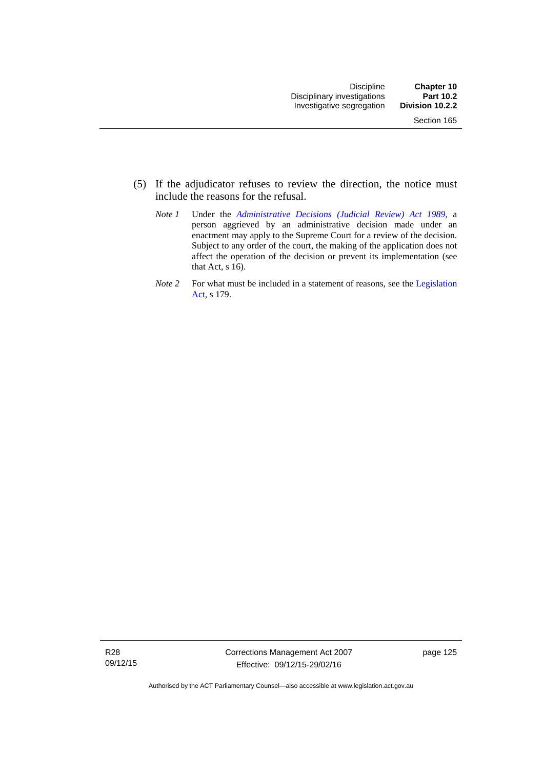- (5) If the adjudicator refuses to review the direction, the notice must include the reasons for the refusal.
	- *Note 1* Under the *[Administrative Decisions \(Judicial Review\) Act 1989](http://www.legislation.act.gov.au/a/alt_a1989-33co)*, a person aggrieved by an administrative decision made under an enactment may apply to the Supreme Court for a review of the decision. Subject to any order of the court, the making of the application does not affect the operation of the decision or prevent its implementation (see that Act, s 16).
	- *Note 2* For what must be included in a statement of reasons, see the Legislation [Act,](http://www.legislation.act.gov.au/a/2001-14) s 179.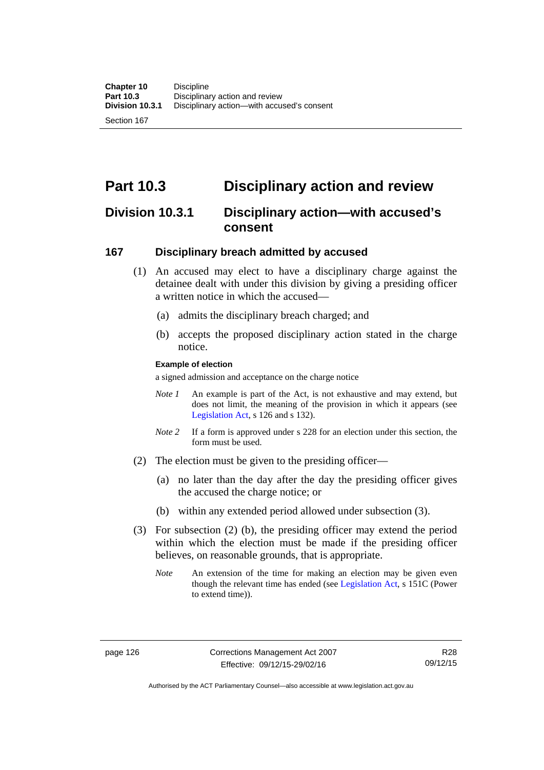# **Part 10.3 Disciplinary action and review**

## **Division 10.3.1 Disciplinary action—with accused's consent**

### **167 Disciplinary breach admitted by accused**

- (1) An accused may elect to have a disciplinary charge against the detainee dealt with under this division by giving a presiding officer a written notice in which the accused-
	- (a) admits the disciplinary breach charged; and
	- (b) accepts the proposed disciplinary action stated in the charge notice.

#### **Example of election**

a signed admission and acceptance on the charge notice

- *Note 1* An example is part of the Act, is not exhaustive and may extend, but does not limit, the meaning of the provision in which it appears (see [Legislation Act,](http://www.legislation.act.gov.au/a/2001-14) s 126 and s 132).
- *Note* 2 If a form is approved under s 228 for an election under this section, the form must be used.
- (2) The election must be given to the presiding officer—
	- (a) no later than the day after the day the presiding officer gives the accused the charge notice; or
	- (b) within any extended period allowed under subsection (3).
- (3) For subsection (2) (b), the presiding officer may extend the period within which the election must be made if the presiding officer believes, on reasonable grounds, that is appropriate.
	- *Note* An extension of the time for making an election may be given even though the relevant time has ended (see [Legislation Act](http://www.legislation.act.gov.au/a/2001-14), s 151C (Power to extend time)).

Authorised by the ACT Parliamentary Counsel—also accessible at www.legislation.act.gov.au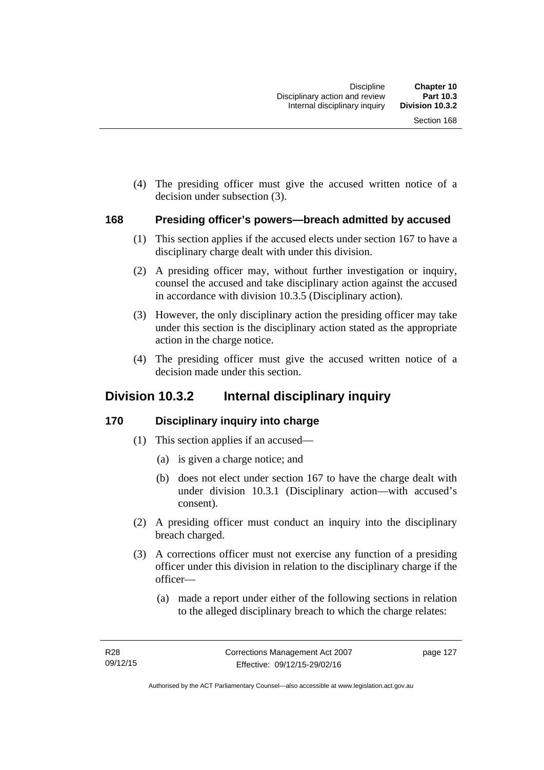(4) The presiding officer must give the accused written notice of a decision under subsection (3).

#### **168 Presiding officer's powers—breach admitted by accused**

- (1) This section applies if the accused elects under section 167 to have a disciplinary charge dealt with under this division.
- (2) A presiding officer may, without further investigation or inquiry, counsel the accused and take disciplinary action against the accused in accordance with division 10.3.5 (Disciplinary action).
- (3) However, the only disciplinary action the presiding officer may take under this section is the disciplinary action stated as the appropriate action in the charge notice.
- (4) The presiding officer must give the accused written notice of a decision made under this section.

## **Division 10.3.2 Internal disciplinary inquiry**

### **170 Disciplinary inquiry into charge**

- (1) This section applies if an accused—
	- (a) is given a charge notice; and
	- (b) does not elect under section 167 to have the charge dealt with under division 10.3.1 (Disciplinary action—with accused's consent).
- (2) A presiding officer must conduct an inquiry into the disciplinary breach charged.
- (3) A corrections officer must not exercise any function of a presiding officer under this division in relation to the disciplinary charge if the officer—
	- (a) made a report under either of the following sections in relation to the alleged disciplinary breach to which the charge relates: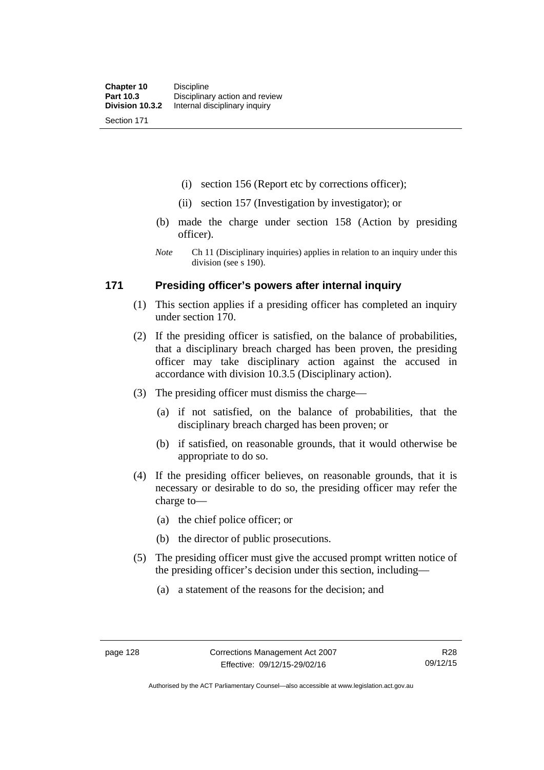(i) section 156 (Report etc by corrections officer);

- (ii) section 157 (Investigation by investigator); or
- (b) made the charge under section 158 (Action by presiding officer).
- *Note* Ch 11 (Disciplinary inquiries) applies in relation to an inquiry under this division (see s 190).

### **171 Presiding officer's powers after internal inquiry**

- (1) This section applies if a presiding officer has completed an inquiry under section 170.
- (2) If the presiding officer is satisfied, on the balance of probabilities, that a disciplinary breach charged has been proven, the presiding officer may take disciplinary action against the accused in accordance with division 10.3.5 (Disciplinary action).
- (3) The presiding officer must dismiss the charge—
	- (a) if not satisfied, on the balance of probabilities, that the disciplinary breach charged has been proven; or
	- (b) if satisfied, on reasonable grounds, that it would otherwise be appropriate to do so.
- (4) If the presiding officer believes, on reasonable grounds, that it is necessary or desirable to do so, the presiding officer may refer the charge to—
	- (a) the chief police officer; or
	- (b) the director of public prosecutions.
- (5) The presiding officer must give the accused prompt written notice of the presiding officer's decision under this section, including—
	- (a) a statement of the reasons for the decision; and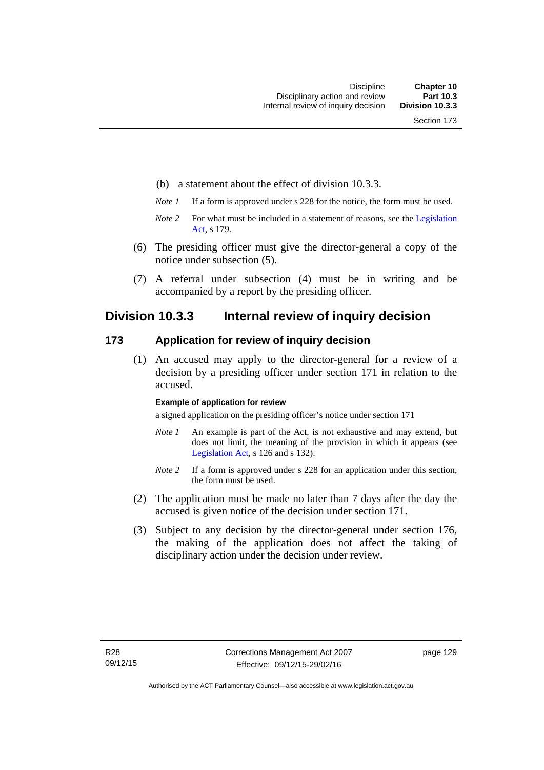- (b) a statement about the effect of division 10.3.3.
- *Note 1* If a form is approved under s 228 for the notice, the form must be used.
- *Note 2* For what must be included in a statement of reasons, see the Legislation [Act,](http://www.legislation.act.gov.au/a/2001-14) s 179.
- (6) The presiding officer must give the director-general a copy of the notice under subsection (5).
- (7) A referral under subsection (4) must be in writing and be accompanied by a report by the presiding officer.

## **Division 10.3.3 Internal review of inquiry decision**

#### **173 Application for review of inquiry decision**

 (1) An accused may apply to the director-general for a review of a decision by a presiding officer under section 171 in relation to the accused.

#### **Example of application for review**

a signed application on the presiding officer's notice under section 171

- *Note 1* An example is part of the Act, is not exhaustive and may extend, but does not limit, the meaning of the provision in which it appears (see [Legislation Act,](http://www.legislation.act.gov.au/a/2001-14) s 126 and s 132).
- *Note 2* If a form is approved under s 228 for an application under this section, the form must be used.
- (2) The application must be made no later than 7 days after the day the accused is given notice of the decision under section 171.
- (3) Subject to any decision by the director-general under section 176, the making of the application does not affect the taking of disciplinary action under the decision under review.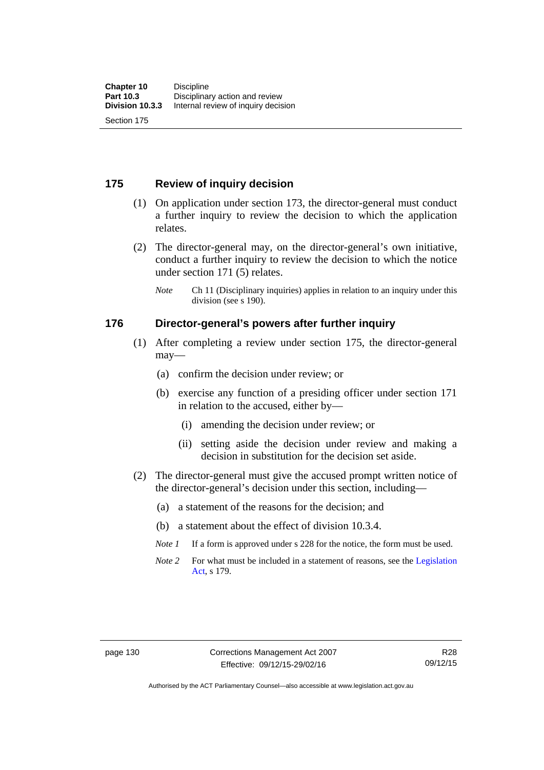## **175 Review of inquiry decision**

- (1) On application under section 173, the director-general must conduct a further inquiry to review the decision to which the application relates.
- (2) The director-general may, on the director-general's own initiative, conduct a further inquiry to review the decision to which the notice under section 171 (5) relates.
	- *Note* Ch 11 (Disciplinary inquiries) applies in relation to an inquiry under this division (see s 190).

#### **176 Director-general's powers after further inquiry**

- (1) After completing a review under section 175, the director-general may—
	- (a) confirm the decision under review; or
	- (b) exercise any function of a presiding officer under section 171 in relation to the accused, either by—
		- (i) amending the decision under review; or
		- (ii) setting aside the decision under review and making a decision in substitution for the decision set aside.
- (2) The director-general must give the accused prompt written notice of the director-general's decision under this section, including—
	- (a) a statement of the reasons for the decision; and
	- (b) a statement about the effect of division 10.3.4.
	- *Note 1* If a form is approved under s 228 for the notice, the form must be used.
	- *Note* 2 For what must be included in a statement of reasons, see the Legislation [Act,](http://www.legislation.act.gov.au/a/2001-14) s 179.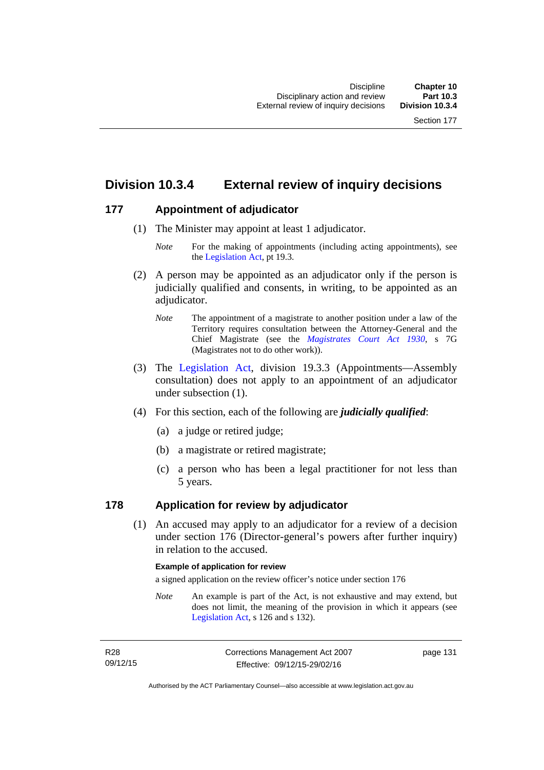# **Division 10.3.4 External review of inquiry decisions**

### **177 Appointment of adjudicator**

- (1) The Minister may appoint at least 1 adjudicator.
	- *Note* For the making of appointments (including acting appointments), see the [Legislation Act,](http://www.legislation.act.gov.au/a/2001-14) pt 19.3.
- (2) A person may be appointed as an adjudicator only if the person is judicially qualified and consents, in writing, to be appointed as an adjudicator.
	- *Note* The appointment of a magistrate to another position under a law of the Territory requires consultation between the Attorney-General and the Chief Magistrate (see the *[Magistrates Court Act 1930](http://www.legislation.act.gov.au/a/1930-21)*, s 7G (Magistrates not to do other work)).
- (3) The [Legislation Act,](http://www.legislation.act.gov.au/a/2001-14) division 19.3.3 (Appointments—Assembly consultation) does not apply to an appointment of an adjudicator under subsection (1).
- (4) For this section, each of the following are *judicially qualified*:
	- (a) a judge or retired judge;
	- (b) a magistrate or retired magistrate;
	- (c) a person who has been a legal practitioner for not less than 5 years.

### **178 Application for review by adjudicator**

 (1) An accused may apply to an adjudicator for a review of a decision under section 176 (Director-general's powers after further inquiry) in relation to the accused.

#### **Example of application for review**

a signed application on the review officer's notice under section 176

*Note* An example is part of the Act, is not exhaustive and may extend, but does not limit, the meaning of the provision in which it appears (see [Legislation Act,](http://www.legislation.act.gov.au/a/2001-14) s 126 and s 132).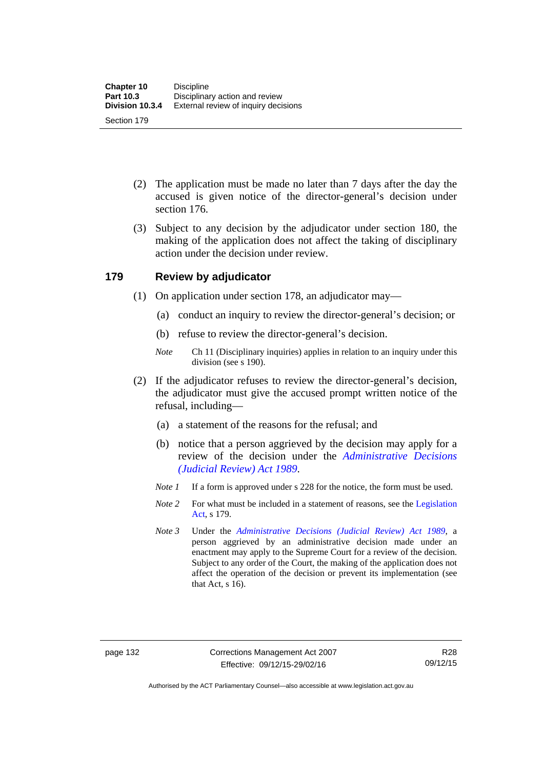- (2) The application must be made no later than 7 days after the day the accused is given notice of the director-general's decision under section 176.
- (3) Subject to any decision by the adjudicator under section 180, the making of the application does not affect the taking of disciplinary action under the decision under review.

### **179 Review by adjudicator**

- (1) On application under section 178, an adjudicator may—
	- (a) conduct an inquiry to review the director-general's decision; or
	- (b) refuse to review the director-general's decision.
	- *Note* Ch 11 (Disciplinary inquiries) applies in relation to an inquiry under this division (see s 190).
- (2) If the adjudicator refuses to review the director-general's decision, the adjudicator must give the accused prompt written notice of the refusal, including—
	- (a) a statement of the reasons for the refusal; and
	- (b) notice that a person aggrieved by the decision may apply for a review of the decision under the *[Administrative Decisions](http://www.legislation.act.gov.au/a/alt_a1989-33co)  [\(Judicial Review\) Act 1989](http://www.legislation.act.gov.au/a/alt_a1989-33co)*.
	- *Note 1* If a form is approved under s 228 for the notice, the form must be used.
	- *Note 2* For what must be included in a statement of reasons, see the Legislation [Act,](http://www.legislation.act.gov.au/a/2001-14) s 179.
	- *Note 3* Under the *[Administrative Decisions \(Judicial Review\) Act 1989](http://www.legislation.act.gov.au/a/alt_a1989-33co)*, a person aggrieved by an administrative decision made under an enactment may apply to the Supreme Court for a review of the decision. Subject to any order of the Court, the making of the application does not affect the operation of the decision or prevent its implementation (see that Act, s 16).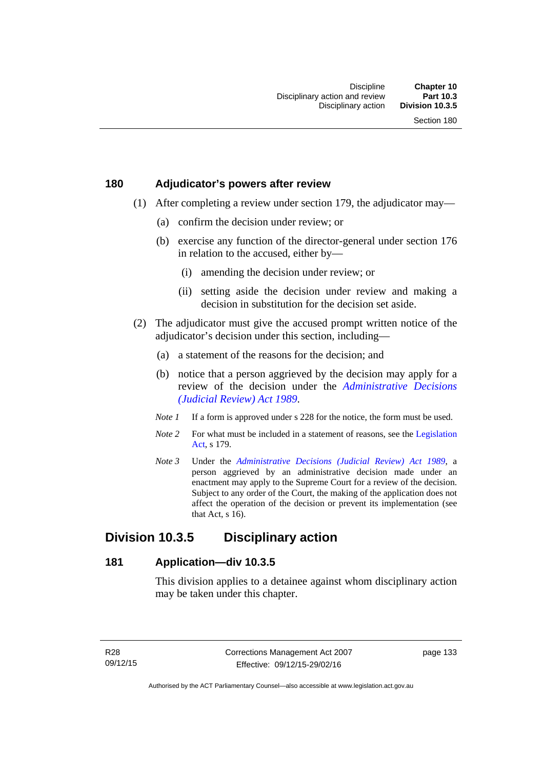### **180 Adjudicator's powers after review**

- (1) After completing a review under section 179, the adjudicator may—
	- (a) confirm the decision under review; or
	- (b) exercise any function of the director-general under section 176 in relation to the accused, either by—
		- (i) amending the decision under review; or
		- (ii) setting aside the decision under review and making a decision in substitution for the decision set aside.
- (2) The adjudicator must give the accused prompt written notice of the adjudicator's decision under this section, including—
	- (a) a statement of the reasons for the decision; and
	- (b) notice that a person aggrieved by the decision may apply for a review of the decision under the *[Administrative Decisions](http://www.legislation.act.gov.au/a/alt_a1989-33co)  [\(Judicial Review\) Act 1989](http://www.legislation.act.gov.au/a/alt_a1989-33co)*.
	- *Note 1* If a form is approved under s 228 for the notice, the form must be used.
	- *Note* 2 For what must be included in a statement of reasons, see the Legislation [Act,](http://www.legislation.act.gov.au/a/2001-14) s 179.
	- *Note 3* Under the *[Administrative Decisions \(Judicial Review\) Act 1989](http://www.legislation.act.gov.au/a/alt_a1989-33co)*, a person aggrieved by an administrative decision made under an enactment may apply to the Supreme Court for a review of the decision. Subject to any order of the Court, the making of the application does not affect the operation of the decision or prevent its implementation (see that Act, s 16).

# **Division 10.3.5 Disciplinary action**

### **181 Application—div 10.3.5**

This division applies to a detainee against whom disciplinary action may be taken under this chapter.

page 133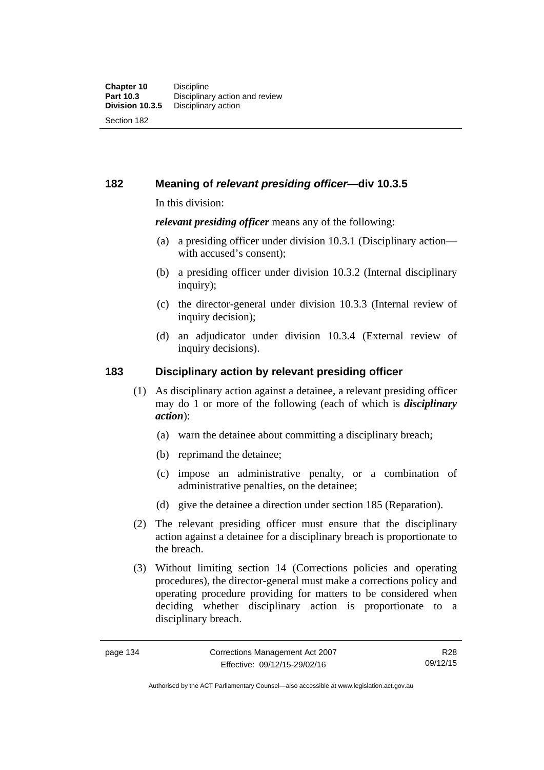**182 Meaning of** *relevant presiding officer***—div 10.3.5**

In this division:

*relevant presiding officer* means any of the following:

- (a) a presiding officer under division 10.3.1 (Disciplinary action with accused's consent);
- (b) a presiding officer under division 10.3.2 (Internal disciplinary inquiry);
- (c) the director-general under division 10.3.3 (Internal review of inquiry decision):
- (d) an adjudicator under division 10.3.4 (External review of inquiry decisions).

# **183 Disciplinary action by relevant presiding officer**

- (1) As disciplinary action against a detainee, a relevant presiding officer may do 1 or more of the following (each of which is *disciplinary action*):
	- (a) warn the detainee about committing a disciplinary breach;
	- (b) reprimand the detainee;
	- (c) impose an administrative penalty, or a combination of administrative penalties, on the detainee;
	- (d) give the detainee a direction under section 185 (Reparation).
- (2) The relevant presiding officer must ensure that the disciplinary action against a detainee for a disciplinary breach is proportionate to the breach.
- (3) Without limiting section 14 (Corrections policies and operating procedures), the director-general must make a corrections policy and operating procedure providing for matters to be considered when deciding whether disciplinary action is proportionate to a disciplinary breach.

R28 09/12/15

Authorised by the ACT Parliamentary Counsel—also accessible at www.legislation.act.gov.au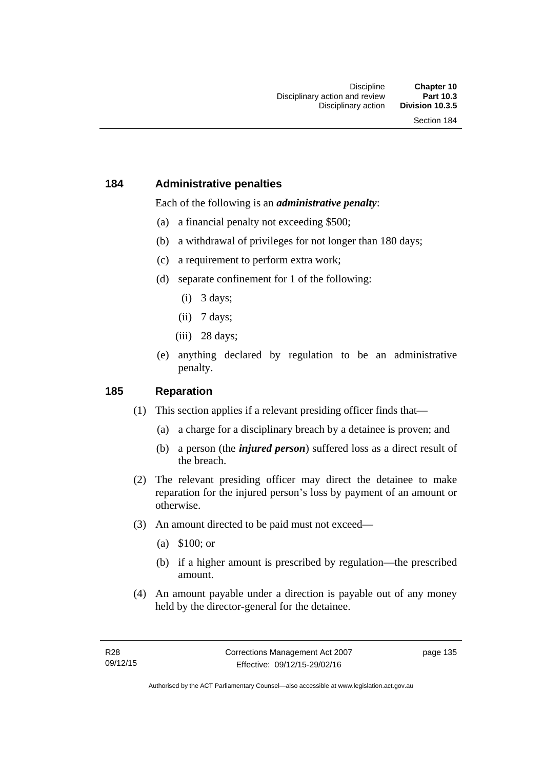### **184 Administrative penalties**

Each of the following is an *administrative penalty*:

- (a) a financial penalty not exceeding \$500;
- (b) a withdrawal of privileges for not longer than 180 days;
- (c) a requirement to perform extra work;
- (d) separate confinement for 1 of the following:
	- (i) 3 days;
	- $(ii)$  7 days;
	- (iii) 28 days:
- (e) anything declared by regulation to be an administrative penalty.

### **185 Reparation**

- (1) This section applies if a relevant presiding officer finds that—
	- (a) a charge for a disciplinary breach by a detainee is proven; and
	- (b) a person (the *injured person*) suffered loss as a direct result of the breach.
- (2) The relevant presiding officer may direct the detainee to make reparation for the injured person's loss by payment of an amount or otherwise.
- (3) An amount directed to be paid must not exceed—
	- (a) \$100; or
	- (b) if a higher amount is prescribed by regulation—the prescribed amount.
- (4) An amount payable under a direction is payable out of any money held by the director-general for the detainee.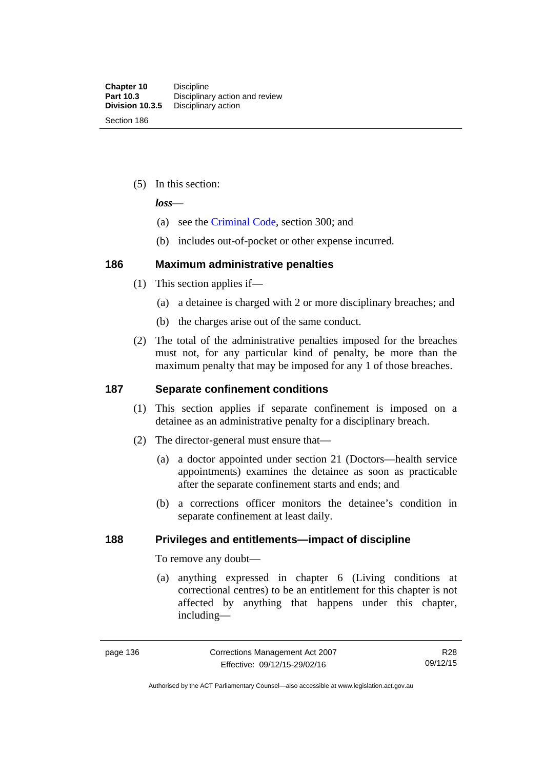(5) In this section:

*loss*—

- (a) see the [Criminal Code](http://www.legislation.act.gov.au/a/2002-51), section 300; and
- (b) includes out-of-pocket or other expense incurred.

### **186 Maximum administrative penalties**

- (1) This section applies if—
	- (a) a detainee is charged with 2 or more disciplinary breaches; and
	- (b) the charges arise out of the same conduct.
- (2) The total of the administrative penalties imposed for the breaches must not, for any particular kind of penalty, be more than the maximum penalty that may be imposed for any 1 of those breaches.

## **187 Separate confinement conditions**

- (1) This section applies if separate confinement is imposed on a detainee as an administrative penalty for a disciplinary breach.
- (2) The director-general must ensure that—
	- (a) a doctor appointed under section 21 (Doctors—health service appointments) examines the detainee as soon as practicable after the separate confinement starts and ends; and
	- (b) a corrections officer monitors the detainee's condition in separate confinement at least daily.

# **188 Privileges and entitlements—impact of discipline**

To remove any doubt—

 (a) anything expressed in chapter 6 (Living conditions at correctional centres) to be an entitlement for this chapter is not affected by anything that happens under this chapter, including—

Authorised by the ACT Parliamentary Counsel—also accessible at www.legislation.act.gov.au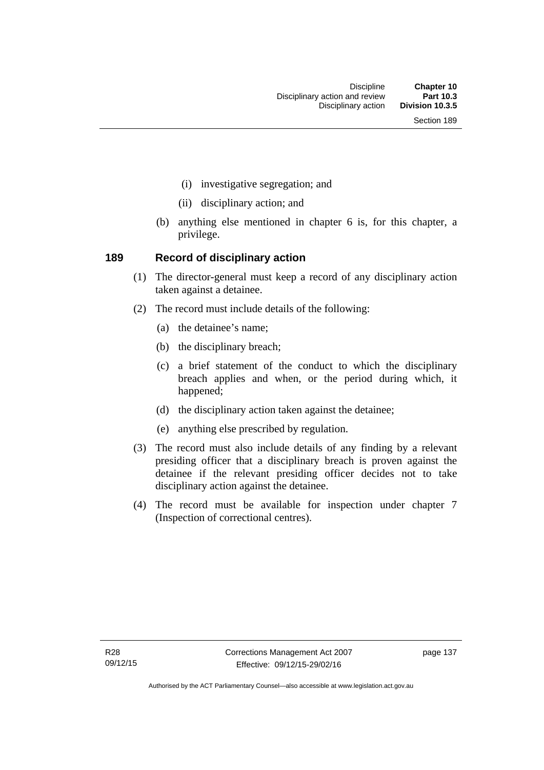- (i) investigative segregation; and
- (ii) disciplinary action; and
- (b) anything else mentioned in chapter 6 is, for this chapter, a privilege.

### **189 Record of disciplinary action**

- (1) The director-general must keep a record of any disciplinary action taken against a detainee.
- (2) The record must include details of the following:
	- (a) the detainee's name;
	- (b) the disciplinary breach;
	- (c) a brief statement of the conduct to which the disciplinary breach applies and when, or the period during which, it happened;
	- (d) the disciplinary action taken against the detainee;
	- (e) anything else prescribed by regulation.
- (3) The record must also include details of any finding by a relevant presiding officer that a disciplinary breach is proven against the detainee if the relevant presiding officer decides not to take disciplinary action against the detainee.
- (4) The record must be available for inspection under chapter 7 (Inspection of correctional centres).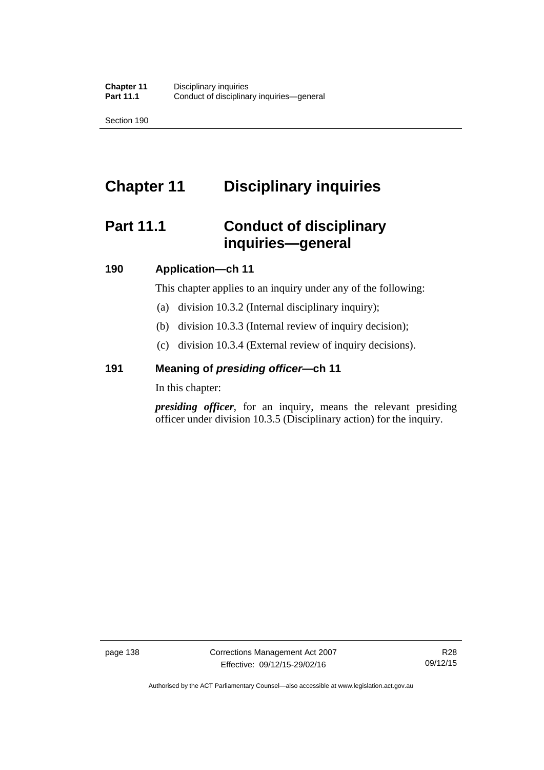Section 190

# **Chapter 11 Disciplinary inquiries**

# **Part 11.1 Conduct of disciplinary inquiries—general**

### **190 Application—ch 11**

This chapter applies to an inquiry under any of the following:

- (a) division 10.3.2 (Internal disciplinary inquiry);
- (b) division 10.3.3 (Internal review of inquiry decision);
- (c) division 10.3.4 (External review of inquiry decisions).

## **191 Meaning of** *presiding officer—***ch 11**

In this chapter:

*presiding officer*, for an inquiry, means the relevant presiding officer under division 10.3.5 (Disciplinary action) for the inquiry.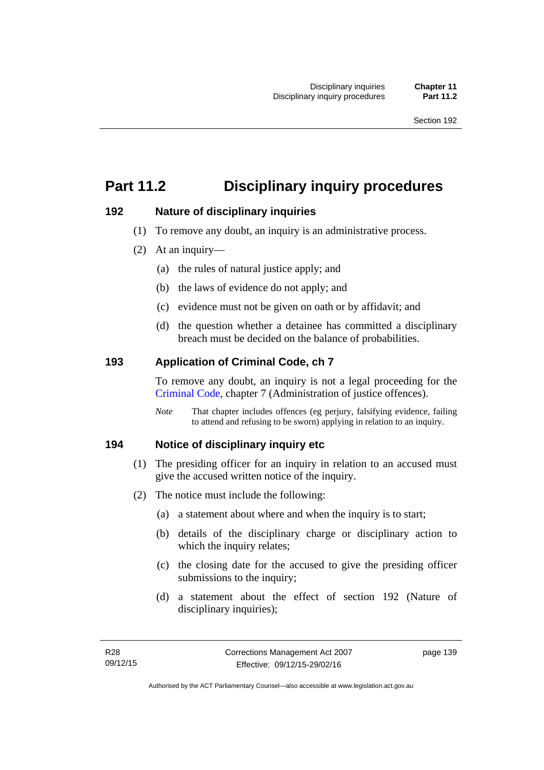# **Part 11.2 Disciplinary inquiry procedures**

### **192 Nature of disciplinary inquiries**

- (1) To remove any doubt, an inquiry is an administrative process.
- (2) At an inquiry—
	- (a) the rules of natural justice apply; and
	- (b) the laws of evidence do not apply; and
	- (c) evidence must not be given on oath or by affidavit; and
	- (d) the question whether a detainee has committed a disciplinary breach must be decided on the balance of probabilities.

### **193 Application of Criminal Code, ch 7**

To remove any doubt, an inquiry is not a legal proceeding for the [Criminal Code](http://www.legislation.act.gov.au/a/2002-51), chapter 7 (Administration of justice offences).

*Note* That chapter includes offences (eg perjury, falsifying evidence, failing to attend and refusing to be sworn) applying in relation to an inquiry.

### **194 Notice of disciplinary inquiry etc**

- (1) The presiding officer for an inquiry in relation to an accused must give the accused written notice of the inquiry.
- (2) The notice must include the following:
	- (a) a statement about where and when the inquiry is to start;
	- (b) details of the disciplinary charge or disciplinary action to which the inquiry relates:
	- (c) the closing date for the accused to give the presiding officer submissions to the inquiry;
	- (d) a statement about the effect of section 192 (Nature of disciplinary inquiries);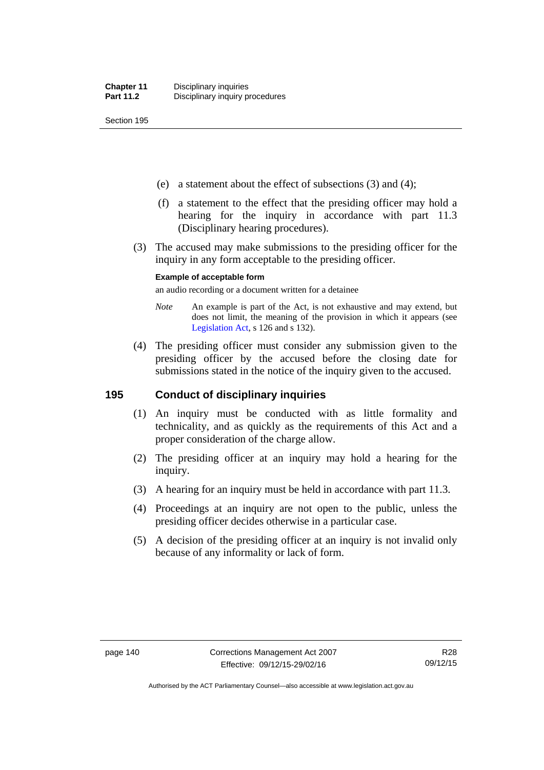Section 195

- (e) a statement about the effect of subsections (3) and (4);
- (f) a statement to the effect that the presiding officer may hold a hearing for the inquiry in accordance with part 11.3 (Disciplinary hearing procedures).
- (3) The accused may make submissions to the presiding officer for the inquiry in any form acceptable to the presiding officer.

#### **Example of acceptable form**

an audio recording or a document written for a detainee

- *Note* An example is part of the Act, is not exhaustive and may extend, but does not limit, the meaning of the provision in which it appears (see [Legislation Act,](http://www.legislation.act.gov.au/a/2001-14) s 126 and s 132).
- (4) The presiding officer must consider any submission given to the presiding officer by the accused before the closing date for submissions stated in the notice of the inquiry given to the accused.

### **195 Conduct of disciplinary inquiries**

- (1) An inquiry must be conducted with as little formality and technicality, and as quickly as the requirements of this Act and a proper consideration of the charge allow.
- (2) The presiding officer at an inquiry may hold a hearing for the inquiry.
- (3) A hearing for an inquiry must be held in accordance with part 11.3.
- (4) Proceedings at an inquiry are not open to the public, unless the presiding officer decides otherwise in a particular case.
- (5) A decision of the presiding officer at an inquiry is not invalid only because of any informality or lack of form.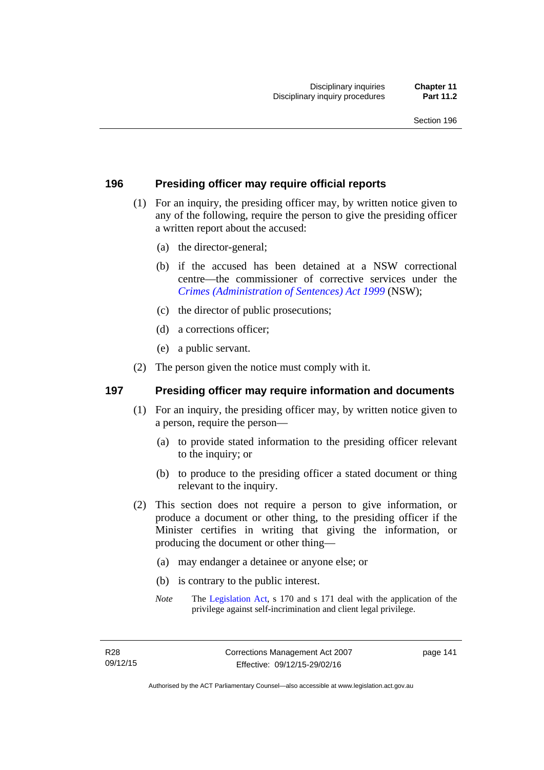### **196 Presiding officer may require official reports**

- (1) For an inquiry, the presiding officer may, by written notice given to any of the following, require the person to give the presiding officer a written report about the accused:
	- (a) the director-general;
	- (b) if the accused has been detained at a NSW correctional centre—the commissioner of corrective services under the *[Crimes \(Administration of Sentences\) Act 1999](http://www.legislation.nsw.gov.au/maintop/view/inforce/act+93+1999+cd+0+N)* (NSW);
	- (c) the director of public prosecutions;
	- (d) a corrections officer;
	- (e) a public servant.
- (2) The person given the notice must comply with it.

### **197 Presiding officer may require information and documents**

- (1) For an inquiry, the presiding officer may, by written notice given to a person, require the person—
	- (a) to provide stated information to the presiding officer relevant to the inquiry; or
	- (b) to produce to the presiding officer a stated document or thing relevant to the inquiry.
- (2) This section does not require a person to give information, or produce a document or other thing, to the presiding officer if the Minister certifies in writing that giving the information, or producing the document or other thing—
	- (a) may endanger a detainee or anyone else; or
	- (b) is contrary to the public interest.
	- *Note* The [Legislation Act,](http://www.legislation.act.gov.au/a/2001-14) s 170 and s 171 deal with the application of the privilege against self-incrimination and client legal privilege.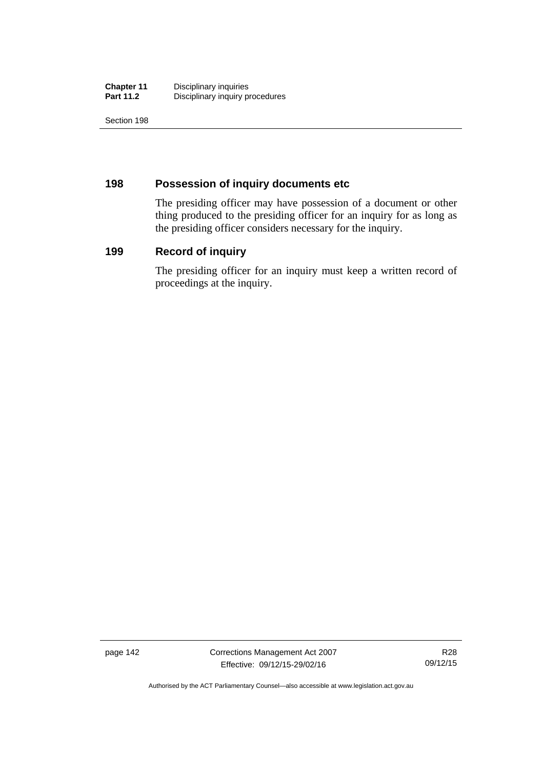| <b>Chapter 11</b> | Disciplinary inquiries          |
|-------------------|---------------------------------|
| <b>Part 11.2</b>  | Disciplinary inquiry procedures |

Section 198

# **198 Possession of inquiry documents etc**

The presiding officer may have possession of a document or other thing produced to the presiding officer for an inquiry for as long as the presiding officer considers necessary for the inquiry.

# **199 Record of inquiry**

The presiding officer for an inquiry must keep a written record of proceedings at the inquiry.

page 142 Corrections Management Act 2007 Effective: 09/12/15-29/02/16

R28 09/12/15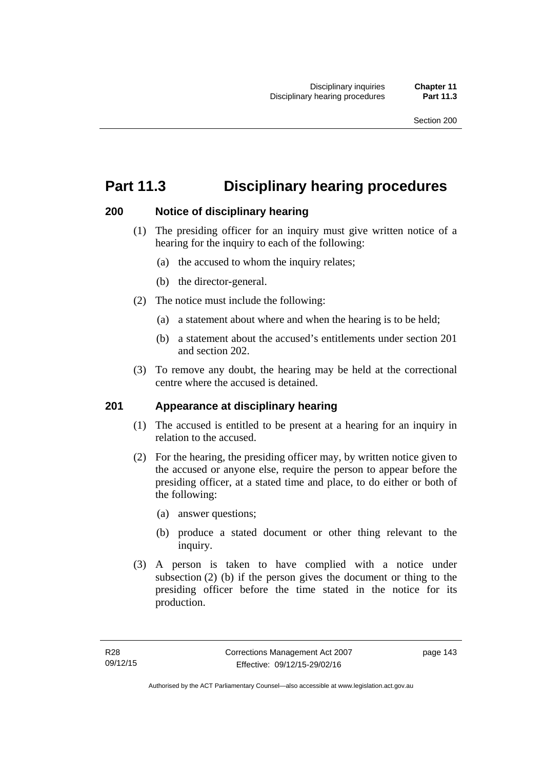# **Part 11.3 Disciplinary hearing procedures**

# **200 Notice of disciplinary hearing**

- (1) The presiding officer for an inquiry must give written notice of a hearing for the inquiry to each of the following:
	- (a) the accused to whom the inquiry relates;
	- (b) the director-general.
- (2) The notice must include the following:
	- (a) a statement about where and when the hearing is to be held;
	- (b) a statement about the accused's entitlements under section 201 and section 202.
- (3) To remove any doubt, the hearing may be held at the correctional centre where the accused is detained.

### **201 Appearance at disciplinary hearing**

- (1) The accused is entitled to be present at a hearing for an inquiry in relation to the accused.
- (2) For the hearing, the presiding officer may, by written notice given to the accused or anyone else, require the person to appear before the presiding officer, at a stated time and place, to do either or both of the following:
	- (a) answer questions;
	- (b) produce a stated document or other thing relevant to the inquiry.
- (3) A person is taken to have complied with a notice under subsection (2) (b) if the person gives the document or thing to the presiding officer before the time stated in the notice for its production.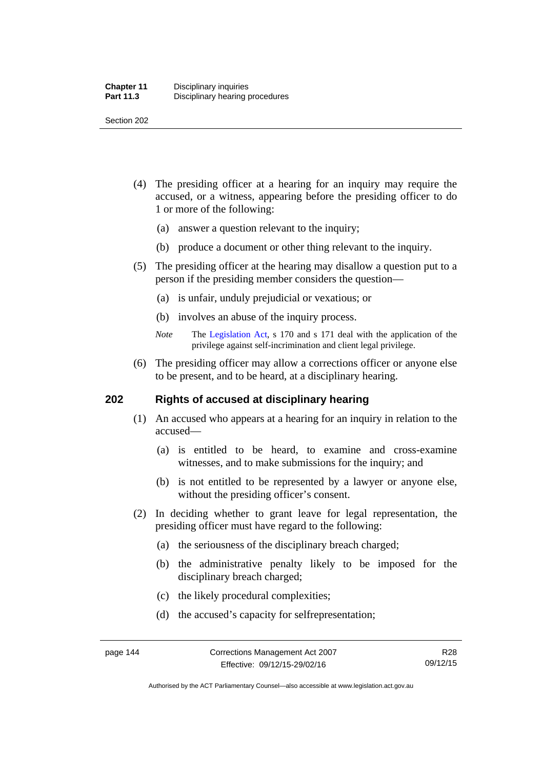Section 202

- (4) The presiding officer at a hearing for an inquiry may require the accused, or a witness, appearing before the presiding officer to do 1 or more of the following:
	- (a) answer a question relevant to the inquiry;
	- (b) produce a document or other thing relevant to the inquiry.
- (5) The presiding officer at the hearing may disallow a question put to a person if the presiding member considers the question—
	- (a) is unfair, unduly prejudicial or vexatious; or
	- (b) involves an abuse of the inquiry process.
	- *Note* The [Legislation Act,](http://www.legislation.act.gov.au/a/2001-14) s 170 and s 171 deal with the application of the privilege against self-incrimination and client legal privilege.
- (6) The presiding officer may allow a corrections officer or anyone else to be present, and to be heard, at a disciplinary hearing.

### **202 Rights of accused at disciplinary hearing**

- (1) An accused who appears at a hearing for an inquiry in relation to the accused—
	- (a) is entitled to be heard, to examine and cross-examine witnesses, and to make submissions for the inquiry; and
	- (b) is not entitled to be represented by a lawyer or anyone else, without the presiding officer's consent.
- (2) In deciding whether to grant leave for legal representation, the presiding officer must have regard to the following:
	- (a) the seriousness of the disciplinary breach charged;
	- (b) the administrative penalty likely to be imposed for the disciplinary breach charged;
	- (c) the likely procedural complexities;
	- (d) the accused's capacity for selfrepresentation;

Authorised by the ACT Parliamentary Counsel—also accessible at www.legislation.act.gov.au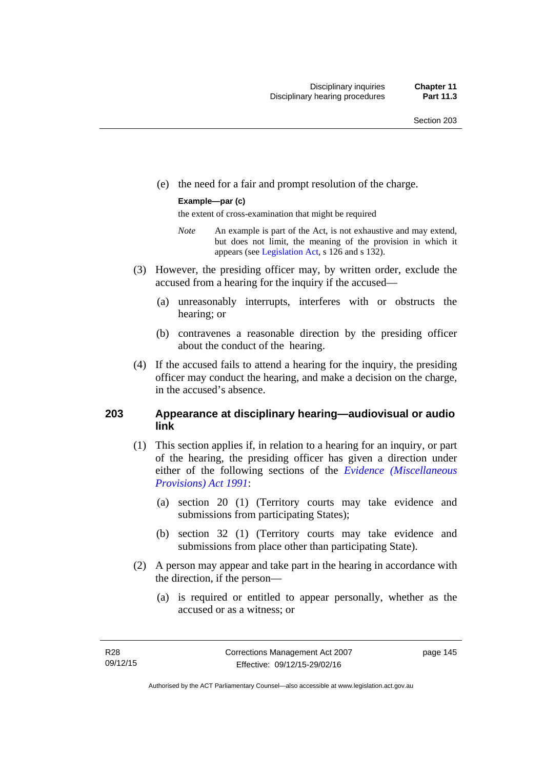(e) the need for a fair and prompt resolution of the charge.

#### **Example—par (c)**

the extent of cross-examination that might be required

- *Note* An example is part of the Act, is not exhaustive and may extend, but does not limit, the meaning of the provision in which it appears (see [Legislation Act,](http://www.legislation.act.gov.au/a/2001-14) s 126 and s 132).
- (3) However, the presiding officer may, by written order, exclude the accused from a hearing for the inquiry if the accused—
	- (a) unreasonably interrupts, interferes with or obstructs the hearing; or
	- (b) contravenes a reasonable direction by the presiding officer about the conduct of the hearing.
- (4) If the accused fails to attend a hearing for the inquiry, the presiding officer may conduct the hearing, and make a decision on the charge, in the accused's absence.

### **203 Appearance at disciplinary hearing—audiovisual or audio link**

- (1) This section applies if, in relation to a hearing for an inquiry, or part of the hearing, the presiding officer has given a direction under either of the following sections of the *[Evidence \(Miscellaneous](http://www.legislation.act.gov.au/a/1991-34)  [Provisions\) Act 1991](http://www.legislation.act.gov.au/a/1991-34)*:
	- (a) section 20 (1) (Territory courts may take evidence and submissions from participating States);
	- (b) section 32 (1) (Territory courts may take evidence and submissions from place other than participating State).
- (2) A person may appear and take part in the hearing in accordance with the direction, if the person—
	- (a) is required or entitled to appear personally, whether as the accused or as a witness; or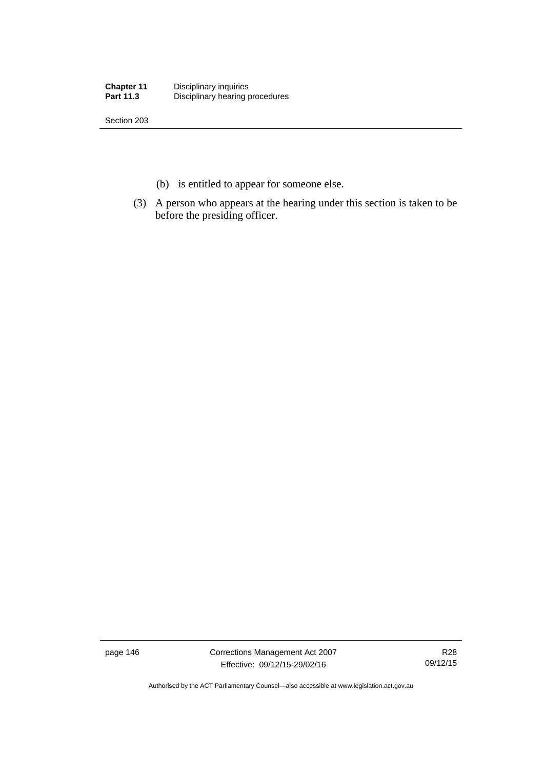| <b>Chapter 11</b> | Disciplinary inquiries          |
|-------------------|---------------------------------|
| <b>Part 11.3</b>  | Disciplinary hearing procedures |

Section 203

- (b) is entitled to appear for someone else.
- (3) A person who appears at the hearing under this section is taken to be before the presiding officer.

page 146 Corrections Management Act 2007 Effective: 09/12/15-29/02/16

R28 09/12/15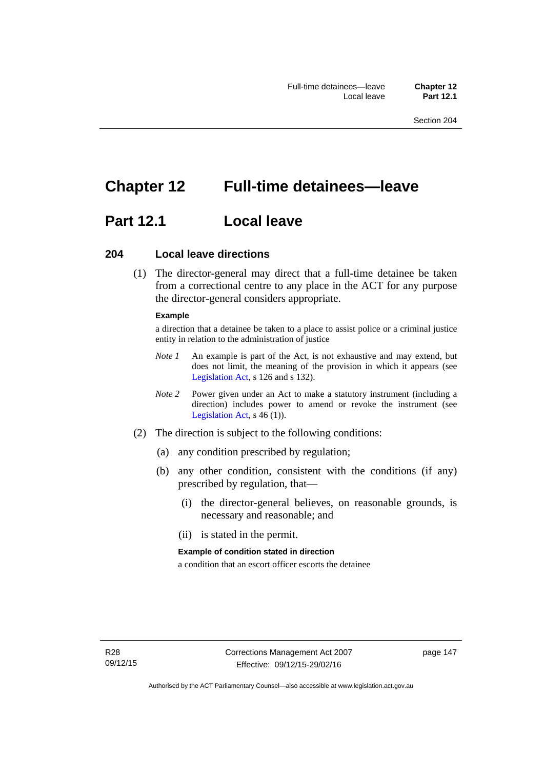# **Chapter 12 Full-time detainees—leave**

# **Part 12.1 Local leave**

### **204 Local leave directions**

 (1) The director-general may direct that a full-time detainee be taken from a correctional centre to any place in the ACT for any purpose the director-general considers appropriate.

#### **Example**

a direction that a detainee be taken to a place to assist police or a criminal justice entity in relation to the administration of justice

- *Note 1* An example is part of the Act, is not exhaustive and may extend, but does not limit, the meaning of the provision in which it appears (see [Legislation Act,](http://www.legislation.act.gov.au/a/2001-14) s 126 and s 132).
- *Note 2* Power given under an Act to make a statutory instrument (including a direction) includes power to amend or revoke the instrument (see [Legislation Act,](http://www.legislation.act.gov.au/a/2001-14) s 46 (1)).
- (2) The direction is subject to the following conditions:
	- (a) any condition prescribed by regulation;
	- (b) any other condition, consistent with the conditions (if any) prescribed by regulation, that—
		- (i) the director-general believes, on reasonable grounds, is necessary and reasonable; and
		- (ii) is stated in the permit.

#### **Example of condition stated in direction**

a condition that an escort officer escorts the detainee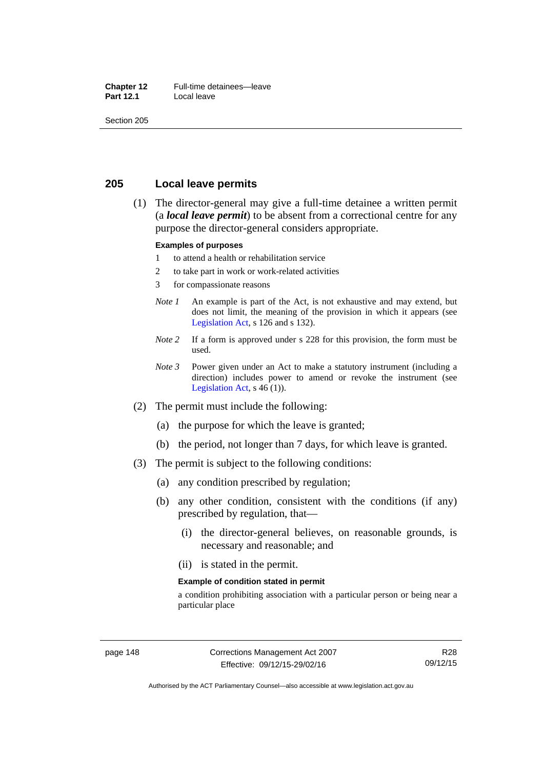#### **Chapter 12** Full-time detainees—leave<br>**Part 12.1** Local leave **Local leave**

Section 205

### **205 Local leave permits**

 (1) The director-general may give a full-time detainee a written permit (a *local leave permit*) to be absent from a correctional centre for any purpose the director-general considers appropriate.

#### **Examples of purposes**

- 1 to attend a health or rehabilitation service
- 2 to take part in work or work-related activities
- 3 for compassionate reasons
- *Note 1* An example is part of the Act, is not exhaustive and may extend, but does not limit, the meaning of the provision in which it appears (see [Legislation Act,](http://www.legislation.act.gov.au/a/2001-14) s 126 and s 132).
- *Note* 2 If a form is approved under s 228 for this provision, the form must be used.
- *Note 3* Power given under an Act to make a statutory instrument (including a direction) includes power to amend or revoke the instrument (see [Legislation Act,](http://www.legislation.act.gov.au/a/2001-14)  $s$  46 (1)).
- (2) The permit must include the following:
	- (a) the purpose for which the leave is granted;
	- (b) the period, not longer than 7 days, for which leave is granted.
- (3) The permit is subject to the following conditions:
	- (a) any condition prescribed by regulation;
	- (b) any other condition, consistent with the conditions (if any) prescribed by regulation, that—
		- (i) the director-general believes, on reasonable grounds, is necessary and reasonable; and
		- (ii) is stated in the permit.

#### **Example of condition stated in permit**

a condition prohibiting association with a particular person or being near a particular place

R28 09/12/15

Authorised by the ACT Parliamentary Counsel—also accessible at www.legislation.act.gov.au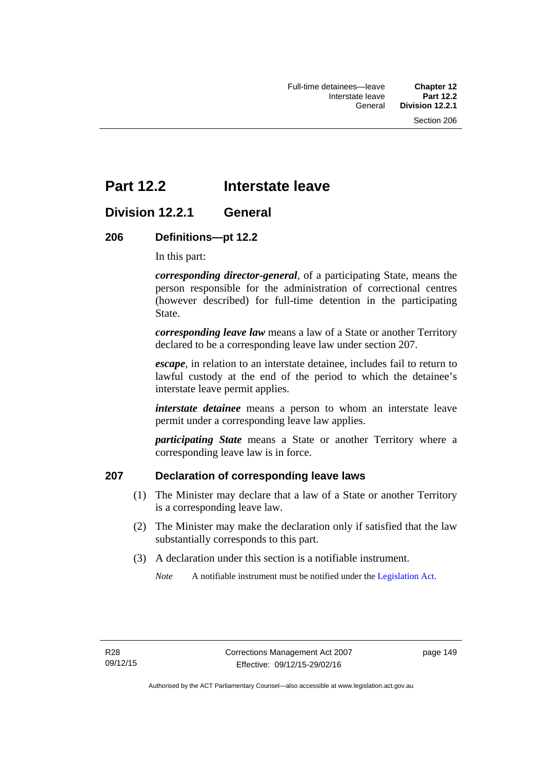# **Part 12.2 Interstate leave**

# **Division 12.2.1 General**

### **206 Definitions—pt 12.2**

In this part:

*corresponding director-general*, of a participating State, means the person responsible for the administration of correctional centres (however described) for full-time detention in the participating State.

*corresponding leave law* means a law of a State or another Territory declared to be a corresponding leave law under section 207.

*escape*, in relation to an interstate detainee, includes fail to return to lawful custody at the end of the period to which the detainee's interstate leave permit applies.

*interstate detainee* means a person to whom an interstate leave permit under a corresponding leave law applies.

*participating State* means a State or another Territory where a corresponding leave law is in force.

# **207 Declaration of corresponding leave laws**

- (1) The Minister may declare that a law of a State or another Territory is a corresponding leave law.
- (2) The Minister may make the declaration only if satisfied that the law substantially corresponds to this part.
- (3) A declaration under this section is a notifiable instrument.

*Note* A notifiable instrument must be notified under the [Legislation Act](http://www.legislation.act.gov.au/a/2001-14).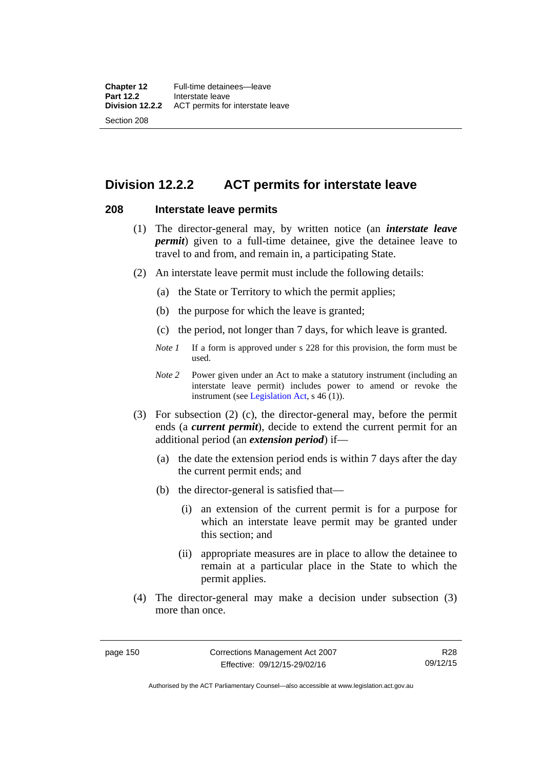# **Division 12.2.2 ACT permits for interstate leave**

### **208 Interstate leave permits**

- (1) The director-general may, by written notice (an *interstate leave permit*) given to a full-time detainee, give the detainee leave to travel to and from, and remain in, a participating State.
- (2) An interstate leave permit must include the following details:
	- (a) the State or Territory to which the permit applies;
	- (b) the purpose for which the leave is granted;
	- (c) the period, not longer than 7 days, for which leave is granted.
	- *Note 1* If a form is approved under s 228 for this provision, the form must be used.
	- *Note 2* Power given under an Act to make a statutory instrument (including an interstate leave permit) includes power to amend or revoke the instrument (see [Legislation Act,](http://www.legislation.act.gov.au/a/2001-14) s 46 (1)).
- (3) For subsection (2) (c), the director-general may, before the permit ends (a *current permit*), decide to extend the current permit for an additional period (an *extension period*) if—
	- (a) the date the extension period ends is within 7 days after the day the current permit ends; and
	- (b) the director-general is satisfied that—
		- (i) an extension of the current permit is for a purpose for which an interstate leave permit may be granted under this section; and
		- (ii) appropriate measures are in place to allow the detainee to remain at a particular place in the State to which the permit applies.
- (4) The director-general may make a decision under subsection (3) more than once.

Authorised by the ACT Parliamentary Counsel—also accessible at www.legislation.act.gov.au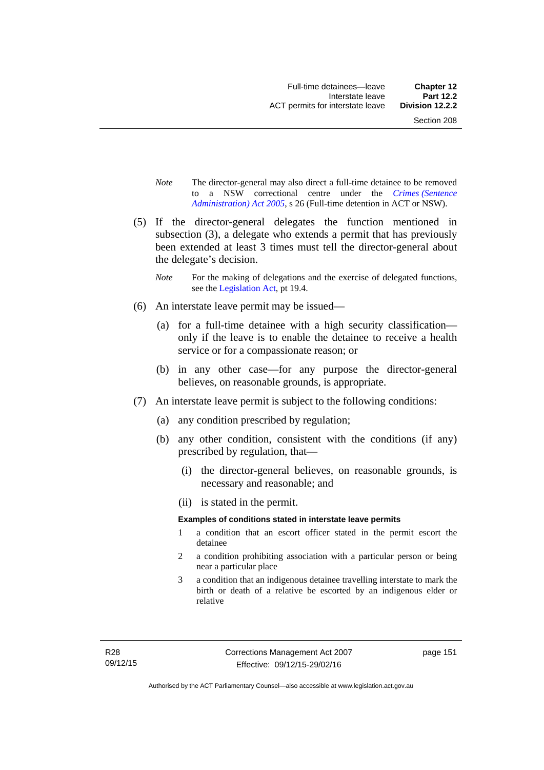- *Note* The director-general may also direct a full-time detainee to be removed to a NSW correctional centre under the *[Crimes \(Sentence](http://www.legislation.act.gov.au/a/2005-59)  [Administration\) Act 2005](http://www.legislation.act.gov.au/a/2005-59)*, s 26 (Full-time detention in ACT or NSW).
- (5) If the director-general delegates the function mentioned in subsection (3), a delegate who extends a permit that has previously been extended at least 3 times must tell the director-general about the delegate's decision.
	- *Note* For the making of delegations and the exercise of delegated functions, see the [Legislation Act,](http://www.legislation.act.gov.au/a/2001-14) pt 19.4.
- (6) An interstate leave permit may be issued—
	- (a) for a full-time detainee with a high security classification only if the leave is to enable the detainee to receive a health service or for a compassionate reason; or
	- (b) in any other case—for any purpose the director-general believes, on reasonable grounds, is appropriate.
- (7) An interstate leave permit is subject to the following conditions:
	- (a) any condition prescribed by regulation;
	- (b) any other condition, consistent with the conditions (if any) prescribed by regulation, that—
		- (i) the director-general believes, on reasonable grounds, is necessary and reasonable; and
		- (ii) is stated in the permit.

#### **Examples of conditions stated in interstate leave permits**

- 1 a condition that an escort officer stated in the permit escort the detainee
- 2 a condition prohibiting association with a particular person or being near a particular place
- 3 a condition that an indigenous detainee travelling interstate to mark the birth or death of a relative be escorted by an indigenous elder or relative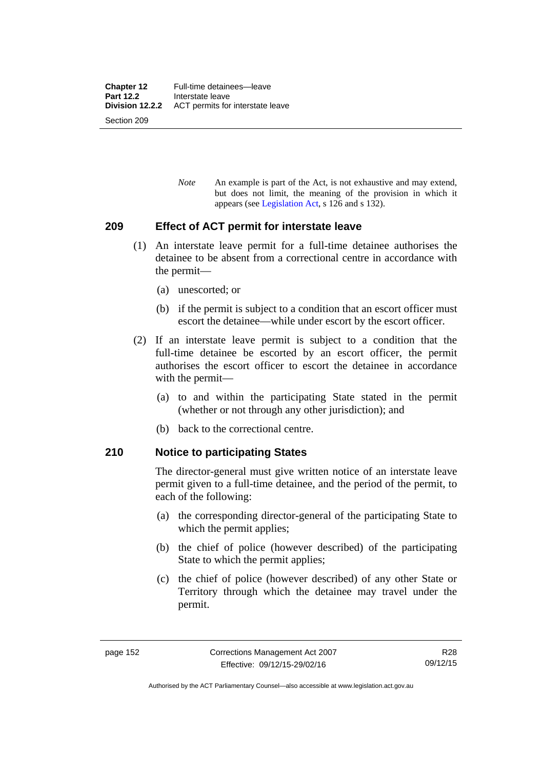*Note* An example is part of the Act, is not exhaustive and may extend, but does not limit, the meaning of the provision in which it appears (see [Legislation Act,](http://www.legislation.act.gov.au/a/2001-14) s 126 and s 132).

### **209 Effect of ACT permit for interstate leave**

- (1) An interstate leave permit for a full-time detainee authorises the detainee to be absent from a correctional centre in accordance with the permit—
	- (a) unescorted; or
	- (b) if the permit is subject to a condition that an escort officer must escort the detainee—while under escort by the escort officer.
- (2) If an interstate leave permit is subject to a condition that the full-time detainee be escorted by an escort officer, the permit authorises the escort officer to escort the detainee in accordance with the permit—
	- (a) to and within the participating State stated in the permit (whether or not through any other jurisdiction); and
	- (b) back to the correctional centre.

### **210 Notice to participating States**

The director-general must give written notice of an interstate leave permit given to a full-time detainee, and the period of the permit, to each of the following:

- (a) the corresponding director-general of the participating State to which the permit applies;
- (b) the chief of police (however described) of the participating State to which the permit applies;
- (c) the chief of police (however described) of any other State or Territory through which the detainee may travel under the permit.

Authorised by the ACT Parliamentary Counsel—also accessible at www.legislation.act.gov.au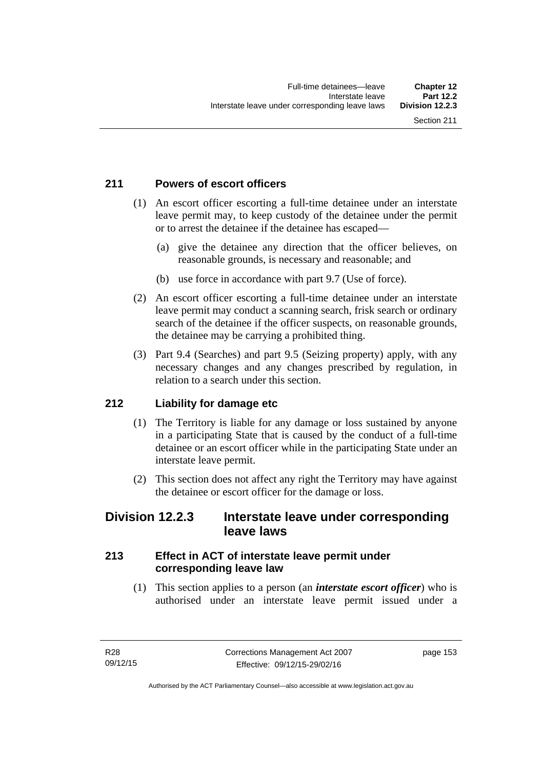# **211 Powers of escort officers**

- (1) An escort officer escorting a full-time detainee under an interstate leave permit may, to keep custody of the detainee under the permit or to arrest the detainee if the detainee has escaped—
	- (a) give the detainee any direction that the officer believes, on reasonable grounds, is necessary and reasonable; and
	- (b) use force in accordance with part 9.7 (Use of force).
- (2) An escort officer escorting a full-time detainee under an interstate leave permit may conduct a scanning search, frisk search or ordinary search of the detainee if the officer suspects, on reasonable grounds, the detainee may be carrying a prohibited thing.
- (3) Part 9.4 (Searches) and part 9.5 (Seizing property) apply, with any necessary changes and any changes prescribed by regulation, in relation to a search under this section.

# **212 Liability for damage etc**

- (1) The Territory is liable for any damage or loss sustained by anyone in a participating State that is caused by the conduct of a full-time detainee or an escort officer while in the participating State under an interstate leave permit.
- (2) This section does not affect any right the Territory may have against the detainee or escort officer for the damage or loss.

# **Division 12.2.3 Interstate leave under corresponding leave laws**

# **213 Effect in ACT of interstate leave permit under corresponding leave law**

 (1) This section applies to a person (an *interstate escort officer*) who is authorised under an interstate leave permit issued under a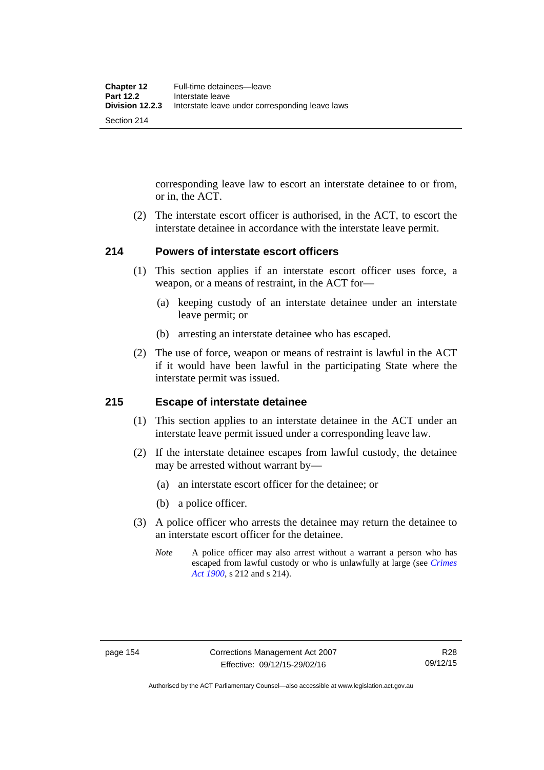corresponding leave law to escort an interstate detainee to or from, or in, the ACT.

 (2) The interstate escort officer is authorised, in the ACT, to escort the interstate detainee in accordance with the interstate leave permit.

### **214 Powers of interstate escort officers**

- (1) This section applies if an interstate escort officer uses force, a weapon, or a means of restraint, in the ACT for—
	- (a) keeping custody of an interstate detainee under an interstate leave permit; or
	- (b) arresting an interstate detainee who has escaped.
- (2) The use of force, weapon or means of restraint is lawful in the ACT if it would have been lawful in the participating State where the interstate permit was issued.

### **215 Escape of interstate detainee**

- (1) This section applies to an interstate detainee in the ACT under an interstate leave permit issued under a corresponding leave law.
- (2) If the interstate detainee escapes from lawful custody, the detainee may be arrested without warrant by—
	- (a) an interstate escort officer for the detainee; or
	- (b) a police officer.
- (3) A police officer who arrests the detainee may return the detainee to an interstate escort officer for the detainee.
	- *Note* A police officer may also arrest without a warrant a person who has escaped from lawful custody or who is unlawfully at large (see *[Crimes](http://www.legislation.act.gov.au/a/1900-40)  [Act 1900](http://www.legislation.act.gov.au/a/1900-40)*, s 212 and s 214).

Authorised by the ACT Parliamentary Counsel—also accessible at www.legislation.act.gov.au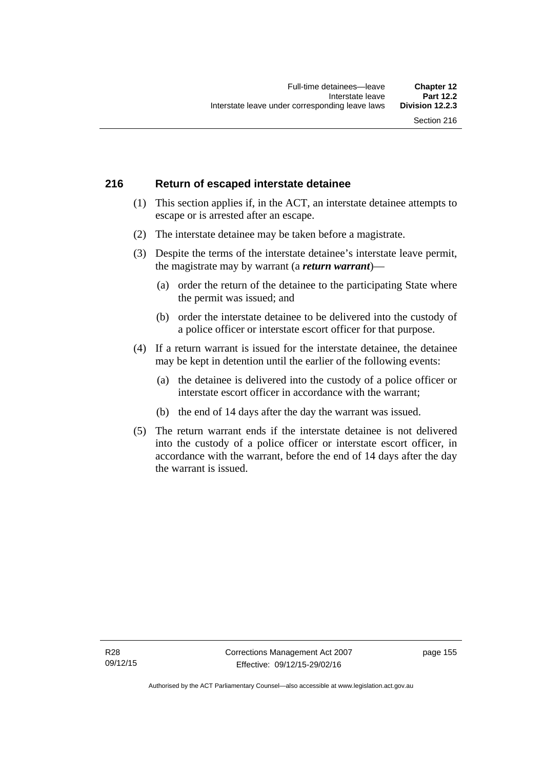## **216 Return of escaped interstate detainee**

- (1) This section applies if, in the ACT, an interstate detainee attempts to escape or is arrested after an escape.
- (2) The interstate detainee may be taken before a magistrate.
- (3) Despite the terms of the interstate detainee's interstate leave permit, the magistrate may by warrant (a *return warrant*)—
	- (a) order the return of the detainee to the participating State where the permit was issued; and
	- (b) order the interstate detainee to be delivered into the custody of a police officer or interstate escort officer for that purpose.
- (4) If a return warrant is issued for the interstate detainee, the detainee may be kept in detention until the earlier of the following events:
	- (a) the detainee is delivered into the custody of a police officer or interstate escort officer in accordance with the warrant;
	- (b) the end of 14 days after the day the warrant was issued.
- (5) The return warrant ends if the interstate detainee is not delivered into the custody of a police officer or interstate escort officer, in accordance with the warrant, before the end of 14 days after the day the warrant is issued.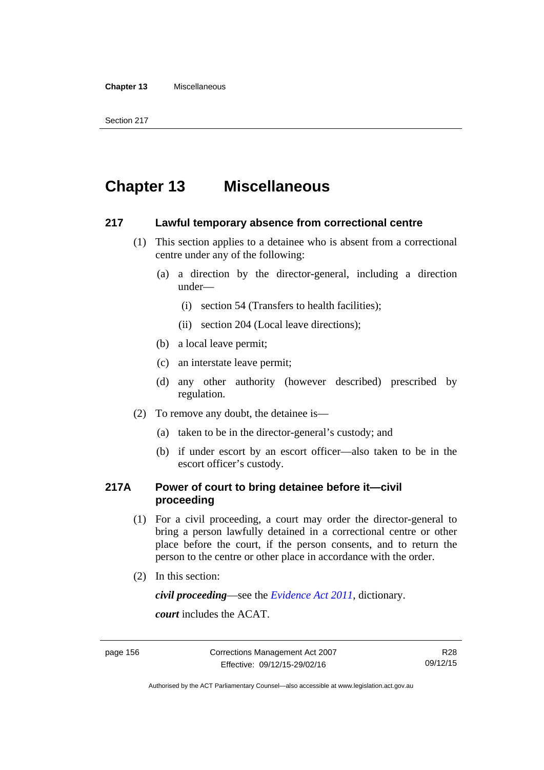#### **Chapter 13** Miscellaneous

Section 217

# **Chapter 13 Miscellaneous**

### **217 Lawful temporary absence from correctional centre**

- (1) This section applies to a detainee who is absent from a correctional centre under any of the following:
	- (a) a direction by the director-general, including a direction under—
		- (i) section 54 (Transfers to health facilities);
		- (ii) section 204 (Local leave directions);
	- (b) a local leave permit;
	- (c) an interstate leave permit;
	- (d) any other authority (however described) prescribed by regulation.
- (2) To remove any doubt, the detainee is—
	- (a) taken to be in the director-general's custody; and
	- (b) if under escort by an escort officer—also taken to be in the escort officer's custody.

# **217A Power of court to bring detainee before it—civil proceeding**

- (1) For a civil proceeding, a court may order the director-general to bring a person lawfully detained in a correctional centre or other place before the court, if the person consents, and to return the person to the centre or other place in accordance with the order.
- (2) In this section:

*civil proceeding*—see the *[Evidence Act 2011](http://www.legislation.act.gov.au/a/2011-12)*, dictionary.

*court* includes the ACAT.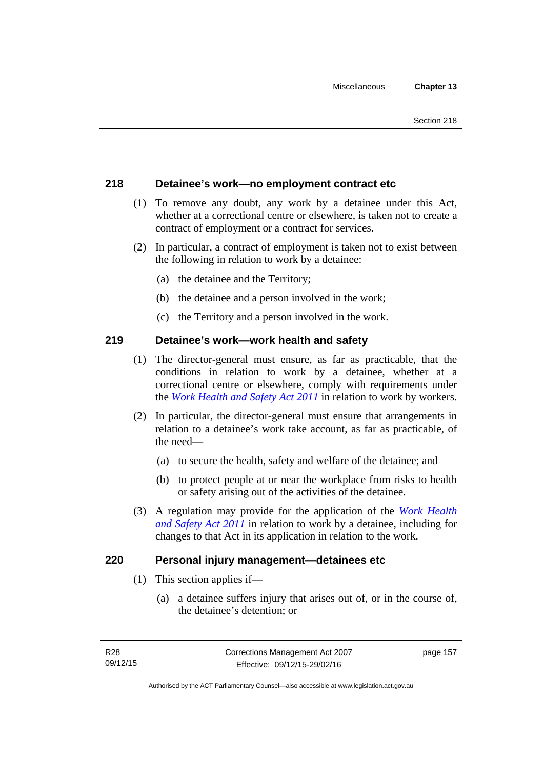### **218 Detainee's work—no employment contract etc**

- (1) To remove any doubt, any work by a detainee under this Act, whether at a correctional centre or elsewhere, is taken not to create a contract of employment or a contract for services.
- (2) In particular, a contract of employment is taken not to exist between the following in relation to work by a detainee:
	- (a) the detainee and the Territory;
	- (b) the detainee and a person involved in the work;
	- (c) the Territory and a person involved in the work.

### **219 Detainee's work—work health and safety**

- (1) The director-general must ensure, as far as practicable, that the conditions in relation to work by a detainee, whether at a correctional centre or elsewhere, comply with requirements under the *[Work Health and Safety Act 2011](http://www.legislation.act.gov.au/a/2011-35)* in relation to work by workers.
- (2) In particular, the director-general must ensure that arrangements in relation to a detainee's work take account, as far as practicable, of the need—
	- (a) to secure the health, safety and welfare of the detainee; and
	- (b) to protect people at or near the workplace from risks to health or safety arising out of the activities of the detainee.
- (3) A regulation may provide for the application of the *[Work Health](http://www.legislation.act.gov.au/a/2011-35)  [and Safety Act 2011](http://www.legislation.act.gov.au/a/2011-35)* in relation to work by a detainee, including for changes to that Act in its application in relation to the work.

### **220 Personal injury management—detainees etc**

- (1) This section applies if—
	- (a) a detainee suffers injury that arises out of, or in the course of, the detainee's detention; or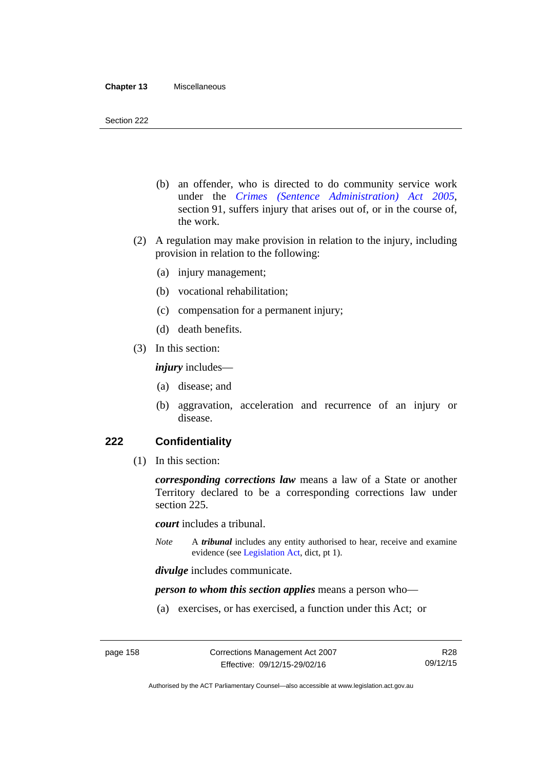- (b) an offender, who is directed to do community service work under the *[Crimes \(Sentence Administration\) Act 2005](http://www.legislation.act.gov.au/a/2005-59)*, section 91, suffers injury that arises out of, or in the course of, the work.
- (2) A regulation may make provision in relation to the injury, including provision in relation to the following:
	- (a) injury management;
	- (b) vocational rehabilitation;
	- (c) compensation for a permanent injury;
	- (d) death benefits.
- (3) In this section:

*injury* includes—

- (a) disease; and
- (b) aggravation, acceleration and recurrence of an injury or disease.

### **222 Confidentiality**

(1) In this section:

*corresponding corrections law* means a law of a State or another Territory declared to be a corresponding corrections law under section 225.

*court* includes a tribunal.

*Note* A *tribunal* includes any entity authorised to hear, receive and examine evidence (see [Legislation Act,](http://www.legislation.act.gov.au/a/2001-14) dict, pt 1).

*divulge* includes communicate.

*person to whom this section applies* means a person who—

(a) exercises, or has exercised, a function under this Act; or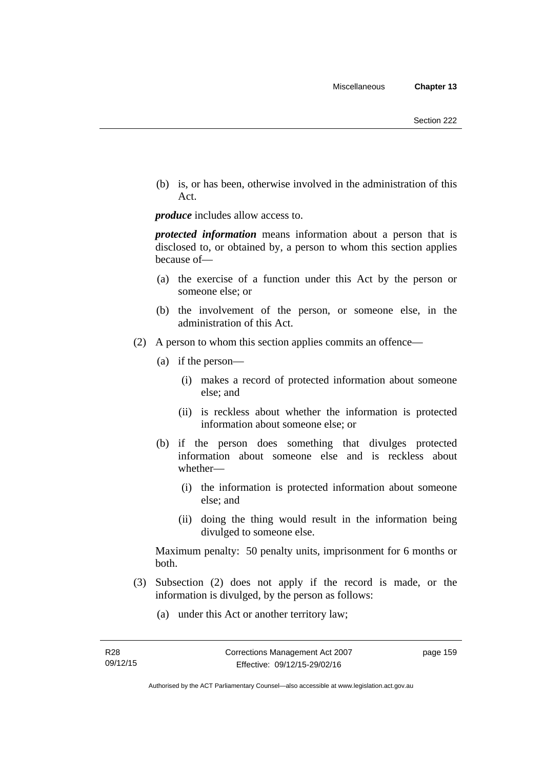(b) is, or has been, otherwise involved in the administration of this Act.

*produce* includes allow access to.

*protected information* means information about a person that is disclosed to, or obtained by, a person to whom this section applies because of—

- (a) the exercise of a function under this Act by the person or someone else; or
- (b) the involvement of the person, or someone else, in the administration of this Act.
- (2) A person to whom this section applies commits an offence—
	- (a) if the person—
		- (i) makes a record of protected information about someone else; and
		- (ii) is reckless about whether the information is protected information about someone else; or
	- (b) if the person does something that divulges protected information about someone else and is reckless about whether—
		- (i) the information is protected information about someone else; and
		- (ii) doing the thing would result in the information being divulged to someone else.

Maximum penalty: 50 penalty units, imprisonment for 6 months or both.

- (3) Subsection (2) does not apply if the record is made, or the information is divulged, by the person as follows:
	- (a) under this Act or another territory law;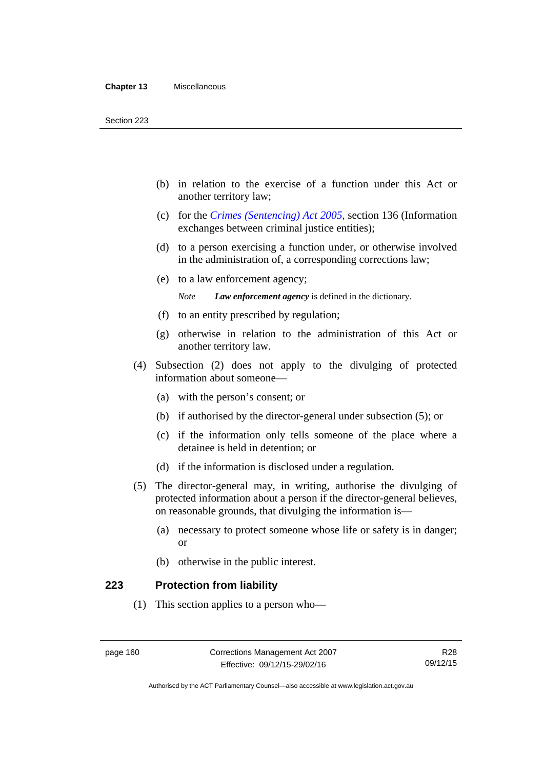- (b) in relation to the exercise of a function under this Act or another territory law;
- (c) for the *[Crimes \(Sentencing\) Act 2005](http://www.legislation.act.gov.au/a/2005-58)*, section 136 (Information exchanges between criminal justice entities);
- (d) to a person exercising a function under, or otherwise involved in the administration of, a corresponding corrections law;
- (e) to a law enforcement agency;

*Note Law enforcement agency* is defined in the dictionary.

- (f) to an entity prescribed by regulation;
- (g) otherwise in relation to the administration of this Act or another territory law.
- (4) Subsection (2) does not apply to the divulging of protected information about someone—
	- (a) with the person's consent; or
	- (b) if authorised by the director-general under subsection (5); or
	- (c) if the information only tells someone of the place where a detainee is held in detention; or
	- (d) if the information is disclosed under a regulation.
- (5) The director-general may, in writing, authorise the divulging of protected information about a person if the director-general believes, on reasonable grounds, that divulging the information is—
	- (a) necessary to protect someone whose life or safety is in danger; or
	- (b) otherwise in the public interest.

#### **223 Protection from liability**

(1) This section applies to a person who—

Authorised by the ACT Parliamentary Counsel—also accessible at www.legislation.act.gov.au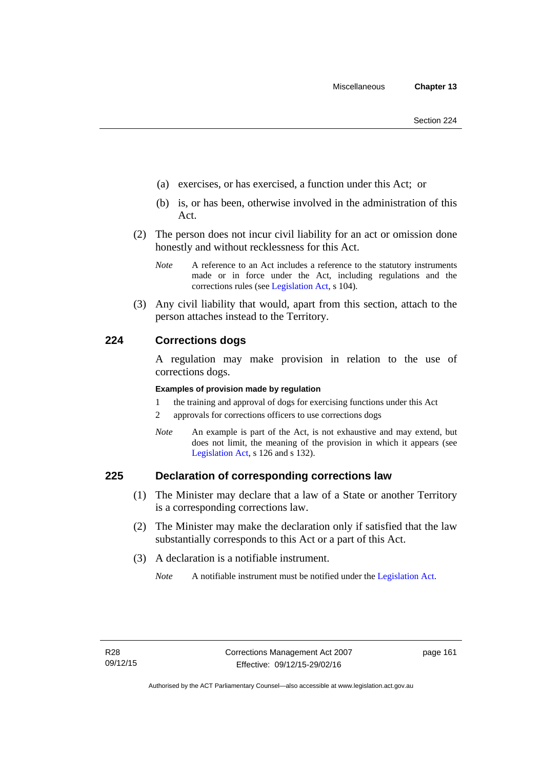- (a) exercises, or has exercised, a function under this Act; or
- (b) is, or has been, otherwise involved in the administration of this Act.
- (2) The person does not incur civil liability for an act or omission done honestly and without recklessness for this Act.
	- *Note* A reference to an Act includes a reference to the statutory instruments made or in force under the Act, including regulations and the corrections rules (see [Legislation Act,](http://www.legislation.act.gov.au/a/2001-14) s 104).
- (3) Any civil liability that would, apart from this section, attach to the person attaches instead to the Territory.

### **224 Corrections dogs**

A regulation may make provision in relation to the use of corrections dogs.

#### **Examples of provision made by regulation**

- 1 the training and approval of dogs for exercising functions under this Act
- 2 approvals for corrections officers to use corrections dogs
- *Note* An example is part of the Act, is not exhaustive and may extend, but does not limit, the meaning of the provision in which it appears (see [Legislation Act,](http://www.legislation.act.gov.au/a/2001-14) s 126 and s 132).

### **225 Declaration of corresponding corrections law**

- (1) The Minister may declare that a law of a State or another Territory is a corresponding corrections law.
- (2) The Minister may make the declaration only if satisfied that the law substantially corresponds to this Act or a part of this Act.
- (3) A declaration is a notifiable instrument.

*Note* A notifiable instrument must be notified under the [Legislation Act](http://www.legislation.act.gov.au/a/2001-14).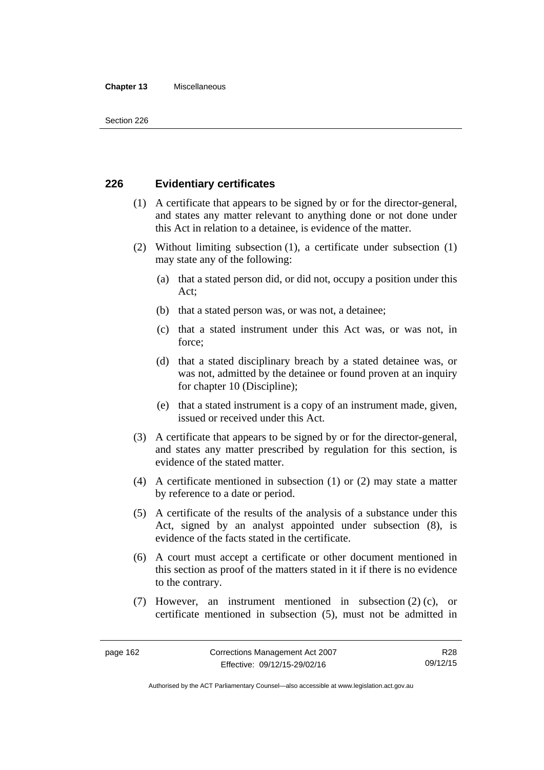#### **Chapter 13** Miscellaneous

### **226 Evidentiary certificates**

- (1) A certificate that appears to be signed by or for the director-general, and states any matter relevant to anything done or not done under this Act in relation to a detainee, is evidence of the matter.
- (2) Without limiting subsection (1), a certificate under subsection (1) may state any of the following:
	- (a) that a stated person did, or did not, occupy a position under this Act;
	- (b) that a stated person was, or was not, a detainee;
	- (c) that a stated instrument under this Act was, or was not, in force;
	- (d) that a stated disciplinary breach by a stated detainee was, or was not, admitted by the detainee or found proven at an inquiry for chapter 10 (Discipline);
	- (e) that a stated instrument is a copy of an instrument made, given, issued or received under this Act.
- (3) A certificate that appears to be signed by or for the director-general, and states any matter prescribed by regulation for this section, is evidence of the stated matter.
- (4) A certificate mentioned in subsection (1) or (2) may state a matter by reference to a date or period.
- (5) A certificate of the results of the analysis of a substance under this Act, signed by an analyst appointed under subsection (8), is evidence of the facts stated in the certificate.
- (6) A court must accept a certificate or other document mentioned in this section as proof of the matters stated in it if there is no evidence to the contrary.
- (7) However, an instrument mentioned in subsection (2) (c), or certificate mentioned in subsection (5), must not be admitted in

R28 09/12/15

Authorised by the ACT Parliamentary Counsel—also accessible at www.legislation.act.gov.au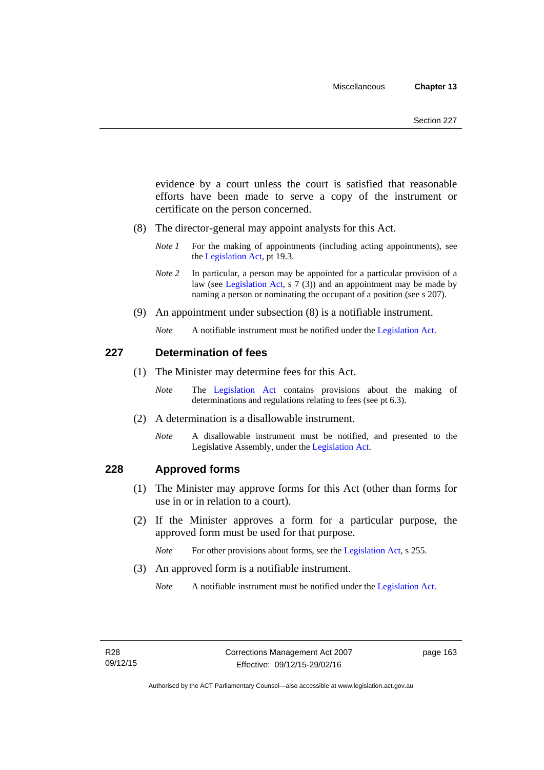evidence by a court unless the court is satisfied that reasonable efforts have been made to serve a copy of the instrument or certificate on the person concerned.

- (8) The director-general may appoint analysts for this Act.
	- *Note 1* For the making of appointments (including acting appointments), see the [Legislation Act,](http://www.legislation.act.gov.au/a/2001-14) pt 19.3.
	- *Note 2* In particular, a person may be appointed for a particular provision of a law (see [Legislation Act,](http://www.legislation.act.gov.au/a/2001-14) s 7 (3)) and an appointment may be made by naming a person or nominating the occupant of a position (see s 207).
- (9) An appointment under subsection (8) is a notifiable instrument.
	- *Note* A notifiable instrument must be notified under the [Legislation Act](http://www.legislation.act.gov.au/a/2001-14).

### **227 Determination of fees**

- (1) The Minister may determine fees for this Act.
	- *Note* The [Legislation Act](http://www.legislation.act.gov.au/a/2001-14) contains provisions about the making of determinations and regulations relating to fees (see pt 6.3).
- (2) A determination is a disallowable instrument.
	- *Note* A disallowable instrument must be notified, and presented to the Legislative Assembly, under the [Legislation Act.](http://www.legislation.act.gov.au/a/2001-14)

### **228 Approved forms**

- (1) The Minister may approve forms for this Act (other than forms for use in or in relation to a court).
- (2) If the Minister approves a form for a particular purpose, the approved form must be used for that purpose.

*Note* For other provisions about forms, see the [Legislation Act,](http://www.legislation.act.gov.au/a/2001-14) s 255.

(3) An approved form is a notifiable instrument.

*Note* A notifiable instrument must be notified under the [Legislation Act](http://www.legislation.act.gov.au/a/2001-14).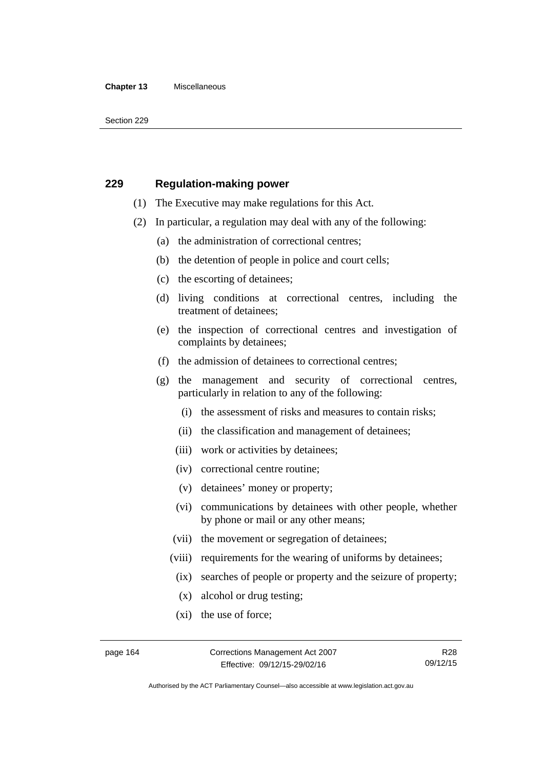#### **Chapter 13** Miscellaneous

Section 229

### **229 Regulation-making power**

- (1) The Executive may make regulations for this Act.
- (2) In particular, a regulation may deal with any of the following:
	- (a) the administration of correctional centres;
	- (b) the detention of people in police and court cells;
	- (c) the escorting of detainees;
	- (d) living conditions at correctional centres, including the treatment of detainees;
	- (e) the inspection of correctional centres and investigation of complaints by detainees;
	- (f) the admission of detainees to correctional centres;
	- (g) the management and security of correctional centres, particularly in relation to any of the following:
		- (i) the assessment of risks and measures to contain risks;
		- (ii) the classification and management of detainees;
		- (iii) work or activities by detainees;
		- (iv) correctional centre routine;
		- (v) detainees' money or property;
		- (vi) communications by detainees with other people, whether by phone or mail or any other means;
		- (vii) the movement or segregation of detainees;
		- (viii) requirements for the wearing of uniforms by detainees;
		- (ix) searches of people or property and the seizure of property;
		- (x) alcohol or drug testing;
		- (xi) the use of force;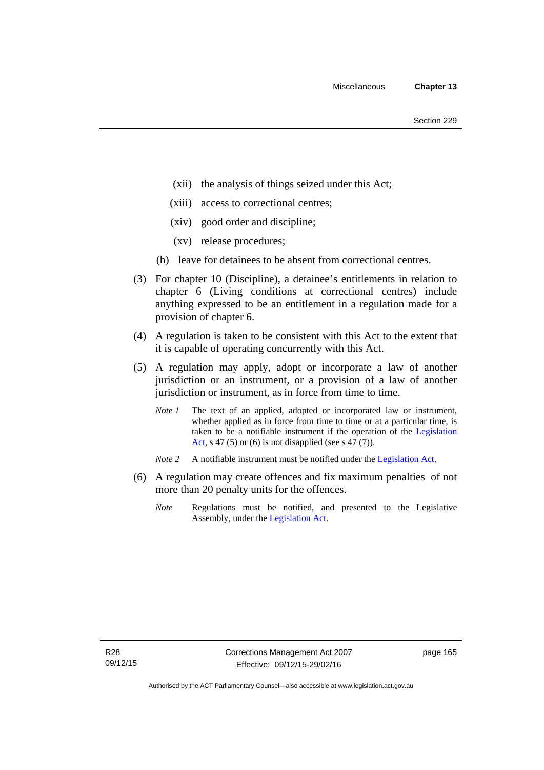- (xii) the analysis of things seized under this Act;
- (xiii) access to correctional centres;
- (xiv) good order and discipline;
- (xv) release procedures;
- (h) leave for detainees to be absent from correctional centres.
- (3) For chapter 10 (Discipline), a detainee's entitlements in relation to chapter 6 (Living conditions at correctional centres) include anything expressed to be an entitlement in a regulation made for a provision of chapter 6.
- (4) A regulation is taken to be consistent with this Act to the extent that it is capable of operating concurrently with this Act.
- (5) A regulation may apply, adopt or incorporate a law of another jurisdiction or an instrument, or a provision of a law of another jurisdiction or instrument, as in force from time to time.
	- *Note 1* The text of an applied, adopted or incorporated law or instrument, whether applied as in force from time to time or at a particular time, is taken to be a notifiable instrument if the operation of the [Legislation](http://www.legislation.act.gov.au/a/2001-14)  [Act,](http://www.legislation.act.gov.au/a/2001-14) s 47 (5) or (6) is not disapplied (see s  $47(7)$ ).
	- *Note 2* A notifiable instrument must be notified under the [Legislation Act](http://www.legislation.act.gov.au/a/2001-14).
- (6) A regulation may create offences and fix maximum penalties of not more than 20 penalty units for the offences.
	- *Note* Regulations must be notified, and presented to the Legislative Assembly, under the [Legislation Act](http://www.legislation.act.gov.au/a/2001-14).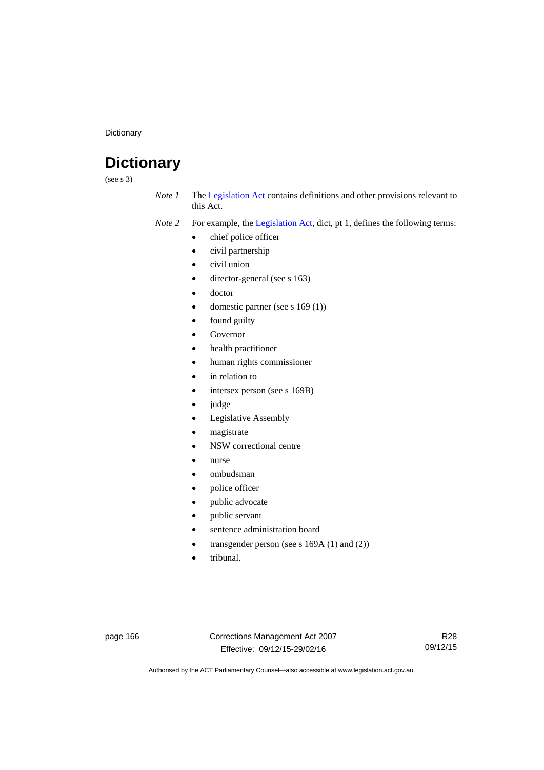**Dictionary** 

# **Dictionary**

(see s 3)

*Note 1* The [Legislation Act](http://www.legislation.act.gov.au/a/2001-14) contains definitions and other provisions relevant to this Act.

*Note 2* For example, the [Legislation Act,](http://www.legislation.act.gov.au/a/2001-14) dict, pt 1, defines the following terms:

- chief police officer
- civil partnership
- civil union
- director-general (see s 163)
- doctor
- domestic partner (see s 169 (1))
- found guilty
- Governor
- health practitioner
- human rights commissioner
- in relation to
- intersex person (see s 169B)
- judge
- Legislative Assembly
- magistrate
- NSW correctional centre
- nurse
- ombudsman
- police officer
- public advocate
- public servant
- sentence administration board
- transgender person (see s 169A (1) and (2))
- tribunal.

page 166 Corrections Management Act 2007 Effective: 09/12/15-29/02/16

R28 09/12/15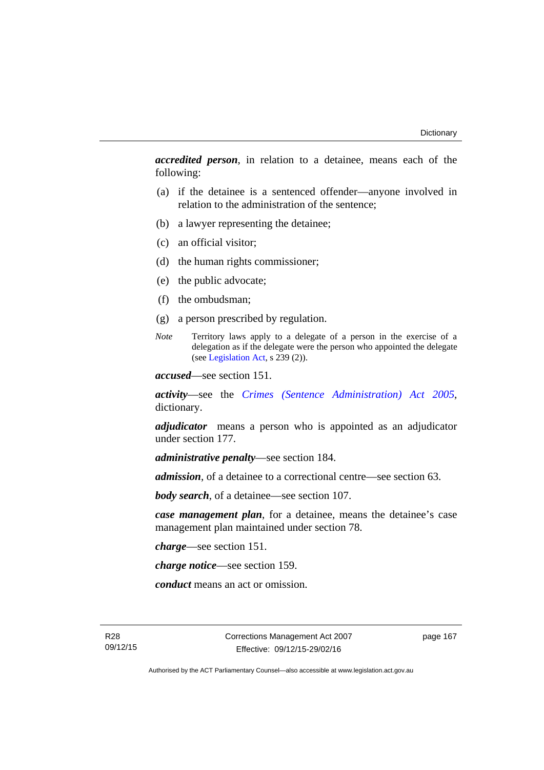*accredited person*, in relation to a detainee, means each of the following:

- (a) if the detainee is a sentenced offender—anyone involved in relation to the administration of the sentence;
- (b) a lawyer representing the detainee;
- (c) an official visitor;
- (d) the human rights commissioner;
- (e) the public advocate;
- (f) the ombudsman;
- (g) a person prescribed by regulation.
- *Note* Territory laws apply to a delegate of a person in the exercise of a delegation as if the delegate were the person who appointed the delegate (see [Legislation Act,](http://www.legislation.act.gov.au/a/2001-14) s 239 (2)).

*accused*—see section 151.

*activity*—see the *[Crimes \(Sentence Administration\) Act 2005](http://www.legislation.act.gov.au/a/2005-59)*, dictionary.

*adjudicator* means a person who is appointed as an adjudicator under section 177.

*administrative penalty*—see section 184.

*admission*, of a detainee to a correctional centre—see section 63.

*body search*, of a detainee—see section 107.

*case management plan*, for a detainee, means the detainee's case management plan maintained under section 78.

*charge*—see section 151.

*charge notice*—see section 159.

*conduct* means an act or omission.

R28 09/12/15 Corrections Management Act 2007 Effective: 09/12/15-29/02/16

page 167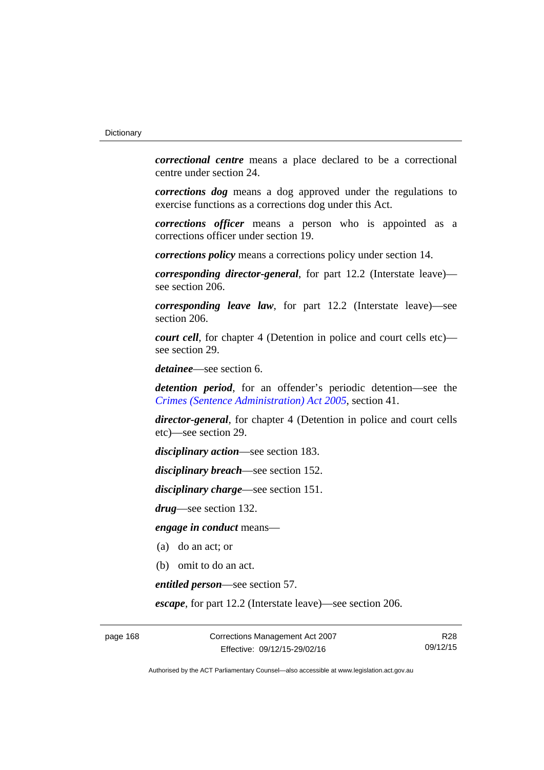*correctional centre* means a place declared to be a correctional centre under section 24.

*corrections dog* means a dog approved under the regulations to exercise functions as a corrections dog under this Act.

*corrections officer* means a person who is appointed as a corrections officer under section 19.

*corrections policy* means a corrections policy under section 14.

*corresponding director-general*, for part 12.2 (Interstate leave) see section 206.

*corresponding leave law*, for part 12.2 (Interstate leave)—see section 206.

*court cell*, for chapter 4 (Detention in police and court cells etc) see section 29.

*detainee*—see section 6.

*detention period*, for an offender's periodic detention—see the *[Crimes \(Sentence Administration\) Act 2005](http://www.legislation.act.gov.au/a/2005-59)*, section 41.

*director-general*, for chapter 4 (Detention in police and court cells etc)—see section 29.

*disciplinary action*—see section 183.

*disciplinary breach*—see section 152.

*disciplinary charge*—see section 151.

*drug*—see section 132.

*engage in conduct* means—

- (a) do an act; or
- (b) omit to do an act.

*entitled person*—see section 57.

*escape*, for part 12.2 (Interstate leave)—see section 206.

page 168 Corrections Management Act 2007 Effective: 09/12/15-29/02/16

R28 09/12/15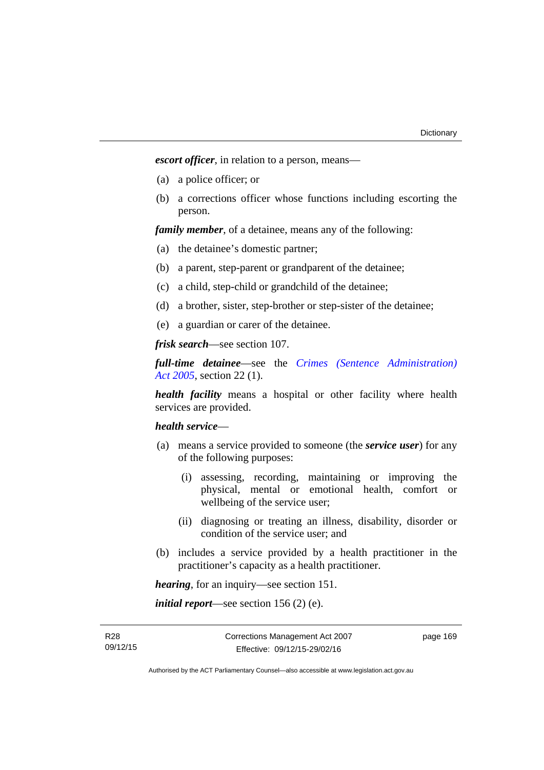*escort officer*, in relation to a person, means—

- (a) a police officer; or
- (b) a corrections officer whose functions including escorting the person.

*family member*, of a detainee, means any of the following:

- (a) the detainee's domestic partner;
- (b) a parent, step-parent or grandparent of the detainee;
- (c) a child, step-child or grandchild of the detainee;
- (d) a brother, sister, step-brother or step-sister of the detainee;
- (e) a guardian or carer of the detainee.

*frisk search*—see section 107.

*full-time detainee*—see the *[Crimes \(Sentence Administration\)](http://www.legislation.act.gov.au/a/2005-59)  [Act 2005](http://www.legislation.act.gov.au/a/2005-59)*, section 22 (1).

*health facility* means a hospital or other facility where health services are provided.

## *health service*—

- (a) means a service provided to someone (the *service user*) for any of the following purposes:
	- (i) assessing, recording, maintaining or improving the physical, mental or emotional health, comfort or wellbeing of the service user;
	- (ii) diagnosing or treating an illness, disability, disorder or condition of the service user; and
- (b) includes a service provided by a health practitioner in the practitioner's capacity as a health practitioner.

*hearing*, for an inquiry—see section 151.

*initial report*—see section 156 (2) (e).

R28 09/12/15 page 169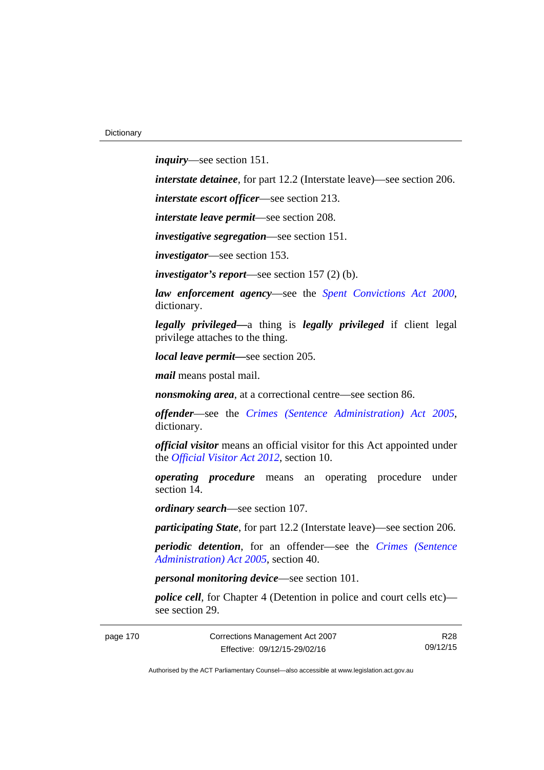*inquiry*—see section 151.

*interstate detainee*, for part 12.2 (Interstate leave)—see section 206.

*interstate escort officer*—see section 213.

*interstate leave permit*—see section 208.

*investigative segregation*—see section 151.

*investigator*—see section 153.

*investigator's report*—see section 157 (2) (b).

*law enforcement agency*—see the *[Spent Convictions Act 2000](http://www.legislation.act.gov.au/a/2000-48)*, dictionary.

*legally privileged—*a thing is *legally privileged* if client legal privilege attaches to the thing.

*local leave permit—*see section 205.

*mail* means postal mail.

*nonsmoking area*, at a correctional centre—see section 86.

*offender*—see the *[Crimes \(Sentence Administration\) Act 2005](http://www.legislation.act.gov.au/a/2005-59)*, dictionary.

*official visitor* means an official visitor for this Act appointed under the *[Official Visitor Act 2012](http://www.legislation.act.gov.au/a/2012-33)*, section 10.

*operating procedure* means an operating procedure under section 14.

*ordinary search*—see section 107.

*participating State*, for part 12.2 (Interstate leave)—see section 206.

*periodic detention*, for an offender—see the *[Crimes \(Sentence](http://www.legislation.act.gov.au/a/2005-59)  [Administration\) Act 2005](http://www.legislation.act.gov.au/a/2005-59)*, section 40.

*personal monitoring device*—see section 101.

*police cell*, for Chapter 4 (Detention in police and court cells etc) see section 29.

page 170 Corrections Management Act 2007 Effective: 09/12/15-29/02/16

R28 09/12/15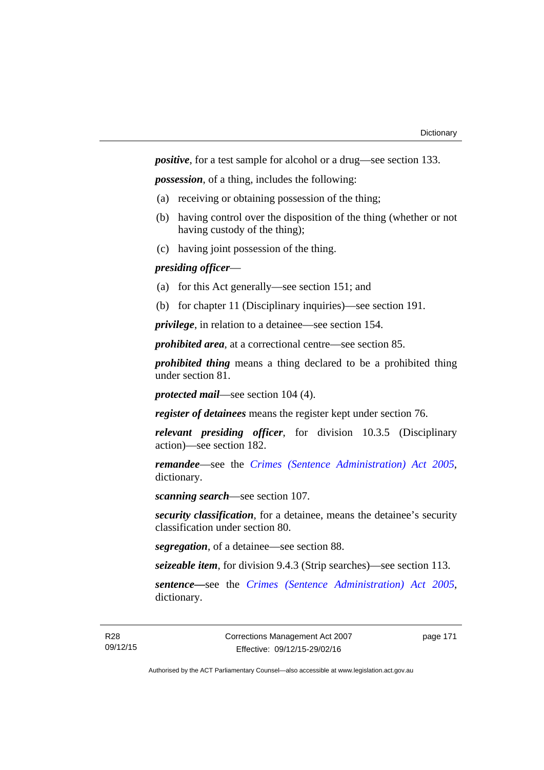*positive*, for a test sample for alcohol or a drug—see section 133.

*possession*, of a thing, includes the following:

- (a) receiving or obtaining possession of the thing;
- (b) having control over the disposition of the thing (whether or not having custody of the thing);
- (c) having joint possession of the thing.

# *presiding officer*—

- (a) for this Act generally—see section 151; and
- (b) for chapter 11 (Disciplinary inquiries)—see section 191.

*privilege*, in relation to a detainee—see section 154.

*prohibited area*, at a correctional centre—see section 85.

*prohibited thing* means a thing declared to be a prohibited thing under section 81.

*protected mail*—see section 104 (4).

*register of detainees* means the register kept under section 76.

*relevant presiding officer*, for division 10.3.5 (Disciplinary action)—see section 182.

*remandee*—see the *[Crimes \(Sentence Administration\) Act 2005](http://www.legislation.act.gov.au/a/2005-59)*, dictionary.

*scanning search*—see section 107.

*security classification*, for a detainee, means the detainee's security classification under section 80.

*segregation*, of a detainee—see section 88.

*seizeable item*, for division 9.4.3 (Strip searches)—see section 113.

*sentence—*see the *[Crimes \(Sentence Administration\) Act 2005](http://www.legislation.act.gov.au/a/2005-59)*, dictionary.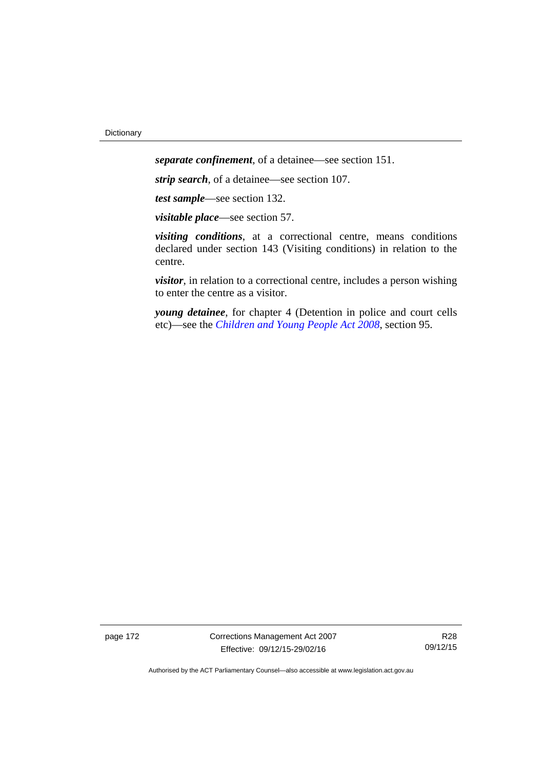*separate confinement*, of a detainee—see section 151.

*strip search*, of a detainee—see section 107.

*test sample*—see section 132.

*visitable place*—see section 57.

*visiting conditions*, at a correctional centre, means conditions declared under section 143 (Visiting conditions) in relation to the centre.

*visitor*, in relation to a correctional centre, includes a person wishing to enter the centre as a visitor.

*young detainee*, for chapter 4 (Detention in police and court cells etc)—see the *[Children and Young People Act 2008](http://www.legislation.act.gov.au/a/2008-19)*, section 95.

page 172 Corrections Management Act 2007 Effective: 09/12/15-29/02/16

R28 09/12/15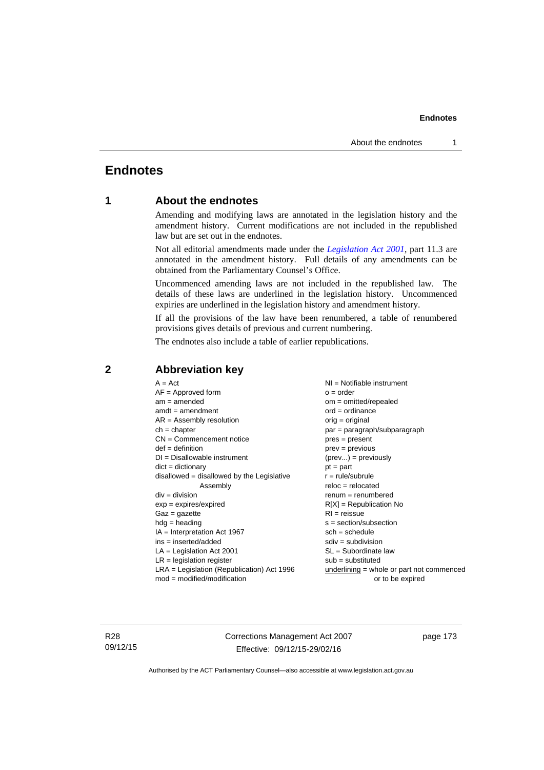# **Endnotes**

# **1 About the endnotes**

Amending and modifying laws are annotated in the legislation history and the amendment history. Current modifications are not included in the republished law but are set out in the endnotes.

Not all editorial amendments made under the *[Legislation Act 2001](http://www.legislation.act.gov.au/a/2001-14)*, part 11.3 are annotated in the amendment history. Full details of any amendments can be obtained from the Parliamentary Counsel's Office.

Uncommenced amending laws are not included in the republished law. The details of these laws are underlined in the legislation history. Uncommenced expiries are underlined in the legislation history and amendment history.

If all the provisions of the law have been renumbered, a table of renumbered provisions gives details of previous and current numbering.

The endnotes also include a table of earlier republications.

| $A = Act$                                    | $NI = Notifiable$ instrument                |
|----------------------------------------------|---------------------------------------------|
| $AF =$ Approved form                         | $o = order$                                 |
| $am = amended$                               | $om = omitted/repealed$                     |
| $amdt = amendment$                           | $ord = ordinance$                           |
| $AR = Assembly resolution$                   | $orig = original$                           |
| $ch = chapter$                               | par = paragraph/subparagraph                |
| $CN =$ Commencement notice                   | $pres = present$                            |
| $def = definition$                           | $prev = previous$                           |
| $DI = Disallowable instrument$               | $(\text{prev}) = \text{previously}$         |
| $dict = dictionary$                          | $pt = part$                                 |
| $disallowed = disallowed by the Legislative$ | $r = rule/subrule$                          |
| Assembly                                     | $reloc = relocated$                         |
| $div = division$                             | $renum = renumbered$                        |
| $exp = expires/expired$                      | $R[X]$ = Republication No                   |
| $Gaz = gazette$                              | $RI = reissue$                              |
| $hdg =$ heading                              | $s = section/subsection$                    |
| IA = Interpretation Act 1967                 | $sch = schedule$                            |
| $ins = inserted/added$                       | $sdiv = subdivision$                        |
| $LA =$ Legislation Act 2001                  | $SL = Subordinate$ law                      |
| $LR =$ legislation register                  | $sub =$ substituted                         |
|                                              |                                             |
|                                              |                                             |
| $LRA =$ Legislation (Republication) Act 1996 | $underlining = whole or part not commenced$ |
| $mod = modified/modification$                | or to be expired                            |

# **2 Abbreviation key**

R28 09/12/15 Corrections Management Act 2007 Effective: 09/12/15-29/02/16

page 173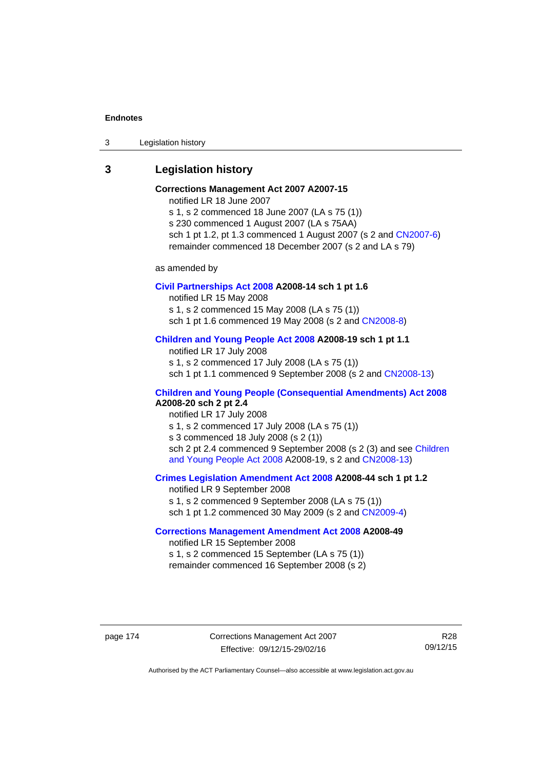3 Legislation history

# **3 Legislation history**

# **Corrections Management Act 2007 A2007-15**

notified LR 18 June 2007

s 1, s 2 commenced 18 June 2007 (LA s 75 (1)) s 230 commenced 1 August 2007 (LA s 75AA) sch 1 pt 1.2, pt 1.3 commenced 1 August 2007 (s 2 and [CN2007-6](http://www.legislation.act.gov.au/cn/2007-6/default.asp)) remainder commenced 18 December 2007 (s 2 and LA s 79)

as amended by

### **[Civil Partnerships Act 2008](http://www.legislation.act.gov.au/a/2008-14) A2008-14 sch 1 pt 1.6**

notified LR 15 May 2008

s 1, s 2 commenced 15 May 2008 (LA s 75 (1))

sch 1 pt 1.6 commenced 19 May 2008 (s 2 and [CN2008-8\)](http://www.legislation.act.gov.au/cn/2008-8/default.asp)

# **[Children and Young People Act 2008](http://www.legislation.act.gov.au/a/2008-19) A2008-19 sch 1 pt 1.1**

notified LR 17 July 2008 s 1, s 2 commenced 17 July 2008 (LA s 75 (1)) sch 1 pt 1.1 commenced 9 September 2008 (s 2 and [CN2008-13\)](http://www.legislation.act.gov.au/cn/2008-13/default.asp)

# **[Children and Young People \(Consequential Amendments\) Act 2008](http://www.legislation.act.gov.au/a/2008-20) A2008-20 sch 2 pt 2.4**

notified LR 17 July 2008 s 1, s 2 commenced 17 July 2008 (LA s 75 (1)) s 3 commenced 18 July 2008 (s 2 (1)) sch 2 pt 2.4 commenced 9 September 2008 (s 2 (3) and see Children [and Young People Act 2008](http://www.legislation.act.gov.au/a/2008-19) A2008-19, s 2 and [CN2008-13](http://www.legislation.act.gov.au/cn/2008-13/default.asp))

### **[Crimes Legislation Amendment Act 2008](http://www.legislation.act.gov.au/a/2008-44) A2008-44 sch 1 pt 1.2**

notified LR 9 September 2008 s 1, s 2 commenced 9 September 2008 (LA s 75 (1)) sch 1 pt 1.2 commenced 30 May 2009 (s 2 and [CN2009-4\)](http://www.legislation.act.gov.au/cn/2009-4/default.asp)

# **[Corrections Management Amendment Act 2008](http://www.legislation.act.gov.au/a/2008-49) A2008-49**

notified LR 15 September 2008 s 1, s 2 commenced 15 September (LA s 75 (1)) remainder commenced 16 September 2008 (s 2)

page 174 Corrections Management Act 2007 Effective: 09/12/15-29/02/16

R28 09/12/15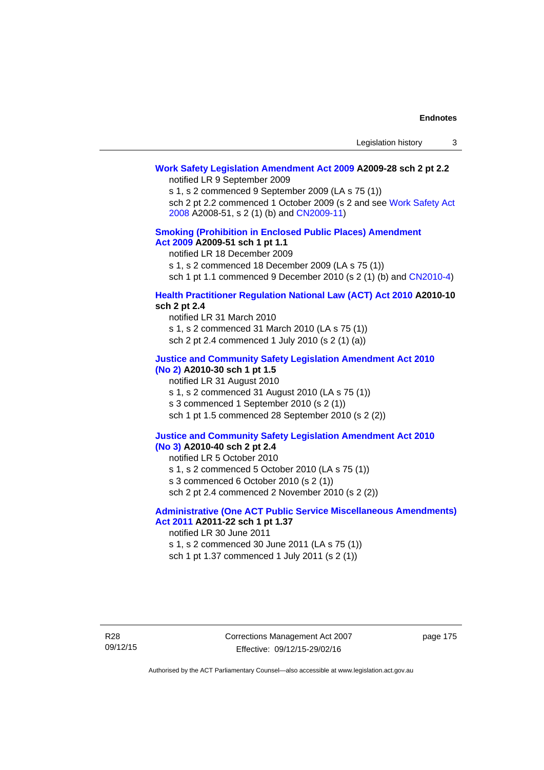# **[Work Safety Legislation Amendment Act 2009](http://www.legislation.act.gov.au/a/2009-28) A2009-28 sch 2 pt 2.2**

notified LR 9 September 2009

s 1, s 2 commenced 9 September 2009 (LA s 75 (1))

sch 2 pt 2.2 commenced 1 October 2009 (s 2 and see [Work Safety Act](http://www.legislation.act.gov.au/a/2008-51)  [2008](http://www.legislation.act.gov.au/a/2008-51) A2008-51, s 2 (1) (b) and [CN2009-11\)](http://www.legislation.act.gov.au/cn/2009-11/default.asp)

## **[Smoking \(Prohibition in Enclosed Public Places\) Amendment](http://www.legislation.act.gov.au/a/2009-51)  [Act 2009](http://www.legislation.act.gov.au/a/2009-51) A2009-51 sch 1 pt 1.1**

notified LR 18 December 2009

s 1, s 2 commenced 18 December 2009 (LA s 75 (1))

sch 1 pt 1.1 commenced 9 December 2010 (s 2 (1) (b) and [CN2010-4\)](http://www.legislation.act.gov.au/cn/2010-4/default.asp)

## **[Health Practitioner Regulation National Law \(ACT\) Act 2010](http://www.legislation.act.gov.au/a/2010-10) A2010-10 sch 2 pt 2.4**

notified LR 31 March 2010 s 1, s 2 commenced 31 March 2010 (LA s 75 (1)) sch 2 pt 2.4 commenced 1 July 2010 (s 2 (1) (a))

#### **[Justice and Community Safety Legislation Amendment Act 2010](http://www.legislation.act.gov.au/a/2010-30)**

# **[\(No 2\)](http://www.legislation.act.gov.au/a/2010-30) A2010-30 sch 1 pt 1.5**

notified LR 31 August 2010 s 1, s 2 commenced 31 August 2010 (LA s 75 (1)) s 3 commenced 1 September 2010 (s 2 (1)) sch 1 pt 1.5 commenced 28 September 2010 (s 2 (2))

#### **[Justice and Community Safety Legislation Amendment Act 2010](http://www.legislation.act.gov.au/a/2010-40)  [\(No 3\)](http://www.legislation.act.gov.au/a/2010-40) A2010-40 sch 2 pt 2.4**

notified LR 5 October 2010

s 1, s 2 commenced 5 October 2010 (LA s 75 (1))

s 3 commenced 6 October 2010 (s 2 (1))

sch 2 pt 2.4 commenced 2 November 2010 (s 2 (2))

# **[Administrative \(One ACT Public Service Miscellaneous Amendments\)](http://www.legislation.act.gov.au/a/2011-22)  [Act 2011](http://www.legislation.act.gov.au/a/2011-22) A2011-22 sch 1 pt 1.37**

notified LR 30 June 2011

s 1, s 2 commenced 30 June 2011 (LA s 75 (1)) sch 1 pt 1.37 commenced 1 July 2011 (s 2 (1))

page 175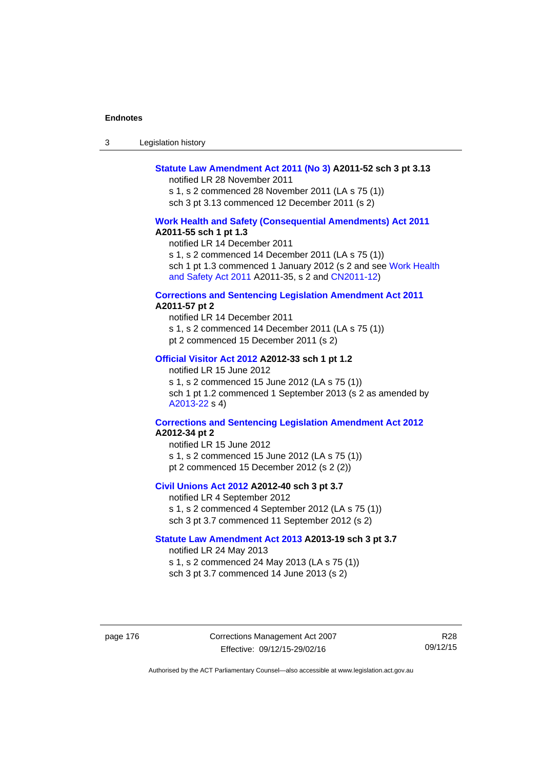| -3 | Legislation history |  |
|----|---------------------|--|
|----|---------------------|--|

## **[Statute Law Amendment Act 2011 \(No 3\)](http://www.legislation.act.gov.au/a/2011-52) A2011-52 sch 3 pt 3.13**

notified LR 28 November 2011

s 1, s 2 commenced 28 November 2011 (LA s 75 (1)) sch 3 pt 3.13 commenced 12 December 2011 (s 2)

#### **[Work Health and Safety \(Consequential Amendments\) Act 2011](http://www.legislation.act.gov.au/a/2011-55) A2011-55 sch 1 pt 1.3**

notified LR 14 December 2011

s 1, s 2 commenced 14 December 2011 (LA s 75 (1))

sch 1 pt 1.3 commenced 1 January 2012 (s 2 and see Work Health [and Safety Act 2011](http://www.legislation.act.gov.au/a/2011-35) A2011-35, s 2 and [CN2011-12\)](http://www.legislation.act.gov.au/cn/2011-12/default.asp)

#### **[Corrections and Sentencing Legislation Amendment Act 2011](http://www.legislation.act.gov.au/a/2011-57) A2011-57 pt 2**

notified LR 14 December 2011 s 1, s 2 commenced 14 December 2011 (LA s 75 (1)) pt 2 commenced 15 December 2011 (s 2)

#### **[Official Visitor Act 2012](http://www.legislation.act.gov.au/a/2012-33) A2012-33 sch 1 pt 1.2**

notified LR 15 June 2012 s 1, s 2 commenced 15 June 2012 (LA s 75 (1)) sch 1 pt 1.2 commenced 1 September 2013 (s 2 as amended by [A2013-22](http://www.legislation.act.gov.au/a/2013-22) s 4)

#### **[Corrections and Sentencing Legislation Amendment Act 2012](http://www.legislation.act.gov.au/a/2012-34) A2012-34 pt 2**

notified LR 15 June 2012 s 1, s 2 commenced 15 June 2012 (LA s 75 (1)) pt 2 commenced 15 December 2012 (s 2 (2))

## **[Civil Unions Act 2012](http://www.legislation.act.gov.au/a/2012-40) A2012-40 sch 3 pt 3.7**

notified LR 4 September 2012 s 1, s 2 commenced 4 September 2012 (LA s 75 (1)) sch 3 pt 3.7 commenced 11 September 2012 (s 2)

#### **[Statute Law Amendment Act 2013](http://www.legislation.act.gov.au/a/2013-19) A2013-19 sch 3 pt 3.7**

notified LR 24 May 2013 s 1, s 2 commenced 24 May 2013 (LA s 75 (1)) sch 3 pt 3.7 commenced 14 June 2013 (s 2)

page 176 Corrections Management Act 2007 Effective: 09/12/15-29/02/16

R28 09/12/15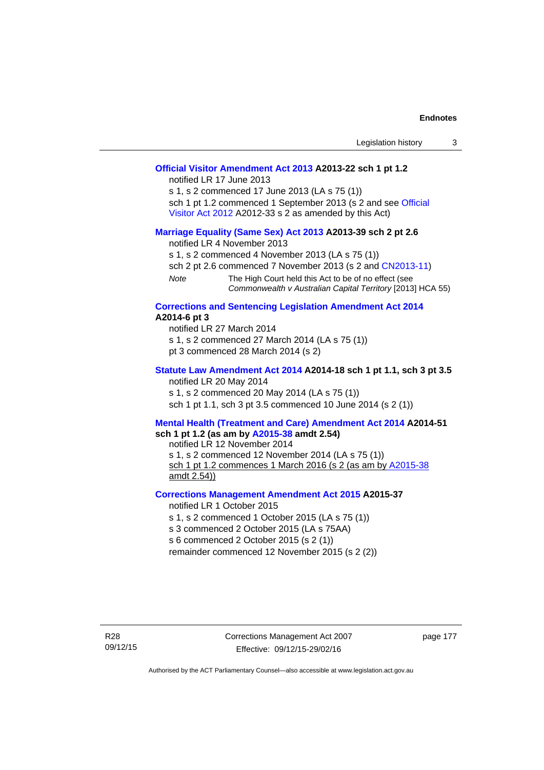|                                                                                                                                                                                                              |                                                                                                                                                                                                        | Legislation history                                                                                                      | 3 |
|--------------------------------------------------------------------------------------------------------------------------------------------------------------------------------------------------------------|--------------------------------------------------------------------------------------------------------------------------------------------------------------------------------------------------------|--------------------------------------------------------------------------------------------------------------------------|---|
|                                                                                                                                                                                                              | Official Visitor Amendment Act 2013 A2013-22 sch 1 pt 1.2<br>notified LR 17 June 2013<br>s 1, s 2 commenced 17 June 2013 (LA s 75 (1))<br>Visitor Act 2012 A2012-33 s 2 as amended by this Act)        | sch 1 pt 1.2 commenced 1 September 2013 (s 2 and see Official                                                            |   |
| Note                                                                                                                                                                                                         | Marriage Equality (Same Sex) Act 2013 A2013-39 sch 2 pt 2.6<br>notified LR 4 November 2013<br>s 1, s 2 commenced 4 November 2013 (LA s 75 (1))<br>The High Court held this Act to be of no effect (see | sch 2 pt 2.6 commenced 7 November 2013 (s 2 and CN2013-11)<br>Commonwealth v Australian Capital Territory [2013] HCA 55) |   |
| A2014-6 pt 3                                                                                                                                                                                                 | <b>Corrections and Sentencing Legislation Amendment Act 2014</b><br>notified LR 27 March 2014<br>s 1, s 2 commenced 27 March 2014 (LA s 75 (1))<br>pt 3 commenced 28 March 2014 (s 2)                  |                                                                                                                          |   |
| Statute Law Amendment Act 2014 A2014-18 sch 1 pt 1.1, sch 3 pt 3.5<br>notified LR 20 May 2014<br>s 1, s 2 commenced 20 May 2014 (LA s 75 (1))<br>sch 1 pt 1.1, sch 3 pt 3.5 commenced 10 June 2014 (s 2 (1)) |                                                                                                                                                                                                        |                                                                                                                          |   |
| <b>Mental Health (Treatment and Care) Amendment Act 2014 A2014-51</b><br>sch 1 pt 1.2 (as am by A2015-38 amdt 2.54)<br>notified LR 12 November 2014                                                          |                                                                                                                                                                                                        |                                                                                                                          |   |

notified LR 12 November 2014 s 1, s 2 commenced 12 November 2014 (LA s 75 (1)) sch 1 pt 1.2 commences 1 March 2016 (s 2 (as am by [A2015-38](http://www.legislation.act.gov.au/a/2015-38) amdt 2.54))

## **[Corrections Management Amendment Act 2015](http://www.legislation.act.gov.au/a/2015-37) A2015-37**

notified LR 1 October 2015

s 1, s 2 commenced 1 October 2015 (LA s 75 (1))

s 3 commenced 2 October 2015 (LA s 75AA)

s 6 commenced 2 October 2015 (s 2 (1))

remainder commenced 12 November 2015 (s 2 (2))

page 177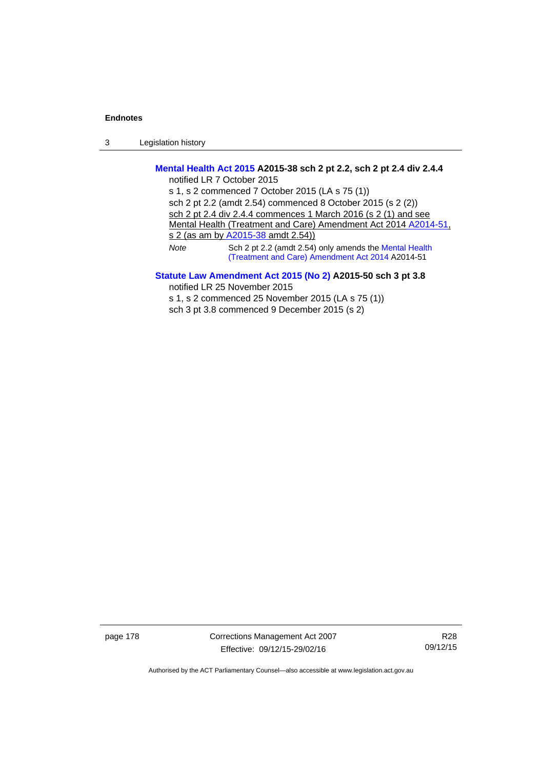3 Legislation history

# **[Mental Health Act 2015](http://www.legislation.act.gov.au/a/2015-38) A2015-38 sch 2 pt 2.2, sch 2 pt 2.4 div 2.4.4**

notified LR 7 October 2015 s 1, s 2 commenced 7 October 2015 (LA s 75 (1)) sch 2 pt 2.2 (amdt 2.54) commenced 8 October 2015 (s 2 (2)) sch 2 pt 2.4 div 2.4.4 commences 1 March 2016 (s 2 (1) and see Mental Health (Treatment and Care) Amendment Act 2014 [A2014-51,](http://www.legislation.act.gov.au/a/2014-51/default.asp) s 2 (as am by [A2015-38](http://www.legislation.act.gov.au/a/2015-38) amdt 2.54)) *Note* Sch 2 pt 2.2 (amdt 2.54) only amends the [Mental Health](http://www.legislation.act.gov.au/a/2014-51/default.asp)  [\(Treatment and Care\) Amendment Act 2014](http://www.legislation.act.gov.au/a/2014-51/default.asp) A2014-51

# **[Statute Law Amendment Act 2015 \(No 2\)](http://www.legislation.act.gov.au/a/2015-50) A2015-50 sch 3 pt 3.8**

notified LR 25 November 2015

s 1, s 2 commenced 25 November 2015 (LA s 75 (1))

sch 3 pt 3.8 commenced 9 December 2015 (s 2)

page 178 Corrections Management Act 2007 Effective: 09/12/15-29/02/16

R28 09/12/15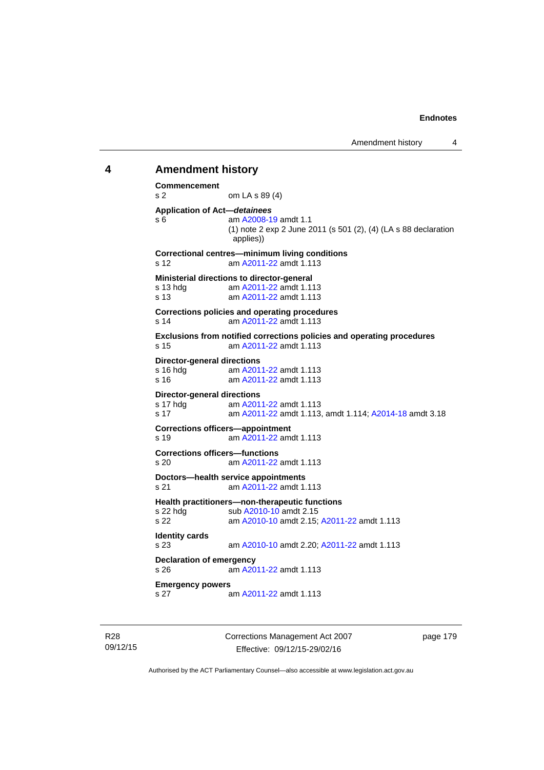# **4 Amendment history Commencement**  s 2 om LA s 89 (4) **Application of Act—***detainees* s 6 am [A2008-19](http://www.legislation.act.gov.au/a/2008-19) amdt 1.1 (1) note 2 exp 2 June 2011 (s 501 (2), (4) (LA s 88 declaration applies)) **Correctional centres—minimum living conditions**  s 12 am [A2011-22](http://www.legislation.act.gov.au/a/2011-22) amdt 1.113 **Ministerial directions to director-general**  s 13 hdg am [A2011-22](http://www.legislation.act.gov.au/a/2011-22) amdt 1.113 s 13 am [A2011-22](http://www.legislation.act.gov.au/a/2011-22) amdt 1.113 **Corrections policies and operating procedures**  s 14 am [A2011-22](http://www.legislation.act.gov.au/a/2011-22) amdt 1.113 **Exclusions from notified corrections policies and operating procedures**  s 15 am [A2011-22](http://www.legislation.act.gov.au/a/2011-22) amdt 1.113 **Director-general directions**  s 16 hdg am [A2011-22](http://www.legislation.act.gov.au/a/2011-22) amdt 1.113 s 16 am [A2011-22](http://www.legislation.act.gov.au/a/2011-22) amdt 1.113 **Director-general directions**  s 17 hdg am [A2011-22](http://www.legislation.act.gov.au/a/2011-22) amdt 1.113 s 17 am [A2011-22](http://www.legislation.act.gov.au/a/2011-22) amdt 1.113, amdt 1.114; [A2014-18](http://www.legislation.act.gov.au/a/2014-18) amdt 3.18 **Corrections officers—appointment**  s 19 am [A2011-22](http://www.legislation.act.gov.au/a/2011-22) amdt 1.113 **Corrections officers—functions**  s 20 am [A2011-22](http://www.legislation.act.gov.au/a/2011-22) amdt 1.113 **Doctors—health service appointments**  s 21 am [A2011-22](http://www.legislation.act.gov.au/a/2011-22) amdt 1.113 **Health practitioners—non-therapeutic functions**  s 22 hdg sub [A2010-10](http://www.legislation.act.gov.au/a/2010-10) amdt 2.15 s 22 am [A2010-10](http://www.legislation.act.gov.au/a/2010-10) amdt 2.15; [A2011-22](http://www.legislation.act.gov.au/a/2011-22) amdt 1.113 **Identity cards**  s 23 am [A2010-10](http://www.legislation.act.gov.au/a/2010-10) amdt 2.20; [A2011-22](http://www.legislation.act.gov.au/a/2011-22) amdt 1.113 **Declaration of emergency**  s 26 am [A2011-22](http://www.legislation.act.gov.au/a/2011-22) amdt 1.113 **Emergency powers**  s 27 am [A2011-22](http://www.legislation.act.gov.au/a/2011-22) amdt 1.113

R28 09/12/15 Corrections Management Act 2007 Effective: 09/12/15-29/02/16

page 179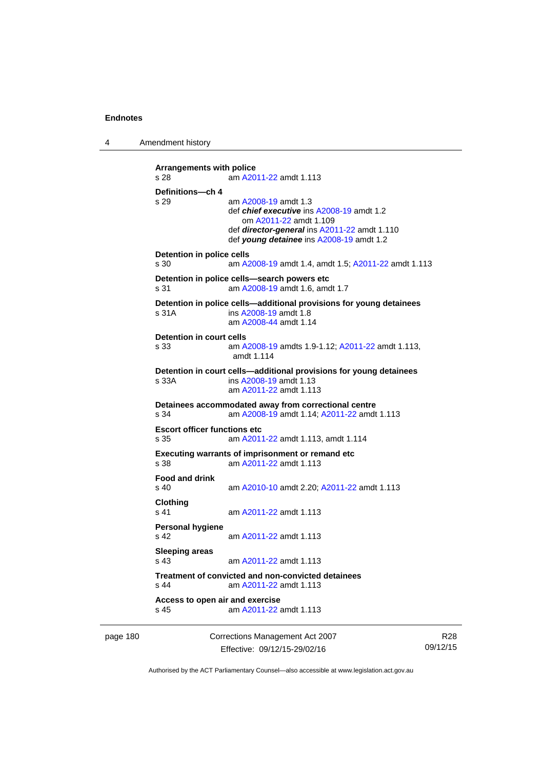4 Amendment history

```
Arrangements with police 
s 28 am A2011-22 amdt 1.113
Definitions—ch 4 
s 29 am A2008-19 amdt 1.3
                def chief executive ins A2008-19 amdt 1.2 
                    om A2011-22 amdt 1.109
                 def director-general ins A2011-22 amdt 1.110 
                 def young detainee ins A2008-19 amdt 1.2 
Detention in police cells 
s 30 am A2008-19 amdt 1.4, amdt 1.5; A2011-22 amdt 1.113
Detention in police cells—search powers etc 
s 31 am A2008-19 amdt 1.6, amdt 1.7 
Detention in police cells—additional provisions for young detainees 
s 31A ins A2008-19 amdt 1.8 
                am A2008-44 amdt 1.14
Detention in court cells 
s 33 am A2008-19 amdts 1.9-1.12; A2011-22 amdt 1.113, 
                amdt 1.114 
Detention in court cells—additional provisions for young detainees 
s 33A ins A2008-19 amdt 1.13 
                 am A2011-22 amdt 1.113
Detainees accommodated away from correctional centre 
s 34 am A2008-19 amdt 1.14; A2011-22 amdt 1.113 
Escort officer functions etc 
s 35 am A2011-22 amdt 1.113, amdt 1.114 
Executing warrants of imprisonment or remand etc 
s 38 am A2011-22 amdt 1.113
Food and drink 
s 40 am A2010-10 amdt 2.20; A2011-22 amdt 1.113 
Clothing 
s 41 A2011-22 amdt 1.113
Personal hygiene 
s 42  A2011-22 amdt 1.113
Sleeping areas 
s 43  A2011-22 amdt 1.113
Treatment of convicted and non-convicted detainees 
s 44 am A2011-22 amdt 1.113
Access to open air and exercise 
s 45 am A2011-22 amdt 1.113
```
page 180 Corrections Management Act 2007 Effective: 09/12/15-29/02/16

R28 09/12/15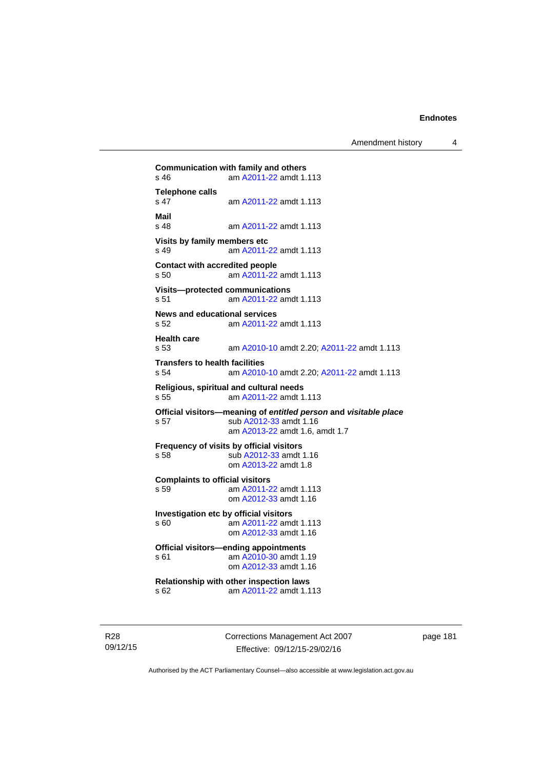**Communication with family and others**<br>s 46 **am A2011-22** amdt 1. am [A2011-22](http://www.legislation.act.gov.au/a/2011-22) amdt 1.113 **Telephone calls**  s 47 am [A2011-22](http://www.legislation.act.gov.au/a/2011-22) amdt 1.113 **Mail**  am [A2011-22](http://www.legislation.act.gov.au/a/2011-22) amdt 1.113 **Visits by family members etc**  s 49 am [A2011-22](http://www.legislation.act.gov.au/a/2011-22) amdt 1.113 **Contact with accredited people**  s 50 am [A2011-22](http://www.legislation.act.gov.au/a/2011-22) amdt 1.113 **Visits—protected communications**  s 51 am [A2011-22](http://www.legislation.act.gov.au/a/2011-22) amdt 1.113 **News and educational services**  s 52 am [A2011-22](http://www.legislation.act.gov.au/a/2011-22) amdt 1.113 **Health care**  s 53 am [A2010-10](http://www.legislation.act.gov.au/a/2010-10) amdt 2.20; [A2011-22](http://www.legislation.act.gov.au/a/2011-22) amdt 1.113 **Transfers to health facilities**  s 54 am [A2010-10](http://www.legislation.act.gov.au/a/2010-10) amdt 2.20; [A2011-22](http://www.legislation.act.gov.au/a/2011-22) amdt 1.113 **Religious, spiritual and cultural needs**  s 55 am [A2011-22](http://www.legislation.act.gov.au/a/2011-22) amdt 1.113 **Official visitors—meaning of** *entitled person* **and** *visitable place*  s 57 sub [A2012-33](http://www.legislation.act.gov.au/a/2012-33) amdt 1.16 am [A2013-22](http://www.legislation.act.gov.au/a/2013-22) amdt 1.6, amdt 1.7 **Frequency of visits by official visitors**<br>s 58 sub A2012-33 amdt sub [A2012-33](http://www.legislation.act.gov.au/a/2012-33) amdt 1.16 om [A2013-22](http://www.legislation.act.gov.au/a/2013-22) amdt 1.8 **Complaints to official visitors**  s 59 am [A2011-22](http://www.legislation.act.gov.au/a/2011-22) amdt 1.113 om [A2012-33](http://www.legislation.act.gov.au/a/2012-33) amdt 1.16 **Investigation etc by official visitors**  s 60 am [A2011-22](http://www.legislation.act.gov.au/a/2011-22) amdt 1.113 om [A2012-33](http://www.legislation.act.gov.au/a/2012-33) amdt 1.16 **Official visitors—ending appointments**  s 61 am [A2010-30](http://www.legislation.act.gov.au/a/2010-30) amdt 1.19 om [A2012-33](http://www.legislation.act.gov.au/a/2012-33) amdt 1.16 **Relationship with other inspection laws**  s 62 am [A2011-22](http://www.legislation.act.gov.au/a/2011-22) amdt 1.113

R28 09/12/15 Corrections Management Act 2007 Effective: 09/12/15-29/02/16

page 181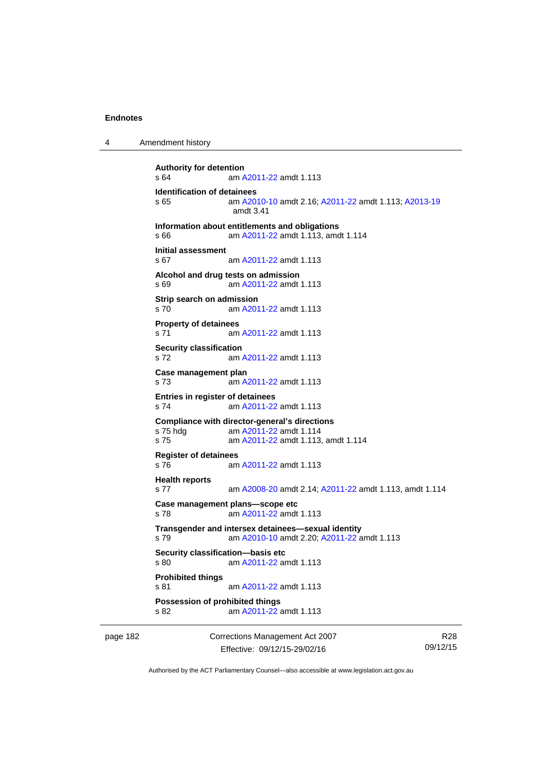4 Amendment history

```
Authority for detention 
s 64 am A2011-22 amdt 1.113
Identification of detainees 
s 65 am A2010-10 amdt 2.16; A2011-22 amdt 1.113; A2013-19
                amdt 3.41
Information about entitlements and obligations 
s 66 am A2011-22 amdt 1.113, amdt 1.114 
Initial assessment 
s 67 am A2011-22 amdt 1.113
Alcohol and drug tests on admission 
s 69 am A2011-22 amdt 1.113
Strip search on admission 
s 70 am A2011-22 amdt 1.113
Property of detainees 
s 71 am A2011-22 amdt 1.113
Security classification 
s 72 am A2011-22 amdt 1.113
Case management plan 
s 73 am A2011-22 amdt 1.113
Entries in register of detainees 
s 74 am A2011-22 amdt 1.113
Compliance with director-general's directions 
s 75 hdg am A2011-22 amdt 1.114
s 75 am A2011-22 amdt 1.113, amdt 1.114 
Register of detainees 
s 76 am A2011-22 amdt 1.113
Health reports 
s 77 am A2008-20 amdt 2.14; A2011-22 amdt 1.113, amdt 1.114 
Case management plans—scope etc 
s 78 am A2011-22 amdt 1.113
Transgender and intersex detainees—sexual identity 
s 79 am A2010-10 amdt 2.20; A2011-22 amdt 1.113 
Security classification—basis etc 
s 80 am A2011-22 amdt 1.113
Prohibited things 
s 81 am A2011-22 amdt 1.113
Possession of prohibited things 
s 82 am A2011-22 amdt 1.113
```
page 182 Corrections Management Act 2007 Effective: 09/12/15-29/02/16

R28 09/12/15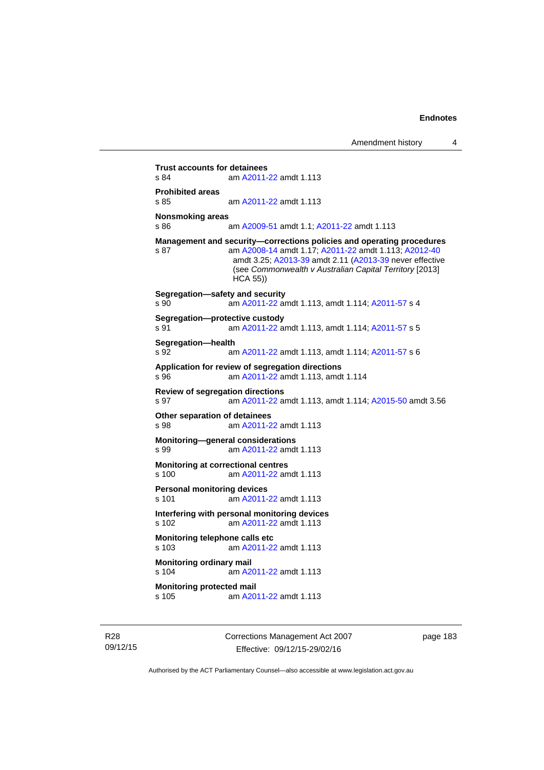**Trust accounts for detainees**<br>s 84 am A2011-am [A2011-22](http://www.legislation.act.gov.au/a/2011-22) amdt 1.113 **Prohibited areas**  s 85 am [A2011-22](http://www.legislation.act.gov.au/a/2011-22) amdt 1.113 **Nonsmoking areas**  s 86 am [A2009-51](http://www.legislation.act.gov.au/a/2009-51) amdt 1.1; [A2011-22](http://www.legislation.act.gov.au/a/2011-22) amdt 1.113 **Management and security—corrections policies and operating procedures**  s 87 am [A2008-14](http://www.legislation.act.gov.au/a/2008-14) amdt 1.17; [A2011-22](http://www.legislation.act.gov.au/a/2011-22) amdt 1.113; [A2012-40](http://www.legislation.act.gov.au/a/2012-40) amdt 3.25; [A2013-39](http://www.legislation.act.gov.au/a/2013-39) amdt 2.11 [\(A2013-39](http://www.legislation.act.gov.au/a/2013-39) never effective (see *Commonwealth v Australian Capital Territory* [2013] HCA 55)) **Segregation—safety and security**  s 90 am [A2011-22](http://www.legislation.act.gov.au/a/2011-22) amdt 1.113, amdt 1.114; [A2011-57](http://www.legislation.act.gov.au/a/2011-57) s 4 **Segregation—protective custody**  s 91 am [A2011-22](http://www.legislation.act.gov.au/a/2011-22) amdt 1.113, amdt 1.114; [A2011-57](http://www.legislation.act.gov.au/a/2011-57) s 5 **Segregation—health**  s 92 am [A2011-22](http://www.legislation.act.gov.au/a/2011-22) amdt 1.113, amdt 1.114; [A2011-57](http://www.legislation.act.gov.au/a/2011-57) s 6 **Application for review of segregation directions**  s 96 am [A2011-22](http://www.legislation.act.gov.au/a/2011-22) amdt 1.113, amdt 1.114 **Review of segregation directions**  s 97 am [A2011-22](http://www.legislation.act.gov.au/a/2011-22) amdt 1.113, amdt 1.114; [A2015-50](http://www.legislation.act.gov.au/a/2015-50) amdt 3.56 **Other separation of detainees**  s 98 am [A2011-22](http://www.legislation.act.gov.au/a/2011-22) amdt 1.113 **Monitoring—general considerations**  s 99 am [A2011-22](http://www.legislation.act.gov.au/a/2011-22) amdt 1.113 **Monitoring at correctional centres**  s 100 am [A2011-22](http://www.legislation.act.gov.au/a/2011-22) amdt 1.113 **Personal monitoring devices**  s 101 am [A2011-22](http://www.legislation.act.gov.au/a/2011-22) amdt 1.113 **Interfering with personal monitoring devices**  s 102 am [A2011-22](http://www.legislation.act.gov.au/a/2011-22) amdt 1.113 **Monitoring telephone calls etc**  s 103 am [A2011-22](http://www.legislation.act.gov.au/a/2011-22) amdt 1.113 **Monitoring ordinary mail**  s 104 am [A2011-22](http://www.legislation.act.gov.au/a/2011-22) amdt 1.113 **Monitoring protected mail**<br>s 105 am A20 am [A2011-22](http://www.legislation.act.gov.au/a/2011-22) amdt 1.113

R28 09/12/15 Corrections Management Act 2007 Effective: 09/12/15-29/02/16

page 183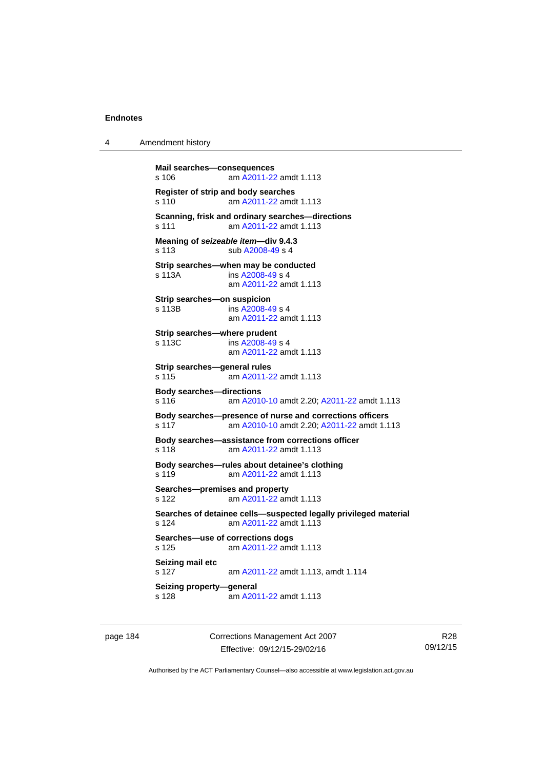4 Amendment history

```
Mail searches—consequences 
s 106 am A2011-22 amdt 1.113
Register of strip and body searches 
s 110 am A2011-22 amdt 1.113
Scanning, frisk and ordinary searches—directions 
s 111 am A2011-22 amdt 1.113
Meaning of seizeable item—div 9.4.3 
s 113 sub A2008-49 s 4 
Strip searches—when may be conducted 
s 113A  A2008-49 s 4
                am A2011-22 amdt 1.113
Strip searches—on suspicion 
s 113B ins A2008-49 s 4
                am A2011-22 amdt 1.113
Strip searches—where prudent 
s 113C ins A2008-49 s 4
                am A2011-22 amdt 1.113
Strip searches—general rules 
s 115 am A2011-22 amdt 1.113
Body searches—directions 
s 116 am A2010-10 amdt 2.20; A2011-22 amdt 1.113 
Body searches—presence of nurse and corrections officers 
s 117 am A2010-10 amdt 2.20; A2011-22 amdt 1.113 
Body searches—assistance from corrections officer 
s 118 am A2011-22 amdt 1.113
Body searches—rules about detainee's clothing 
s 119 am A2011-22 amdt 1.113
Searches—premises and property 
s 122 am A2011-22 amdt 1.113
Searches of detainee cells—suspected legally privileged material 
s 124 am A2011-22 amdt 1.113
Searches—use of corrections dogs 
s 125 am A2011-22 amdt 1.113
Seizing mail etc 
s 127 am A2011-22 amdt 1.113, amdt 1.114 
Seizing property—general 
s 128  A2011-22 amdt 1.113
```
page 184 Corrections Management Act 2007 Effective: 09/12/15-29/02/16

R28 09/12/15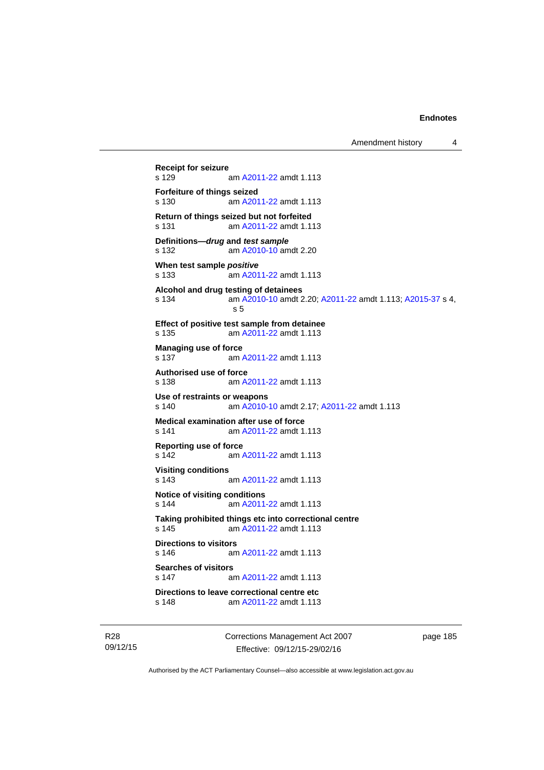Amendment history 4

```
Receipt for seizure 
               A2011-22 amdt 1.113
Forfeiture of things seized 
s 130 am A2011-22 amdt 1.113
Return of things seized but not forfeited 
s 131 am A2011-22 amdt 1.113
Definitions—drug and test sample
s 132 am A2010-10 amdt 2.20
When test sample positive
s 133 am A2011-22 amdt 1.113
Alcohol and drug testing of detainees 
s 134 am A2010-10 amdt 2.20; A2011-22 amdt 1.113; A2015-37 s 4, 
                s 5 
Effect of positive test sample from detainee 
s 135 am A2011-22 amdt 1.113
Managing use of force 
 A2011-22 amdt 1.113
Authorised use of force 
s 138 am A2011-22 amdt 1.113
Use of restraints or weapons 
s 140 am A2010-10 amdt 2.17; A2011-22 amdt 1.113 
Medical examination after use of force 
s 141 am A2011-22 amdt 1.113
Reporting use of force<br>s 142 am/
                A2011-22 amdt 1.113
Visiting conditions 
s 143 am A2011-22 amdt 1.113
Notice of visiting conditions 
s 144 am A2011-22 amdt 1.113
Taking prohibited things etc into correctional centre 
s 145 am A2011-22 amdt 1.113
Directions to visitors 
s 146 am A2011-22 amdt 1.113
Searches of visitors 
s 147 am A2011-22 amdt 1.113
Directions to leave correctional centre etc 
s 148 am A2011-22 amdt 1.113
```
R28 09/12/15 Corrections Management Act 2007 Effective: 09/12/15-29/02/16

page 185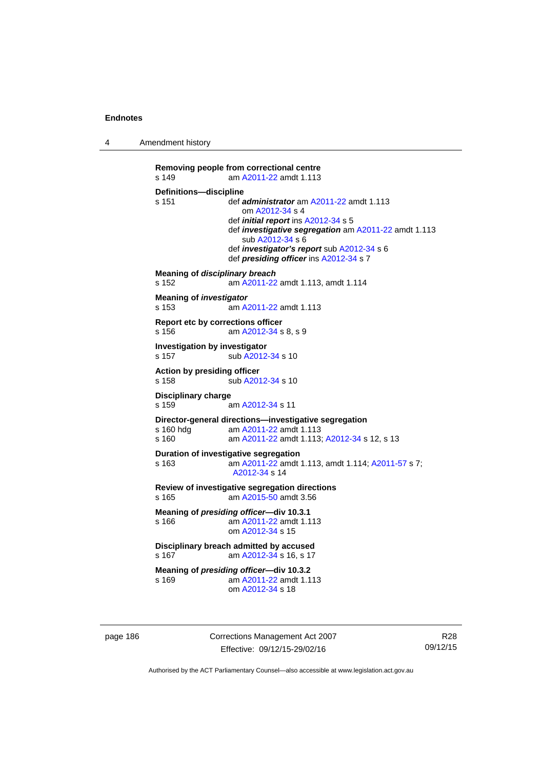4 Amendment history

```
Removing people from correctional centre 
s 149 am A2011-22 amdt 1.113
Definitions—discipline 
s 151 def administrator am A2011-22 amdt 1.113 
                    om A2012-34 s 4 
                 def initial report ins A2012-34 s 5 
                 def investigative segregation am A2011-22 amdt 1.113 
                    sub A2012-34 s 6 
                 def investigator's report sub A2012-34 s 6 
                 def presiding officer ins A2012-34 s 7 
Meaning of disciplinary breach
s 152 am A2011-22 amdt 1.113, amdt 1.114 
Meaning of investigator
s 153 am A2011-22 amdt 1.113
Report etc by corrections officer 
s 156 am A2012-34 s 8, s 9 
Investigation by investigator 
A2012-34 s 10
Action by presiding officer 
A2012-34 s 10
Disciplinary charge 
s 159 am A2012-34 s 11 
Director-general directions—investigative segregation 
s 160 hdg am A2011-22 amdt 1.113
s 160 am A2011-22 amdt 1.113; A2012-34 s 12, s 13
Duration of investigative segregation 
s 163 am A2011-22 amdt 1.113, amdt 1.114; A2011-57 s 7; 
                 A2012-34 s 14 
Review of investigative segregation directions 
s 165 am A2015-50 amdt 3.56
Meaning of presiding officer—div 10.3.1 
s 166 am A2011-22 amdt 1.113
                 om A2012-34 s 15 
Disciplinary breach admitted by accused 
s 167  A2012-34 s 16, s 17
Meaning of presiding officer—div 10.3.2 
s 169 am A2011-22 amdt 1.113
                 om A2012-34 s 18
```
page 186 Corrections Management Act 2007 Effective: 09/12/15-29/02/16

R28 09/12/15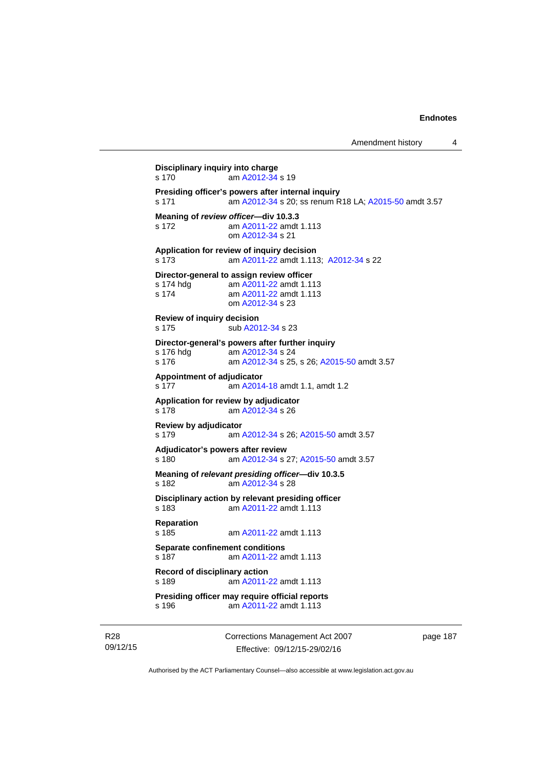```
Disciplinary inquiry into charge 
s 170 am A2012-34 s 19 
Presiding officer's powers after internal inquiry 
s 171 am A2012-34 s 20; ss renum R18 LA; A2015-50 amdt 3.57 
Meaning of review officer—div 10.3.3 
s 172 am A2011-22 amdt 1.113
                 om A2012-34 s 21 
Application for review of inquiry decision 
s 173 am A2011-22 amdt 1.113; A2012-34 s 22 
Director-general to assign review officer 
 A2011-22 amdt 1.113<br>s 174 am A2011-22 amdt 1.113
                 A2011-22 amdt 1.113
                 om A2012-34 s 23 
Review of inquiry decision 
s 175 sub A2012-34 s 23 
Director-general's powers after further inquiry 
 A2012-34 s 24
s 176 am A2012-34 s 25, s 26; A2015-50 amdt 3.57 
Appointment of adjudicator 
s 177 am A2014-18 amdt 1.1, amdt 1.2 
Application for review by adjudicator 
s 178 am A2012-34 s 26 
Review by adjudicator 
s 179 am A2012-34 s 26; A2015-50 amdt 3.57 
Adjudicator's powers after review 
s 180 am A2012-34 s 27; A2015-50 amdt 3.57 
Meaning of relevant presiding officer—div 10.3.5 
s 182 am A2012-34 s 28 
Disciplinary action by relevant presiding officer 
s 183 am A2011-22 amdt 1.113
Reparation 
s 185 am A2011-22 amdt 1.113
Separate confinement conditions 
s 187 am A2011-22 amdt 1.113
Record of disciplinary action 
s 189 am A2011-22 amdt 1.113
Presiding officer may require official reports 
s 196 am A2011-22 amdt 1.113
```
R28 09/12/15 Corrections Management Act 2007 Effective: 09/12/15-29/02/16

page 187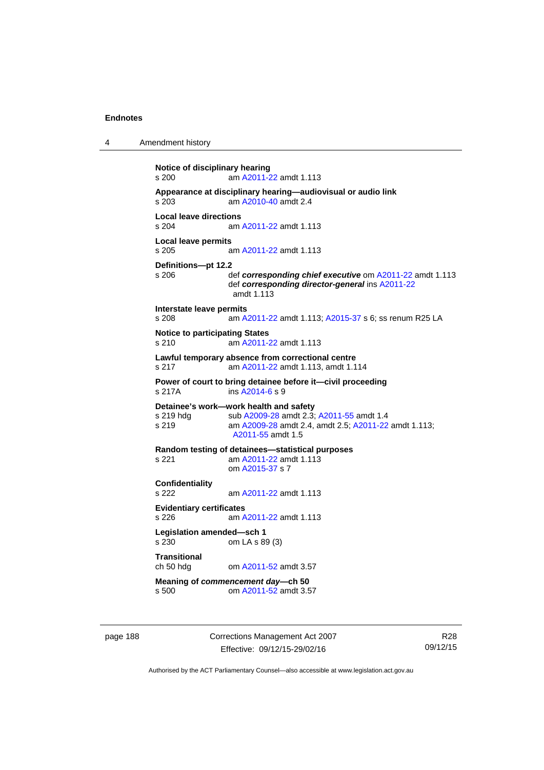4 Amendment history

```
Notice of disciplinary hearing 
s 200 am A2011-22 amdt 1.113
Appearance at disciplinary hearing—audiovisual or audio link 
s 203 am A2010-40 amdt 2.4
Local leave directions 
                A2011-22 amdt 1.113
Local leave permits 
s 205 am A2011-22 amdt 1.113
Definitions—pt 12.2 
                def corresponding chief executiveA2011-22 amdt 1.113
                 def corresponding director-general ins A2011-22
                 amdt 1.113
Interstate leave permits 
s 208 am A2011-22 amdt 1.113; A2015-37 s 6; ss renum R25 LA 
Notice to participating States 
s 210 am A2011-22 amdt 1.113
Lawful temporary absence from correctional centre 
s 217 am A2011-22 amdt 1.113, amdt 1.114 
Power of court to bring detainee before it—civil proceeding 
s 217A ins A2014-6 s 9 
Detainee's work—work health and safety<br>s 219 hdg sub A2009-28 amdt 2.3;
                A2009-28A2011-55 amdt 1.4
s 219 am A2009-28 amdt 2.4, amdt 2.5; A2011-22 amdt 1.113; 
                 A2011-55 amdt 1.5 
Random testing of detainees—statistical purposes 
s 221 am A2011-22 amdt 1.113
                 om A2015-37 s 7 
Confidentiality 
s 222 am A2011-22 amdt 1.113
Evidentiary certificates 
s 226 am A2011-22 amdt 1.113
Legislation amended—sch 1 
s 230 om LA s 89 (3) 
Transitional 
ch 50 hdg om A2011-52 amdt 3.57
Meaning of commencement day—ch 50 
s 500 om A2011-52 amdt 3.57
```
page 188 Corrections Management Act 2007 Effective: 09/12/15-29/02/16

R28 09/12/15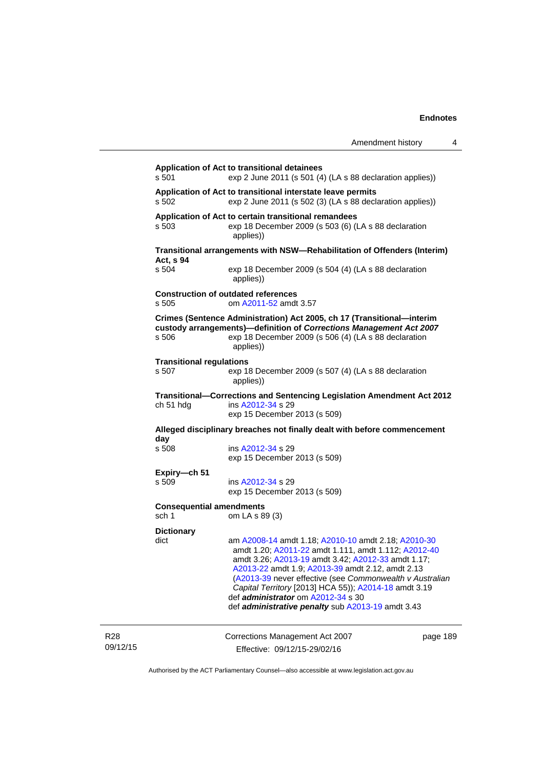| Amendment history |  |
|-------------------|--|
|-------------------|--|

| s 501                                    | Application of Act to transitional detainees<br>exp 2 June 2011 (s 501 (4) (LA s 88 declaration applies))                                                                                                                                                                                                                                                                                                                             |
|------------------------------------------|---------------------------------------------------------------------------------------------------------------------------------------------------------------------------------------------------------------------------------------------------------------------------------------------------------------------------------------------------------------------------------------------------------------------------------------|
| s 502                                    | Application of Act to transitional interstate leave permits<br>exp 2 June 2011 (s 502 (3) (LA s 88 declaration applies))                                                                                                                                                                                                                                                                                                              |
| s 503                                    | Application of Act to certain transitional remandees<br>exp 18 December 2009 (s 503 (6) (LA s 88 declaration<br>applies))                                                                                                                                                                                                                                                                                                             |
|                                          | Transitional arrangements with NSW-Rehabilitation of Offenders (Interim)                                                                                                                                                                                                                                                                                                                                                              |
| Act, s 94<br>s 504                       | exp 18 December 2009 (s 504 (4) (LA s 88 declaration<br>applies))                                                                                                                                                                                                                                                                                                                                                                     |
| s 505                                    | <b>Construction of outdated references</b><br>om A2011-52 amdt 3.57                                                                                                                                                                                                                                                                                                                                                                   |
| s 506                                    | Crimes (Sentence Administration) Act 2005, ch 17 (Transitional-interim<br>custody arrangements)-definition of Corrections Management Act 2007<br>exp 18 December 2009 (s 506 (4) (LA s 88 declaration<br>applies))                                                                                                                                                                                                                    |
| <b>Transitional regulations</b><br>s 507 | exp 18 December 2009 (s 507 (4) (LA s 88 declaration<br>applies))                                                                                                                                                                                                                                                                                                                                                                     |
| ch 51 hdg                                | Transitional-Corrections and Sentencing Legislation Amendment Act 2012<br>ins A2012-34 s 29<br>exp 15 December 2013 (s 509)                                                                                                                                                                                                                                                                                                           |
|                                          | Alleged disciplinary breaches not finally dealt with before commencement                                                                                                                                                                                                                                                                                                                                                              |
| day<br>s 508                             | ins A2012-34 s 29<br>exp 15 December 2013 (s 509)                                                                                                                                                                                                                                                                                                                                                                                     |
| Expiry-ch 51<br>s 509                    | ins A2012-34 s 29<br>exp 15 December 2013 (s 509)                                                                                                                                                                                                                                                                                                                                                                                     |
| <b>Consequential amendments</b><br>sch 1 | om LA s 89 (3)                                                                                                                                                                                                                                                                                                                                                                                                                        |
| <b>Dictionary</b><br>dict                | am A2008-14 amdt 1.18; A2010-10 amdt 2.18; A2010-30<br>amdt 1.20; A2011-22 amdt 1.111, amdt 1.112; A2012-40<br>amdt 3.26; A2013-19 amdt 3.42; A2012-33 amdt 1.17;<br>A2013-22 amdt 1.9; A2013-39 amdt 2.12, amdt 2.13<br>(A2013-39 never effective (see Commonwealth v Australian<br>Capital Territory [2013] HCA 55)); A2014-18 amdt 3.19<br>def administrator om A2012-34 s 30<br>def administrative penalty sub A2013-19 amdt 3.43 |

R28 09/12/15 Corrections Management Act 2007 Effective: 09/12/15-29/02/16

page 189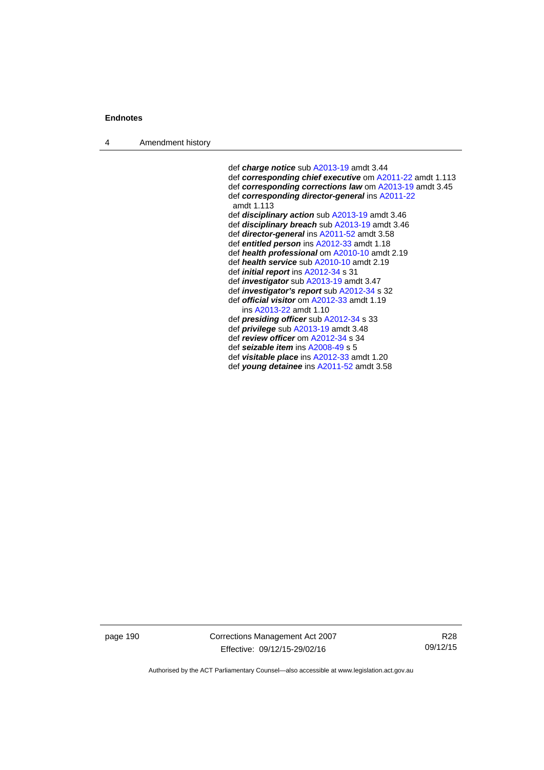4 Amendment history

 def *charge notice* sub [A2013-19](http://www.legislation.act.gov.au/a/2013-19) amdt 3.44 def *corresponding chief executive* om [A2011-22](http://www.legislation.act.gov.au/a/2011-22) amdt 1.113 def *corresponding corrections law* om [A2013-19](http://www.legislation.act.gov.au/a/2013-19) amdt 3.45 def *corresponding director-general* ins [A2011-22](http://www.legislation.act.gov.au/a/2011-22) amdt 1.113 def *disciplinary action* sub [A2013-19](http://www.legislation.act.gov.au/a/2013-19) amdt 3.46 def *disciplinary breach* sub [A2013-19](http://www.legislation.act.gov.au/a/2013-19) amdt 3.46 def *director-general* ins [A2011-52](http://www.legislation.act.gov.au/a/2011-52) amdt 3.58 def *entitled person* ins [A2012-33](http://www.legislation.act.gov.au/a/2012-33) amdt 1.18 def *health professional* om [A2010-10](http://www.legislation.act.gov.au/a/2010-10) amdt 2.19 def *health service* sub [A2010-10](http://www.legislation.act.gov.au/a/2010-10) amdt 2.19 def *initial report* ins [A2012-34](http://www.legislation.act.gov.au/a/2012-34) s 31 def *investigator* sub [A2013-19](http://www.legislation.act.gov.au/a/2013-19) amdt 3.47 def *investigator's report* sub [A2012-34](http://www.legislation.act.gov.au/a/2012-34) s 32 def *official visitor* om [A2012-33](http://www.legislation.act.gov.au/a/2012-33) amdt 1.19 ins [A2013-22](http://www.legislation.act.gov.au/a/2013-22) amdt 1.10 def *presiding officer* sub [A2012-34](http://www.legislation.act.gov.au/a/2012-34) s 33 def *privilege* sub [A2013-19](http://www.legislation.act.gov.au/a/2013-19) amdt 3.48 def *review officer* om [A2012-34](http://www.legislation.act.gov.au/a/2012-34) s 34 def *seizable item* ins [A2008-49](http://www.legislation.act.gov.au/a/2008-49) s 5 def *visitable place* ins [A2012-33](http://www.legislation.act.gov.au/a/2012-33) amdt 1.20 def *young detainee* ins [A2011-52](http://www.legislation.act.gov.au/a/2011-52) amdt 3.58

page 190 Corrections Management Act 2007 Effective: 09/12/15-29/02/16

R28 09/12/15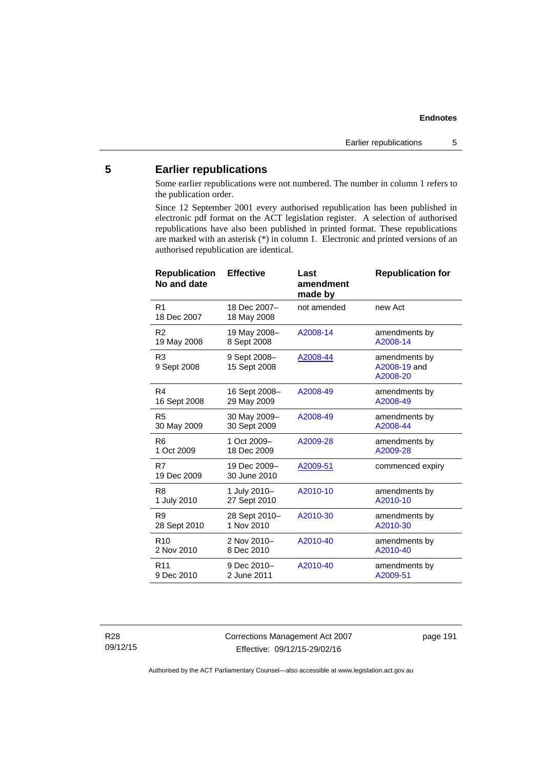# **5 Earlier republications**

Some earlier republications were not numbered. The number in column 1 refers to the publication order.

Since 12 September 2001 every authorised republication has been published in electronic pdf format on the ACT legislation register. A selection of authorised republications have also been published in printed format. These republications are marked with an asterisk (\*) in column 1. Electronic and printed versions of an authorised republication are identical.

| <b>Republication</b><br>No and date | <b>Effective</b>             | Last<br>amendment<br>made by | <b>Republication for</b>                  |
|-------------------------------------|------------------------------|------------------------------|-------------------------------------------|
| R1<br>18 Dec 2007                   | 18 Dec 2007-<br>18 May 2008  | not amended                  | new Act                                   |
| R <sub>2</sub>                      | 19 May 2008-                 | A2008-14                     | amendments by                             |
| 19 May 2008                         | 8 Sept 2008                  |                              | A2008-14                                  |
| R <sub>3</sub><br>9 Sept 2008       | 9 Sept 2008-<br>15 Sept 2008 | A2008-44                     | amendments by<br>A2008-19 and<br>A2008-20 |
| R4                                  | 16 Sept 2008-                | A2008-49                     | amendments by                             |
| 16 Sept 2008                        | 29 May 2009                  |                              | A2008-49                                  |
| R <sub>5</sub>                      | 30 May 2009-                 | A2008-49                     | amendments by                             |
| 30 May 2009                         | 30 Sept 2009                 |                              | A2008-44                                  |
| R <sub>6</sub>                      | 1 Oct 2009-                  | A2009-28                     | amendments by                             |
| 1 Oct 2009                          | 18 Dec 2009                  |                              | A2009-28                                  |
| R7<br>19 Dec 2009                   | 19 Dec 2009-<br>30 June 2010 | A2009-51                     | commenced expiry                          |
| R <sub>8</sub>                      | 1 July 2010-                 | A2010-10                     | amendments by                             |
| 1 July 2010                         | 27 Sept 2010                 |                              | A2010-10                                  |
| R9                                  | 28 Sept 2010-                | A2010-30                     | amendments by                             |
| 28 Sept 2010                        | 1 Nov 2010                   |                              | A2010-30                                  |
| R <sub>10</sub>                     | 2 Nov 2010-                  | A2010-40                     | amendments by                             |
| 2 Nov 2010                          | 8 Dec 2010                   |                              | A2010-40                                  |
| R <sub>11</sub>                     | 9 Dec 2010-                  | A2010-40                     | amendments by                             |
| 9 Dec 2010                          | 2 June 2011                  |                              | A2009-51                                  |

R28 09/12/15 Corrections Management Act 2007 Effective: 09/12/15-29/02/16

page 191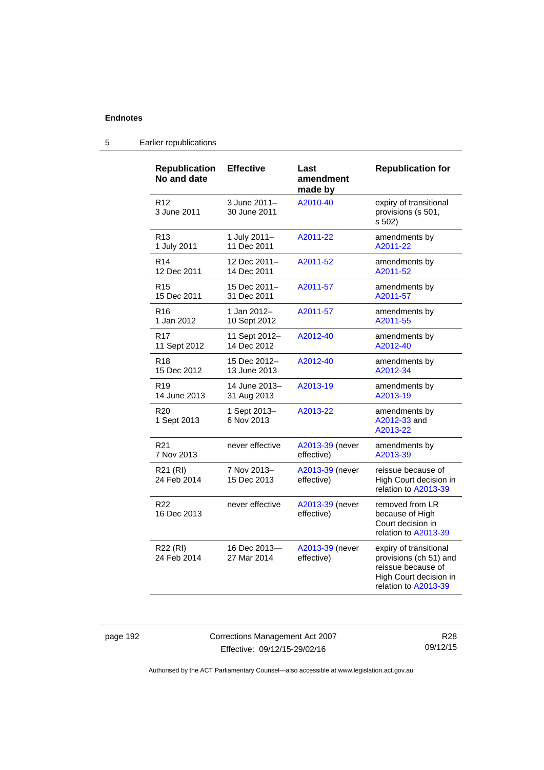| <b>Republication</b><br>No and date | <b>Effective</b>             | Last<br>amendment<br>made by  | <b>Republication for</b>                                                                                                 |
|-------------------------------------|------------------------------|-------------------------------|--------------------------------------------------------------------------------------------------------------------------|
| R <sub>12</sub><br>3 June 2011      | 3 June 2011-<br>30 June 2011 | A2010-40                      | expiry of transitional<br>provisions (s 501,<br>s 502)                                                                   |
| R <sub>13</sub>                     | 1 July 2011-                 | A2011-22                      | amendments by                                                                                                            |
| 1 July 2011                         | 11 Dec 2011                  |                               | A2011-22                                                                                                                 |
| R <sub>14</sub>                     | 12 Dec 2011-                 | A2011-52                      | amendments by                                                                                                            |
| 12 Dec 2011                         | 14 Dec 2011                  |                               | A2011-52                                                                                                                 |
| R <sub>15</sub>                     | 15 Dec 2011-                 | A2011-57                      | amendments by                                                                                                            |
| 15 Dec 2011                         | 31 Dec 2011                  |                               | A2011-57                                                                                                                 |
| R <sub>16</sub>                     | 1 Jan 2012-                  | A2011-57                      | amendments by                                                                                                            |
| 1 Jan 2012                          | 10 Sept 2012                 |                               | A2011-55                                                                                                                 |
| R <sub>17</sub>                     | 11 Sept 2012-                | A2012-40                      | amendments by                                                                                                            |
| 11 Sept 2012                        | 14 Dec 2012                  |                               | A2012-40                                                                                                                 |
| R <sub>18</sub>                     | 15 Dec 2012-                 | A2012-40                      | amendments by                                                                                                            |
| 15 Dec 2012                         | 13 June 2013                 |                               | A2012-34                                                                                                                 |
| R <sub>19</sub>                     | 14 June 2013-                | A2013-19                      | amendments by                                                                                                            |
| 14 June 2013                        | 31 Aug 2013                  |                               | A2013-19                                                                                                                 |
| R <sub>20</sub><br>1 Sept 2013      | 1 Sept 2013-<br>6 Nov 2013   | A2013-22                      | amendments by<br>A2012-33 and<br>A2013-22                                                                                |
| R <sub>21</sub>                     | never effective              | A2013-39 (never               | amendments by                                                                                                            |
| 7 Nov 2013                          |                              | effective)                    | A2013-39                                                                                                                 |
| R21 (RI)<br>24 Feb 2014             | 7 Nov 2013-<br>15 Dec 2013   | A2013-39 (never<br>effective) | reissue because of<br>High Court decision in<br>relation to A2013-39                                                     |
| R <sub>22</sub><br>16 Dec 2013      | never effective              | A2013-39 (never<br>effective) | removed from LR<br>because of High<br>Court decision in<br>relation to A2013-39                                          |
| R22 (RI)<br>24 Feb 2014             | 16 Dec 2013-<br>27 Mar 2014  | A2013-39 (never<br>effective) | expiry of transitional<br>provisions (ch 51) and<br>reissue because of<br>High Court decision in<br>relation to A2013-39 |

# 5 Earlier republications

page 192 Corrections Management Act 2007 Effective: 09/12/15-29/02/16

R28 09/12/15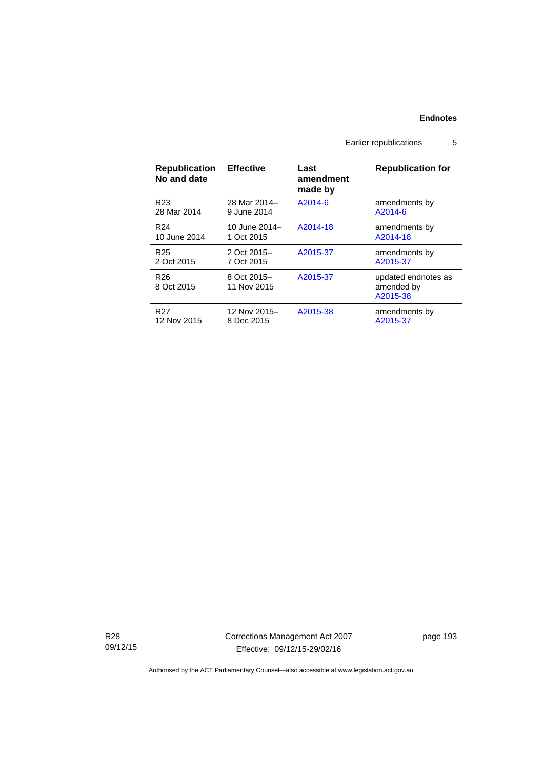# Earlier republications 5

| <b>Republication</b><br>No and date | <b>Effective</b>           | Last<br>amendment<br>made by | <b>Republication for</b>                      |
|-------------------------------------|----------------------------|------------------------------|-----------------------------------------------|
| R <sub>23</sub>                     | 28 Mar 2014-               | A2014-6                      | amendments by                                 |
| 28 Mar 2014                         | 9 June 2014                |                              | A2014-6                                       |
| R <sub>24</sub>                     | 10 June 2014–              | A2014-18                     | amendments by                                 |
| 10 June 2014                        | 1 Oct 2015                 |                              | A2014-18                                      |
| R <sub>25</sub>                     | 2 Oct 2015-                | A2015-37                     | amendments by                                 |
| 2 Oct 2015                          | 7 Oct 2015                 |                              | A2015-37                                      |
| R <sub>26</sub><br>8 Oct 2015       | 8 Oct 2015-<br>11 Nov 2015 | A2015-37                     | updated endnotes as<br>amended by<br>A2015-38 |
| R <sub>27</sub>                     | 12 Nov 2015–               | A2015-38                     | amendments by                                 |
| 12 Nov 2015                         | 8 Dec 2015                 |                              | A2015-37                                      |

R28 09/12/15 Corrections Management Act 2007 Effective: 09/12/15-29/02/16

page 193